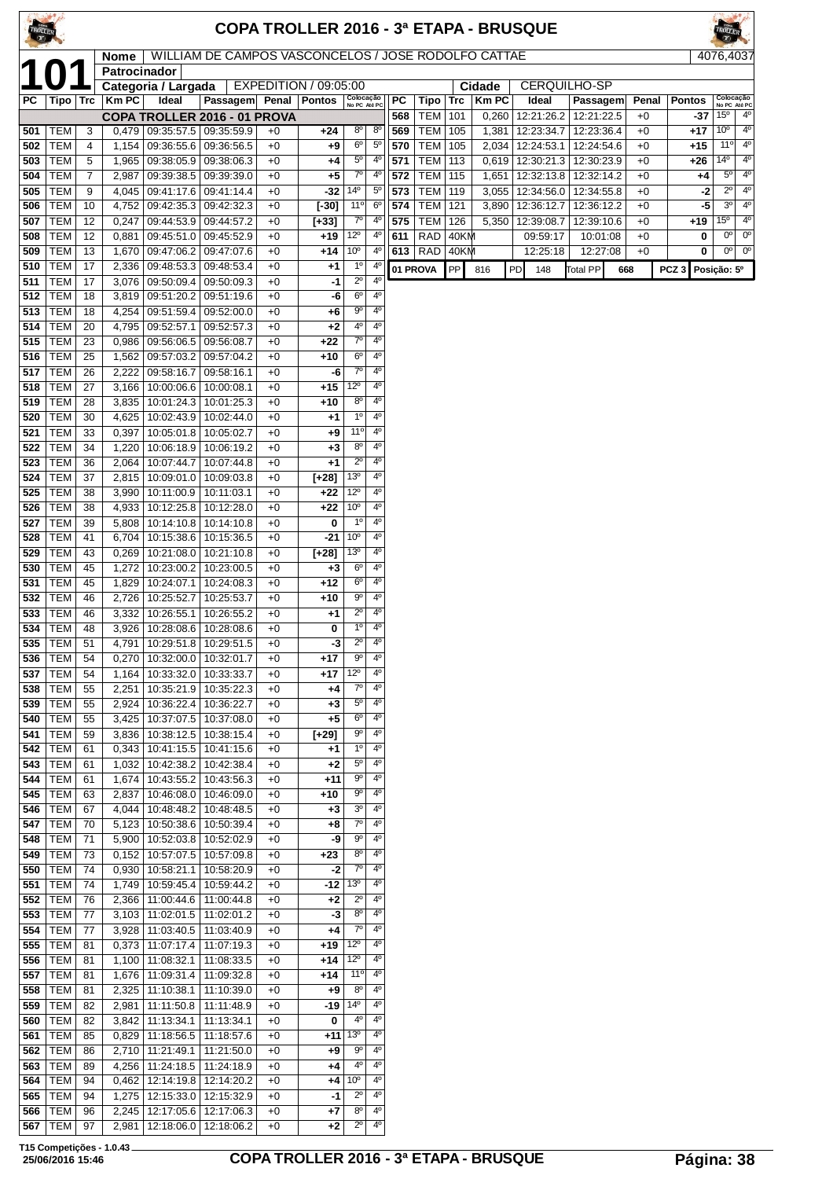| TROLLER    |                          |          |                |                                          |                                                     |              |                       |                                  |                               |            |                          |            |                | <b>COPA TROLLER 2016 - 3ª ETAPA - BRUSQUE</b> |                          |              |                  |                            |                               |
|------------|--------------------------|----------|----------------|------------------------------------------|-----------------------------------------------------|--------------|-----------------------|----------------------------------|-------------------------------|------------|--------------------------|------------|----------------|-----------------------------------------------|--------------------------|--------------|------------------|----------------------------|-------------------------------|
|            |                          |          | Nome           |                                          | WILLIAM DE CAMPOS VASCONCELOS / JOSE RODOLFO CATTAE |              |                       |                                  |                               |            |                          |            |                |                                               |                          |              |                  |                            | 4076,4037                     |
|            |                          |          | Patrocinador   | Categoria / Largada                      |                                                     |              | EXPEDITION / 09:05:00 |                                  |                               |            |                          |            | Cidade         | <b>CERQUILHO-SP</b>                           |                          |              |                  |                            |                               |
| PС         | Tipo   Trc               |          | Km PC          | Ideal                                    | Passagem                                            |              | Penal   Pontos        | Colocação<br>No PC Até PC        |                               | PC         | Tipo                     | Trc        | <b>KmPC</b>    | Ideal                                         | Passagem                 | Penal        | <b>Pontos</b>    |                            | Colocação<br>No PC Até PC     |
|            |                          |          |                |                                          | COPA TROLLER 2016 - 01 PROVA                        |              |                       |                                  |                               | 568        | <b>TEM</b>               | 101        | 0,260          | 12:21:26.2                                    | 12:21:22.5               | $+0$         | -37              | $15^{\circ}$               | $4^{\circ}$                   |
| 501        | <b>TEM</b>               | 3        | 0,479          | 09:35:57.5                               | 09:35:59.9                                          | $+0$         | +24                   | $8^{\circ}$                      | $8^{\circ}$                   | 569        | TEM                      | 105        | 1,381          | 12:23:34.7                                    | 12:23:36.4               | $+0$         | +17              | $10^{\circ}$               | $4^{\circ}$<br>$4^{\circ}$    |
| 502<br>503 | <b>TEM</b><br><b>TEM</b> | 4<br>5   | 1,154<br>1,965 | 09:36:55.6<br>09:38:05.9                 | 09:36:56.5<br>09:38:06.3                            | $+0$<br>$+0$ | +9<br>+4              | 6 <sup>o</sup><br>$5^{\circ}$    | $5^{\circ}$<br>$4^{\circ}$    | 570<br>571 | <b>TEM</b><br><b>TEM</b> | 105<br>113 | 2,034<br>0,619 | 12:24:53.1<br>12:30:21.3                      | 12:24:54.6<br>12:30:23.9 | $+0$<br>$+0$ | $+15$<br>+26     | 11°<br>14º                 | $4^{\circ}$                   |
| 504        | <b>TEM</b>               | 7        | 2,987          | 09:39:38.5                               | 09:39:39.0                                          | $+0$         | +5                    | $7^{\circ}$                      | $4^{\circ}$                   | 572        | TEM                      | 115        | 1,651          | 12:32:13.8                                    | 12:32:14.2               | $+0$         | +4               | $5^{\circ}$                | $4^{\circ}$                   |
| 505        | <b>TEM</b>               | 9        | 4,045          | 09:41:17.6                               | 09:41:14.4                                          | $+0$         | -32                   | $14^{\circ}$                     | $5^{\circ}$                   | 573        | <b>TEM</b>               | 119        | 3,055          | 12:34:56.0                                    | 12:34:55.8               | $+0$         | $-2$             | $2^{\circ}$                | $4^{\circ}$                   |
| 506        | <b>TEM</b>               | 10       | 4,752          | 09:42:35.3                               | 09:42:32.3                                          | $+0$         | $[-30]$               | 11°                              | $6^{\circ}$                   | 574        | <b>TEM</b>               | 121        | 3,890          | 12:36:12.7                                    | 12:36:12.2               | $+0$         | -5               | $3^{\circ}$                | $4^{\circ}$                   |
| 507        | <b>TEM</b>               | 12       | 0,247          | 09:44:53.9                               | 09:44:57.2                                          | $+0$         | $[-33]$               | $7^\circ$                        | $4^{\circ}$                   | 575        | <b>TEM</b>               | 126        | 5,350          | 12:39:08.7                                    | 12:39:10.6               | $+0$         | +19              | $15^{\circ}$               | $4^{\circ}$                   |
| 508        | <b>TEM</b>               | 12       | 0,881          | 09:45:51.0                               | 09:45:52.9                                          | $+0$         | $+19$                 | $12^{\circ}$                     | $4^{\circ}$                   | 611        | <b>RAD</b>               | 40KM       |                | 09:59:17                                      | 10:01:08                 | $+0$         | 0                | $0^{\circ}$<br>$0^{\circ}$ | 0 <sup>o</sup><br>$0^{\circ}$ |
| 509<br>510 | <b>TEM</b><br><b>TEM</b> | 13<br>17 | 2,336          | 1,670 09:47:06.2<br>09:48:53.3           | 09:47:07.6<br>09:48:53.4                            | $+0$<br>$+0$ | +14<br>+1             | 10 <sup>o</sup><br>$1^{\circ}$   | $4^{\circ}$<br>4 <sup>°</sup> |            | $613$ RAD                | 40KM       |                | 12:25:18                                      | 12:27:08                 | $+0$         | 0                |                            |                               |
| 511        | <b>TEM</b>               | 17       | 3.076          | 09:50:09.4                               | 09:50:09.3                                          | $+0$         | -1                    | $2^{\circ}$                      | 4 <sup>0</sup>                |            | 01 PROVA                 | PP         | 816            | PD<br>148                                     | <b>Total PP</b>          | 668          | PCZ <sub>3</sub> | Posição: 5º                |                               |
| 512        | <b>TEM</b>               | 18       | 3,819          | 09:51:20.2                               | 09:51:19.6                                          | $+0$         | -6                    | 6 <sup>o</sup>                   | 4°                            |            |                          |            |                |                                               |                          |              |                  |                            |                               |
| 513        | <b>TEM</b>               | 18       | 4,254          | 09:51:59.4                               | 09:52:00.0                                          | $+0$         | +6                    | $9^{\circ}$                      | $4^{\circ}$                   |            |                          |            |                |                                               |                          |              |                  |                            |                               |
| 514        | <b>TEM</b>               | 20       | 4,795          | 09:52:57.1                               | 09:52:57.3                                          | $+0$         | $+2$                  | 4°                               | 4°                            |            |                          |            |                |                                               |                          |              |                  |                            |                               |
| 515        | <b>TEM</b>               | 23       | 0,986          | 09:56:06.5                               | 09:56:08.7                                          | $+0$         | +22                   | $7^{\circ}$                      | 4°                            |            |                          |            |                |                                               |                          |              |                  |                            |                               |
| 516        | <b>TEM</b><br><b>TEM</b> | 25       | 1,562          | 09:57:03.2                               | 09:57:04.2<br>09:58:16.1                            | $+0$         | +10                   | $6^{\circ}$<br>$7^{\circ}$       | $4^{\circ}$<br>4°             |            |                          |            |                |                                               |                          |              |                  |                            |                               |
| 517<br>518 | <b>TEM</b>               | 26<br>27 | 2,222<br>3.166 | 09:58:16.7<br>10:00:06.6                 | 10:00:08.1                                          | $+0$<br>$+0$ | -6<br>$+15$           | $12^{\circ}$                     | 4°                            |            |                          |            |                |                                               |                          |              |                  |                            |                               |
| 519        | <b>TEM</b>               | 28       | 3,835          | 10:01:24.3                               | 10:01:25.3                                          | $+0$         | +10                   | $8^{\circ}$                      | $4^{\circ}$                   |            |                          |            |                |                                               |                          |              |                  |                            |                               |
| 520        | <b>TEM</b>               | 30       | 4,625          | 10:02:43.9                               | 10:02:44.0                                          | $+0$         | +1                    | $1^{\circ}$                      | 4°                            |            |                          |            |                |                                               |                          |              |                  |                            |                               |
| 521        | <b>TEM</b>               | 33       | 0,397          | 10:05:01.8                               | 10:05:02.7                                          | $+0$         | +9                    | 11°                              | $4^{\circ}$                   |            |                          |            |                |                                               |                          |              |                  |                            |                               |
| 522        | <b>TEM</b>               | 34       | 1,220          | 10:06:18.9                               | 10:06:19.2                                          | $+0$         | +3                    | $8^{\circ}$                      | 4°                            |            |                          |            |                |                                               |                          |              |                  |                            |                               |
| 523        | <b>TEM</b><br><b>TEM</b> | 36<br>37 | 2,064          | 10:07:44.7                               | 10:07:44.8                                          | $+0$<br>$+0$ | +1                    | $2^{\circ}$<br>$13^{\circ}$      | 4 <sup>0</sup><br>4º          |            |                          |            |                |                                               |                          |              |                  |                            |                               |
| 524<br>525 | <b>TEM</b>               | 38       | 2,815<br>3,990 | 10:09:01.0<br>10:11:00.9                 | 10:09:03.8<br>10:11:03.1                            | $+0$         | $[-28]$<br>$+22$      | $12^{\circ}$                     | 4°                            |            |                          |            |                |                                               |                          |              |                  |                            |                               |
| 526        | <b>TEM</b>               | 38       | 4,933          | 10:12:25.8                               | 10:12:28.0                                          | $+0$         | $+22$                 | 10 <sup>o</sup>                  | 4°                            |            |                          |            |                |                                               |                          |              |                  |                            |                               |
| 527        | <b>TEM</b>               | 39       | 5,808          | 10:14:10.8                               | 10:14:10.8                                          | $+0$         | 0                     | $1^{\circ}$                      | $4^{\circ}$                   |            |                          |            |                |                                               |                          |              |                  |                            |                               |
| 528        | <b>TEM</b>               | 41       | 6,704          | 10:15:38.6                               | 10:15:36.5                                          | $+0$         | -21                   | 10 <sup>o</sup>                  | $4^{\circ}$                   |            |                          |            |                |                                               |                          |              |                  |                            |                               |
| 529        | <b>TEM</b>               | 43       | 0,269          | 10:21:08.0                               | 10:21:10.8                                          | $+0$         | $[-28]$               | $13^{\circ}$                     | 4°                            |            |                          |            |                |                                               |                          |              |                  |                            |                               |
| 530        | <b>TEM</b><br><b>TEM</b> | 45       | 1,272          | 10:23:00.2                               | 10:23:00.5                                          | $+0$<br>$+0$ | $+3$<br>$+12$         | 6 <sup>o</sup><br>6 <sup>o</sup> | 4°<br>4º                      |            |                          |            |                |                                               |                          |              |                  |                            |                               |
| 531<br>532 | <b>TEM</b>               | 45<br>46 | 1,829<br>2,726 | 10:24:07.1<br>10:25:52.7                 | 10:24:08.3<br>10:25:53.7                            | $+0$         | +10                   | 90                               | 4°                            |            |                          |            |                |                                               |                          |              |                  |                            |                               |
| 533        | <b>TEM</b>               | 46       | 3,332          | 10:26:55.1                               | 10:26:55.2                                          | $+0$         | +1                    | $2^{\circ}$                      | $4^{\circ}$                   |            |                          |            |                |                                               |                          |              |                  |                            |                               |
| 534        | TEM                      | 48       | 3.926          | 10:28:08.6                               | 10:28:08.6                                          | $+0$         | 0                     | $1^{\circ}$                      | $4^{\circ}$                   |            |                          |            |                |                                               |                          |              |                  |                            |                               |
|            | 535   TEM                | 51       |                | 4,791   10:29:51.8   10:29:51.5          |                                                     | $+0$         | -3                    | $2^{\circ}$                      | 40                            |            |                          |            |                |                                               |                          |              |                  |                            |                               |
| 536        | TEM                      | 54       | 0,270          | 10:32:00.0                               | 10:32:01.7                                          | $+0$         | +17                   | 90                               | 4°                            |            |                          |            |                |                                               |                          |              |                  |                            |                               |
| 537        | <b>TEM</b>               | 54       | 1,164          | 10:33:32.0                               | 10:33:33.7                                          | $+0$         | +17                   | $12^{\circ}$<br>$7^{\circ}$      | $4^{\circ}$<br>$4^{\circ}$    |            |                          |            |                |                                               |                          |              |                  |                            |                               |
| 538<br>539 | <b>TEM</b><br><b>TEM</b> | 55<br>55 | 2,251<br>2,924 | 10:35:21.9<br>10:36:22.4                 | 10:35:22.3<br>10:36:22.7                            | $+0$<br>$+0$ | +4<br>+3              | $5^{\circ}$                      | 4°                            |            |                          |            |                |                                               |                          |              |                  |                            |                               |
| 540        | TEM                      | 55       | 3,425          | 10:37:07.5                               | 10:37:08.0                                          | $+0$         | +5                    | $6^{\circ}$                      | $4^{\circ}$                   |            |                          |            |                |                                               |                          |              |                  |                            |                               |
| 541        | <b>TEM</b>               | 59       | 3,836          | 10:38:12.5                               | 10:38:15.4                                          | $+0$         | $[+29]$               | 90                               | 4°                            |            |                          |            |                |                                               |                          |              |                  |                            |                               |
| 542        | <b>TEM</b>               | 61       | 0,343          | 10:41:15.5                               | 10:41:15.6                                          | $+0$         | $+1$                  | $1^{\circ}$                      | 40                            |            |                          |            |                |                                               |                          |              |                  |                            |                               |
| 543        | TEM                      | 61       | 1,032          | 10:42:38.2                               | 10:42:38.4                                          | $+0$         | $+2$                  | $5^{\circ}$                      | $4^{\circ}$                   |            |                          |            |                |                                               |                          |              |                  |                            |                               |
| 544        | <b>TEM</b>               | 61       | 1,674          | 10:43:55.2                               | 10:43:56.3                                          | $+0$         | $+11$                 | $9^{\circ}$                      | 40<br>$4^{\circ}$             |            |                          |            |                |                                               |                          |              |                  |                            |                               |
| 545<br>546 | <b>TEM</b><br><b>TEM</b> | 63<br>67 | 2,837<br>4,044 | 10:46:08.0<br>10:48:48.2                 | 10:46:09.0<br>10:48:48.5                            | $+0$<br>$+0$ | +10<br>$+3$           | 90<br>3 <sup>0</sup>             | 4°                            |            |                          |            |                |                                               |                          |              |                  |                            |                               |
| 547        | <b>TEM</b>               | 70       | 5,123          | 10:50:38.6                               | 10:50:39.4                                          | $+0$         | +8                    | $7^{\circ}$                      | 4º                            |            |                          |            |                |                                               |                          |              |                  |                            |                               |
| 548        | TEM                      | 71       |                | 5,900 10:52:03.8                         | 10:52:02.9                                          | $+0$         | -9                    | $9^{\circ}$                      | 4°                            |            |                          |            |                |                                               |                          |              |                  |                            |                               |
| 549        | <b>TEM</b>               | 73       | 0,152          | 10:57:07.5                               | 10:57:09.8                                          | $+0$         | +23                   | $8^{\circ}$                      | 4°                            |            |                          |            |                |                                               |                          |              |                  |                            |                               |
| 550        | <b>TEM</b>               | 74       |                | 0,930   10:58:21.1                       | 10:58:20.9                                          | $+0$         | -2                    | $7^{\circ}$                      | 4º                            |            |                          |            |                |                                               |                          |              |                  |                            |                               |
| 551        | TEM                      | 74       |                | 1,749   10:59:45.4                       | 10:59:44.2                                          | $+0$         | -12                   | 13 <sup>°</sup>                  | 4°                            |            |                          |            |                |                                               |                          |              |                  |                            |                               |
| 552<br>553 | <b>TEM</b><br><b>TEM</b> | 76<br>77 |                | 2,366   11:00:44.6<br>$3,103$ 11:02:01.5 | 11:00:44.8<br>11:02:01.2                            | $+0$<br>$+0$ | +2<br>$-3$            | $2^{\circ}$<br>$8^{\circ}$       | 4°<br>4°                      |            |                          |            |                |                                               |                          |              |                  |                            |                               |
| 554        | <b>TEM</b>               | 77       |                | 3,928 11:03:40.5                         | 11:03:40.9                                          | $+0$         | +4                    | $7^\circ$                        | 40                            |            |                          |            |                |                                               |                          |              |                  |                            |                               |
| 555        | TEM                      | 81       |                | $0,373$   11:07:17.4                     | 11:07:19.3                                          | $+0$         | +19                   | $12^{\circ}$                     | 4º                            |            |                          |            |                |                                               |                          |              |                  |                            |                               |
| 556        | <b>TEM</b>               | 81       |                | 1,100   11:08:32.1                       | 11:08:33.5                                          | $+0$         | +14                   | $12^{\circ}$                     | 4º                            |            |                          |            |                |                                               |                          |              |                  |                            |                               |
| 557        | <b>TEM</b>               | 81       |                | 1,676   11:09:31.4                       | 11:09:32.8                                          | $+0$         | +14                   | 11°                              | 4°                            |            |                          |            |                |                                               |                          |              |                  |                            |                               |
| 558        | TEM                      | 81       | 2,325          | 11:10:38.1                               | 11:10:39.0                                          | $+0$         | +9                    | $8^{\circ}$                      | 4°                            |            |                          |            |                |                                               |                          |              |                  |                            |                               |
| 559<br>560 | TEM<br>TEM               | 82<br>82 | 2,981<br>3,842 | 11:11:50.8<br>11:13:34.1                 | 11:11:48.9<br>11:13:34.1                            | $+0$<br>$+0$ | -19<br>0              | $14^{\circ}$<br>$4^{\circ}$      | 4°<br>4°                      |            |                          |            |                |                                               |                          |              |                  |                            |                               |
| 561        | <b>TEM</b>               | 85       | 0,829          | 11:18:56.5                               | 11:18:57.6                                          | $+0$         | +11                   | $13^{\circ}$                     | 4°                            |            |                          |            |                |                                               |                          |              |                  |                            |                               |
| 562        | <b>TEM</b>               | 86       |                | 2,710   11:21:49.1                       | 11:21:50.0                                          | $+0$         | +9                    | 90                               | 4°                            |            |                          |            |                |                                               |                          |              |                  |                            |                               |
| 563        | <b>TEM</b>               | 89       |                | 4,256   11:24:18.5                       | 11:24:18.9                                          | $+0$         | +4                    | $4^{\circ}$                      | 4°                            |            |                          |            |                |                                               |                          |              |                  |                            |                               |
| 564        | <b>TEM</b>               | 94       | 0,462          | 12:14:19.8                               | 12:14:20.2                                          | $+0$         | +4                    | $10^{\circ}$                     | $4^{\circ}$                   |            |                          |            |                |                                               |                          |              |                  |                            |                               |
| 565        | <b>TEM</b>               | 94       | 1,275          | 12:15:33.0                               | 12:15:32.9                                          | $+0$         | -1                    | $2^{\circ}$                      | 4°                            |            |                          |            |                |                                               |                          |              |                  |                            |                               |
| 566<br>567 | <b>TEM</b><br><b>TEM</b> | 96<br>97 | 2,245          | 12:17:05.6<br>2,981 12:18:06.0           | 12:17:06.3<br>12:18:06.2                            | $+0$<br>$+0$ | +7<br>+2              | 80<br>$2^{\circ}$                | 4°<br>4 <sup>0</sup>          |            |                          |            |                |                                               |                          |              |                  |                            |                               |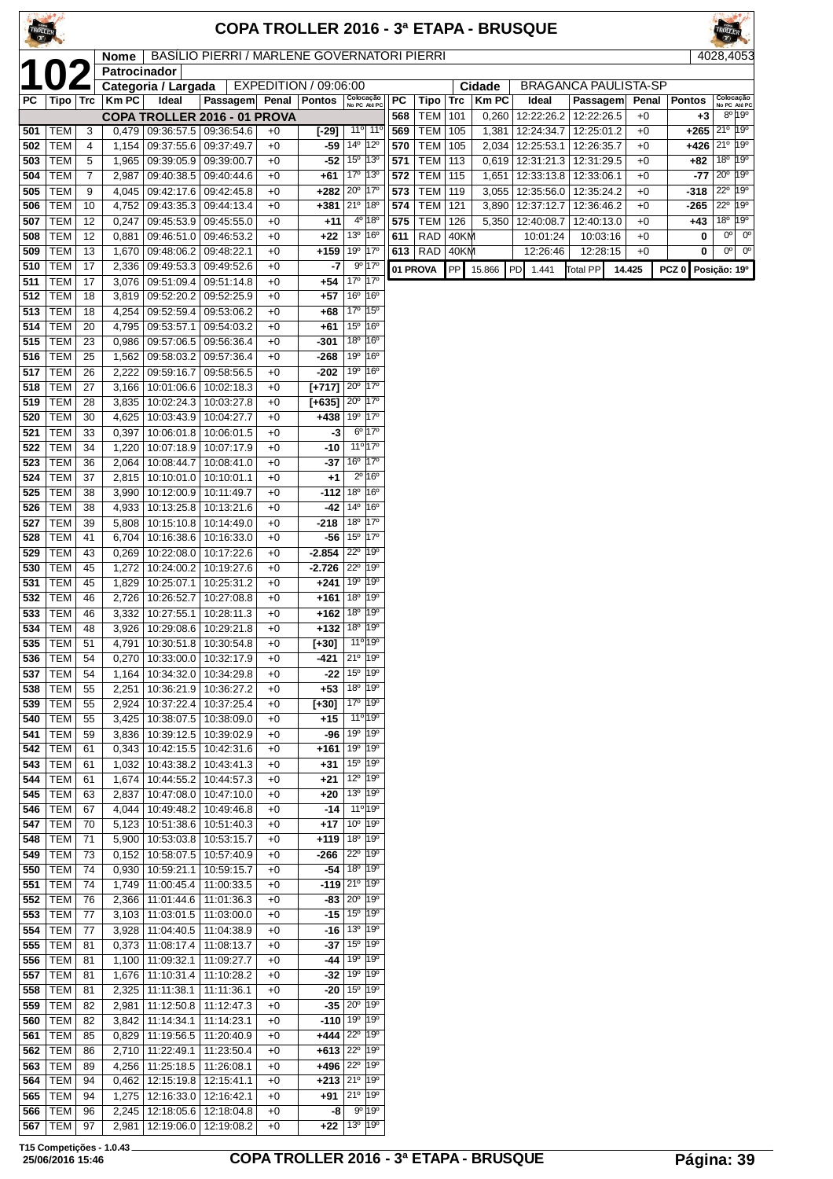| TROLLER <sup>CON</sup> |                          |                 |                      |                                                                  |                                             |              |                                          |                                                                                  |                                           |            |                  |             |                | <b>COPA TROLLER 2016 - 3ª ETAPA - BRUSQUE</b> |                          |              |                  |                                              |             |                                                                 |
|------------------------|--------------------------|-----------------|----------------------|------------------------------------------------------------------|---------------------------------------------|--------------|------------------------------------------|----------------------------------------------------------------------------------|-------------------------------------------|------------|------------------|-------------|----------------|-----------------------------------------------|--------------------------|--------------|------------------|----------------------------------------------|-------------|-----------------------------------------------------------------|
|                        |                          |                 | Nome<br>Patrocinador |                                                                  | BASILIO PIERRI / MARLENE GOVERNATORI PIERRI |              |                                          |                                                                                  |                                           |            |                  |             |                |                                               |                          |              |                  |                                              |             | 4028,4053                                                       |
|                        |                          |                 |                      | Categoria / Largada                                              |                                             |              | EXPEDITION / 09:06:00                    |                                                                                  |                                           |            |                  |             | Cidade         | <b>BRAGANCA PAULISTA-SP</b>                   |                          |              |                  |                                              |             |                                                                 |
| PC                     | Tipo   Trc               |                 | <b>KmPC</b>          | Ideal                                                            | Passagem                                    | Penal        | <b>Pontos</b>                            | Colocação<br>No PC Até PC                                                        |                                           | PC         | Tipo             | <b>Trc</b>  | <b>Km PC</b>   | Ideal                                         | Passagem                 |              | Penal            | <b>Pontos</b>                                |             | Colocação<br>No PC Até PC<br>$8^{\circ}$ 19 $^{\circ}$          |
| 501                    | TEM                      | 3               | 0,479                | 09:36:57.5   09:36:54.6                                          | COPA TROLLER 2016 - 01 PROVA                | $+0$         | $[-29]$                                  |                                                                                  | $11^{\circ}$ 11 <sup>°</sup>              | 568<br>569 | TEM<br>TEM   105 | 101         | 0,260<br>1,381 | 12:22:26.2<br>12:24:34.7                      | 12:22:26.5<br>12:25:01.2 | $+0$<br>$+0$ |                  | +3<br>$+265$ 21 <sup>°</sup> 19 <sup>°</sup> |             |                                                                 |
| 502                    | <b>TEM</b>               | $\overline{4}$  | 1,154                | 09:37:55.6 09:37:49.7                                            |                                             | $+0$         | -59                                      | $14^{\circ}$                                                                     | $12^{\circ}$                              | 570        | TEM   105        |             |                | 2,034   12:25:53.1                            | 12:26:35.7               | $+0$         |                  | $+426$                                       |             | $21^{\circ}$ 19°                                                |
| 503<br>504             | <b>TEM</b><br><b>TEM</b> | 5<br>7          | 1,965<br>2,987       | 09:39:05.9<br>09:40:38.5                                         | 09:39:00.7                                  | $+0$<br>$+0$ | -52<br>+61                               | $15^{\circ}$<br>17°                                                              | $ 13^{\circ}$<br>$ 13^{\circ}$            | 571<br>572 | TEM   113<br>TEM | 115         |                | $0,619$   12:31:21.3<br>12:33:13.8            | 12:31:29.5<br>12:33:06.1 | $+0$<br>$+0$ |                  | +82<br>-77                                   |             | 18 <sup>o</sup> 19 <sup>o</sup><br>$20^{\circ}$ 19 <sup>°</sup> |
| 505                    | <b>TEM</b>               | 9               | 4,045                | 09:42:17.6                                                       | 09:40:44.6<br>09:42:45.8                    | $+0$         | +282                                     | 20 <sup>o</sup>                                                                  | $17^{\circ}$                              | 573        | TEM              | 119         | 1,651<br>3,055 | 12:35:56.0                                    | 12:35:24.2               | $+0$         |                  | -318                                         |             | $22^{\circ}$ 19 <sup>°</sup>                                    |
| 506                    | <b>TEM</b>               | 10              | 4,752                | 09:43:35.3 09:44:13.4                                            |                                             | $+0$         |                                          | $+381$ 21 <sup>°</sup> 18 <sup>°</sup>                                           |                                           | 574        | <b>TEM 121</b>   |             |                | 3,890   12:37:12.7                            | 12:36:46.2               | $+0$         |                  | -265                                         |             | 22° 19°                                                         |
| 507<br>508             | TEM<br><b>TEM</b>        | 12<br>12        | 0,247<br>0,881       | 09:45:53.9<br>09:46:51.0                                         | 09:45:55.0<br>09:46:53.2                    | $+0$<br>$+0$ | $+11$<br>$+22$                           | $4^{\circ}$ 18 <sup>°</sup><br>13º 16º                                           |                                           | 575<br>611 | TEM  <br>RAD     | 126<br>40KM | 5,350          | 12:40:08.7<br>10:01:24                        | 12:40:13.0<br>10:03:16   | $+0$<br>$+0$ |                  | +43<br>0                                     | $0^{\circ}$ | 18 <sup>0</sup> 19 <sup>0</sup><br>$0^{\circ}$                  |
| 509                    | <b>TEM</b>               | 13              | 1,670                | 09:48:06.2                                                       | 09:48:22.1                                  | $+0$         | +159                                     | 19°                                                                              | $17^\circ$                                | 613        |                  | RAD 40KM    |                | 12:26:46                                      | 12:28:15                 | $+0$         |                  | 0                                            |             | $0o$ 0 <sup>o</sup>                                             |
| 510                    | <b>TEM</b>               | 17              | 2,336                | 09:49:53.3                                                       | 09:49:52.6                                  | $+0$         | -7                                       | 90                                                                               | 17°                                       |            | 01 PROVA         | PP          | 15.866         | PD.<br>1.441                                  | <b>Total PP</b>          | 14.425       | PCZ <sub>0</sub> | Posição: 19º                                 |             |                                                                 |
| 511<br>512             | <b>TEM</b><br><b>TEM</b> | 17<br>18        | 3,076<br>3,819       | 09:51:09.4   09:51:14.8<br>09:52:20.2                            | 09:52:25.9                                  | $+0$<br>$+0$ | $+54$<br>$+57$                           | 17 <sup>°</sup><br>$16^{\circ}$                                                  | 17°<br>16°                                |            |                  |             |                |                                               |                          |              |                  |                                              |             |                                                                 |
| 513                    | <b>TEM</b>               | 18              | 4,254                | 09:52:59.4                                                       | 09:53:06.2                                  | $+0$         | +68                                      | 17°                                                                              | 15°                                       |            |                  |             |                |                                               |                          |              |                  |                                              |             |                                                                 |
| 514                    | <b>TEM</b>               | 20              | 4,795                | 09:53:57.1                                                       | 09:54:03.2                                  | $+0$         | +61                                      | 15 <sup>o</sup>                                                                  | 16°                                       |            |                  |             |                |                                               |                          |              |                  |                                              |             |                                                                 |
| 515                    | <b>TEM</b>               | 23              | 0,986                | 09:57:06.5                                                       | 09:56:36.4                                  | $+0$         | -301                                     | 18 <sup>o</sup><br>19 <sup>o</sup>                                               | 16°<br>16 <sup>o</sup>                    |            |                  |             |                |                                               |                          |              |                  |                                              |             |                                                                 |
| 516<br>517             | <b>TEM</b><br><b>TEM</b> | 25<br>26        | 1,562<br>2,222       | 09:58:03.2<br>09:59:16.7                                         | 09:57:36.4<br>09:58:56.5                    | $+0$<br>$+0$ | -268<br>-202                             | 19°                                                                              | 16°                                       |            |                  |             |                |                                               |                          |              |                  |                                              |             |                                                                 |
| 518                    | <b>TEM</b>               | 27              | 3.166                | 10:01:06.6                                                       | 10:02:18.3                                  | $+0$         | $[+717]$                                 | 20 <sup>o</sup>                                                                  | 17 <sup>o</sup>                           |            |                  |             |                |                                               |                          |              |                  |                                              |             |                                                                 |
| 519                    | <b>TEM</b>               | 28              | 3,835                | 10:02:24.3                                                       | 10:03:27.8                                  | $+0$         | [+635]                                   | $20^{\circ}$                                                                     | $17^\circ$                                |            |                  |             |                |                                               |                          |              |                  |                                              |             |                                                                 |
| 520<br>521             | <b>TEM</b><br>TEM        | 30<br>33        | 4,625<br>0,397       | 10:03:43.9<br>10:06:01.8   10:06:01.5                            | 10:04:27.7                                  | $+0$<br>$+0$ | +438<br>-3                               | 19 <sup>o</sup>                                                                  | $17^\circ$<br>$6^{\circ}$ 17 <sup>0</sup> |            |                  |             |                |                                               |                          |              |                  |                                              |             |                                                                 |
| 522                    | <b>TEM</b>               | 34              | 1,220                | 10:07:18.9   10:07:17.9                                          |                                             | $+0$         | -10                                      | $11^{\circ}$ 17°                                                                 |                                           |            |                  |             |                |                                               |                          |              |                  |                                              |             |                                                                 |
| 523                    | TEM                      | 36              | 2,064                | 10:08:44.7                                                       | 10:08:41.0                                  | $+0$         | -37                                      | $16^{\circ}$ 17°                                                                 |                                           |            |                  |             |                |                                               |                          |              |                  |                                              |             |                                                                 |
| 524<br>525             | TEM<br><b>TEM</b>        | 37<br>38        | 2,815<br>3,990       | 10:10:01.0<br>10:12:00.9                                         | 10:10:01.1<br>10:11:49.7                    | $+0$<br>$+0$ | $+1$<br>$-112$                           | <b>18°</b>                                                                       | $2^{\circ}$ 16 <sup>°</sup><br>16°        |            |                  |             |                |                                               |                          |              |                  |                                              |             |                                                                 |
| 526                    | <b>TEM</b>               | 38              | 4,933                | 10:13:25.8   10:13:21.6                                          |                                             | $+0$         | -42                                      | $14^{\circ}$                                                                     | 16°                                       |            |                  |             |                |                                               |                          |              |                  |                                              |             |                                                                 |
| 527                    | <b>TEM</b>               | 39              | 5,808                | 10:15:10.8                                                       | 10:14:49.0                                  | $+0$         | -218                                     | 18 <sup>o</sup>                                                                  | 17°                                       |            |                  |             |                |                                               |                          |              |                  |                                              |             |                                                                 |
| 528<br>529             | <b>TEM</b><br><b>TEM</b> | 41<br>43        | 6,704<br>0,269       | 10:16:38.6<br>10:22:08.0                                         | 10:16:33.0<br>10:17:22.6                    | $+0$<br>$+0$ | -56<br>-2.854                            | $15^{\circ}$<br>$22^{\circ}$                                                     | 17°<br>19°                                |            |                  |             |                |                                               |                          |              |                  |                                              |             |                                                                 |
| 530                    | <b>TEM</b>               | 45              | 1,272                | 10:24:00.2                                                       | 10:19:27.6                                  | $+0$         | -2.726                                   | $22^{\circ}$                                                                     | 19°                                       |            |                  |             |                |                                               |                          |              |                  |                                              |             |                                                                 |
| 531                    | TEM                      | 45              | 1,829                | 10:25:07.1                                                       | 10:25:31.2                                  | $+0$         | +241                                     | 19 <sup>o</sup>                                                                  | 19°                                       |            |                  |             |                |                                               |                          |              |                  |                                              |             |                                                                 |
| 532<br>533             | <b>TEM</b><br>TEM        | 46<br>46        | 2,726<br>3,332       | 10:26:52.7<br>10:27:55.1                                         | 10:27:08.8<br>10:28:11.3                    | $+0$<br>$+0$ | +161<br>+162                             | 18 <sup>o</sup><br>18 <sup>o</sup>                                               | 19°<br>19°                                |            |                  |             |                |                                               |                          |              |                  |                                              |             |                                                                 |
| 534                    | TEM                      | 48              | 3,926                | 10:29:08.6                                                       | 10:29:21.8                                  | $+0$         |                                          | $+132 18° 19°$                                                                   |                                           |            |                  |             |                |                                               |                          |              |                  |                                              |             |                                                                 |
|                        | $535$ TEM                | $\overline{51}$ |                      | 4,791 10:30:51.8 10:30:54.8                                      |                                             | $+0$         | $1+30$ ] 11 <sup>o</sup> 19 <sup>o</sup> |                                                                                  |                                           |            |                  |             |                |                                               |                          |              |                  |                                              |             |                                                                 |
| 536<br>537             | <b>TEM</b><br><b>TEM</b> | 54<br>54        | 1,164                | $0,270$   10:33:00.0   10:32:17.9<br>10:34:32.0   10:34:29.8     |                                             | $+0$<br>$+0$ | -421<br>-22                              | $21^{\circ}$ 19°<br>15 <sup>°</sup> 19 <sup>°</sup>                              |                                           |            |                  |             |                |                                               |                          |              |                  |                                              |             |                                                                 |
| 538                    | TEM                      | 55              | 2,251                | 10:36:21.9   10:36:27.2                                          |                                             | $+0$         | $+53$                                    | 18 <sup>o</sup> 19 <sup>o</sup>                                                  |                                           |            |                  |             |                |                                               |                          |              |                  |                                              |             |                                                                 |
| 539                    | <b>TEM</b>               | 55              | 2,924                | 10:37:22.4   10:37:25.4                                          |                                             | $+0$         | [+30]                                    | 17 <sup>0</sup> 19 <sup>0</sup>                                                  |                                           |            |                  |             |                |                                               |                          |              |                  |                                              |             |                                                                 |
| 540<br>541             | <b>TEM</b><br><b>TEM</b> | 55<br>59        | 3,425                | 10:38:07.5   10:38:09.0<br>3,836   10:39:12.5   10:39:02.9       |                                             | $+0$<br>$+0$ | $+15$<br>-96                             | 11 <sup>o</sup> 19 <sup>o</sup><br>19 <sup>o</sup> 19 <sup>o</sup>               |                                           |            |                  |             |                |                                               |                          |              |                  |                                              |             |                                                                 |
| 542                    | TEM                      | 61              |                      | $0,343$   10:42:15.5   10:42:31.6                                |                                             | $+0$         | +161                                     | 19 <sup>o</sup> 19 <sup>o</sup>                                                  |                                           |            |                  |             |                |                                               |                          |              |                  |                                              |             |                                                                 |
| 543                    | TEM                      | 61              |                      | 1,032   10:43:38.2   10:43:41.3                                  |                                             | $+0$         | +31                                      | 15 <sup>o</sup>                                                                  | 19°                                       |            |                  |             |                |                                               |                          |              |                  |                                              |             |                                                                 |
| 544<br>545             | <b>TEM</b><br><b>TEM</b> | 61<br>63        | 1,674                | 10:44:55.2 10:44:57.3<br>2,837   10:47:08.0   10:47:10.0         |                                             | $+0$<br>$+0$ | +21<br>$+20$                             | 12 <sup>0</sup> 19 <sup>0</sup><br>13 <sup>0</sup> 19 <sup>0</sup>               |                                           |            |                  |             |                |                                               |                          |              |                  |                                              |             |                                                                 |
| 546                    | TEM                      | 67              |                      | 4,044   10:49:48.2   10:49:46.8                                  |                                             | $+0$         | -14                                      | 11º 19º                                                                          |                                           |            |                  |             |                |                                               |                          |              |                  |                                              |             |                                                                 |
| 547                    | <b>TEM</b>               | 70              |                      | 5,123   10:51:38.6   10:51:40.3                                  |                                             | $+0$         | +17                                      | 10 <sup>°</sup> 19 <sup>°</sup>                                                  |                                           |            |                  |             |                |                                               |                          |              |                  |                                              |             |                                                                 |
| 548<br>549             | TEM<br><b>TEM</b>        | 71<br>73        | 0,152                | 5,900   10:53:03.8   10:53:15.7<br>10:58:07.5                    | 10:57:40.9                                  | $+0$<br>$+0$ | -266                                     | $+119$ 18 <sup>o</sup> 19 <sup>o</sup><br>$22^{\circ}$                           | 19°                                       |            |                  |             |                |                                               |                          |              |                  |                                              |             |                                                                 |
| 550                    | TEM                      | 74              |                      | 0,930   10:59:21.1   10:59:15.7                                  |                                             | $+0$         |                                          | $-54$ 18 <sup>o</sup> 19 <sup>o</sup>                                            |                                           |            |                  |             |                |                                               |                          |              |                  |                                              |             |                                                                 |
| 551                    | TEM                      | 74              |                      | 1,749   11:00:45.4   11:00:33.5                                  |                                             | $+0$         |                                          | $-119$ 21 <sup>o</sup> 19 <sup>o</sup>                                           |                                           |            |                  |             |                |                                               |                          |              |                  |                                              |             |                                                                 |
| 552<br>553             | <b>TEM</b><br><b>TEM</b> | 76<br>77        |                      | 2,366   11:01:44.6   11:01:36.3<br>$3,103$ 11:03:01.5 11:03:00.0 |                                             | $+0$<br>$+0$ |                                          | $-83$ $20^{\circ}$ 19 <sup>°</sup><br>$-15$ 15 <sup>°</sup> 19 <sup>°</sup>      |                                           |            |                  |             |                |                                               |                          |              |                  |                                              |             |                                                                 |
| 554                    | <b>TEM</b>               | 77              |                      | 3,928   11:04:40.5   11:04:38.9                                  |                                             | $+0$         | -16                                      | $13^{o}$                                                                         | 19°                                       |            |                  |             |                |                                               |                          |              |                  |                                              |             |                                                                 |
| 555                    | TEM                      | 81              |                      | $0,373$   11:08:17.4   11:08:13.7                                |                                             | $+0$         |                                          | $-37 15^{\circ} 19^{\circ}$                                                      |                                           |            |                  |             |                |                                               |                          |              |                  |                                              |             |                                                                 |
| 556<br>557             | TEM<br><b>TEM</b>        | 81<br>81        |                      | 1,100   11:09:32.1   11:09:27.7<br>1,676 11:10:31.4              | 11:10:28.2                                  | $+0$<br>$+0$ | -44<br>-32                               | 19 <sup>o</sup> 19 <sup>o</sup><br>19 <sup>o</sup> 19 <sup>o</sup>               |                                           |            |                  |             |                |                                               |                          |              |                  |                                              |             |                                                                 |
| 558                    | TEM                      | 81              |                      | 2,325 11:11:38.1                                                 | 11:11:36.1                                  | $+0$         |                                          | $-20$   15 <sup>o</sup>   19 <sup>o</sup>                                        |                                           |            |                  |             |                |                                               |                          |              |                  |                                              |             |                                                                 |
| 559                    | <b>TEM</b>               | 82              | 2,981                | 11:12:50.8                                                       | 11:12:47.3                                  | $+0$         |                                          | $-35$ $20^{\circ}$ 19°                                                           |                                           |            |                  |             |                |                                               |                          |              |                  |                                              |             |                                                                 |
| 560<br>561             | <b>TEM</b><br><b>TEM</b> | 82<br>85        | 0,829                | 3,842   11:14:34.1   11:14:23.1<br>11:19:56.5                    | 11:20:40.9                                  | $+0$<br>$+0$ |                                          | $-110$ 19 <sup>o</sup> 19 <sup>o</sup><br>$+444$ 22 <sup>o</sup> 19 <sup>o</sup> |                                           |            |                  |             |                |                                               |                          |              |                  |                                              |             |                                                                 |
| 562                    | <b>TEM</b>               | 86              | 2,710                | 11:22:49.1                                                       | 11:23:50.4                                  | $+0$         |                                          | +613 22° 19°                                                                     |                                           |            |                  |             |                |                                               |                          |              |                  |                                              |             |                                                                 |
| 563                    | <b>TEM</b>               | 89              | 4,256                | $11:25:18.5$ 11:26:08.1                                          |                                             | $+0$         | +496                                     | 22° 19°                                                                          |                                           |            |                  |             |                |                                               |                          |              |                  |                                              |             |                                                                 |
| 564<br>565             | <b>TEM</b><br>TEM        | 94<br>94        | 0,462                | 12:15:19.8   12:15:41.1<br>1,275   12:16:33.0   12:16:42.1       |                                             | $+0$<br>$+0$ | +213                                     | $21^{\circ}$ 19°<br>$+91$ 21° 19°                                                |                                           |            |                  |             |                |                                               |                          |              |                  |                                              |             |                                                                 |
| 566                    | TEM                      | 96              |                      | 2,245   12:18:05.6   12:18:04.8                                  |                                             | $+0$         | -8                                       | 9° 19°                                                                           |                                           |            |                  |             |                |                                               |                          |              |                  |                                              |             |                                                                 |

TEM 97 2,981 12:19:06.0 12:19:08.2 +0 **+22** 13º 19º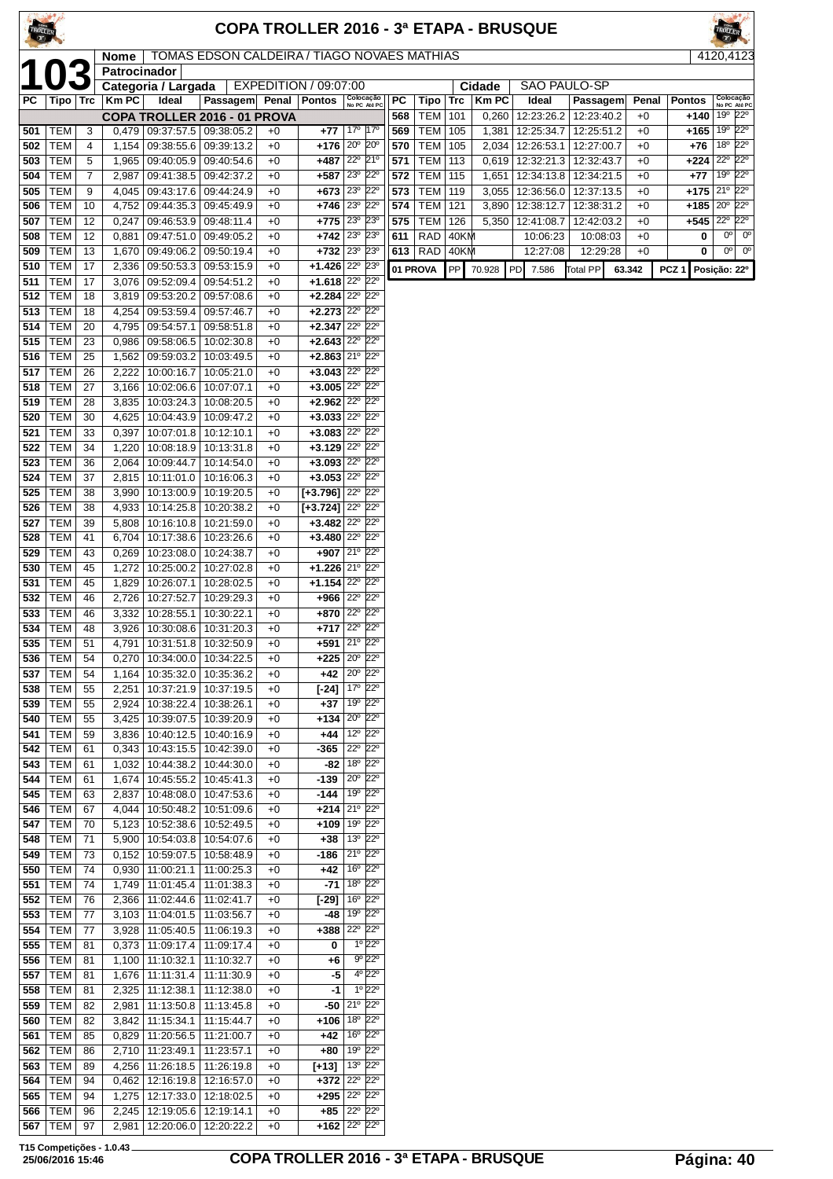| TROLLER    |                          |            |                |                                                         |                                                  |              |                                                              |                                            |                                                        |            |                         |              |                | COPA TROLLER 2016 - 3ª ETAPA - BRUSQUE |                      |              |                     |                                                   |
|------------|--------------------------|------------|----------------|---------------------------------------------------------|--------------------------------------------------|--------------|--------------------------------------------------------------|--------------------------------------------|--------------------------------------------------------|------------|-------------------------|--------------|----------------|----------------------------------------|----------------------|--------------|---------------------|---------------------------------------------------|
|            |                          |            | Nome           |                                                         | TOMAS EDSON CALDEIRA / TIAGO NOVAES MATHIAS      |              |                                                              |                                            |                                                        |            |                         |              |                |                                        |                      |              |                     | 4120,4123                                         |
|            |                          |            | Patrocinador   | Categoria / Largada                                     |                                                  |              | EXPEDITION / 09:07:00                                        |                                            |                                                        |            |                         |              | Cidade         | <b>SAO PAULO-SP</b>                    |                      |              |                     |                                                   |
| РC         |                          | Tipo   Trc | Km PC          | Ideal                                                   | Passagem                                         | <b>Penal</b> | <b>Pontos</b>                                                |                                            | Colocação<br>No PC Até PC                              | PC         | Tipo                    | Trc          | <b>KmPC</b>    | Ideal                                  | Passagem             | Penal        | <b>Pontos</b>       | Colocação<br>No PC Até PC                         |
|            |                          |            |                |                                                         | COPA TROLLER 2016 - 01 PROVA                     |              |                                                              |                                            |                                                        | 568        | <b>TEM</b>              | 101          | 0,260          | 12:23:26.2                             | 12:23:40.2           | $+0$         | +140                | 19º 22º                                           |
| 501<br>502 | <b>TEM</b><br><b>TEM</b> | 3<br>4     | 1,154          | 09:38:55.6                                              | $0,479$ 09:37:57.5 09:38:05.2<br>09:39:13.2      | $+0$<br>$+0$ | +77<br>$+176$ 20° 20°                                        | 17º 17º                                    |                                                        | 569<br>570 | TEM   105<br><b>TEM</b> | 105          | 1,381<br>2,034 | 12:25:34.7   12:25:51.2<br>12:26:53.1  | 12:27:00.7           | $+0$<br>$+0$ | $+165 19°$<br>$+76$ | $22^{\circ}$<br>18 <sup>o</sup><br>$22^{\circ}$   |
| 503        | <b>TEM</b>               | 5          | 1,965          |                                                         | 09:40:05.9 09:40:54.6                            | $+0$         | $+487$                                                       | 22° 21°                                    |                                                        | 571        | <b>TEM</b>              | 113          |                | 0,619   12:32:21.3   12:32:43.7        |                      | $+0$         | $+224$              | $22^{\circ}$<br>$22^{\circ}$                      |
| 504<br>505 | <b>TEM</b><br><b>TEM</b> | 7<br>9     | 2,987<br>4,045 |                                                         | 09:41:38.5 09:42:37.2<br>09:43:17.6   09:44:24.9 | $+0$<br>$+0$ | $+587$<br>$+673$ 23° 22°                                     | 23° 22°                                    |                                                        | 572<br>573 | <b>TEM</b><br>TEM       | 115<br>119   | 1,651<br>3,055 | 12:34:13.8   12:34:21.5<br>12:36:56.0  | 12:37:13.5           | $+0$<br>$+0$ | $+77$<br>$+175$     | $22^{\circ}$<br>19°<br>21º 22º                    |
| 506        | <b>TEM</b>               | 10         | 4,752          |                                                         | 09:44:35.3 09:45:49.9                            | $+0$         | $+746$                                                       | 23° 22°                                    |                                                        | 574        | TEM                     | 121          | 3,890          | 12:38:12.7                             | 12:38:31.2           | $+0$         | $+185$              | 20°<br>$22^{\circ}$                               |
| 507        | <b>TEM</b>               | 12         | 0,247          | 09:46:53.9                                              | 09:48:11.4                                       | $+0$         | $+775$ 23 <sup>°</sup> 23 <sup>°</sup>                       |                                            |                                                        | 575        | <b>TEM</b>              | 126          | 5,350          | 12:41:08.7                             | 12:42:03.2           | $+0$         | +545                | $22^{\circ}$<br>$22^{\circ}$                      |
| 508<br>509 | <b>TEM</b><br><b>TEM</b> | 12<br>13   | 0,881          | 1,670 09:49:06.2                                        | 09:47:51.0 09:49:05.2<br> 09:50:19.4             | $+0$<br>$+0$ | $+742   23^{\circ}   23^{\circ}$<br>$+732$ 23° 23°           |                                            |                                                        | 611<br>613 | RAD<br>RAD              | 40KM<br>40KM |                | 10:06:23<br>12:27:08                   | 10:08:03<br>12:29:28 | $+0$<br>$+0$ | 0<br>0              | $0o$ 0 <sup>o</sup><br>$0^{\circ}$<br>$0^{\circ}$ |
| 510        | <b>TEM</b>               | 17         | 2,336          | 09:50:53.3                                              | 09:53:15.9                                       | $+0$         | $+1.426$ $22^{\circ}$ $23^{\circ}$                           |                                            |                                                        |            | 01 PROVA                | PP           | 70.928         | PD<br>7.586                            | <b>Total PP</b>      | 63.342       | PCZ <sub>1</sub>    | Posição: 22º                                      |
| 511        | TEM                      | 17         | 3,076          | 09:52:09.4                                              | 09:54:51.2                                       | $+0$         | $+1.618$ $22^{\circ}$ $22^{\circ}$                           |                                            |                                                        |            |                         |              |                |                                        |                      |              |                     |                                                   |
| 512<br>513 | <b>TEM</b><br><b>TEM</b> | 18<br>18   | 3,819<br>4,254 | 09:53:20.2                                              | 09:57:08.6<br>09:53:59.4 09:57:46.7              | $+0$<br>$+0$ | $+2.284$ $22^{\circ}$ $22^{\circ}$<br>$+2.273$ 22° 22°       |                                            |                                                        |            |                         |              |                |                                        |                      |              |                     |                                                   |
| 514        | <b>TEM</b>               | 20         | 4,795          | 09:54:57.1                                              | 09:58:51.8                                       | $+0$         | $+2.347$ 22 <sup>°</sup> 22 <sup>°</sup>                     |                                            |                                                        |            |                         |              |                |                                        |                      |              |                     |                                                   |
| 515        | <b>TEM</b>               | 23         | 0,986          | 09:58:06.5                                              | 10:02:30.8                                       | $+0$         | $+2.643$ $22^{\circ}$ $22^{\circ}$                           |                                            |                                                        |            |                         |              |                |                                        |                      |              |                     |                                                   |
| 516<br>517 | <b>TEM</b><br><b>TEM</b> | 25<br>26   | 1,562<br>2,222 | 10:00:16.7                                              | 09:59:03.2   10:03:49.5<br>10:05:21.0            | $+0$<br>$+0$ | $+2.863$ 21 <sup>°</sup> 22 <sup>°</sup><br>$+3.043$ 22° 22° |                                            |                                                        |            |                         |              |                |                                        |                      |              |                     |                                                   |
| 518        | <b>TEM</b>               | 27         |                | 3,166 10:02:06.6                                        | 10:07:07.1                                       | $+0$         | $+3.005$ 22° 22°                                             |                                            |                                                        |            |                         |              |                |                                        |                      |              |                     |                                                   |
| 519        | <b>TEM</b>               | 28         | 3,835          | 10:03:24.3                                              | 10:08:20.5                                       | $+0$         | $+2.962$ $22^{\circ}$ $22^{\circ}$                           |                                            |                                                        |            |                         |              |                |                                        |                      |              |                     |                                                   |
| 520<br>521 | <b>TEM</b><br><b>TEM</b> | 30<br>33   | 4,625<br>0,397 | 10:04:43.9<br>10:07:01.8                                | 10:09:47.2<br>10:12:10.1                         | $+0$<br>$+0$ | $+3.033$ $22^{\circ}$ $22^{\circ}$<br>$+3.083$ 22° 22°       |                                            |                                                        |            |                         |              |                |                                        |                      |              |                     |                                                   |
| 522        | <b>TEM</b>               | 34         | 1,220          | 10:08:18.9                                              | 10:13:31.8                                       | $+0$         | $+3.129$ $22^{\circ}$ $22^{\circ}$                           |                                            |                                                        |            |                         |              |                |                                        |                      |              |                     |                                                   |
| 523        | TEM                      | 36         |                | 2,064   10:09:44.7   10:14:54.0                         |                                                  | $+0$         | $+3.093$ 22° 22°<br>$+3.053$ 22° 22°                         |                                            |                                                        |            |                         |              |                |                                        |                      |              |                     |                                                   |
| 524<br>525 | <b>TEM</b><br><b>TEM</b> | 37<br>38   | 2,815<br>3,990 | 10:11:01.0<br>10:13:00.9                                | 10:16:06.3<br>10:19:20.5                         | $+0$<br>$+0$ | $[+3.796]$ $22^{\circ}$ $22^{\circ}$                         |                                            |                                                        |            |                         |              |                |                                        |                      |              |                     |                                                   |
| 526        | <b>TEM</b>               | 38         |                | 4,933   10:14:25.8                                      | 10:20:38.2                                       | $+0$         | $[+3.724]$ $22^{\circ}$ $22^{\circ}$                         |                                            |                                                        |            |                         |              |                |                                        |                      |              |                     |                                                   |
| 527        | <b>TEM</b>               | 39         | 5,808          | 10:16:10.8                                              | 10:21:59.0                                       | $+0$         | $+3.482   22^{\circ}   22^{\circ}$<br>$+3.480$ 22° 22°       |                                            |                                                        |            |                         |              |                |                                        |                      |              |                     |                                                   |
| 528<br>529 | <b>TEM</b><br><b>TEM</b> | 41<br>43   | 0,269          | 6,704   10:17:38.6<br>10:23:08.0                        | 10:23:26.6<br>10:24:38.7                         | $+0$<br>$+0$ | $+907$ 21° 22°                                               |                                            |                                                        |            |                         |              |                |                                        |                      |              |                     |                                                   |
| 530        | <b>TEM</b>               | 45         | 1,272          | 10:25:00.2                                              | 10:27:02.8                                       | $+0$         | $+1.226$ $21^{\circ}$ $22^{\circ}$                           |                                            |                                                        |            |                         |              |                |                                        |                      |              |                     |                                                   |
| 531<br>532 | <b>TEM</b><br><b>TEM</b> | 45<br>46   | 1,829<br>2,726 | 10:26:07.1<br>10:27:52.7                                | 10:28:02.5<br>10:29:29.3                         | $+0$<br>$+0$ | $+1.154$ 22° 22°<br>$+966$ $22^{\circ}$ $22^{\circ}$         |                                            |                                                        |            |                         |              |                |                                        |                      |              |                     |                                                   |
| 533        | <b>TEM</b>               | 46         |                | 3,332   10:28:55.1                                      | 10:30:22.1                                       | $+0$         | $+870$ 22° 22°                                               |                                            |                                                        |            |                         |              |                |                                        |                      |              |                     |                                                   |
| 534        | TEM                      | 48         |                | 3,926   10:30:08.6   10:31:20.3                         |                                                  | $+0$         | $+717$ 22 <sup>°</sup> 22 <sup>°</sup>                       |                                            |                                                        |            |                         |              |                |                                        |                      |              |                     |                                                   |
| 535<br>536 | <b>TEM</b><br>TEM        | 51<br>54   |                | 4,791   10:31:51.8   10:32:50.9<br>$0,270$   10:34:00.0 | 10:34:22.5                                       | $+0$<br>$+0$ | $+591$ 21° 22°<br>$+225$ 20° 22°                             |                                            |                                                        |            |                         |              |                |                                        |                      |              |                     |                                                   |
| 537        | <b>TEM</b>               | 54         |                | 1,164   10:35:32.0                                      | 10:35:36.2                                       | +0           | $+42$                                                        | 20° 22°                                    |                                                        |            |                         |              |                |                                        |                      |              |                     |                                                   |
| 538        | TEM                      | 55         |                | 2,251   10:37:21.9   10:37:19.5                         |                                                  | $+0$         | $[-24]$                                                      | 17 <sup>0</sup> 22 <sup>0</sup>            |                                                        |            |                         |              |                |                                        |                      |              |                     |                                                   |
| 539<br>540 | <b>TEM</b><br><b>TEM</b> | 55<br>55   |                | 2,924   10:38:22.4<br>3,425   10:39:07.5                | 10:38:26.1<br>10:39:20.9                         | $+0$<br>$+0$ | $+37$<br>$+134$ $20^{\circ}$ $22^{\circ}$                    | 19 <sup>°</sup> 22 <sup>°</sup>            |                                                        |            |                         |              |                |                                        |                      |              |                     |                                                   |
| 541        | <b>TEM</b>               | 59         |                | 3,836   10:40:12.5                                      | 10:40:16.9                                       | $+0$         | $+44$                                                        | 12º 22º                                    |                                                        |            |                         |              |                |                                        |                      |              |                     |                                                   |
| 542        | <b>TEM</b>               | 61         |                | $0,343$ 10:43:15.5                                      | 10:42:39.0                                       | $+0$         | $-365$ 22° 22°                                               |                                            |                                                        |            |                         |              |                |                                        |                      |              |                     |                                                   |
| 543<br>544 | <b>TEM</b><br><b>TEM</b> | 61<br>61   |                | 1,032   10:44:38.2   10:44:30.0<br>1,674 10:45:55.2     | 10:45:41.3                                       | $+0$<br>$+0$ | $-82$<br>$-139$ $20^{\circ}$ $22^{\circ}$                    | 18° 22°                                    |                                                        |            |                         |              |                |                                        |                      |              |                     |                                                   |
| 545        | <b>TEM</b>               | 63         |                | 2,837   10:48:08.0   10:47:53.6                         |                                                  | $+0$         | $-144$                                                       | 19º 22º                                    |                                                        |            |                         |              |                |                                        |                      |              |                     |                                                   |
| 546        | TEM                      | 67         |                | 4,044   10:50:48.2                                      | 10:51:09.6                                       | $+0$         | $+214 21^{\circ}22^{\circ}$                                  |                                            |                                                        |            |                         |              |                |                                        |                      |              |                     |                                                   |
| 547<br>548 | <b>TEM</b><br><b>TEM</b> | 70<br>71   |                | 5,123   10:52:38.6<br>5,900 10:54:03.8                  | 10:52:49.5<br>10:54:07.6                         | $+0$<br>$+0$ | $+109$ 19 <sup>°</sup> 22 <sup>°</sup><br>+38                | 13º 22º                                    |                                                        |            |                         |              |                |                                        |                      |              |                     |                                                   |
| 549        | TEM                      | 73         |                | $0,152$   10:59:07.5                                    | 10:58:48.9                                       | $+0$         | -186                                                         | 21º 22º                                    |                                                        |            |                         |              |                |                                        |                      |              |                     |                                                   |
| 550        | TEM                      | 74         |                | $0,930$   11:00:21.1                                    | 11:00:25.3                                       | $+0$         | +42                                                          | 16 <sup>°</sup> 22 <sup>°</sup>            |                                                        |            |                         |              |                |                                        |                      |              |                     |                                                   |
| 551<br>552 | <b>TEM</b><br><b>TEM</b> | 74<br>76   |                | 1,749   11:01:45.4<br>2,366   11:02:44.6                | 11:01:38.3<br>11:02:41.7                         | $+0$<br>$+0$ | -71  <br>$[-29]$ $\frac{16^{\circ}}{22^{\circ}}$             | 18 <sup>o</sup> 22 <sup>o</sup>            |                                                        |            |                         |              |                |                                        |                      |              |                     |                                                   |
| 553        | <b>TEM</b>               | 77         |                | $3,103$   11:04:01.5                                    | 11:03:56.7                                       | $+0$         | -48                                                          | 19º 22º                                    |                                                        |            |                         |              |                |                                        |                      |              |                     |                                                   |
| 554        | <b>TEM</b>               | 77         |                | 3,928   11:05:40.5                                      | 11:06:19.3                                       | $+0$         | $+388$                                                       | 22° 22°                                    |                                                        |            |                         |              |                |                                        |                      |              |                     |                                                   |
| 555<br>556 | TEM<br><b>TEM</b>        | 81<br>81   |                | $0,373$   11:09:17.4<br>1,100   11:10:32.1              | 11:09:17.4<br>11:10:32.7                         | $+0$<br>$+0$ | 0<br>+6                                                      |                                            | $1^{\circ}$ 22 $^{\circ}$<br>$9^{\circ}$ 22 $^{\circ}$ |            |                         |              |                |                                        |                      |              |                     |                                                   |
| 557        | <b>TEM</b>               | 81         |                | 1,676 11:11:31.4                                        | 11:11:30.9                                       | $+0$         | -5                                                           |                                            | 4º 22º                                                 |            |                         |              |                |                                        |                      |              |                     |                                                   |
| 558        | <b>TEM</b>               | 81         |                | 2,325   11:12:38.1                                      | 11:12:38.0                                       | $+0$         | -1                                                           |                                            | $1^{\circ}$ 22 $^{\circ}$                              |            |                         |              |                |                                        |                      |              |                     |                                                   |
| 559<br>560 | <b>TEM</b><br><b>TEM</b> | 82<br>82   |                | 2,981   11:13:50.8<br>3,842   11:15:34.1                | 11:13:45.8<br>11:15:44.7                         | $+0$<br>$+0$ | $-50$<br>$+106$                                              | 21° 22°<br>18 <sup>o</sup> 22 <sup>o</sup> |                                                        |            |                         |              |                |                                        |                      |              |                     |                                                   |
| 561        | <b>TEM</b>               | 85         |                | $0,829$   11:20:56.5                                    | 11:21:00.7                                       | $+0$         | +42                                                          | 16° 22°                                    |                                                        |            |                         |              |                |                                        |                      |              |                     |                                                   |
| 562        | <b>TEM</b>               | 86         |                | 2,710 11:23:49.1                                        | 11:23:57.1                                       | $+0$         | $+80$   19 $^{\circ}$ 22 $^{\circ}$                          |                                            |                                                        |            |                         |              |                |                                        |                      |              |                     |                                                   |
| 563<br>564 | <b>TEM</b><br><b>TEM</b> | 89<br>94   |                | 4,256   11:26:18.5<br>0,462   12:16:19.8   12:16:57.0   | 11:26:19.8                                       | $+0$<br>$+0$ | $[+13]$ $\sqrt{13^\circ 2^{2^\circ}}$<br>$+372$ 22° 22°      |                                            |                                                        |            |                         |              |                |                                        |                      |              |                     |                                                   |
| 565        | <b>TEM</b>               | 94         |                | 1,275   12:17:33.0   12:18:02.5                         |                                                  | $+0$         | $+295$ 22° 22°                                               |                                            |                                                        |            |                         |              |                |                                        |                      |              |                     |                                                   |

 TEM 96 2,245 12:19:05.6 12:19:14.1 +0 **+85** 22º 22º TEM 97 12:20:06.0 12:20:22.2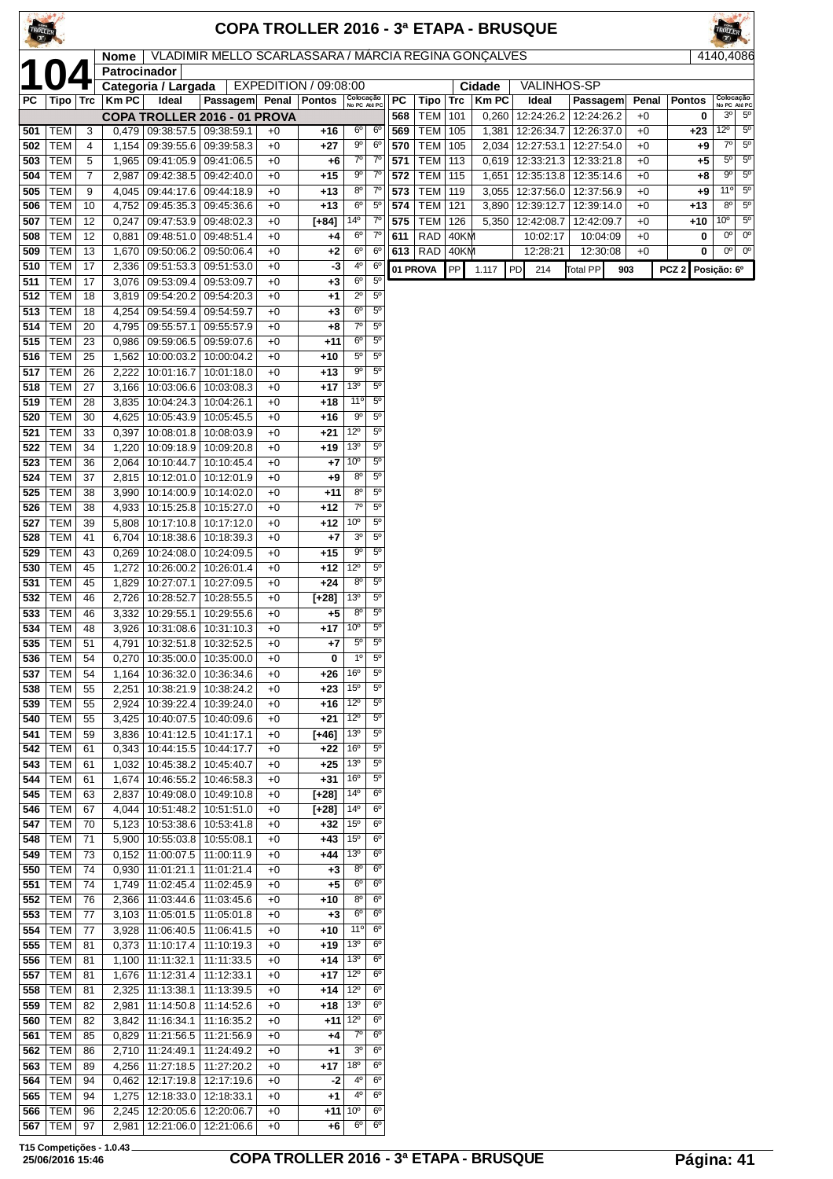| TROLLER    |                          |                     |                             |                                                                    |                                                      |              |                       |                                    |                                  |            |                          |              |                | COPA TROLLER 2016 - 3ª ETAPA - BRUSQUE |                      |              |                  |                             |                            |
|------------|--------------------------|---------------------|-----------------------------|--------------------------------------------------------------------|------------------------------------------------------|--------------|-----------------------|------------------------------------|----------------------------------|------------|--------------------------|--------------|----------------|----------------------------------------|----------------------|--------------|------------------|-----------------------------|----------------------------|
|            |                          |                     | <b>Nome</b><br>Patrocinador |                                                                    | VLADIMIR MELLO SCARLASSARA / MÁRCIA REGINA GONÇALVES |              |                       |                                    |                                  |            |                          |              |                |                                        |                      |              |                  | 4140,4086                   |                            |
|            |                          |                     |                             | Categoria / Largada                                                |                                                      |              | EXPEDITION / 09:08:00 |                                    |                                  |            |                          |              | Cidade         | <b>VALINHOS-SP</b>                     |                      |              |                  |                             |                            |
| PC         | Tipo   Trc               |                     | <b>Km PC</b>                | Ideal                                                              | Passagem Penal                                       |              | <b>Pontos</b>         | Colocação<br>No PC Até PC          |                                  | PC         | Tipo                     | Trc          | <b>KmPC</b>    | Ideal                                  | Passagem             | Penal        | <b>Pontos</b>    | Colocação<br>No PC Até PC   |                            |
| 501        | TEM                      | 3                   |                             | $0,479$   09:38:57.5   09:38:59.1                                  | COPA TROLLER 2016 - 01 PROVA                         | $+0$         | +16                   | 6°                                 | $6^{\circ}$                      | 568<br>569 | <b>TEM</b><br>TEM        | 101<br>105   | 0,260<br>1,381 | 12:24:26.2   12:24:26.2<br>12:26:34.7  | 12:26:37.0           | $+0$<br>$+0$ | 0<br>+23         | $3^{\circ}$<br>$12^{\circ}$ | $5^{\circ}$<br>$5^{\circ}$ |
| 502        | <b>TEM</b>               | 4                   |                             | 1,154   09:39:55.6   09:39:58.3                                    |                                                      | $+0$         | $+27$                 | 90                                 | 6 <sup>o</sup>                   | 570        | <b>TEM</b>               | 105          | 2,034          | 12:27:53.1   12:27:54.0                |                      | $+0$         | +9               | 7º                          | $5^{\rm o}$                |
| 503        | <b>TEM</b>               | 5                   |                             | 1,965   09:41:05.9   09:41:06.5                                    |                                                      | $+0$         | +6                    | $7^\circ$                          | $7^{\circ}$                      | 571        | <b>TEM</b>               | 113          | 0,619          | 12:33:21.3   12:33:21.8                |                      | $+0$         | $+5$             | $5^{\circ}$                 | $5^{\circ}$                |
| 504<br>505 | <b>TEM</b><br><b>TEM</b> | $\overline{7}$<br>9 | 2,987                       | 09:42:38.5   09:42:40.0<br>4,045   09:44:17.6   09:44:18.9         |                                                      | $+0$<br>$+0$ | $+15$<br>$+13$        | 90<br>$8^{\circ}$                  | $7^{\circ}$<br>$7^{\rm o}$       | 572<br>573 | TEM<br>TEM               | 115<br>119   | 1,651<br>3.055 | 12:35:13.8   12:35:14.6<br>12:37:56.0  | 12:37:56.9           | $+0$<br>$+0$ | +8<br>+9         | $9^{\circ}$<br>11°          | $5^{\circ}$<br>$5^{\circ}$ |
| 506        | <b>TEM</b>               | 10                  | 4,752                       | 09:45:35.3                                                         | 09:45:36.6                                           | $+0$         | $+13$                 | $6^{\circ}$                        | $5^{\circ}$                      | 574        | <b>TEM</b>               | 121          | 3,890          | 12:39:12.7                             | 12:39:14.0           | $+0$         | +13              | $8^{\circ}$                 | $5^{\circ}$                |
| 507        | <b>TEM</b>               | 12                  | 0,247                       | 09:47:53.9 09:48:02.3                                              |                                                      | $+0$         | $[+84]$               | $14^{\circ}$                       | $7^{\circ}$                      | 575        | <b>TEM</b>               | 126          | 5,350          | 12:42:08.7                             | 12:42:09.7           | $+0$         | +10              | 10 <sup>o</sup>             | $5^{\circ}$                |
| 508        | TEM<br><b>TEM</b>        | 12<br>13            | 0,881                       | 09:48:51.0 09:48:51.4                                              |                                                      | $+0$<br>$+0$ | +4                    | $6^{\circ}$<br>6°                  | $7^{\circ}$<br>$6^{\circ}$       | 611<br>613 | <b>RAD</b><br><b>RAD</b> | 40KM<br>40KM |                | 10:02:17                               | 10:04:09<br>12:30:08 | $+0$<br>$+0$ | 0<br>0           | $0^{\circ}$<br>$0^{\circ}$  | $0^{\circ}$<br>$0^{\circ}$ |
| 509<br>510 | <b>TEM</b>               | 17                  | 1,670<br>2,336              | 09:50:06.2 09:50:06.4<br>  09:51:53.3   09:51:53.0                 |                                                      | $+0$         | $+2$<br>-3            | 40                                 | 6 <sup>o</sup>                   | 01 PROVA   |                          | PP           | 1.117          | 12:28:21<br>PD<br>214                  | <b>Total PP</b>      | 903          | PCZ <sub>2</sub> | Posição: 6º                 |                            |
| 511        | <b>TEM</b>               | 17                  | 3,076                       | 09:53:09.4                                                         | 09:53:09.7                                           | $+0$         | +3                    | 6°                                 | 5 <sup>o</sup>                   |            |                          |              |                |                                        |                      |              |                  |                             |                            |
| 512        | <b>TEM</b>               | 18                  |                             | 3,819 09:54:20.2 09:54:20.3                                        |                                                      | $+0$         | $+1$                  | $2^{\circ}$                        | $5^{\circ}$                      |            |                          |              |                |                                        |                      |              |                  |                             |                            |
| 513<br>514 | <b>TEM</b><br><b>TEM</b> | 18<br>20            | 4,795                       | 4,254   09:54:59.4   09:54:59.7<br>09:55:57.1                      | 09:55:57.9                                           | $+0$<br>$+0$ | $+3$<br>+8            | $6^{\circ}$<br>$7^\circ$           | $5^{\circ}$<br>$5^{\circ}$       |            |                          |              |                |                                        |                      |              |                  |                             |                            |
| 515        | <b>TEM</b>               | 23                  |                             | $0,986$   09:59:06.5   09:59:07.6                                  |                                                      | $+0$         | +11                   | $6^{\circ}$                        | $5^{\circ}$                      |            |                          |              |                |                                        |                      |              |                  |                             |                            |
| 516        | <b>TEM</b>               | 25                  | 1,562                       | 10:00:03.2   10:00:04.2                                            |                                                      | $+0$         | +10                   | $5^{\circ}$                        | $5^{\rm o}$                      |            |                          |              |                |                                        |                      |              |                  |                             |                            |
| 517<br>518 | <b>TEM</b><br><b>TEM</b> | 26<br>27            | 2.222<br>3.166              | 10:01:16.7   10:01:18.0<br>10:03:06.6                              | 10:03:08.3                                           | $+0$<br>$+0$ | $+13$<br>$+17$        | 90<br>$13^{\circ}$                 | $5^{\circ}$<br>$5^{\circ}$       |            |                          |              |                |                                        |                      |              |                  |                             |                            |
| 519        | <b>TEM</b>               | 28                  | 3,835                       | 10:04:24.3   10:04:26.1                                            |                                                      | $+0$         | $+18$                 | 11°                                | $5^{\circ}$                      |            |                          |              |                |                                        |                      |              |                  |                             |                            |
| 520        | <b>TEM</b>               | 30                  | 4,625                       | 10:05:43.9   10:05:45.5                                            |                                                      | $+0$         | $+16$                 | $9^{\circ}$                        | $5^{\circ}$                      |            |                          |              |                |                                        |                      |              |                  |                             |                            |
| 521        | <b>TEM</b>               | 33                  | 0,397                       | 10:08:01.8                                                         | 10:08:03.9                                           | $+0$         | +21                   | $12^{\circ}$<br>13 <sup>o</sup>    | $5^{\rm o}$<br>5 <sup>o</sup>    |            |                          |              |                |                                        |                      |              |                  |                             |                            |
| 522<br>523 | <b>TEM</b><br><b>TEM</b> | 34<br>36            | 1,220<br>2,064              | 10:09:18.9   10:09:20.8<br>10:10:44.7   10:10:45.4                 |                                                      | $+0$<br>$+0$ | +19<br>+7             | 10 <sup>o</sup>                    | $5^{\circ}$                      |            |                          |              |                |                                        |                      |              |                  |                             |                            |
| 524        | <b>TEM</b>               | 37                  | 2,815                       | 10:12:01.0   10:12:01.9                                            |                                                      | $+0$         | +9                    | 80                                 | $5^{\circ}$                      |            |                          |              |                |                                        |                      |              |                  |                             |                            |
| 525        | <b>TEM</b>               | 38                  | 3,990                       | 10:14:00.9   10:14:02.0                                            |                                                      | $+0$         | $+11$                 | $8^{\circ}$                        | $5^{\circ}$                      |            |                          |              |                |                                        |                      |              |                  |                             |                            |
| 526<br>527 | <b>TEM</b><br><b>TEM</b> | 38<br>39            | 4,933<br>5,808              | 10:15:25.8<br>10:17:10.8   10:17:12.0                              | 10:15:27.0                                           | $+0$<br>$+0$ | +12<br>+12            | $7^\circ$<br>10 <sup>o</sup>       | $5^{\circ}$<br>$5^{\circ}$       |            |                          |              |                |                                        |                      |              |                  |                             |                            |
| 528        | <b>TEM</b>               | 41                  | 6,704                       | 10:18:38.6                                                         | 10:18:39.3                                           | $+0$         | $+7$                  | 30                                 | $5^{\circ}$                      |            |                          |              |                |                                        |                      |              |                  |                             |                            |
| 529        | <b>TEM</b>               | 43                  | 0,269                       | 10:24:08.0                                                         | 10:24:09.5                                           | $+0$         | $+15$                 | 90                                 | $5^{\circ}$                      |            |                          |              |                |                                        |                      |              |                  |                             |                            |
| 530        | TEM                      | 45                  | 1,272                       | 10:26:00.2   10:26:01.4                                            |                                                      | $+0$         | $+12$                 | $12^{\circ}$<br>80                 | $5^{\circ}$<br>$5^{\circ}$       |            |                          |              |                |                                        |                      |              |                  |                             |                            |
| 531<br>532 | <b>TEM</b><br>TEM        | 45<br>46            | 1,829<br>2,726              | 10:27:07.1<br>10:28:52.7   10:28:55.5                              | 10:27:09.5                                           | $+0$<br>$+0$ | $+24$<br>[+28]        | 13 <sup>o</sup>                    | $5^{\circ}$                      |            |                          |              |                |                                        |                      |              |                  |                             |                            |
| 533        | <b>TEM</b>               | 46                  | 3,332                       | 10:29:55.1                                                         | 10:29:55.6                                           | $+0$         | +5                    | $8^{\circ}$                        | $5^{\circ}$                      |            |                          |              |                |                                        |                      |              |                  |                             |                            |
| 534        | TEM                      | 48                  |                             | 3,926   10:31:08.6   10:31:10.3                                    |                                                      | $+0$         | +17                   | 10 <sup>o</sup>                    | $5^{\circ}$                      |            |                          |              |                |                                        |                      |              |                  |                             |                            |
| 535<br>536 | TEM  <br>TEM             | 51<br>54            | 0,270                       | 4,791   10:32:51.8   10:32:52.5<br>10:35:00.0   10:35:00.0         |                                                      | $+0$<br>$+0$ | +7<br>0               | $5^{\circ}$<br>$1^{\circ}$         | $5^{\circ}$<br>$5^{\circ}$       |            |                          |              |                |                                        |                      |              |                  |                             |                            |
| 537        | <b>TEM</b>               | 54                  | 1,164                       | 10:36:32.0   10:36:34.6                                            |                                                      | $+0$         | +26                   | 16 <sup>o</sup>                    | $5^{\circ}$                      |            |                          |              |                |                                        |                      |              |                  |                             |                            |
| 538        | <b>TEM</b>               | 55                  | 2,251                       |                                                                    | 10:38:21.9   10:38:24.2                              | $+0$         | $+23$                 | 15 <sup>0</sup>                    | $5^{\circ}$                      |            |                          |              |                |                                        |                      |              |                  |                             |                            |
| 539<br>540 | <b>TEM</b><br>TEM        | 55<br>55            | 2,924<br>3,425              | 10:39:22.4   10:39:24.0<br>10:40:07.5   10:40:09.6                 |                                                      | $+0$<br>$+0$ | +16<br>+21            | $12^{\circ}$<br>$12^{\circ}$       | $5^{\circ}$<br>$5^{\circ}$       |            |                          |              |                |                                        |                      |              |                  |                             |                            |
| 541        | <b>TEM</b>               | 59                  | 3,836                       | 10:41:12.5   10:41:17.1                                            |                                                      | $+0$         | $[+46]$               | 13 <sup>o</sup>                    | $5^{\rm o}$                      |            |                          |              |                |                                        |                      |              |                  |                             |                            |
| 542        | <b>TEM</b>               | 61                  |                             | 0,343 10:44:15.5 10:44:17.7                                        |                                                      | $+0$         | +22                   | 16 <sup>o</sup>                    | $5^{\circ}$                      |            |                          |              |                |                                        |                      |              |                  |                             |                            |
| 543        | <b>TEM</b>               | 61                  | 1,032                       | 10:45:38.2   10:45:40.7                                            |                                                      | $+0$         | +25                   | 13 <sup>o</sup>                    | $5^{\circ}$                      |            |                          |              |                |                                        |                      |              |                  |                             |                            |
| 544<br>545 | <b>TEM</b><br>TEM        | 61<br>63            | 1,674<br>2,837              | 10:46:55.2<br>10:49:08.0   10:49:10.8                              | 10:46:58.3                                           | $+0$<br>$+0$ | $+31$<br>$[+28]$      | 16 <sup>o</sup><br>$14^{\circ}$    | $5^{\circ}$<br>$6^{\circ}$       |            |                          |              |                |                                        |                      |              |                  |                             |                            |
| 546        | <b>TEM</b>               | 67                  | 4,044                       | 10:51:48.2 10:51:51.0                                              |                                                      | $+0$         | $[-28]$               | 14 <sup>°</sup>                    | $6^{\rm o}$                      |            |                          |              |                |                                        |                      |              |                  |                             |                            |
| 547        | <b>TEM</b>               | 70                  |                             | 5,123   10:53:38.6   10:53:41.8                                    |                                                      | $+0$         | +32                   | 15 <sup>o</sup>                    | $6^{\circ}$                      |            |                          |              |                |                                        |                      |              |                  |                             |                            |
| 548<br>549 | TEM<br><b>TEM</b>        | 71<br>73            | 0,152                       | 5,900   10:55:03.8   10:55:08.1<br> 11:00:07.5                     | 11:00:11.9                                           | $+0$<br>$+0$ | +43<br>+44            | 15 <sup>o</sup><br>13 <sup>o</sup> | $6^{\circ}$<br>6 <sup>o</sup>    |            |                          |              |                |                                        |                      |              |                  |                             |                            |
| 550        | <b>TEM</b>               | 74                  |                             | $0,930$   11:01:21.1                                               | 11:01:21.4                                           | $+0$         | $+3$                  | 80                                 | 6 <sup>o</sup>                   |            |                          |              |                |                                        |                      |              |                  |                             |                            |
| 551        | <b>TEM</b>               | 74                  |                             | 1,749   11:02:45.4                                                 | 11:02:45.9                                           | $+0$         | $+5$                  | $6^{\circ}$                        | 6 <sup>o</sup>                   |            |                          |              |                |                                        |                      |              |                  |                             |                            |
| 552<br>553 | <b>TEM</b><br><b>TEM</b> | 76<br>77            |                             | 2,366   11:03:44.6   11:03:45.6<br>3,103   11:05:01.5   11:05:01.8 |                                                      | $+0$<br>$+0$ | +10<br>$+3$           | $8^{\circ}$<br>$6^{\circ}$         | 6 <sup>o</sup><br>6 <sup>o</sup> |            |                          |              |                |                                        |                      |              |                  |                             |                            |
| 554        | TEM                      | 77                  | 3,928                       | 11:06:40.5                                                         | 11:06:41.5                                           | $+0$         | +10                   | 11°                                | 6 <sup>o</sup>                   |            |                          |              |                |                                        |                      |              |                  |                             |                            |
| 555        | TEM                      | 81                  |                             | 0,373   11:10:17.4                                                 | 11:10:19.3                                           | $+0$         | +19                   | 13 <sup>o</sup>                    | $6^{\circ}$                      |            |                          |              |                |                                        |                      |              |                  |                             |                            |
| 556        | <b>TEM</b>               | 81                  |                             | $1,100$   11:11:32.1                                               | 11:11:33.5                                           | $+0$         | +14                   | 13 <sup>o</sup>                    | 6 <sup>o</sup>                   |            |                          |              |                |                                        |                      |              |                  |                             |                            |
| 557<br>558 | TEM<br>TEM               | 81<br>81            | 2,325                       | 1,676   11:12:31.4  <br>11:13:38.1                                 | 11:12:33.1<br>11:13:39.5                             | $+0$<br>$+0$ | +17<br>+14            | $12^{\circ}$<br>$12^{\circ}$       | $6^{\circ}$<br>$6^{\circ}$       |            |                          |              |                |                                        |                      |              |                  |                             |                            |
| 559        | TEM                      | 82                  | 2,981                       | 11:14:50.8                                                         | 11:14:52.6                                           | $+0$         | +18                   | 13 <sup>o</sup>                    | 6 <sup>o</sup>                   |            |                          |              |                |                                        |                      |              |                  |                             |                            |
| 560        | TEM                      | 82                  | 3,842                       | 11:16:34.1                                                         | 11:16:35.2                                           | $+0$         | +11                   | $12^{\circ}$                       | 6 <sup>o</sup>                   |            |                          |              |                |                                        |                      |              |                  |                             |                            |
| 561<br>562 | <b>TEM</b><br><b>TEM</b> | 85<br>86            |                             | 0,829   11:21:56.5   11:21:56.9<br>2,710   11:24:49.1              | 11:24:49.2                                           | $+0$<br>$+0$ | +4<br>$+1$            | $7^\circ$<br>3 <sup>o</sup>        | 6 <sup>o</sup><br>$6^{\circ}$    |            |                          |              |                |                                        |                      |              |                  |                             |                            |
| 563        | <b>TEM</b>               | 89                  |                             | 4,256   11:27:18.5                                                 | 11:27:20.2                                           | $+0$         | +17                   | 18 <sup>o</sup>                    | 6 <sup>o</sup>                   |            |                          |              |                |                                        |                      |              |                  |                             |                            |
| 564        | TEM                      | 94                  | 0,462                       | 12:17:19.8   12:17:19.6                                            |                                                      | $+0$         | -2                    | 4º                                 | $6^{\circ}$                      |            |                          |              |                |                                        |                      |              |                  |                             |                            |
| 565<br>566 | TEM<br><b>TEM</b>        | 94<br>96            | 1,275                       | 12:18:33.0   12:18:33.1<br>2,245   12:20:05.6   12:20:06.7         |                                                      | $+0$<br>$+0$ | $+1$                  | 4º<br>$+11$ 10 <sup>°</sup>        | $6^{\circ}$<br>$6^{\circ}$       |            |                          |              |                |                                        |                      |              |                  |                             |                            |
|            |                          |                     |                             |                                                                    |                                                      |              |                       |                                    |                                  |            |                          |              |                |                                        |                      |              |                  |                             |                            |

TEM 97 2,981 12:21:06.0 12:21:06.6 +0 **+6** 6º 6º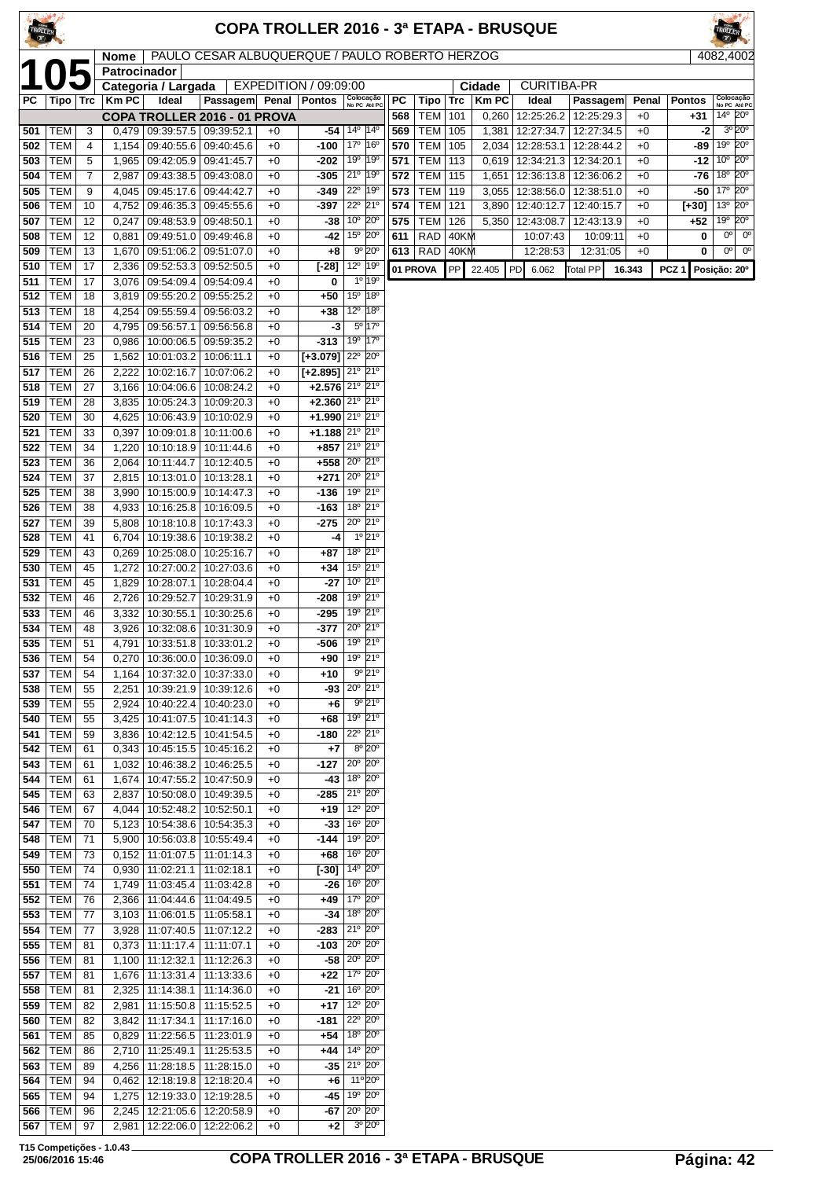| TROLLER <sup></sup> |                          |          |                      |                                                         |                                                |              |                                                          |                                                                    |                                                     |            |                          |            |                | <b>COPA TROLLER 2016 - 3ª ETAPA - BRUSQUE</b> |                          |              |                  |                                                                       |
|---------------------|--------------------------|----------|----------------------|---------------------------------------------------------|------------------------------------------------|--------------|----------------------------------------------------------|--------------------------------------------------------------------|-----------------------------------------------------|------------|--------------------------|------------|----------------|-----------------------------------------------|--------------------------|--------------|------------------|-----------------------------------------------------------------------|
|                     |                          |          | Nome<br>Patrocinador |                                                         | PAULO CESAR ALBUQUERQUE / PAULO ROBERTO HERZOG |              |                                                          |                                                                    |                                                     |            |                          |            |                |                                               |                          |              |                  | 4082,4002                                                             |
|                     |                          |          |                      | Categoria / Largada                                     |                                                |              | EXPEDITION / 09:09:00                                    |                                                                    |                                                     |            |                          |            | Cidade         | <b>CURITIBA-PR</b>                            |                          |              |                  |                                                                       |
| РC                  | Tipo   Trc               |          | <b>KmPC</b>          | Ideal                                                   | Passagem                                       | Penal        | <b>Pontos</b>                                            | Colocação<br>No PC Até PC                                          |                                                     | <b>PC</b>  | Tipo                     | <b>Trc</b> | <b>Km PC</b>   | Ideal                                         | Passagem                 | Penal        | <b>Pontos</b>    | Colocação<br>No PC Até PC                                             |
| 501                 | <b>TEM</b>               | 3        | 0,479                | 09:39:57.5                                              | COPA TROLLER 2016 - 01 PROVA<br>09:39:52.1     | $+0$         | $-54$                                                    | $14^{\circ}$                                                       | $ 14^{\circ}$                                       | 568<br>569 | <b>TEM</b><br>TEM        | 101<br>105 | 0,260<br>1,381 | 12:25:26.2<br>12:27:34.7                      | 12:25:29.3<br>12:27:34.5 | $+0$<br>$+0$ | +31<br>-2        | $14^{\circ}$ 20 $^{\circ}$<br>3º 20°                                  |
| 502                 | <b>TEM</b>               | 4        | 1,154                |                                                         | 09:40:55.6   09:40:45.6                        | $+0$         | $-100$                                                   | 17 <sup>°</sup>                                                    | 16°                                                 | 570        | <b>TEM</b>               | 105        | 2,034          | 12:28:53.1                                    | 12:28:44.2               | $+0$         | -89              | 19°<br>$20^{\circ}$                                                   |
| 503                 | <b>TEM</b>               | 5        | 1,965                | 09:42:05.9                                              | 09:41:45.7                                     | $+0$         | -202                                                     | 19°                                                                | $ 19^{\circ}$                                       | 571        | TEM                      | 113        | 0,619          | 12:34:21.3                                    | 12:34:20.1               | $+0$         | $-12$            | $20^{\circ}$<br>10 <sup>o</sup>                                       |
| 504                 | TEM                      | 7        | 2,987                |                                                         | 09:43:38.5 09:43:08.0                          | $+0$         | -305                                                     | 21°                                                                | $19^{\circ}$                                        | 572        | TEM                      | 115        | 1,651          | 12:36:13.8                                    | 12:36:06.2               | $+0$         | -76              | 18 <sup>o</sup><br>$20^{\circ}$                                       |
| 505                 | <b>TEM</b><br><b>TEM</b> | 9<br>10  | 4,045                | 09:45:17.6                                              | 09:44:42.7                                     | $+0$         | -349                                                     | $22^{\circ}$<br>22° 21°                                            | 19°                                                 | 573        | <b>TEM</b><br><b>TEM</b> | 119<br>121 | 3,055          | 12:38:56.0                                    | 12:38:51.0               | $+0$         | -50              | 20 <sup>o</sup><br>17 <sup>°</sup><br>$20^{\circ}$<br>13 <sup>°</sup> |
| 506<br>507          | <b>TEM</b>               | 12       | 4,752<br>0,247       | 09:46:35.3 09:45:55.6<br>09:48:53.9                     | 09:48:50.1                                     | $+0$<br>$+0$ | -397<br>-38                                              | 10° 20°                                                            |                                                     | 574<br>575 | <b>TEM</b>               | 126        | 3,890<br>5,350 | 12:40:12.7<br>12:43:08.7                      | 12:40:15.7<br>12:43:13.9 | $+0$<br>$+0$ | $[-30]$<br>$+52$ | $20^{\circ}$<br>19°                                                   |
| 508                 | <b>TEM</b>               | 12       | 0,881                | 09:49:51.0                                              | 09:49:46.8                                     | $+0$         | -42                                                      | 15° 20°                                                            |                                                     | 611        | <b>RAD</b>               | 40KM       |                | 10:07:43                                      | 10:09:11                 | $+0$         | 0                | $0^{\circ}$<br>$0^{\circ}$                                            |
| 509                 | <b>TEM</b>               | 13       | 1,670                | 09:51:06.2                                              | 09:51:07.0                                     | $+0$         | +8                                                       |                                                                    | $9°$ 20°                                            | 613        | <b>RAD</b>               | 40KM       |                | 12:28:53                                      | 12:31:05                 | $+0$         | 0                | $0^{\circ}$<br>0°                                                     |
| 510                 | <b>TEM</b>               | 17       | 2,336                | 09:52:53.3                                              | 09:52:50.5                                     | $+0$         | [-28]                                                    | $12^{\circ}$                                                       | 19°<br>1º 19º                                       | 01 PROVA   |                          | PP         | 22.405         | l PD<br>6.062                                 | <b>Total PP</b>          | 16.343       | PCZ <sub>1</sub> | Posição: 20°                                                          |
| 511<br>512          | <b>TEM</b><br><b>TEM</b> | 17<br>18 | 3,076<br>3,819       | 09:55:20.2                                              | 09:54:09.4   09:54:09.4<br>09:55:25.2          | $+0$<br>$+0$ | 0<br>$+50$                                               | 15 <sup>0</sup>                                                    | $ 18^{\circ}$                                       |            |                          |            |                |                                               |                          |              |                  |                                                                       |
| 513                 | <b>TEM</b>               | 18       | 4,254                | 09:55:59.4                                              | 09:56:03.2                                     | $+0$         | $+38$                                                    | $12^{\circ}$                                                       | 18°                                                 |            |                          |            |                |                                               |                          |              |                  |                                                                       |
| 514                 | <b>TEM</b>               | 20       | 4,795                | 09:56:57.1                                              | 09:56:56.8                                     | $+0$         | -3                                                       |                                                                    | $5^{\circ}$ 17 <sup><math>\overline{0}</math></sup> |            |                          |            |                |                                               |                          |              |                  |                                                                       |
| 515                 | <b>TEM</b>               | 23       | 0,986                | 10:00:06.5                                              | 09:59:35.2                                     | $+0$         | -313                                                     | 19 <sup>o</sup>                                                    | $17^\circ$                                          |            |                          |            |                |                                               |                          |              |                  |                                                                       |
| 516                 | <b>TEM</b><br><b>TEM</b> | 25       | 1,562                | 10:01:03.2<br>10:02:16.7                                | 10:06:11.1<br>10:07:06.2                       | $+0$         | $[-3.079]$<br>$[+2.895]$ 21 <sup>0</sup> 21 <sup>0</sup> | $22^{\circ}$                                                       | $20^{\circ}$                                        |            |                          |            |                |                                               |                          |              |                  |                                                                       |
| 517<br>518          | <b>TEM</b>               | 26<br>27 | 2,222<br>3,166       | 10:04:06.6                                              | 10:08:24.2                                     | $+0$<br>$+0$ | $+2.576$ 21 <sup>°</sup> 21 <sup>°</sup>                 |                                                                    |                                                     |            |                          |            |                |                                               |                          |              |                  |                                                                       |
| 519                 | <b>TEM</b>               | 28       | 3,835                | 10:05:24.3                                              | 10:09:20.3                                     | $+0$         | $+2.360$                                                 | $21^{\circ}$ 21 <sup>°</sup>                                       |                                                     |            |                          |            |                |                                               |                          |              |                  |                                                                       |
| 520                 | <b>TEM</b>               | 30       | 4,625                | 10:06:43.9                                              | 10:10:02.9                                     | $+0$         | $+1.990$ $21°$ $21°$                                     |                                                                    |                                                     |            |                          |            |                |                                               |                          |              |                  |                                                                       |
| 521                 | <b>TEM</b>               | 33       | 0,397                |                                                         | 10:09:01.8   10:11:00.6                        | $+0$         | $+1.188$ 21 <sup>0</sup> 21 <sup>0</sup>                 |                                                                    |                                                     |            |                          |            |                |                                               |                          |              |                  |                                                                       |
| 522<br>523          | <b>TEM</b><br>TEM        | 34<br>36 | 1,220<br>2,064       | 10:10:18.9<br>10:11:44.7                                | 10:11:44.6<br>10:12:40.5                       | $+0$<br>$+0$ | +857<br>+558                                             | $21^{\circ}$ 21°<br>$20^{\circ}$ 21°                               |                                                     |            |                          |            |                |                                               |                          |              |                  |                                                                       |
| 524                 | TEM                      | 37       | 2,815                | 10:13:01.0                                              | 10:13:28.1                                     | $+0$         | $+271$                                                   | $20^{\circ}$ 21°                                                   |                                                     |            |                          |            |                |                                               |                          |              |                  |                                                                       |
| 525                 | <b>TEM</b>               | 38       | 3,990                | 10:15:00.9                                              | 10:14:47.3                                     | $+0$         | -136                                                     | 19º 21º                                                            |                                                     |            |                          |            |                |                                               |                          |              |                  |                                                                       |
| 526                 | <b>TEM</b>               | 38       | 4,933                | 10:16:25.8                                              | 10:16:09.5                                     | $+0$         | -163                                                     | 18 <sup>o</sup>                                                    | 21°                                                 |            |                          |            |                |                                               |                          |              |                  |                                                                       |
| 527<br>528          | <b>TEM</b><br>TEM        | 39<br>41 | 5,808<br>6,704       | 10:18:10.8                                              | 10:17:43.3<br>10:19:38.2                       | $+0$<br>$+0$ | -275<br>-4                                               | 20° 21°                                                            | $1^{\circ}$ 21 $^{\circ}$                           |            |                          |            |                |                                               |                          |              |                  |                                                                       |
| 529                 | <b>TEM</b>               | 43       | 0,269                | 10:19:38.6<br>10:25:08.0                                | 10:25:16.7                                     | $+0$         | $+87$                                                    | 18 <sup>o</sup> 21 <sup>o</sup>                                    |                                                     |            |                          |            |                |                                               |                          |              |                  |                                                                       |
| 530                 | <b>TEM</b>               | 45       | 1,272                | 10:27:00.2                                              | 10:27:03.6                                     | $+0$         | +34                                                      | 15 <sup>o</sup>                                                    | 21°                                                 |            |                          |            |                |                                               |                          |              |                  |                                                                       |
| 531                 | <b>TEM</b>               | 45       | 1,829                | 10:28:07.1                                              | 10:28:04.4                                     | $+0$         | $-27$                                                    | $10^{\circ}$ 21°                                                   |                                                     |            |                          |            |                |                                               |                          |              |                  |                                                                       |
| 532                 | <b>TEM</b>               | 46       | 2,726                | 10:29:52.7                                              | 10:29:31.9                                     | $+0$         | -208                                                     | 19 <sup>o</sup>                                                    | 21°                                                 |            |                          |            |                |                                               |                          |              |                  |                                                                       |
| 533<br>534          | <b>TEM</b><br>TEM        | 46<br>48 | 3,332                | 10:30:55.1<br>3,926   10:32:08.6   10:31:30.9           | 10:30:25.6                                     | $+0$<br>$+0$ | -295<br>-377                                             | 19º 21º<br>20° 21°                                                 |                                                     |            |                          |            |                |                                               |                          |              |                  |                                                                       |
| 535                 | <b>TEM</b>               | 51       | 4,791                | 10:33:51.8                                              | 10:33:01.2                                     | $+0$         | -506                                                     | 19º 21º                                                            |                                                     |            |                          |            |                |                                               |                          |              |                  |                                                                       |
| 536                 | <b>TEM</b>               | 54       | 0,270                | 10:36:00.0 10:36:09.0                                   |                                                | $+0$         | +90                                                      | 19º 21º                                                            |                                                     |            |                          |            |                |                                               |                          |              |                  |                                                                       |
| 537                 | <b>TEM</b>               | 54       | 1,164                | 10:37:32.0                                              | 10:37:33.0                                     | $+0$         | +10                                                      |                                                                    | $9^{\circ}$ 21 $^{\circ}$                           |            |                          |            |                |                                               |                          |              |                  |                                                                       |
| 538<br>539          | <b>TEM</b><br><b>TEM</b> | 55<br>55 | 2,251<br>2,924       | 10:40:22.4                                              | 10:39:21.9   10:39:12.6<br>10:40:23.0          | $+0$<br>$+0$ | -93<br>$+6$                                              | 20° 21°                                                            | $9^{\circ}$ 21 $^{\circ}$                           |            |                          |            |                |                                               |                          |              |                  |                                                                       |
| 540                 | <b>TEM</b>               | 55       |                      | 3,425   10:41:07.5                                      | 10:41:14.3                                     | $+0$         | +68                                                      | 19 <sup>o</sup> 21 <sup>o</sup>                                    |                                                     |            |                          |            |                |                                               |                          |              |                  |                                                                       |
| 541                 | <b>TEM</b>               | 59       |                      | 3,836   10:42:12.5   10:41:54.5                         |                                                | $+0$         | -180                                                     | 22º 21º                                                            |                                                     |            |                          |            |                |                                               |                          |              |                  |                                                                       |
| 542                 | <b>TEM</b>               | 61       |                      | $0,343$   10:45:15.5                                    | 10:45:16.2                                     | $+0$         | $+7$                                                     |                                                                    | $8^{\circ} 20^{\circ}$                              |            |                          |            |                |                                               |                          |              |                  |                                                                       |
| 543<br>544          | <b>TEM</b><br><b>TEM</b> | 61<br>61 | 1,032<br>1,674       | 10:47:55.2                                              | 10:46:38.2   10:46:25.5<br>10:47:50.9          | $+0$<br>$+0$ | $-127$<br>-43                                            | 20° 20°<br>18 <sup>°</sup> 20 <sup>°</sup>                         |                                                     |            |                          |            |                |                                               |                          |              |                  |                                                                       |
| 545                 | <b>TEM</b>               | 63       | 2,837                | 10:50:08.0                                              | 10:49:39.5                                     | $+0$         | -285                                                     | $21^{\circ}$ 20 $^{\circ}$                                         |                                                     |            |                          |            |                |                                               |                          |              |                  |                                                                       |
| 546                 | <b>TEM</b>               | 67       | 4,044                | 10:52:48.2                                              | 10:52:50.1                                     | $+0$         | $+19$                                                    | 12 <sup>o</sup> 20 <sup>o</sup>                                    |                                                     |            |                          |            |                |                                               |                          |              |                  |                                                                       |
| 547                 | <b>TEM</b>               | 70       |                      | 5,123   10:54:38.6                                      | 10:54:35.3                                     | $+0$         | $-33$                                                    | 16 <sup>°</sup> 20 <sup>°</sup>                                    |                                                     |            |                          |            |                |                                               |                          |              |                  |                                                                       |
| 548<br>549          | <b>TEM</b><br><b>TEM</b> | 71<br>73 |                      | 5,900   10:56:03.8   10:55:49.4<br>$0,152$ 11:01:07.5   | 11:01:14.3                                     | $+0$<br>$+0$ | -144<br>+68                                              | 19º 20°<br>16 <sup>°</sup> 20 <sup>°</sup>                         |                                                     |            |                          |            |                |                                               |                          |              |                  |                                                                       |
| 550                 | TEM                      | 74       |                      | $0,930$   11:02:21.1                                    | 11:02:18.1                                     | $+0$         | $[-30]$ 14 <sup>o</sup> 20 <sup>o</sup>                  |                                                                    |                                                     |            |                          |            |                |                                               |                          |              |                  |                                                                       |
| 551                 | <b>TEM</b>               | 74       |                      | 1,749   11:03:45.4                                      | 11:03:42.8                                     | $+0$         | $-26$                                                    | 16 <sup>°</sup> 20 <sup>°</sup>                                    |                                                     |            |                          |            |                |                                               |                          |              |                  |                                                                       |
| 552                 | <b>TEM</b>               | 76       |                      | 2,366   11:04:44.6                                      | 11:04:49.5                                     | $+0$         | +49                                                      | 17º 20°                                                            |                                                     |            |                          |            |                |                                               |                          |              |                  |                                                                       |
| 553                 | <b>TEM</b><br>TEM        | 77<br>77 |                      | $3,103$   11:06:01.5                                    | 11:05:58.1                                     | $+0$         | -34                                                      | 18° 20°<br>$21^{\circ}$ $20^{\circ}$                               |                                                     |            |                          |            |                |                                               |                          |              |                  |                                                                       |
| 554<br>555          | TEM                      | 81       |                      | $3,928$   11:07:40.5<br>$\overline{0,373}$   11:11:17.4 | 11:07:12.2<br>11:11:07.1                       | $+0$<br>$+0$ | -283<br>$-103$ 20° 20°                                   |                                                                    |                                                     |            |                          |            |                |                                               |                          |              |                  |                                                                       |
| 556                 | TEM                      | 81       |                      | 1,100 11:12:32.1                                        | 11:12:26.3                                     | $+0$         | $-58$                                                    | 20° 20°                                                            |                                                     |            |                          |            |                |                                               |                          |              |                  |                                                                       |
| 557                 | TEM                      | 81       | 1,676                | 11:13:31.4                                              | 11:13:33.6                                     | $+0$         | $+22$                                                    | 17 <sup>o</sup> 20 <sup>o</sup>                                    |                                                     |            |                          |            |                |                                               |                          |              |                  |                                                                       |
| 558                 | TEM                      | 81       | 2,325                | 11:14:38.1                                              | 11:14:36.0                                     | $+0$         | -21                                                      | 16 <sup>°</sup> 20 <sup>°</sup><br>12 <sup>o</sup> 20 <sup>o</sup> |                                                     |            |                          |            |                |                                               |                          |              |                  |                                                                       |
| 559<br>560          | <b>TEM</b><br>TEM        | 82<br>82 | 2,981<br>3,842       | 11:15:50.8<br>11:17:34.1                                | 11:15:52.5<br>11:17:16.0                       | $+0$<br>$+0$ | +17<br>-181                                              | 22° 20°                                                            |                                                     |            |                          |            |                |                                               |                          |              |                  |                                                                       |
| 561                 | <b>TEM</b>               | 85       |                      | $0,829$ 11:22:56.5                                      | 11:23:01.9                                     | $+0$         | +54                                                      | 18 <sup>°</sup> 20 <sup>°</sup>                                    |                                                     |            |                          |            |                |                                               |                          |              |                  |                                                                       |
| 562                 | <b>TEM</b>               | 86       | 2,710                | 11:25:49.1                                              | 11:25:53.5                                     | $+0$         | $+44$                                                    | 14 <sup>°</sup> 20 <sup>°</sup>                                    |                                                     |            |                          |            |                |                                               |                          |              |                  |                                                                       |
| 563                 | <b>TEM</b><br><b>TEM</b> | 89<br>94 | 4,256                | 11:28:18.5                                              | 11:28:15.0                                     | $+0$         | $-35$<br>$+6$                                            | $21^{\circ}$ $20^{\circ}$<br>11º 20º                               |                                                     |            |                          |            |                |                                               |                          |              |                  |                                                                       |
| 564<br>565          | TEM                      | 94       | 0,462<br>1,275       | 12:18:19.8<br>12:19:33.0                                | 12:18:20.4<br>12:19:28.5                       | $+0$<br>$+0$ | -45                                                      | 19 <sup>o</sup> 20 <sup>o</sup>                                    |                                                     |            |                          |            |                |                                               |                          |              |                  |                                                                       |
| 566                 | TEM                      | 96       | 2,245                | 12:21:05.6                                              | 12:20:58.9                                     | $+0$         | -67                                                      | $20^{\circ}$ 20 $^{\circ}$                                         |                                                     |            |                          |            |                |                                               |                          |              |                  |                                                                       |
| 567                 | <b>TEM</b>               | 97       | 2,981                | 12:22:06.0                                              | 12:22:06.2                                     | $+0$         | $+2$                                                     |                                                                    | $3^{\circ}$ 20 $^{\circ}$                           |            |                          |            |                |                                               |                          |              |                  |                                                                       |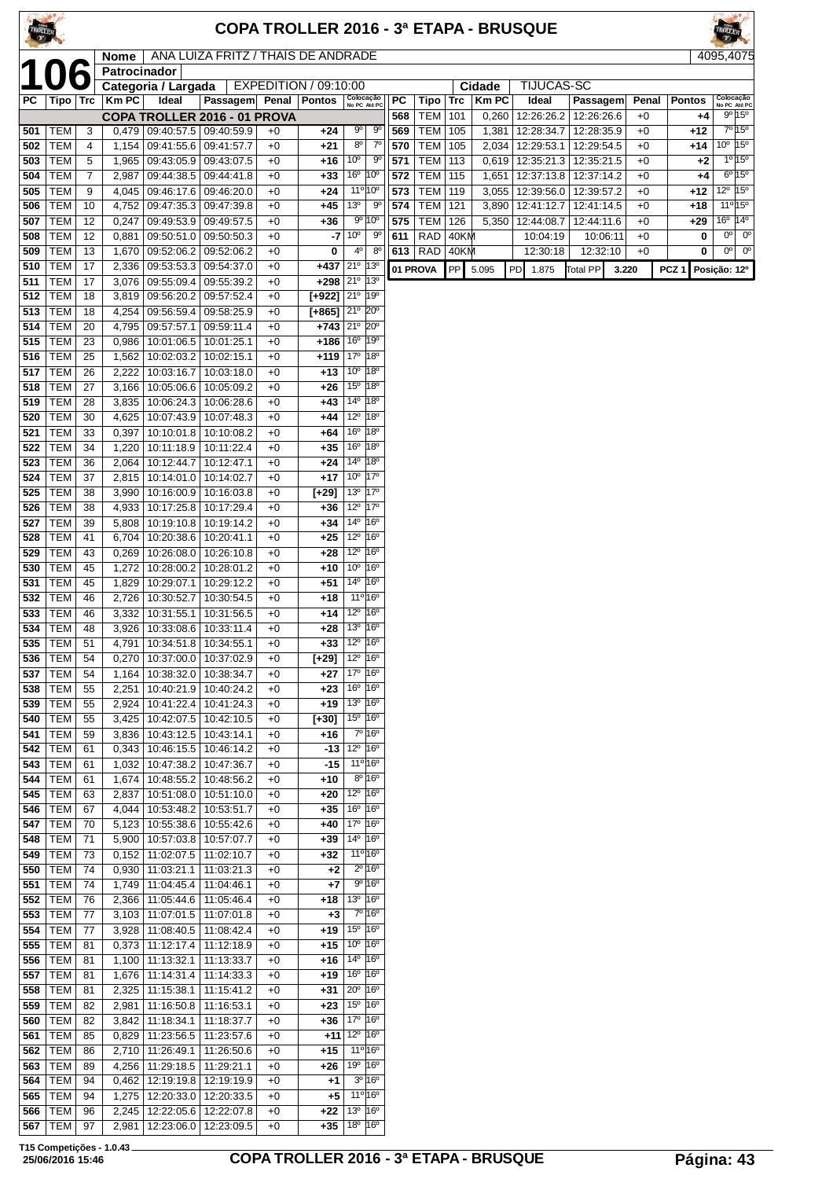|            |                          |                     | Nome                |                                                                    | ANA LUIZA FRITZ / THAÍS DE ANDRADE |              |                                          |                                                                    |                                                                |            |                             |            |                 |                         |                                       |               |               | 4095,4075                                  |
|------------|--------------------------|---------------------|---------------------|--------------------------------------------------------------------|------------------------------------|--------------|------------------------------------------|--------------------------------------------------------------------|----------------------------------------------------------------|------------|-----------------------------|------------|-----------------|-------------------------|---------------------------------------|---------------|---------------|--------------------------------------------|
|            |                          |                     | Patrocinador        |                                                                    |                                    |              | EXPEDITION / 09:10:00                    |                                                                    |                                                                |            |                             |            |                 | TIJUCAS-SC              |                                       |               |               |                                            |
| РC         | Tipo   Trc               |                     | $\overline{K}$ m PC | Categoria / Largada<br>Ideal                                       | Passagem Penal Pontos              |              |                                          | Colocação<br>No PC Até PC                                          |                                                                | PC         | Tipo                        | <b>Trc</b> | Cidade<br>Km PC | Ideal                   | <b>Passagem</b>                       | Penal         | <b>Pontos</b> | Colocação<br>No PC Até PC                  |
|            |                          |                     |                     |                                                                    | COPA TROLLER 2016 - 01 PROVA       |              |                                          |                                                                    |                                                                | 568        | <b>TEM</b>                  | 101        | 0,260           |                         | 12:26:26.2   12:26:26.6               | $+0$          | $+4$          | $9^{\circ}$ 15°                            |
| 501        | <b>TEM</b>               | 3                   |                     | $0,479$   09:40:57.5   09:40:59.9                                  |                                    | $+0$         | +24                                      | $9^{\circ}$                                                        | 90                                                             | 569        | <b>TEM</b>                  | 105        | 1,381           | 12:28:34.7              | 12:28:35.9                            | $+0$          | $+12$         | $7°$ 15°                                   |
| 502        | <b>TEM</b>               | 4                   |                     | 1,154   09:41:55.6   09:41:57.7                                    |                                    | $+0$         | $+21$                                    | $8^{\circ}$<br>10 <sup>o</sup>                                     | $7^{\circ}$                                                    | 570        | TEM   105                   |            | 2,034           |                         | 12:29:53.1   12:29:54.5               | $+0$          | $+14$         | $10^{\circ}$ 15°<br>1°15°                  |
| 503<br>504 | <b>TEM</b><br><b>TEM</b> | 5<br>$\overline{7}$ |                     | 1,965   09:43:05.9   09:43:07.5<br>2,987   09:44:38.5   09:44:41.8 |                                    | $+0$<br>$+0$ | $+16$<br>$+33$                           | 16 <sup>°</sup> 10 <sup>°</sup>                                    | $9^{\circ}$                                                    | 571<br>572 | <b>TEM 113</b><br>TEM   115 |            | 0,619<br>1,651  | 12:35:21.3              | 12:35:21.5<br>12:37:13.8   12:37:14.2 | $+0$<br>$+0$  | $+2$<br>$+4$  | $6^{\circ} 15^{\circ}$                     |
| 505        | <b>TEM</b>               | 9                   |                     | 4,045   09:46:17.6   09:46:20.0                                    |                                    | $+0$         | $+24$                                    | 11 <sup>o</sup> 10 <sup>o</sup>                                    |                                                                | 573        | <b>TEM</b>                  | 119        | 3,055           | 12:39:56.0              | 12:39:57.2                            | $+0$          | +12           | $12^{\circ}$ 15 $^{\circ}$                 |
| 506        | <b>TEM</b>               | 10                  |                     | 4,752 09:47:35.3 09:47:39.8                                        |                                    | $+0$         | $+45$                                    | 13 <sup>o</sup>                                                    | 90                                                             | 574        | TEM                         | 121        | 3,890           | $\overline{12:}41:12.7$ | 12:41:14.5                            | $+0$          | $+18$         | $11^{\circ}15^{\circ}$                     |
| 507        | <b>TEM</b>               | 12                  |                     | $0,247$   09:49:53.9   09:49:57.5                                  |                                    | $+0$         | $+36$                                    |                                                                    | $9^{\circ}$ 10 <sup>°</sup>                                    | 575        | $ $ TEM $ $                 | 126        | 5,350           | 12:44:08.7              | 12:44:11.6                            | $+0$          | $+29$         | $16^{\circ}$ 14 $^{\circ}$                 |
| 508        | <b>TEM</b>               | 12                  | 0,881               | 09:50:51.0                                                         | 09:50:50.3                         | $+0$         | -7                                       | 10 <sup>o</sup><br>$4^{\circ}$                                     | 90<br>$8^{\circ}$                                              | 611        | RAD<br>613 RAD 40KM         | 40KM       |                 | 10:04:19                | 10:06:11                              | $+0$          | 0<br>0        | $0o$ 0 <sup>o</sup><br>$00$ 0 <sup>o</sup> |
| 509<br>510 | <b>TEM</b><br><b>TEM</b> | 13<br>17            | 2,336               | 1,670   09:52:06.2   09:52:06.2<br>09:53:53.3                      | 09:54:37.0                         | $+0$<br>$+0$ | 0<br>+437                                | 21°                                                                | 13º                                                            |            | 01 PROVA                    | PP         | 5.095           | 12:30:18<br>PD 1.875    | 12:32:10<br>Total PP                  | $+0$<br>3.220 | PCZ1          |                                            |
| 511        | <b>TEM</b>               | 17                  |                     | 3,076 09:55:09.4                                                   | 09:55:39.2                         | $+0$         | $+298$ $21^{\circ}$ 13 <sup>°</sup>      |                                                                    |                                                                |            |                             |            |                 |                         |                                       |               |               | Posição: 12º                               |
| 512        | <b>TEM</b>               | 18                  |                     | 3,819 09:56:20.2 09:57:52.4                                        |                                    | $+0$         | $[+922]$ $21^{\circ}$ $19^{\circ}$       |                                                                    |                                                                |            |                             |            |                 |                         |                                       |               |               |                                            |
| 513        | <b>TEM</b>               | 18                  | 4,254               | 09:56:59.4                                                         | 09:58:25.9                         | $+0$         | $[+865]$ 21° 20°                         |                                                                    |                                                                |            |                             |            |                 |                         |                                       |               |               |                                            |
| 514<br>515 | <b>TEM</b><br><b>TEM</b> | 20<br>23            | 4,795<br>0,986      | 09:57:57.1<br>10:01:06.5                                           | 09:59:11.4<br>10:01:25.1           | $+0$<br>$+0$ | $+743$ 21° 20°<br>$+186$ 16°             |                                                                    | 19°                                                            |            |                             |            |                 |                         |                                       |               |               |                                            |
| 516        | <b>TEM</b>               | 25                  | 1,562               | 10:02:03.2   10:02:15.1                                            |                                    | $+0$         | $+119$ 17 <sup>0</sup> 18 <sup>0</sup>   |                                                                    |                                                                |            |                             |            |                 |                         |                                       |               |               |                                            |
| 517        | <b>TEM</b>               | 26                  | 2,222               | 10:03:16.7                                                         | 10:03:18.0                         | $+0$         | $+13$                                    | 10 <sup>o</sup>                                                    | 18°                                                            |            |                             |            |                 |                         |                                       |               |               |                                            |
| 518        | <b>TEM</b>               | 27                  | 3,166               | 10:05:06.6                                                         | 10:05:09.2                         | $+0$         | $+26$                                    | 15 <sup>o</sup>                                                    | $ 18^{\circ}$                                                  |            |                             |            |                 |                         |                                       |               |               |                                            |
| 519        | <b>TEM</b>               | 28                  | 3,835               | 10:06:24.3                                                         | 10:06:28.6                         | $+0$         | $+43$                                    | 14 <sup>°</sup>                                                    | 18°                                                            |            |                             |            |                 |                         |                                       |               |               |                                            |
| 520<br>521 | <b>TEM</b><br><b>TEM</b> | 30<br>33            | 4,625<br>0,397      | 10:10:01.8   10:10:08.2                                            | 10:07:43.9   10:07:48.3            | $+0$<br>$+0$ | +44<br>+64                               | $12^{\circ}$<br>16 <sup>o</sup>                                    | 18°<br>18°                                                     |            |                             |            |                 |                         |                                       |               |               |                                            |
| 522        | <b>TEM</b>               | 34                  | 1,220               | 10:11:18.9                                                         | 10:11:22.4                         | $+0$         | $+35$                                    | 16 <sup>o</sup>                                                    | 18°                                                            |            |                             |            |                 |                         |                                       |               |               |                                            |
| 523        | <b>TEM</b>               | 36                  | 2,064               | 10:12:44.7                                                         | 10:12:47.1                         | $+0$         | $+24$                                    | $14^{\circ}$                                                       | 18°                                                            |            |                             |            |                 |                         |                                       |               |               |                                            |
| 524        | <b>TEM</b>               | 37                  |                     | 2,815   10:14:01.0                                                 | 10:14:02.7                         | $+0$         | $+17$                                    | 10 <sup>°</sup> 17 <sup>°</sup>                                    |                                                                |            |                             |            |                 |                         |                                       |               |               |                                            |
| 525        | <b>TEM</b>               | 38                  | 3,990               | 10:16:00.9                                                         | 10:16:03.8                         | $+0$         | $[-29]$                                  | 13 <sup>o</sup>                                                    | $17^\circ$                                                     |            |                             |            |                 |                         |                                       |               |               |                                            |
| 526<br>527 | <b>TEM</b><br><b>TEM</b> | 38<br>39            | 5,808               | 4,933   10:17:25.8   10:17:29.4<br>10:19:10.8                      | 10:19:14.2                         | $+0$<br>$+0$ | +36<br>$+34$                             | $12^{\circ}$ 17 <sup>°</sup><br>$14^{\circ}$ 16 <sup>°</sup>       |                                                                |            |                             |            |                 |                         |                                       |               |               |                                            |
| 528        | <b>TEM</b>               | 41                  | 6,704               | 10:20:38.6                                                         | 10:20:41.1                         | $+0$         | $+25$                                    | 12 <sup>o</sup> 16 <sup>o</sup>                                    |                                                                |            |                             |            |                 |                         |                                       |               |               |                                            |
| 529        | <b>TEM</b>               | 43                  | 0,269               | 10:26:08.0                                                         | 10:26:10.8                         | $+0$         | $+28$                                    | $12^{\circ}$                                                       | 16°                                                            |            |                             |            |                 |                         |                                       |               |               |                                            |
| 530        | <b>TEM</b>               | 45                  | 1,272               | 10:28:00.2                                                         | 10:28:01.2                         | $+0$         | $+10$                                    | 10 <sup>o</sup>                                                    | 16°                                                            |            |                             |            |                 |                         |                                       |               |               |                                            |
| 531        | <b>TEM</b>               | 45                  | 1,829               | 10:29:07.1                                                         | 10:29:12.2                         | $+0$         | +51                                      | 14 <sup>°</sup> 16 <sup>°</sup>                                    |                                                                |            |                             |            |                 |                         |                                       |               |               |                                            |
| 532<br>533 | <b>TEM</b><br><b>TEM</b> | 46<br>46            | 2,726<br>3,332      | 10:30:52.7<br>10:31:55.1                                           | 10:30:54.5<br>10:31:56.5           | $+0$<br>$+0$ | $+18$<br>$+14$                           | $11^{\circ}$ 16°<br>12 <sup>o</sup> 16 <sup>o</sup>                |                                                                |            |                             |            |                 |                         |                                       |               |               |                                            |
| 534        | <b>TEM</b>               | 48                  | 3,926               | 10:33:08.6                                                         | 10:33:11.4                         | $+0$         | $+28$                                    | 13 <sup>o</sup>                                                    | $ 16^{\circ}$                                                  |            |                             |            |                 |                         |                                       |               |               |                                            |
| 535        | <b>TEM</b>               | 51                  | 4,791               | 10:34:51.8                                                         | 10:34:55.1                         | $+0$         | $+33$                                    | $12^{\circ}$                                                       | 16°                                                            |            |                             |            |                 |                         |                                       |               |               |                                            |
| 536        | <b>TEM</b>               | 54                  |                     | 0,270 10:37:00.0 10:37:02.9                                        |                                    | $+0$         | $1+29$ ] 12 <sup>o</sup> 16 <sup>o</sup> |                                                                    |                                                                |            |                             |            |                 |                         |                                       |               |               |                                            |
|            | <b>537 TEM</b>           | $\overline{54}$     |                     |                                                                    | 1,164 10:38:32.0 10:38:34.7        | $+0$         | $+27$ 17 <sup>°</sup> 16 <sup>°</sup>    | $16^{\circ}$ 16 <sup>°</sup>                                       |                                                                |            |                             |            |                 |                         |                                       |               |               |                                            |
| 538<br>539 | TEM  <br>TEM             | 55<br>55            |                     | 2,251   10:40:21.9   10:40:24.2<br>2,924   10:41:22.4   10:41:24.3 |                                    | $+0$<br>$+0$ | +23<br>$+19$                             | 13 <sup>o</sup> 16 <sup>o</sup>                                    |                                                                |            |                             |            |                 |                         |                                       |               |               |                                            |
| 540        | <b>TEM</b>               | 55                  |                     | 3,425   10:42:07.5   10:42:10.5                                    |                                    | $+0$         | $[+30]$                                  | 15 <sup>°</sup> 16 <sup>°</sup>                                    |                                                                |            |                             |            |                 |                         |                                       |               |               |                                            |
| 541        | <b>TEM</b>               | 59                  |                     | 3,836   10:43:12.5   10:43:14.1                                    |                                    | $+0$         | +16                                      |                                                                    | 7º 16º                                                         |            |                             |            |                 |                         |                                       |               |               |                                            |
| 542        | <b>TEM</b>               | 61                  |                     | 0,343 10:46:15.5 10:46:14.2                                        |                                    | $+0$         | $-13$                                    | 12 <sup>0</sup> 16 <sup>0</sup>                                    |                                                                |            |                             |            |                 |                         |                                       |               |               |                                            |
| 543<br>544 | <b>TEM</b><br>TEM        | 61<br>61            |                     | 1,032   10:47:38.2   10:47:36.7<br>1,674   10:48:55.2   10:48:56.2 |                                    | $+0$<br>$+0$ | $-15$<br>$+10$                           | 11 <sup>o</sup> 16 <sup>o</sup>                                    | $8^{\circ}$ 16°                                                |            |                             |            |                 |                         |                                       |               |               |                                            |
| 545        | <b>TEM</b>               | 63                  |                     | 2,837   10:51:08.0   10:51:10.0                                    |                                    | $+0$         | +20                                      | 12 <sup>o</sup> 16 <sup>o</sup>                                    |                                                                |            |                             |            |                 |                         |                                       |               |               |                                            |
| 546        | TEM                      | 67                  |                     | 4,044   10:53:48.2   10:53:51.7                                    |                                    | $+0$         | +35                                      | 16 <sup>o</sup>                                                    | $16^{\circ}$                                                   |            |                             |            |                 |                         |                                       |               |               |                                            |
| 547        | <b>TEM</b>               | 70                  |                     | 5,123   10:55:38.6   10:55:42.6                                    |                                    | $+0$         | $+40$                                    | 17 <sup>o</sup> 16 <sup>o</sup>                                    |                                                                |            |                             |            |                 |                         |                                       |               |               |                                            |
| 548        | <b>TEM</b>               | 71                  |                     | 5,900   10:57:03.8   10:57:07.7                                    |                                    | $+0$         | $+39$                                    | 14 <sup>°</sup> 16 <sup>°</sup>                                    |                                                                |            |                             |            |                 |                         |                                       |               |               |                                            |
| 549<br>550 | <b>TEM</b><br><b>TEM</b> | 73<br>74            |                     | $0,152$   11:02:07.5<br>$0,930$   11:03:21.1                       | 11:02:10.7<br>11:03:21.3           | $+0$<br>$+0$ | +32<br>+2                                |                                                                    | 11 <sup>o</sup> 16 <sup>o</sup><br>$2^{\circ}$ 16 <sup>°</sup> |            |                             |            |                 |                         |                                       |               |               |                                            |
| 551        | TEM                      | 74                  |                     | 1,749   11:04:45.4   11:04:46.1                                    |                                    | $+0$         | +7                                       |                                                                    | 9° 16°                                                         |            |                             |            |                 |                         |                                       |               |               |                                            |
| 552        | <b>TEM</b>               | 76                  |                     | 2,366   11:05:44.6   11:05:46.4                                    |                                    | $+0$         | +18                                      | 13 <sup>o</sup> 16 <sup>o</sup>                                    |                                                                |            |                             |            |                 |                         |                                       |               |               |                                            |
| 553        | TEM                      | 77                  |                     | 3,103   11:07:01.5   11:07:01.8                                    |                                    | $+0$         | $+3$                                     |                                                                    | 7º 16º                                                         |            |                             |            |                 |                         |                                       |               |               |                                            |
| 554        | <b>TEM</b>               | 77                  |                     | 3,928   11:08:40.5                                                 | 11:08:42.4                         | $+0$         | +19                                      | 15 <sup>°</sup> 16 <sup>°</sup>                                    |                                                                |            |                             |            |                 |                         |                                       |               |               |                                            |
| 555<br>556 | <b>TEM</b><br><b>TEM</b> | 81<br>81            |                     | $0,373$   11:12:17.4   11:12:18.9<br>1,100 11:13:32.1              | 11:13:33.7                         | $+0$<br>$+0$ | +15<br>$+16$                             | 10 <sup>o</sup> 16 <sup>o</sup><br>14 <sup>o</sup> 16 <sup>o</sup> |                                                                |            |                             |            |                 |                         |                                       |               |               |                                            |
| 557        | <b>TEM</b>               | 81                  |                     | 1,676 11:14:31.4                                                   | $\sqrt{11:14:33.3}$                | $+0$         | +19                                      | $16^{\circ}$ 16 <sup>°</sup>                                       |                                                                |            |                             |            |                 |                         |                                       |               |               |                                            |
| 558        | TEM                      | 81                  |                     | 2,325   11:15:38.1                                                 | 11:15:41.2                         | $+0$         | $+31$                                    | $20^{\circ}$ 16°                                                   |                                                                |            |                             |            |                 |                         |                                       |               |               |                                            |
| 559        | <b>TEM</b>               | 82                  |                     | 2,981   11:16:50.8                                                 | 11:16:53.1                         | $+0$         | +23                                      | $15^{\circ}$ $ 16^{\circ}$                                         |                                                                |            |                             |            |                 |                         |                                       |               |               |                                            |
| 560        | <b>TEM</b>               | 82                  |                     | 3,842   11:18:34.1                                                 | 11:18:37.7                         | $+0$         | $+36$ 17 <sup>o</sup> 16 <sup>o</sup>    |                                                                    |                                                                |            |                             |            |                 |                         |                                       |               |               |                                            |
| 561<br>562 | <b>TEM</b><br><b>TEM</b> | 85<br>86            |                     | $0,829$ 11:23:56.5<br>2,710 11:26:49.1                             | 11:23:57.6<br>11:26:50.6           | $+0$<br>$+0$ | $+15$                                    | $+11$ 12 <sup>o</sup> 16 <sup>o</sup>                              | 11 <sup>o</sup> 16 <sup>o</sup>                                |            |                             |            |                 |                         |                                       |               |               |                                            |
| 563        | <b>TEM</b>               | 89                  |                     | 4,256 11:29:18.5                                                   | 11:29:21.1                         | $+0$         | +26                                      | 19 <sup>o</sup> 16 <sup>o</sup>                                    |                                                                |            |                             |            |                 |                         |                                       |               |               |                                            |
| 564        | <b>TEM</b>               | 94                  | 0,462               | 12:19:19.8                                                         | 12:19:19.9                         | $+0$         | $+1$                                     |                                                                    | $3^0$ 16 <sup>0</sup>                                          |            |                             |            |                 |                         |                                       |               |               |                                            |
| 565        | <b>TEM</b>               | 94                  |                     | 1,275   12:20:33.0                                                 | 12:20:33.5                         | $+0$         | $+5$                                     | $11^{\circ}16^{\circ}$                                             |                                                                |            |                             |            |                 |                         |                                       |               |               |                                            |
| 566        | <b>TEM</b>               | 96                  |                     | 2,245   12:22:05.6   12:22:07.8                                    |                                    | $+0$         | $+22$                                    | $13^{\circ}$ 16 <sup>°</sup>                                       |                                                                |            |                             |            |                 |                         |                                       |               |               |                                            |
| 567        | <b>TEM</b>               | 97                  | 2,981               | 12:23:06.0                                                         | 12:23:09.5                         | $+0$         | $+35$ 18 <sup>°</sup> 16 <sup>°</sup>    |                                                                    |                                                                |            |                             |            |                 |                         |                                       |               |               |                                            |

**T15 Competições - 1.0.43**

**COMMERCE**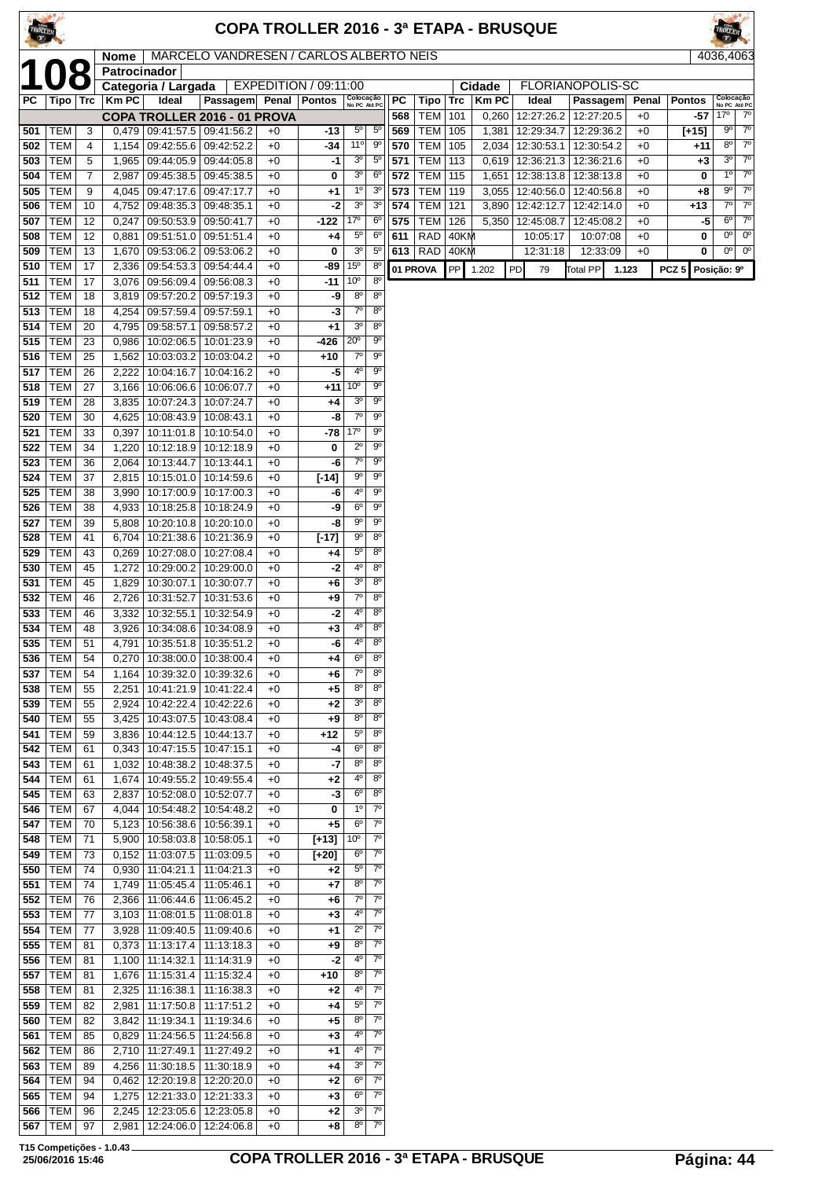|            |                          |                     |                |                                                                    |                                                    |              | <b>COPA TROLLER 2016 - 3ª ETAPA - BRUSQUE</b> |                                   |                               |            |                          |                 |        |                                               |                          |              |                  |                                             |
|------------|--------------------------|---------------------|----------------|--------------------------------------------------------------------|----------------------------------------------------|--------------|-----------------------------------------------|-----------------------------------|-------------------------------|------------|--------------------------|-----------------|--------|-----------------------------------------------|--------------------------|--------------|------------------|---------------------------------------------|
|            |                          |                     | <b>Nome</b>    |                                                                    | MARCELO VANDRESEN / CARLOS ALBERTO NEIS            |              |                                               |                                   |                               |            |                          |                 |        |                                               |                          |              |                  | 4036.4063                                   |
|            |                          |                     | Patrocinador   | Categoria / Largada                                                |                                                    |              | EXPEDITION / 09:11:00                         |                                   |                               |            |                          |                 | Cidade | FLORIANOPOLIS-SC                              |                          |              |                  |                                             |
| PC         | Tipo   Trc               |                     | Km PC          | Ideal                                                              | Passagem                                           |              | Penal   Pontos                                | Colocação<br>No PC Até PC         |                               | РC         | Tipo                     | Trc             | Km PC  | Ideal                                         | Passagem                 | Penal        | <b>Pontos</b>    | Colocação<br>No PC Até PC                   |
|            |                          |                     |                |                                                                    | COPA TROLLER 2016 - 01 PROVA                       |              |                                               |                                   |                               | 568        | <b>TEM</b>               | 101             | 0,260  | 12:27:26.2                                    | 12:27:20.5               | $+0$         | -57              | $17^{\circ}$<br>$7^{\circ}$                 |
| 501<br>502 | <b>TEM</b><br><b>TEM</b> | 3<br>$\overline{4}$ | 1,154          | $0,479$   09:41:57.5   09:41:56.2<br>09:42:55.6   09:42:52.2       |                                                    | $+0$<br>$+0$ | $-13$<br>-34                                  | 5 <sup>0</sup><br>11°             | $5^{\circ}$<br>$9^{\circ}$    | 569<br>570 | <b>TEM</b><br><b>TEM</b> | 105<br>105      | 1,381  | 12:29:34.7<br>2,034   12:30:53.1   12:30:54.2 | 12:29:36.2               | $+0$<br>$+0$ | $[+15]$<br>+11   | $7^\circ$<br>90<br>$8^{\circ}$<br>$7^\circ$ |
| 503        | <b>TEM</b>               | 5                   |                | 1,965   09:44:05.9   09:44:05.8                                    |                                                    | $+0$         | -1                                            | 3 <sup>o</sup>                    | $5^{\circ}$                   | 571        | <b>TEM</b>               | 113             |        | $0,619$   12:36:21.3                          | 12:36:21.6               | $+0$         | +3               | $7^\circ$<br>3 <sup>o</sup>                 |
| 504        | <b>TEM</b>               | 7                   | 2,987          | $09:45:38.5 \mid 09:45:38.5$                                       |                                                    | $+0$         | 0                                             | 3 <sup>o</sup>                    | 6 <sup>o</sup>                | 572        | <b>TEM</b>               | 115             | 1,651  | 12:38:13.8   12:38:13.8                       |                          | $+0$         | 0                | $7^{\circ}$<br>$1^{\circ}$                  |
| 505        | <b>TEM</b>               | 9                   | 4,045          | 09:47:17.6                                                         | 09:47:17.7                                         | $+0$         | $+1$                                          | $1^{\circ}$                       | 3 <sup>o</sup>                | 573        | <b>TEM</b>               | 119             |        | 3,055   12:40:56.0   12:40:56.8               |                          | $+0$         | +8               | $7^{\circ}$<br>90<br>$7^{\circ}$            |
| 506<br>507 | <b>TEM</b><br><b>TEM</b> | 10<br>12            | 4,752<br>0,247 | 09:48:35.3 09:48:35.1<br>09:50:53.9 09:50:41.7                     |                                                    | $+0$<br>$+0$ | -2<br>$-122$                                  | 3 <sup>o</sup><br>17°             | 3 <sup>o</sup><br>$6^{\circ}$ | 574<br>575 | <b>TEM</b><br><b>TEM</b> | 121<br>126      |        | 3,890   12:42:12.7  <br>5,350   12:45:08.7    | 12:42:14.0<br>12:45:08.2 | $+0$<br>$+0$ | +13<br>-5        | $7^\circ$<br>$7^\circ$<br>$6^{\circ}$       |
| 508        | <b>TEM</b>               | 12                  | 0,881          |                                                                    | 09:51:51.0 09:51:51.4                              | $+0$         | $+4$                                          | $5^{\circ}$                       | $6^{\circ}$                   | 611        | RAD                      | 40KM            |        | 10:05:17                                      | 10:07:08                 | $+0$         | 0                | $0^{\circ}$<br>0°                           |
| 509        | <b>TEM</b>               | 13                  | 1,670          | 09:53:06.2                                                         | 09:53:06.2                                         | $+0$         | 0                                             | 3 <sup>o</sup>                    | $5^{\circ}$                   | 613        | RAD                      | 40KM            |        | 12:31:18                                      | 12:33:09                 | $+0$         | 0                | $0^{\circ}$<br>$0^{\circ}$                  |
| 510        | <b>TEM</b>               | 17                  | 2,336          | 09:54:53.3                                                         | 09:54:44.4                                         | $+0$         | -89                                           | 15 <sup>0</sup>                   | $8^{\circ}$                   |            | 01 PROVA                 | PP <sup>I</sup> | 1.202  | PD<br>79                                      | <b>Total PP</b>          | 1.123        | PCZ <sub>5</sub> | Posição: 9º                                 |
| 511<br>512 | <b>TEM</b><br><b>TEM</b> | 17<br>18            |                | 3,076   09:56:09.4   09:56:08.3<br>3,819 09:57:20.2 09:57:19.3     |                                                    | $+0$<br>$+0$ | -11<br>-9                                     | 10 <sup>o</sup><br>$8^{\circ}$    | 8 <sup>o</sup><br>$8^{\circ}$ |            |                          |                 |        |                                               |                          |              |                  |                                             |
| 513        | <b>TEM</b>               | 18                  | 4,254          | 09:57:59.4                                                         | 09:57:59.1                                         | $+0$         | -3                                            | $7^\circ$                         | $8^{\circ}$                   |            |                          |                 |        |                                               |                          |              |                  |                                             |
| 514        | <b>TEM</b>               | 20                  | 4,795          | 09:58:57.1                                                         | 09:58:57.2                                         | $+0$         | $+1$                                          | 3 <sup>o</sup>                    | $8^{\circ}$                   |            |                          |                 |        |                                               |                          |              |                  |                                             |
| 515        | <b>TEM</b>               | 23                  | 0,986          |                                                                    | 10:02:06.5   10:01:23.9                            | $+0$         | -426                                          | $20^{\circ}$                      | $9^{\circ}$                   |            |                          |                 |        |                                               |                          |              |                  |                                             |
| 516        | <b>TEM</b><br><b>TEM</b> | 25                  | 1,562          |                                                                    | 10:03:03.2   10:03:04.2                            | $+0$         | +10                                           | $7^\circ$<br>4°                   | $9^{\circ}$<br>$9^{\circ}$    |            |                          |                 |        |                                               |                          |              |                  |                                             |
| 517<br>518 | <b>TEM</b>               | 26<br>27            | 2,222<br>3,166 | 10:04:16.7<br>10:06:06.6   10:06:07.7                              | 10:04:16.2                                         | $+0$<br>$+0$ | -5<br>+11                                     | 10 <sup>o</sup>                   | $9^{\circ}$                   |            |                          |                 |        |                                               |                          |              |                  |                                             |
| 519        | <b>TEM</b>               | 28                  | 3,835          | 10:07:24.3   10:07:24.7                                            |                                                    | $+0$         | +4                                            | 3 <sup>o</sup>                    | $9^{\circ}$                   |            |                          |                 |        |                                               |                          |              |                  |                                             |
| 520        | <b>TEM</b>               | 30                  | 4,625          | 10:08:43.9   10:08:43.1                                            |                                                    | $+0$         | -8                                            | $7^\circ$                         | $9^{\circ}$                   |            |                          |                 |        |                                               |                          |              |                  |                                             |
| 521        | <b>TEM</b>               | 33                  | 0,397          | 10:11:01.8   10:10:54.0                                            |                                                    | $+0$         | -78                                           | 17°<br>$2^{\circ}$                | $9^{\circ}$<br>90             |            |                          |                 |        |                                               |                          |              |                  |                                             |
| 522<br>523 | <b>TEM</b><br><b>TEM</b> | 34<br>36            | 1,220<br>2,064 | 10:12:18.9   10:12:18.9<br>10:13:44.7   10:13:44.1                 |                                                    | $+0$<br>$+0$ | 0<br>-6                                       | $7^\circ$                         | $9^{\circ}$                   |            |                          |                 |        |                                               |                          |              |                  |                                             |
| 524        | <b>TEM</b>               | 37                  |                | 2,815   10:15:01.0   10:14:59.6                                    |                                                    | $+0$         | $[-14]$                                       | $9^{\circ}$                       | 90                            |            |                          |                 |        |                                               |                          |              |                  |                                             |
| 525        | <b>TEM</b>               | 38                  | 3,990          |                                                                    | 10:17:00.9   10:17:00.3                            | $+0$         | -6                                            | 4º                                | $9^{\circ}$                   |            |                          |                 |        |                                               |                          |              |                  |                                             |
| 526        | <b>TEM</b>               | 38                  | 4,933          |                                                                    | 10:18:25.8   10:18:24.9                            | $+0$         | -9                                            | $6^{\circ}$                       | $9^{\circ}$                   |            |                          |                 |        |                                               |                          |              |                  |                                             |
| 527<br>528 | <b>TEM</b><br><b>TEM</b> | 39<br>41            | 5,808<br>6,704 | 10:21:38.6                                                         | 10:20:10.8   10:20:10.0<br>10:21:36.9              | $+0$<br>$+0$ | -8<br>$[-17]$                                 | 90<br>$9^{\circ}$                 | $9^{\circ}$<br>$8^{\circ}$    |            |                          |                 |        |                                               |                          |              |                  |                                             |
| 529        | <b>TEM</b>               | 43                  | 0,269          | 10:27:08.0   10:27:08.4                                            |                                                    | $+0$         | +4                                            | $5^{\circ}$                       | 8 <sup>o</sup>                |            |                          |                 |        |                                               |                          |              |                  |                                             |
| 530        | <b>TEM</b>               | 45                  | 1,272          | 10:29:00.2                                                         | 10:29:00.0                                         | $+0$         | -2                                            | 4º                                | 8 <sup>o</sup>                |            |                          |                 |        |                                               |                          |              |                  |                                             |
| 531        | <b>TEM</b>               | 45                  | 1,829          | 10:30:07.1   10:30:07.7                                            |                                                    | $+0$         | +6                                            | 3 <sup>o</sup>                    | 8 <sup>o</sup>                |            |                          |                 |        |                                               |                          |              |                  |                                             |
| 532<br>533 | <b>TEM</b><br><b>TEM</b> | 46<br>46            | 2,726<br>3,332 | 10:31:52.7<br>10:32:55.1   10:32:54.9                              | 10:31:53.6                                         | $+0$<br>$+0$ | $+9$<br>-2                                    | $7^\circ$<br>4°                   | $8^{\circ}$<br>$8^{\circ}$    |            |                          |                 |        |                                               |                          |              |                  |                                             |
| 534        | <b>TEM</b>               | 48                  |                | 3,926   10:34:08.6   10:34:08.9                                    |                                                    | $+0$         | $+3$                                          | $4^{\circ}$                       | $8^{\circ}$                   |            |                          |                 |        |                                               |                          |              |                  |                                             |
| 535        | TEM                      | 51                  | 4,791          | 10:35:51.8   10:35:51.2                                            |                                                    | +0           | -6                                            | 4º                                | $8^{\circ}$                   |            |                          |                 |        |                                               |                          |              |                  |                                             |
| 536        | TEM                      | 54                  | 0,270          | 10:38:00.0   10:38:00.4                                            |                                                    | $+0$         | +4                                            | $6^{\circ}$                       | $8^{\circ}$                   |            |                          |                 |        |                                               |                          |              |                  |                                             |
| 537<br>538 | <b>TEM</b><br>TEM        | 54<br>55            | 1,164<br>2,251 |                                                                    | 10:39:32.0   10:39:32.6<br>10:41:21.9   10:41:22.4 | $+0$<br>$+0$ | +6<br>+5                                      | 70<br>$8^{\circ}$                 | 80<br>$8^{\circ}$             |            |                          |                 |        |                                               |                          |              |                  |                                             |
| 539        | TEM                      | 55                  | 2,924          |                                                                    | 10:42:22.4   10:42:22.6                            | $+0$         | $+2$                                          | 3 <sup>o</sup>                    | $8^{\circ}$                   |            |                          |                 |        |                                               |                          |              |                  |                                             |
| 540        | <b>TEM</b>               | 55                  | 3,425          |                                                                    | 10:43:07.5   10:43:08.4                            | +0           | +9                                            | $8^{\circ}$                       | $8^{\circ}$                   |            |                          |                 |        |                                               |                          |              |                  |                                             |
| 541        | TEM                      | 59                  |                | 3,836   10:44:12.5   10:44:13.7                                    |                                                    | $+0$         | +12                                           | $5^{\circ}$                       | $8^{\circ}$                   |            |                          |                 |        |                                               |                          |              |                  |                                             |
| 542        | TEM  <br>TEM             | 61                  |                | $0,343$   10:47:15.5   10:47:15.1                                  |                                                    | $+0$         | -4<br>-7                                      | $6^{\circ}$<br>$8^{\circ}$        | $8^{\circ}$<br>8 <sup>o</sup> |            |                          |                 |        |                                               |                          |              |                  |                                             |
| 543<br>544 | TEM                      | 61<br>61            | 1,032<br>1,674 | 10:48:38.2   10:48:37.5<br>10:49:55.2   10:49:55.4                 |                                                    | $+0$<br>$+0$ | $+2$                                          | 4º                                | $8^{\circ}$                   |            |                          |                 |        |                                               |                          |              |                  |                                             |
| 545        | <b>TEM</b>               | 63                  | 2,837          | 10:52:08.0   10:52:07.7                                            |                                                    | $+0$         | -3                                            | $6^{\circ}$                       | $8^{\circ}$                   |            |                          |                 |        |                                               |                          |              |                  |                                             |
| 546        | TEM                      | 67                  |                | 4,044   10:54:48.2   10:54:48.2                                    |                                                    | $+0$         | 0                                             | $1^{\circ}$                       | $7^{\circ}$                   |            |                          |                 |        |                                               |                          |              |                  |                                             |
| 547<br>548 | TEM<br>TEM               | 70<br>71            |                | 5,123   10:56:38.6   10:56:39.1<br>5,900   10:58:03.8   10:58:05.1 |                                                    | $+0$<br>$+0$ | $+5$<br>$[+13]$                               | 6 <sup>o</sup><br>10 <sup>o</sup> | $7^\circ$<br>$7^\circ$        |            |                          |                 |        |                                               |                          |              |                  |                                             |
| 549        | TEM                      | 73                  | 0,152          | 11:03:07.5                                                         | 11:03:09.5                                         | $+0$         | [+20]                                         | $6^{\circ}$                       | $7^{\circ}$                   |            |                          |                 |        |                                               |                          |              |                  |                                             |
| 550        | <b>TEM</b>               | 74                  |                | $0,930$   11:04:21.1                                               | 11:04:21.3                                         | $+0$         | $+2$                                          | $5^{\circ}$                       | $7^{\circ}$                   |            |                          |                 |        |                                               |                          |              |                  |                                             |
| 551        | <b>TEM</b>               | 74                  | 1,749          | 11:05:45.4   11:05:46.1                                            |                                                    | $+0$         | $+7$                                          | 80                                | $7^\circ$                     |            |                          |                 |        |                                               |                          |              |                  |                                             |
| 552<br>553 | TEM<br>TEM               | 76<br>77            |                | 2,366   11:06:44.6   11:06:45.2                                    |                                                    | $+0$<br>$+0$ | +6<br>$+3$                                    | $7^\circ$<br>40                   | $7^{\circ}$<br>$7^\circ$      |            |                          |                 |        |                                               |                          |              |                  |                                             |
| 554        | <b>TEM</b>               | 77                  | 3,928          | $3,103$   11:08:01.5   11:08:01.8<br>11:09:40.5   11:09:40.6       |                                                    | $+0$         | $+1$                                          | $2^{\circ}$                       | $7^\circ$                     |            |                          |                 |        |                                               |                          |              |                  |                                             |
| 555        | <b>TEM</b>               | 81                  |                | $0,373$   11:13:17.4   11:13:18.3                                  |                                                    | $+0$         | +9                                            | $8^{\circ}$                       | $7^\circ$                     |            |                          |                 |        |                                               |                          |              |                  |                                             |
| 556        | <b>TEM</b>               | 81                  |                | 1,100   11:14:32.1   11:14:31.9                                    |                                                    | $+0$         | $-2$                                          | 40                                | $7^{\circ}$                   |            |                          |                 |        |                                               |                          |              |                  |                                             |
| 557        | TEM                      | 81                  |                | 1,676   11:15:31.4   11:15:32.4                                    |                                                    | $+0$         | +10                                           | $8^{\circ}$<br>$4^{\rm o}$        | $7^\circ$<br>$7^{\circ}$      |            |                          |                 |        |                                               |                          |              |                  |                                             |
| 558<br>559 | TEM  <br>TEM             | 81<br>82            | 2,325<br>2,981 | 11:16:38.1<br>11:17:50.8                                           | 11:16:38.3<br>11:17:51.2                           | $+0$<br>$+0$ | $+2$<br>+4                                    | $5^{\circ}$                       | $7^\circ$                     |            |                          |                 |        |                                               |                          |              |                  |                                             |
| 560        | TEM                      | 82                  | 3,842          | 11:19:34.1                                                         | 11:19:34.6                                         | $+0$         | $+5$                                          | $8^{\circ}$                       | $7^{\circ}$                   |            |                          |                 |        |                                               |                          |              |                  |                                             |
| 561        | TEM                      | 85                  |                | 0,829   11:24:56.5   11:24:56.8                                    |                                                    | $+0$         | $+3$                                          | 4º                                | $7^{\circ}$                   |            |                          |                 |        |                                               |                          |              |                  |                                             |
| 562        | TEM                      | 86                  | 2,710          | 11:27:49.1                                                         | 11:27:49.2                                         | $+0$         | $+1$                                          | 40<br>3 <sup>o</sup>              | $7^\circ$<br>$7^\circ$        |            |                          |                 |        |                                               |                          |              |                  |                                             |
| 563<br>564 | TEM<br>TEM               | 89<br>94            | 0,462          | 4,256   11:30:18.5   11:30:18.9                                    | 12:20:19.8   12:20:20.0                            | $+0$<br>$+0$ | +4<br>$+2$                                    | $6^{\circ}$                       | $7^\circ$                     |            |                          |                 |        |                                               |                          |              |                  |                                             |
| 565        | <b>TEM</b>               | 94                  |                | 1,275   12:21:33.0   12:21:33.3                                    |                                                    | $+0$         | $+3$                                          | $6^{\circ}$                       | $7^\circ$                     |            |                          |                 |        |                                               |                          |              |                  |                                             |
| 566        | TEM                      | 96                  |                | 2,245 12:23:05.6 12:23:05.8                                        |                                                    | $+0$         | $+2$                                          | 3 <sup>o</sup>                    | $7^{\circ}$                   |            |                          |                 |        |                                               |                          |              |                  |                                             |

TEM 97 2,981 12:24:06.0 12:24:06.8 +0 **+8** 8º 7º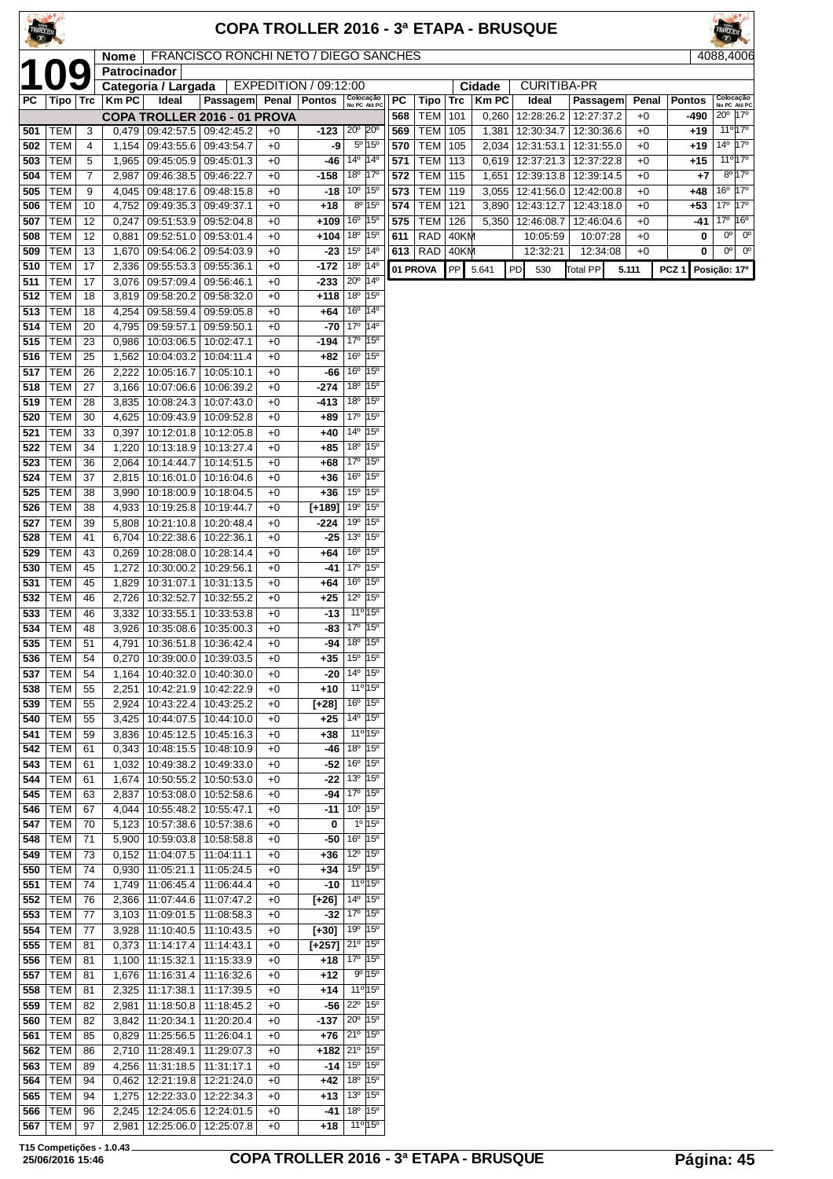| TROLLER    |                              |                       |                |                                                 |                                       |              |                                          |                                                                      |                                                    |            |                          |            |                | COPA TROLLER 2016 - 3ª ETAPA - BRUSQUE             |                 |              |                  |                                                            |                        |
|------------|------------------------------|-----------------------|----------------|-------------------------------------------------|---------------------------------------|--------------|------------------------------------------|----------------------------------------------------------------------|----------------------------------------------------|------------|--------------------------|------------|----------------|----------------------------------------------------|-----------------|--------------|------------------|------------------------------------------------------------|------------------------|
|            |                              |                       | Nome           |                                                 | FRANCISCO RONCHI NETO / DIEGO SANCHES |              |                                          |                                                                      |                                                    |            |                          |            |                |                                                    |                 |              |                  | 4088,4006                                                  |                        |
|            |                              | <u>10</u>             | Patrocinador   | Categoria / Largada                             |                                       |              | EXPEDITION / 09:12:00                    |                                                                      |                                                    |            |                          |            | Cidade         | <b>CURITIBA-PR</b>                                 |                 |              |                  |                                                            |                        |
| PC         | Tipo                         | Trc                   | <b>KmPC</b>    | Ideal                                           | Passagem                              | Penal        | <b>Pontos</b>                            |                                                                      | Colocação<br>No PC Até PC                          | PC         | Tipo                     | Trc        | Km PC          | Ideal                                              | Passagem        | Penal        | <b>Pontos</b>    | Colocação                                                  | No PC Até PC           |
|            |                              |                       |                | COPA TROLLER 2016 - 01 PROVA                    |                                       |              |                                          |                                                                      |                                                    | 568        | TEM                      | 101        | 0,260          | 12:28:26.2   12:27:37.2                            |                 | $+0$         | -490             | 20° 17°                                                    | $11^{\circ}17^{\circ}$ |
| 501<br>502 | TEM<br>TEM                   | 3<br>4                | 1,154          | $0,479$   09:42:57.5   09:42:45.2<br>09:43:55.6 | 09:43:54.7                            | $+0$<br>$+0$ | $-123$<br>-9                             | $20^{\circ}$                                                         | $20^{\circ}$<br>5º 15°                             | 569<br>570 | <b>TEM</b><br><b>TEM</b> | 105<br>105 | 1,381<br>2,034 | 12:30:34.7   12:30:36.6<br>12:31:53.1   12:31:55.0 |                 | $+0$<br>$+0$ | $+19$<br>+19     | $14^{\circ}$ 17°                                           |                        |
| 503        | <b>TEM</b>                   | 5                     | 1,965          | 09:45:05.9                                      | 09:45:01.3                            | $+0$         | -46                                      | 14º                                                                  | $14^{\circ}$                                       | 571        | <b>TEM</b>               | 113        | 0,619          | 12:37:21.3                                         | 12:37:22.8      | $+0$         | +15              |                                                            | $11^{\circ}17^{\circ}$ |
| 504        | <b>TEM</b>                   | $\overline{7}$        | 2,987          | 09:46:38.5                                      | 09:46:22.7                            | $+0$         | $-158$                                   |                                                                      | 18º 17º                                            | 572        | <b>TEM</b>               | 115        | 1,651          | 12:39:13.8                                         | 12:39:14.5      | $+0$         | +7               |                                                            | $8^{\circ}17^{\circ}$  |
| 505        | <b>TEM</b><br><b>TEM</b>     | 9<br>10               | 4,045          | 09:48:17.6 09:48:15.8                           |                                       | $+0$<br>$+0$ | -18<br>$+18$                             | 10 <sup>°</sup> 15 <sup>°</sup>                                      | $8^{\circ}$ 15°                                    | 573<br>574 | <b>TEM</b><br><b>TEM</b> | 119<br>121 | 3,055          | 12:41:56.0   12:42:00.8                            | 12:43:18.0      | $+0$<br>$+0$ | +48<br>$+53$     | $16^{\circ}$ 17 $^{\circ}$<br>$17^{\circ}$ 17 <sup>°</sup> |                        |
| 506<br>507 | <b>TEM</b>                   | 12                    | 4,752<br>0,247 | 09:49:35.3<br>09:51:53.9                        | 09:49:37.1<br>09:52:04.8              | $+0$         | $+109$                                   | 16 <sup>o</sup> 15 <sup>o</sup>                                      |                                                    | 575        | <b>TEM</b>               | 126        | 3,890<br>5,350 | 12:43:12.7<br>12:46:08.7                           | 12:46:04.6      | $+0$         | -41              | 17 <sup>0</sup> 16 <sup>0</sup>                            |                        |
| 508        | <b>TEM</b>                   | 12                    | 0,881          | 09:52:51.0                                      | 09:53:01.4                            | $+0$         | $+104$                                   | 18°                                                                  | $15^{\circ}$                                       | 611        | <b>RAD</b>               | 40KM       |                | 10:05:59                                           | 10:07:28        | $+0$         | 0                | $0^{\circ}$                                                | $0^{\circ}$            |
| 509        | <b>TEM</b>                   | 13                    | 1,670          | 09:54:06.2                                      | 09:54:03.9                            | $+0$         | -23                                      | $15^{\circ}$                                                         | $ 14^{\circ}$                                      | 613        | RAD                      | 40KM       |                | 12:32:21                                           | 12:34:08        | $+0$         | 0                | $0^{\circ}$                                                | $0^{\circ}$            |
| 510<br>511 | <b>TEM</b><br><b>TEM</b>     | 17<br>17              | 2,336<br>3,076 | 09:55:53.3 09:55:36.1<br>09:57:09.4             | 09:56:46.1                            | $+0$<br>$+0$ | $-172$<br>-233                           | 18 <sup>o</sup><br>$20^{\circ}$                                      | $ 14^{\circ}$<br>$ 14^{\circ}$                     |            | 01 PROVA                 | <b>PP</b>  | 5.641          | <b>PD</b><br>530                                   | <b>Total PP</b> | 5.111        | PCZ <sub>1</sub> | Posição: 17º                                               |                        |
| 512        | TEM                          | 18                    | 3,819          | 09:58:20.2                                      | 09:58:32.0                            | $+0$         | +118                                     | 18 <sup>o</sup>                                                      | $15^{\circ}$                                       |            |                          |            |                |                                                    |                 |              |                  |                                                            |                        |
| 513        | <b>TEM</b>                   | 18                    | 4,254          | 09:58:59.4                                      | 09:59:05.8                            | $+0$         | +64                                      | 16°                                                                  | $14^{\circ}$                                       |            |                          |            |                |                                                    |                 |              |                  |                                                            |                        |
| 514        | <b>TEM</b>                   | 20                    | 4,795          | 09:59:57.1                                      | 09:59:50.1                            | $+0$         | $-70$                                    | $17^{\circ}$                                                         | $14^{\circ}$                                       |            |                          |            |                |                                                    |                 |              |                  |                                                            |                        |
| 515<br>516 | <b>TEM</b><br><b>TEM</b>     | 23<br>25              | 0,986<br>1,562 | 10:03:06.5<br>10:04:03.2                        | 10:02:47.1<br>10:04:11.4              | $+0$<br>$+0$ | -194<br>+82                              | 17 <sup>°</sup><br>$16^{\circ}$                                      | $15^{\circ}$<br>15°                                |            |                          |            |                |                                                    |                 |              |                  |                                                            |                        |
| 517        | <b>TEM</b>                   | 26                    | 2,222          | 10:05:16.7                                      | 10:05:10.1                            | $+0$         | -66                                      | 16°                                                                  | 15 <sup>o</sup>                                    |            |                          |            |                |                                                    |                 |              |                  |                                                            |                        |
| 518        | <b>TEM</b>                   | 27                    | 3,166          | 10:07:06.6                                      | 10:06:39.2                            | $+0$         | -274                                     | $18^{\circ}$                                                         | 15°                                                |            |                          |            |                |                                                    |                 |              |                  |                                                            |                        |
| 519        | <b>TEM</b>                   | 28                    | 3,835          |                                                 | 10:08:24.3   10:07:43.0               | $+0$         | -413                                     | 18 <sup>o</sup>                                                      | $15^{\circ}$                                       |            |                          |            |                |                                                    |                 |              |                  |                                                            |                        |
| 520<br>521 | <b>TEM</b><br><b>TEM</b>     | 30<br>33              | 4,625<br>0,397 | 10:09:43.9<br>10:12:01.8                        | 10:09:52.8<br>10:12:05.8              | $+0$<br>$+0$ | $+89$<br>+40                             | 17º 15º<br>14°                                                       | 15°                                                |            |                          |            |                |                                                    |                 |              |                  |                                                            |                        |
| 522        | <b>TEM</b>                   | 34                    | 1,220          | 10:13:18.9                                      | 10:13:27.4                            | $+0$         | +85                                      | 18°                                                                  | $15^{\circ}$                                       |            |                          |            |                |                                                    |                 |              |                  |                                                            |                        |
| 523        | <b>TEM</b>                   | 36                    | 2,064          | 10:14:44.7                                      | 10:14:51.5                            | $+0$         | +68                                      | 17°                                                                  | $15^{\circ}$                                       |            |                          |            |                |                                                    |                 |              |                  |                                                            |                        |
| 524        | <b>TEM</b>                   | 37                    | 2,815          |                                                 | 10:16:01.0   10:16:04.6               | $+0$         | +36                                      | 16 <sup>o</sup><br>$15^{\circ}$                                      | 15°<br>$15^{\circ}$                                |            |                          |            |                |                                                    |                 |              |                  |                                                            |                        |
| 525<br>526 | <b>TEM</b><br><b>TEM</b>     | 38<br>38              | 3,990<br>4,933 | 10:18:00.9<br>10:19:25.8                        | 10:18:04.5<br>10:19:44.7              | $+0$<br>$+0$ | $+36$<br>$[-189]$                        | 19 <sup>o</sup>                                                      | $15^{\circ}$                                       |            |                          |            |                |                                                    |                 |              |                  |                                                            |                        |
| 527        | <b>TEM</b>                   | 39                    | 5,808          | 10:21:10.8                                      | 10:20:48.4                            | $+0$         | -224                                     | $19^{\circ}$                                                         | $15^{\circ}$                                       |            |                          |            |                |                                                    |                 |              |                  |                                                            |                        |
| 528        | <b>TEM</b>                   | 41                    | 6,704          | 10:22:38.6                                      | 10:22:36.1                            | $+0$         | -25                                      | 13 <sup>o</sup>                                                      | $15^{\circ}$                                       |            |                          |            |                |                                                    |                 |              |                  |                                                            |                        |
| 529        | <b>TEM</b><br><b>TEM</b>     | 43<br>45              | 0,269          | 10:28:08.0<br>10:30:00.2                        | 10:28:14.4<br>10:29:56.1              | $+0$<br>$+0$ | +64<br>-41                               | 16 <sup>o</sup><br>17°                                               | $15^{\circ}$<br>$15^{\circ}$                       |            |                          |            |                |                                                    |                 |              |                  |                                                            |                        |
| 530<br>531 | <b>TEM</b>                   | 45                    | 1,272<br>1.829 | 10:31:07.1                                      | 10:31:13.5                            | $+0$         | +64                                      | 16 <sup>°</sup> 15 <sup>°</sup>                                      |                                                    |            |                          |            |                |                                                    |                 |              |                  |                                                            |                        |
| 532        | <b>TEM</b>                   | 46                    | 2,726          | 10:32:52.7                                      | 10:32:55.2                            | $+0$         | $+25$                                    | $12^{\circ}$                                                         | 15°                                                |            |                          |            |                |                                                    |                 |              |                  |                                                            |                        |
| 533        | TEM                          | 46                    | 3,332          | 10:33:55.1                                      | 10:33:53.8                            | $+0$         | $-13$                                    |                                                                      | 11 <sup>o</sup> 15 <sup>o</sup>                    |            |                          |            |                |                                                    |                 |              |                  |                                                            |                        |
| 535        | <b>534 TEM</b><br><b>TEM</b> | $\overline{48}$<br>51 | 4,791          | 3,926 10:35:08.6 10:35:00.3<br>10:36:51.8       | 10:36:42.4                            | $+0$<br>$+0$ | -94                                      | $-83$ 17 <sup>o</sup> 15 <sup>o</sup><br>$18^{\circ}$ $ 15^{\circ} $ |                                                    |            |                          |            |                |                                                    |                 |              |                  |                                                            |                        |
| 536        | <b>TEM</b>                   | 54                    | 0,270          | 10:39:00.0                                      | 10:39:03.5                            | $+0$         | $+35$                                    | $15^{\circ}$ 15°                                                     |                                                    |            |                          |            |                |                                                    |                 |              |                  |                                                            |                        |
| 537        | <b>TEM</b>                   | 54                    | 1,164          | 10:40:32.0                                      | 10:40:30.0                            | $+0$         | -20                                      | 14 <sup>o</sup> 15 <sup>o</sup>                                      |                                                    |            |                          |            |                |                                                    |                 |              |                  |                                                            |                        |
| 538        | <b>TEM</b>                   | 55                    | 2,251          | 10:42:21.9                                      | 10:42:22.9                            | $+0$         | +10                                      |                                                                      | $11^{\circ}$ 15°                                   |            |                          |            |                |                                                    |                 |              |                  |                                                            |                        |
| 539<br>540 | TEM<br><b>TEM</b>            | 55<br>55              | 2,924<br>3,425 | 10:43:22.4<br>10:44:07.5                        | 10:43:25.2<br>10:44:10.0              | $+0$<br>$+0$ | [+28]<br>+25                             | 16 <sup>°</sup> 15 <sup>°</sup>                                      | $14^{\circ}$ 15°                                   |            |                          |            |                |                                                    |                 |              |                  |                                                            |                        |
| 541        | <b>TEM</b>                   | 59                    | 3,836          | 10:45:12.5                                      | 10:45:16.3                            | $+0$         | $+38$                                    |                                                                      | 11 <sup>o</sup> 15 <sup>o</sup>                    |            |                          |            |                |                                                    |                 |              |                  |                                                            |                        |
| 542        | <b>TEM</b>                   | 61                    | 0,343          | 10:48:15.5                                      | 10:48:10.9                            | $+0$         | -46                                      | 18°                                                                  | $15^{\circ}$                                       |            |                          |            |                |                                                    |                 |              |                  |                                                            |                        |
| 543<br>544 | <b>TEM</b><br><b>TEM</b>     | 61<br>61              | 1,032<br>1,674 | 10:49:38.2<br>10:50:55.2                        | 10:49:33.0<br>10:50:53.0              | $+0$<br>$+0$ | -52<br>-22                               | 16 <sup>o</sup><br>13 <sup>0</sup> 15 <sup>0</sup>                   | $15^{\circ}$                                       |            |                          |            |                |                                                    |                 |              |                  |                                                            |                        |
| 545        | <b>TEM</b>                   | 63                    | 2,837          | 10:53:08.0                                      | 10:52:58.6                            | $+0$         | -94                                      |                                                                      | $17^{\circ}$  15°                                  |            |                          |            |                |                                                    |                 |              |                  |                                                            |                        |
| 546        | TEM                          | 67                    | 4,044          | 10:55:48.2                                      | 10:55:47.1                            | $+0$         | -11                                      | $10^{\circ}$ 15°                                                     |                                                    |            |                          |            |                |                                                    |                 |              |                  |                                                            |                        |
| 547        | TEM                          | 70                    | 5,123          | 10:57:38.6                                      | 10:57:38.6                            | $+0$         | 0                                        |                                                                      | $1^{\circ}$ 15°                                    |            |                          |            |                |                                                    |                 |              |                  |                                                            |                        |
| 548<br>549 | <b>TEM</b><br>TEM            | 71<br>73              | 5,900<br>0,152 | 10:59:03.8<br>11:04:07.5                        | 10:58:58.8<br>11:04:11.1              | $+0$<br>$+0$ | -50<br>+36                               | 16 <sup>°</sup> 15 <sup>°</sup><br>12 <sup>o</sup> 15 <sup>o</sup>   |                                                    |            |                          |            |                |                                                    |                 |              |                  |                                                            |                        |
| 550        | <b>TEM</b>                   | 74                    | 0,930          | 11:05:21.1                                      | 11:05:24.5                            | $+0$         | +34                                      | $15^{\circ}$ 15°                                                     |                                                    |            |                          |            |                |                                                    |                 |              |                  |                                                            |                        |
| 551        | <b>TEM</b>                   | 74                    | 1,749          | 11:06:45.4                                      | 11:06:44.4                            | $+0$         | -10                                      |                                                                      | 11 <sup>o</sup> 15 <sup>o</sup>                    |            |                          |            |                |                                                    |                 |              |                  |                                                            |                        |
| 552        | <b>TEM</b>                   | 76                    | 2,366          | 11:07:44.6                                      | 11:07:47.2                            | $+0$         | $[+26]$                                  | 17 <sup>0</sup> 15 <sup>0</sup>                                      | 14º 15º                                            |            |                          |            |                |                                                    |                 |              |                  |                                                            |                        |
| 553<br>554 | <b>TEM</b><br><b>TEM</b>     | 77<br>77              | 3,103<br>3,928 | 11:09:01.5<br>$\overline{11:}10:40.5$           | 11:08:58.3<br>11:10:43.5              | $+0$<br>$+0$ | -32<br>$[+30]$                           | 19 <sup>0</sup> 15 <sup>0</sup>                                      |                                                    |            |                          |            |                |                                                    |                 |              |                  |                                                            |                        |
| 555        | <b>TEM</b>                   | 81                    | 0,373          | 11:14:17.4                                      | 11:14:43.1                            | $+0$         | $[+257]$ 21 <sup>0</sup> 15 <sup>0</sup> |                                                                      |                                                    |            |                          |            |                |                                                    |                 |              |                  |                                                            |                        |
| 556        | TEM                          | 81                    | 1,100          | 11:15:32.1                                      | 11:15:33.9                            | $+0$         | $+18$ 17 <sup>o</sup> 15 <sup>o</sup>    |                                                                      |                                                    |            |                          |            |                |                                                    |                 |              |                  |                                                            |                        |
| 557<br>558 | <b>TEM</b><br><b>TEM</b>     | 81<br>81              | 1,676<br>2,325 | 11:16:31.4<br>11:17:38.1                        | 11:16:32.6<br>11:17:39.5              | $+0$<br>$+0$ | +12<br>$+14$                             |                                                                      | $9^{\circ}$ 15°<br>11 <sup>o</sup> 15 <sup>o</sup> |            |                          |            |                |                                                    |                 |              |                  |                                                            |                        |
| 559        | TEM                          | 82                    | 2,981          | 11:18:50.8                                      | 11:18:45.2                            | $+0$         | $-56$                                    |                                                                      | $22^{\circ}$ 15°                                   |            |                          |            |                |                                                    |                 |              |                  |                                                            |                        |
| 560        | <b>TEM</b>                   | 82                    | 3,842          | 11:20:34.1                                      | 11:20:20.4                            | $+0$         | $-137$                                   | $20^{\circ}$ 15°                                                     |                                                    |            |                          |            |                |                                                    |                 |              |                  |                                                            |                        |
| 561        | TEM                          | 85                    | 0,829          | 11:25:56.5                                      | 11:26:04.1                            | $+0$         | +76                                      | $21°$ 15°                                                            |                                                    |            |                          |            |                |                                                    |                 |              |                  |                                                            |                        |
| 562<br>563 | <b>TEM</b><br><b>TEM</b>     | 86<br>89              | 2,710<br>4,256 | 11:28:49.1<br>11:31:18.5                        | 11:29:07.3<br>11:31:17.1              | $+0$<br>$+0$ | +182                                     | $21^{\circ}$<br>$-14$ 15 <sup>o</sup> 15 <sup>o</sup>                | $15^{\circ}$                                       |            |                          |            |                |                                                    |                 |              |                  |                                                            |                        |
| 564        | <b>TEM</b>                   | 94                    | 0,462          | 12:21:19.8 12:21:24.0                           |                                       | $+0$         | +42                                      | $18^{\circ}$ 15°                                                     |                                                    |            |                          |            |                |                                                    |                 |              |                  |                                                            |                        |
| 565        | <b>TEM</b>                   | 94                    | 1,275          |                                                 | 12:22:33.0   12:22:34.3               | $+0$         | $+13$ 13 <sup>o</sup> 15 <sup>o</sup>    |                                                                      |                                                    |            |                          |            |                |                                                    |                 |              |                  |                                                            |                        |
| 566        | TEM                          | 96                    |                | 2,245 12:24:05.6 12:24:01.5                     |                                       | $+0$         |                                          | $-41$ 18 <sup>o</sup> 15 <sup>o</sup>                                |                                                    |            |                          |            |                |                                                    |                 |              |                  |                                                            |                        |

 TEM 96 2,245 12:24:05.6 12:24:01.5 +0 **-41** 18º 15º TEM 97 2,981 12:25:06.0 12:25:07.8 +0 **+18** 11º 15º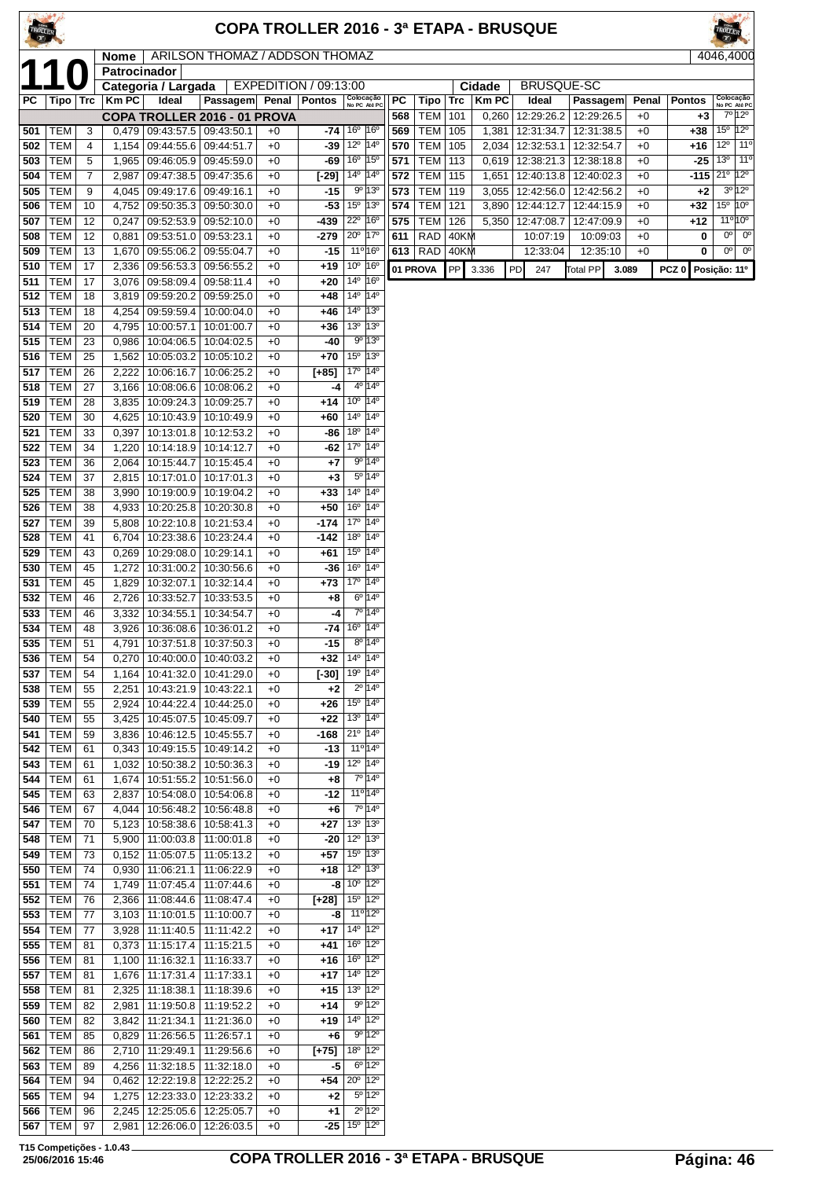HOLLER

| <b>ROLLER</b> |
|---------------|
| )46.40<br>41  |

|            |                          |          |                |                                                                      | <b>Nome</b>   ARILSON THOMAZ / ADDSON THOMAZ |              |                                          |                                                                 |                                                     |            |            |            |                |                          |                          |              |                  | 4046,4000                             |
|------------|--------------------------|----------|----------------|----------------------------------------------------------------------|----------------------------------------------|--------------|------------------------------------------|-----------------------------------------------------------------|-----------------------------------------------------|------------|------------|------------|----------------|--------------------------|--------------------------|--------------|------------------|---------------------------------------|
| 1'         |                          |          | Patrocinador   |                                                                      |                                              |              |                                          |                                                                 |                                                     |            |            |            |                |                          |                          |              |                  |                                       |
|            |                          |          |                | Categoria / Largada                                                  |                                              |              | EXPEDITION / 09:13:00                    |                                                                 |                                                     |            |            |            | Cidade         | <b>BRUSQUE-SC</b>        |                          |              |                  |                                       |
| РC         | Tipo   Trc               |          | Km PC          | Ideal                                                                | Passagem Penal Pontos                        |              |                                          | Colocação<br>No PC Até PC                                       |                                                     | PC         | Tipo       | Trc        | <b>KmPC</b>    | Ideal                    | Passagem                 | Penal        | <b>Pontos</b>    | Colocação<br>No PC Até PC<br>7º 12º   |
| 501        | TEM                      | 3        |                | $0,479$   09:43:57.5   09:43:50.1                                    | COPA TROLLER 2016 - 01 PROVA                 | $+0$         | -74                                      | 16 <sup>o</sup>                                                 | $16^{\circ}$                                        | 568<br>569 | TEM<br>TEM | 101<br>105 | 0,260<br>1,381 | 12:29:26.2<br>12:31:34.7 | 12:29:26.5<br>12:31:38.5 | $+0$<br>$+0$ | $+3$<br>$+38$    | 15° 12°                               |
| 502        | TEM                      | 4        | 1,154          | 09:44:55.6   09:44:51.7                                              |                                              | $+0$         | -39                                      | $12^{\circ}$                                                    | $ 14^{\circ}$                                       | 570        | <b>TEM</b> | 105        | 2,034          | 12:32:53.1               | 12:32:54.7               | $+0$         | +16              | $12^{\circ}$<br>$11^{\circ}$          |
| 503        | TEM                      | 5        |                | 1,965 09:46:05.9 09:45:59.0                                          |                                              | $+0$         | -69                                      | 16 <sup>°</sup> 15 <sup>°</sup>                                 |                                                     | 571        | TEM        | 113        | 0,619          | 12:38:21.3               | 12:38:18.8               | $+0$         |                  | $-25$ 13 <sup>0</sup><br>$11^{\circ}$ |
| 504        | <b>TEM</b>               | 7        | 2,987          | 09:47:38.5   09:47:35.6                                              |                                              | $+0$         | $[-29]$                                  | 14 <sup>o</sup> 14 <sup>o</sup>                                 |                                                     | 572        | TEM        | 115        | 1,651          | 12:40:13.8               | 12:40:02.3               | $+0$         |                  | $-115$ $21°$ $12°$                    |
| 505        | <b>TEM</b>               | 9        | 4,045          | 09:49:17.6 09:49:16.1                                                |                                              | $+0$         | $-15$                                    |                                                                 | $9^{\circ}$ 13°                                     | 573        | <b>TEM</b> | 119        |                | 3,055   12:42:56.0       | 12:42:56.2               | $+0$         | $+2$             | $3^0$ 12 $^0$                         |
| 506        | <b>TEM</b>               | 10       | 4,752          | 09:50:35.3 09:50:30.0                                                |                                              | $+0$         | $-53$                                    | 15° 13°                                                         |                                                     | 574        | <b>TEM</b> | 121        | 3,890          | 12:44:12.7               | 12:44:15.9               | $+0$         | $+32$            | 15 <sup>°</sup> 10 <sup>°</sup>       |
| 507        | <b>TEM</b>               | 12       | 0,247          |                                                                      | 09:52:53.9 09:52:10.0                        | $+0$         | -439                                     | 22 <sup>0</sup> 16 <sup>0</sup>                                 |                                                     | 575        | <b>TEM</b> | 126        | 5,350          | 12:47:08.7               | 12:47:09.9               | $+0$         | +12              | $11^{\circ} 10^{\circ}$               |
| 508        | TEM                      | 12       | 0,881          | 09:53:51.0   09:53:23.1                                              |                                              | $+0$         | -279                                     | 20° 17°                                                         |                                                     | 611        | RAD        | 40KM       |                | 10:07:19                 | 10:09:03                 | $+0$         | 0                | $0^{\circ}$<br>$0^{\circ}$            |
| 509        | <b>TEM</b>               | 13       | 1,670          | 09:55:06.2   09:55:04.7                                              |                                              | $+0$         | -15                                      | 11 <sup>o</sup> 16 <sup>o</sup>                                 |                                                     | 613        | RAD        | 40KM       |                | 12:33:04                 | 12:35:10                 | $+0$         | 0                | $0^{\circ}$<br>0°                     |
| 510        | <b>TEM</b>               | 17       | 2,336          |                                                                      | 09:56:53.3 09:56:55.2                        | $+0$         | +19                                      | $10^{\circ}$ 16 <sup>°</sup>                                    |                                                     | 01 PROVA   |            | <b>PP</b>  | 3.336          | PD<br>247                | <b>Total PP</b><br>3.089 |              | PCZ <sub>0</sub> | Posição: 11º                          |
| 511        | <b>TEM</b>               | 17       | 3,076          | 09:58:09.4                                                           | 09:58:11.4                                   | $+0$         | +20                                      | 14 <sup>o</sup> 16 <sup>o</sup>                                 |                                                     |            |            |            |                |                          |                          |              |                  |                                       |
| 512        | <b>TEM</b>               | 18       | 3,819          |                                                                      | 09:59:20.2   09:59:25.0                      | $+0$         | +48                                      | 14 <sup>o</sup> 14 <sup>o</sup>                                 |                                                     |            |            |            |                |                          |                          |              |                  |                                       |
| 513        | <b>TEM</b>               | 18       | 4,254          | 09:59:59.4   10:00:04.0                                              |                                              | $+0$         | +46                                      | 14 <sup>o</sup> 13 <sup>o</sup>                                 |                                                     |            |            |            |                |                          |                          |              |                  |                                       |
| 514        | <b>TEM</b>               | 20       | 4,795          | 10:00:57.1                                                           | 10:01:00.7                                   | $+0$         | +36                                      | $13^{\circ}$ $13^{\circ}$                                       |                                                     |            |            |            |                |                          |                          |              |                  |                                       |
| 515        | TEM                      | 23       | 0,986          | 10:04:06.5                                                           | 10:04:02.5                                   | $+0$         | -40                                      |                                                                 | 9°13°                                               |            |            |            |                |                          |                          |              |                  |                                       |
| 516        | <b>TEM</b>               | 25       | 1,562          | 10:05:03.2   10:05:10.2                                              |                                              | $+0$         | +70                                      | $15^{\circ}$ 13 <sup>°</sup>                                    |                                                     |            |            |            |                |                          |                          |              |                  |                                       |
| 517        | <b>TEM</b>               | 26       | 2,222          | 10:06:16.7   10:06:25.2                                              |                                              | $+0$         | $[+85]$                                  | 17º 14º                                                         |                                                     |            |            |            |                |                          |                          |              |                  |                                       |
| 518        | <b>TEM</b>               | 27       |                | 3,166   10:08:06.6   10:08:06.2                                      |                                              | $+0$         | -4                                       |                                                                 | $4^{\circ}$ 14 <sup>°</sup>                         |            |            |            |                |                          |                          |              |                  |                                       |
| 519        | <b>TEM</b>               | 28       | 3,835          | 10:09:24.3                                                           | 10:09:25.7                                   | $+0$         | +14                                      | $10^{\circ}$ 14 <sup>°</sup>                                    |                                                     |            |            |            |                |                          |                          |              |                  |                                       |
| 520        | TEM                      | 30       | 4,625          | 10:10:43.9   10:10:49.9                                              |                                              | $+0$         | +60                                      | $14^{\circ}$ 14 <sup>°</sup>                                    |                                                     |            |            |            |                |                          |                          |              |                  |                                       |
| 521        | <b>TEM</b>               | 33       | 0,397          | 10:13:01.8                                                           | 10:12:53.2                                   | $+0$         | -86                                      | 18 <sup>o</sup> 14 <sup>o</sup>                                 |                                                     |            |            |            |                |                          |                          |              |                  |                                       |
| 522        | <b>TEM</b>               | 34       | 1,220          | 10:14:18.9   10:14:12.7                                              |                                              | $+0$         | -62                                      | 17º 14º                                                         |                                                     |            |            |            |                |                          |                          |              |                  |                                       |
| 523        | TEM                      | 36       |                | 2,064   10:15:44.7   10:15:45.4                                      |                                              | $+0$         | +7                                       |                                                                 | 9º 14º                                              |            |            |            |                |                          |                          |              |                  |                                       |
| 524        | <b>TEM</b>               | 37       |                | 2,815   10:17:01.0   10:17:01.3                                      |                                              | $+0$         | $+3$                                     | $14^{\circ}$ 14 <sup>°</sup>                                    | $5^{\circ}$ 14°                                     |            |            |            |                |                          |                          |              |                  |                                       |
| 525        | <b>TEM</b>               | 38<br>38 | 3,990          | 10:19:00.9   10:19:04.2                                              |                                              | $+0$         | $+33$<br>+50                             | 16 <sup>°</sup> 14 <sup>°</sup>                                 |                                                     |            |            |            |                |                          |                          |              |                  |                                       |
| 526<br>527 | <b>TEM</b><br><b>TEM</b> | 39       | 4,933<br>5,808 | 10:20:25.8<br>10:22:10.8   10:21:53.4                                | 10:20:30.8                                   | $+0$<br>$+0$ | -174                                     | 17 <sup>0</sup> 14 <sup>0</sup>                                 |                                                     |            |            |            |                |                          |                          |              |                  |                                       |
| 528        | <b>TEM</b>               | 41       | 6,704          | 10:23:38.6   10:23:24.4                                              |                                              | $+0$         | -142                                     | 18 <sup>0</sup> 14 <sup>0</sup>                                 |                                                     |            |            |            |                |                          |                          |              |                  |                                       |
| 529        | <b>TEM</b>               | 43       | 0,269          | 10:29:08.0   10:29:14.1                                              |                                              | $+0$         | +61                                      | 15 <sup>o</sup> 14 <sup>o</sup>                                 |                                                     |            |            |            |                |                          |                          |              |                  |                                       |
| 530        | TEM                      | 45       | 1,272          | 10:31:00.2                                                           | 10:30:56.6                                   | $+0$         | -36                                      | $16^{\circ}$ 14 <sup>°</sup>                                    |                                                     |            |            |            |                |                          |                          |              |                  |                                       |
| 531        | <b>TEM</b>               | 45       | 1,829          | 10:32:07.1                                                           | 10:32:14.4                                   | $+0$         | +73                                      | 17º 14º                                                         |                                                     |            |            |            |                |                          |                          |              |                  |                                       |
| 532        | <b>TEM</b>               | 46       | 2,726          | 10:33:52.7                                                           | 10:33:53.5                                   | $+0$         | +8                                       |                                                                 | $6^{\circ}$ 14 <sup>°</sup>                         |            |            |            |                |                          |                          |              |                  |                                       |
| 533        | <b>TEM</b>               | 46       | 3,332          | 10:34:55.1                                                           | 10:34:54.7                                   | $+0$         | -4                                       |                                                                 | 7º 14º                                              |            |            |            |                |                          |                          |              |                  |                                       |
| 534        | <b>TEM</b>               | 48       |                | 3,926   10:36:08.6   10:36:01.2                                      |                                              | $+0$         | $-74$                                    | $16^{\circ}$ 14 <sup>°</sup>                                    |                                                     |            |            |            |                |                          |                          |              |                  |                                       |
| 535        | TEM                      | 51       | 4,791          | $10:37:51.8$ 10:37:50.3                                              |                                              | $+0$         | $-15$                                    |                                                                 | $8^{\circ}$ 14 <sup><math>\overline{0}</math></sup> |            |            |            |                |                          |                          |              |                  |                                       |
| 536        | <b>TEM</b>               | 54       |                | $0,270$   10:40:00.0   10:40:03.2                                    |                                              | $+0$         | +32                                      | $14^{\circ}$ 14 <sup>°</sup>                                    |                                                     |            |            |            |                |                          |                          |              |                  |                                       |
| 537        | <b>TEM</b>               | 54       |                |                                                                      | 1,164   10:41:32.0   10:41:29.0              | $+0$         | $[ -30]$ 19 <sup>o</sup> 14 <sup>o</sup> |                                                                 |                                                     |            |            |            |                |                          |                          |              |                  |                                       |
| 538        | TEM                      | 55       |                | 2,251   10:43:21.9   10:43:22.1                                      |                                              | $+0$         | $+2$                                     |                                                                 | $2^{\circ}$ 14 <sup>°</sup>                         |            |            |            |                |                          |                          |              |                  |                                       |
| 539        | TEM                      | 55       | 2,924          | 10:44:22.4   10:44:25.0                                              |                                              | $+0$         | +26                                      | $15^{\circ}$ 14 <sup>o</sup><br>13 <sup>0</sup> 14 <sup>0</sup> |                                                     |            |            |            |                |                          |                          |              |                  |                                       |
| 540        | TEM                      | 55       |                | 3,425   10:45:07.5   10:45:09.7<br>3,836   10:46:12.5   10:45:55.7   |                                              | $+0$         | +22                                      | $21^{\circ}$ 14 <sup>°</sup>                                    |                                                     |            |            |            |                |                          |                          |              |                  |                                       |
| 541<br>542 | <b>TEM</b><br>TEM        | 59<br>61 |                | 0,343 10:49:15.5 10:49:14.2                                          |                                              | $+0$<br>$+0$ | -168<br>-13                              | $11^{\circ}$ 14°                                                |                                                     |            |            |            |                |                          |                          |              |                  |                                       |
| 543        | TEM                      | 61       |                |                                                                      | 1,032   10:50:38.2   10:50:36.3              | $+0$         | $-19$                                    | $12^{\circ}$  14 $^{\circ}$                                     |                                                     |            |            |            |                |                          |                          |              |                  |                                       |
| 544        | TEM                      | 61       |                | 1,674   10:51:55.2   10:51:56.0                                      |                                              | $+0$         | $+8$                                     |                                                                 | 7º 14º                                              |            |            |            |                |                          |                          |              |                  |                                       |
| 545        | TEM                      | 63       | 2,837          |                                                                      | 10:54:08.0   10:54:06.8                      | $+0$         | -12                                      | $11^{\circ}14^{\circ}$                                          |                                                     |            |            |            |                |                          |                          |              |                  |                                       |
| 546        | TEM                      | 67       |                | 4,044   10:56:48.2   10:56:48.8                                      |                                              | $+0$         | +6                                       |                                                                 | 7º 14º                                              |            |            |            |                |                          |                          |              |                  |                                       |
| 547        | TEM                      | 70       |                |                                                                      | 5,123   10:58:38.6   10:58:41.3              | $+0$         | +27                                      | 13 <sup>0</sup> 13 <sup>0</sup>                                 |                                                     |            |            |            |                |                          |                          |              |                  |                                       |
| 548        | TEM                      | 71       |                | 5,900   11:00:03.8   11:00:01.8                                      |                                              | $+0$         |                                          | $-20$   12 <sup>o</sup>   13 <sup>o</sup>                       |                                                     |            |            |            |                |                          |                          |              |                  |                                       |
| 549        | <b>TEM</b>               | 73       |                | $0,152$   11:05:07.5   11:05:13.2                                    |                                              | $+0$         | +57                                      | 15° 13°                                                         |                                                     |            |            |            |                |                          |                          |              |                  |                                       |
| 550        | TEM                      | 74       |                | $0,930$   11:06:21.1   11:06:22.9                                    |                                              | $+0$         | +18                                      | $12^{\circ}$ 13 <sup>°</sup>                                    |                                                     |            |            |            |                |                          |                          |              |                  |                                       |
| 551        | TEM                      | 74       |                | 1,749   11:07:45.4   11:07:44.6                                      |                                              | $+0$         | -8                                       | 10 <sup>°</sup> 12 <sup>°</sup>                                 |                                                     |            |            |            |                |                          |                          |              |                  |                                       |
| 552        | TEM                      | 76       |                | 2,366   11:08:44.6   11:08:47.4                                      |                                              | $+0$         | [+28]                                    | $15^{\circ}$ 12°                                                |                                                     |            |            |            |                |                          |                          |              |                  |                                       |
| 553        | <b>TEM</b>               | 77       |                | $3,103$   11:10:01.5   11:10:00.7                                    |                                              | $+0$         | -8                                       | 11° 12°                                                         |                                                     |            |            |            |                |                          |                          |              |                  |                                       |
| 554<br>555 | <b>TEM</b><br><b>TEM</b> | 77<br>81 |                | 3,928   11:11:40.5   11:11:42.2<br>$0,373$   11:15:17.4   11:15:21.5 |                                              | $+0$<br>$+0$ | +17<br>+41                               | $14^{\circ}$ 12 <sup>o</sup><br>16 <sup>o</sup> 12 <sup>o</sup> |                                                     |            |            |            |                |                          |                          |              |                  |                                       |
| 556        | TEM                      | 81       |                | 1,100   11:16:32.1   11:16:33.7                                      |                                              | $+0$         | +16                                      | 16 <sup>o</sup>   12 <sup>o</sup>                               |                                                     |            |            |            |                |                          |                          |              |                  |                                       |
| 557        | TEM                      | 81       |                | 1,676   11:17:31.4   11:17:33.1                                      |                                              | $+0$         | +17                                      | $14^{\circ}$ 12 <sup>°</sup>                                    |                                                     |            |            |            |                |                          |                          |              |                  |                                       |
| 558        | <b>TEM</b>               | 81       |                | 2,325   11:18:38.1   11:18:39.6                                      |                                              | $+0$         | +15                                      | $13^{\circ}$ $ 12^{\circ} $                                     |                                                     |            |            |            |                |                          |                          |              |                  |                                       |
| 559        | <b>TEM</b>               | 82       | 2,981          | 11:19:50.8   11:19:52.2                                              |                                              | $+0$         | +14                                      |                                                                 | $9^{\circ}$ 12°                                     |            |            |            |                |                          |                          |              |                  |                                       |
| 560        | TEM                      | 82       |                | 3,842   11:21:34.1   11:21:36.0                                      |                                              | $+0$         | +19                                      | 14 <sup>o</sup> 12 <sup>o</sup>                                 |                                                     |            |            |            |                |                          |                          |              |                  |                                       |
| 561        | TEM                      | 85       |                | $0,829$   11:26:56.5   11:26:57.1                                    |                                              | $+0$         | +6                                       |                                                                 | $9^{\circ}$  12 $^{\circ}$                          |            |            |            |                |                          |                          |              |                  |                                       |
| 562        | TEM                      | 86       |                | 2,710   11:29:49.1   11:29:56.6                                      |                                              | $+0$         | $[+75]$                                  | 18 <sup>o</sup> 12 <sup>o</sup>                                 |                                                     |            |            |            |                |                          |                          |              |                  |                                       |
| 563        | <b>TEM</b>               | 89       |                | 4,256   11:32:18.5   11:32:18.0                                      |                                              | $+0$         | -5                                       |                                                                 | $6^{\circ}$ 12°                                     |            |            |            |                |                          |                          |              |                  |                                       |
| 564        | TEM                      | 94       |                | 0,462   12:22:19.8   12:22:25.2                                      |                                              | $+0$         | +54                                      | $20^{\circ}$ 12°                                                |                                                     |            |            |            |                |                          |                          |              |                  |                                       |
| 565        | TEM                      | 94       |                |                                                                      | 1,275   12:23:33.0   12:23:33.2              | $+0$         | +2                                       |                                                                 | $5^{\circ}$ 12°                                     |            |            |            |                |                          |                          |              |                  |                                       |
| 566        | TEM                      | 96       |                | 2,245   12:25:05.6   12:25:05.7                                      |                                              | $+0$         | $+1$                                     |                                                                 | $2^{\circ}$ 12°                                     |            |            |            |                |                          |                          |              |                  |                                       |
| 567        | TEM                      | 97       |                |                                                                      | 2,981   12:26:06.0   12:26:03.5              | $+0$         |                                          | $-25$ 15 <sup>o</sup> 12 <sup>o</sup>                           |                                                     |            |            |            |                |                          |                          |              |                  |                                       |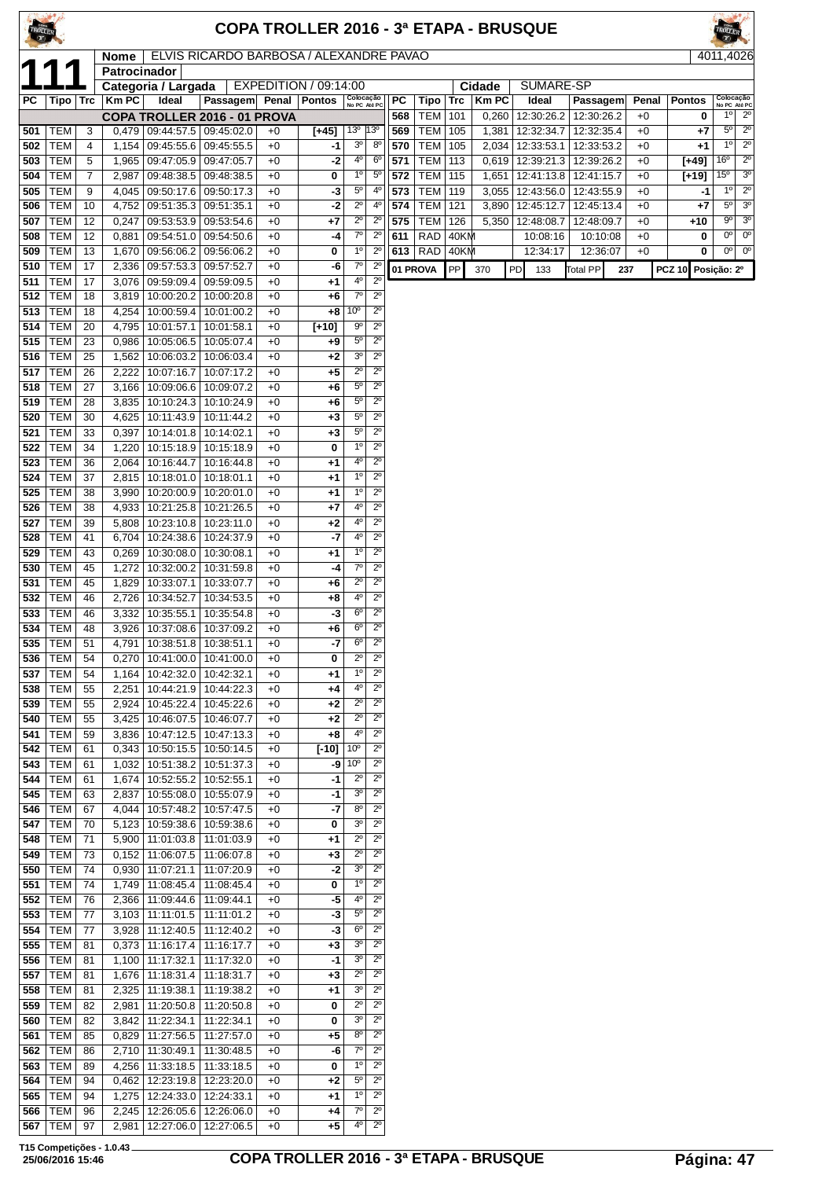| TROLLEI    |                          |                     |                             |                                                       |                                                                   |              | COPA TROLLER 2016 - 3ª ETAPA - BRUSQUE |                                    |                                            |            |                          |              |                |    |                          |                          |              |                    | ROLLER                      |                                       |
|------------|--------------------------|---------------------|-----------------------------|-------------------------------------------------------|-------------------------------------------------------------------|--------------|----------------------------------------|------------------------------------|--------------------------------------------|------------|--------------------------|--------------|----------------|----|--------------------------|--------------------------|--------------|--------------------|-----------------------------|---------------------------------------|
|            |                          |                     | <b>Nome</b><br>Patrocinador |                                                       | ELVIS RICARDO BARBOSA / ALEXANDRE PAVAO                           |              |                                        |                                    |                                            |            |                          |              |                |    |                          |                          |              |                    | 4011.4026                   |                                       |
|            |                          |                     |                             | Categoria / Largada                                   |                                                                   |              | EXPEDITION / 09:14:00                  |                                    |                                            |            |                          |              | Cidade         |    | SUMARE-SP                |                          |              |                    |                             |                                       |
| РC         | Tipo   Trc               |                     | <b>Km PC</b>                | Ideal                                                 | Passagem Penal                                                    |              | <b>Pontos</b>                          | Colocação<br>No PC Até PC          |                                            | PC         | Tipo                     | <b>Trc</b>   | <b>KmPC</b>    |    | Ideal                    | Passagem                 | Penal        | <b>Pontos</b>      |                             | Colocação<br>No PC Até PC             |
| 501        | <b>TEM</b>               | 3                   |                             |                                                       | COPA TROLLER 2016 - 01 PROVA<br>$0,479$   09:44:57.5   09:45:02.0 | $+0$         | $[+45]$                                | 13 <sup>o</sup>                    | $ 13^{\circ}$                              | 568<br>569 | <b>TEM</b><br>TEM   105  | 101          | 0,260<br>1,381 |    | 12:30:26.2<br>12:32:34.7 | 12:30:26.2<br>12:32:35.4 | $+0$<br>$+0$ | 0<br>$+7$          | $1^{\circ}$<br>$5^{\circ}$  | $2^{\circ}$<br>$\overline{2^{\circ}}$ |
| 502        | <b>TEM</b>               | $\overline{4}$      | 1,154                       | 09:45:55.6                                            | 09:45:55.5                                                        | +0           | -1                                     | 3 <sup>o</sup>                     | 8 <sup>0</sup>                             | 570        | <b>TEM</b>               | 105          | 2,034          |    | 12:33:53.1               | 12:33:53.2               | $+0$         | $+1$               | 1 <sup>0</sup>              | $2^{\circ}$                           |
| 503        | <b>TEM</b>               | 5                   | 1,965                       | 09:47:05.9                                            | 09:47:05.7                                                        | $+0$         | -2                                     | 4 <sup>0</sup>                     | 6 <sup>o</sup>                             | 571        | <b>TEM</b>               | 113          | 0,619          |    | 12:39:21.3               | 12:39:26.2               | $+0$         | $[+49]$            | 16 <sup>o</sup>             | $\overline{2^0}$                      |
| 504<br>505 | <b>TEM</b><br><b>TEM</b> | $\overline{7}$<br>9 | 2,987<br>4,045              | 09:48:38.5<br>09:50:17.6                              | 09:48:38.5<br>09:50:17.3                                          | $+0$<br>$+0$ | 0<br>-3                                | $1^{\circ}$<br>$5^{\circ}$         | $5^{\circ}$<br>$4^{\circ}$                 | 572<br>573 | <b>TEM</b><br><b>TEM</b> | 115<br>119   | 1,651<br>3,055 |    | 12:41:13.8<br>12:43:56.0 | 12:41:15.7<br>12:43:55.9 | $+0$<br>$+0$ | $[+19]$<br>-1      | $15^{\circ}$<br>$1^{\circ}$ | 3 <sup>o</sup><br>$2^{\circ}$         |
| 506        | <b>TEM</b>               | 10                  | 4,752                       | 09:51:35.3                                            | 09:51:35.1                                                        | $+0$         | -2                                     | $2^{\circ}$                        | 4 <sup>0</sup>                             | 574        | <b>TEM</b>               | 121          | 3,890          |    | 12:45:12.7               | 12:45:13.4               | $+0$         | $+7$               | $5^{\circ}$                 | 3 <sup>o</sup>                        |
| 507        | <b>TEM</b>               | 12                  | 0,247                       | 09:53:53.9                                            | 09:53:54.6                                                        | $+0$         | +7                                     | $\overline{2^{\circ}}$             | $2^{\circ}$                                | 575        | <b>TEM</b>               | 126          | 5,350          |    | 12:48:08.7               | 12:48:09.7               | $+0$         | +10                | $9^{\circ}$                 | 3 <sup>o</sup>                        |
| 508<br>509 | <b>TEM</b><br><b>TEM</b> | 12<br>13            | 0,881                       | 09:54:51.0<br>1,670 09:56:06.2                        | 09:54:50.6<br>09:56:06.2                                          | $+0$<br>+0   | -4<br>0                                | $7^\circ$<br>$1^{\circ}$           | $2^{\circ}$<br>$2^{\circ}$                 | 611        | <b>RAD</b><br>$613$ RAD  | 40KM<br>40KM |                |    | 10:08:16<br>12:34:17     | 10:10:08<br>12:36:07     | $+0$<br>$+0$ | 0<br>0             | 0°<br>$0^{\circ}$           | $0^{\circ}$<br>$0^{\circ}$            |
| 510        | <b>TEM</b>               | 17                  | 2,336                       | 09:57:53.3                                            | 09:57:52.7                                                        | +0           | -6                                     | $7^\circ$                          | $2^{\circ}$                                |            | 01 PROVA                 | <b>PP</b>    | 370            | PD | 133                      | <b>Total PP</b>          | 237          | PCZ 10 Posição: 2º |                             |                                       |
| 511        | TEM                      | 17                  | 3,076                       | 09:59:09.4                                            | 09:59:09.5                                                        | $+0$         | +1                                     | 4º                                 | $2^{\circ}$                                |            |                          |              |                |    |                          |                          |              |                    |                             |                                       |
| 512        | <b>TEM</b>               | 18                  | 3,819                       | 10:00:20.2                                            | 10:00:20.8                                                        | +0           | +6                                     | $7^\circ$<br>10 <sup>o</sup>       | $\overline{2^0}$<br>$\overline{2^{\circ}}$ |            |                          |              |                |    |                          |                          |              |                    |                             |                                       |
| 513<br>514 | <b>TEM</b><br><b>TEM</b> | 18<br>20            | 4,254                       | 10:00:59.4<br>4,795   10:01:57.1                      | 10:01:00.2<br>10:01:58.1                                          | $+0$<br>$+0$ | +8<br>$[+10]$                          | $9^{\circ}$                        | $2^{\circ}$                                |            |                          |              |                |    |                          |                          |              |                    |                             |                                       |
| 515        | <b>TEM</b>               | 23                  | 0,986                       | 10:05:06.5                                            | 10:05:07.4                                                        | $+0$         | $+9$                                   | $5^{\circ}$                        | $2^{\circ}$                                |            |                          |              |                |    |                          |                          |              |                    |                             |                                       |
| 516        | <b>TEM</b>               | 25                  | 1,562                       | 10:06:03.2                                            | 10:06:03.4                                                        | $+0$         | $+2$                                   | 3 <sup>o</sup>                     | $2^{\circ}$                                |            |                          |              |                |    |                          |                          |              |                    |                             |                                       |
| 517        | <b>TEM</b>               | 26                  | 2,222                       | 10:07:16.7                                            | 10:07:17.2                                                        | $+0$         | +5                                     | $2^{\circ}$<br>$5^{\circ}$         | $2^{\circ}$<br>$2^{\circ}$                 |            |                          |              |                |    |                          |                          |              |                    |                             |                                       |
| 518<br>519 | <b>TEM</b><br><b>TEM</b> | 27<br>28            |                             | 3,166   10:09:06.6   10:09:07.2<br>3,835   10:10:24.3 | 10:10:24.9                                                        | $+0$<br>$+0$ | +6<br>+6                               | $5^{\rm o}$                        | $2^{\circ}$                                |            |                          |              |                |    |                          |                          |              |                    |                             |                                       |
| 520        | <b>TEM</b>               | 30                  | 4,625                       | 10:11:43.9                                            | 10:11:44.2                                                        | +0           | $+3$                                   | $5^{\circ}$                        | $2^{\circ}$                                |            |                          |              |                |    |                          |                          |              |                    |                             |                                       |
| 521        | <b>TEM</b>               | 33                  | 0,397                       | 10:14:01.8                                            | 10:14:02.1                                                        | $+0$         | $+3$                                   | $5^{\rm o}$                        | $2^{\circ}$                                |            |                          |              |                |    |                          |                          |              |                    |                             |                                       |
| 522        | <b>TEM</b>               | 34                  | 1,220                       | 10:15:18.9                                            | 10:15:18.9                                                        | $+0$         | 0                                      | $1^{\circ}$<br>$4^{\circ}$         | $2^{\circ}$<br>$2^{\circ}$                 |            |                          |              |                |    |                          |                          |              |                    |                             |                                       |
| 523<br>524 | <b>TEM</b><br><b>TEM</b> | 36<br>37            |                             | 2,064   10:16:44.7   10:16:44.8<br>2,815   10:18:01.0 | 10:18:01.1                                                        | $+0$<br>$+0$ | $+1$<br>+1                             | 10                                 | $2^{\circ}$                                |            |                          |              |                |    |                          |                          |              |                    |                             |                                       |
| 525        | <b>TEM</b>               | 38                  | 3,990                       | 10:20:00.9                                            | 10:20:01.0                                                        | $+0$         | $+1$                                   | 1 <sup>0</sup>                     | $2^{\circ}$                                |            |                          |              |                |    |                          |                          |              |                    |                             |                                       |
| 526        | <b>TEM</b>               | 38                  |                             | 4,933   10:21:25.8                                    | 10:21:26.5                                                        | $+0$         | $+7$                                   | 4°                                 | $2^{\circ}$                                |            |                          |              |                |    |                          |                          |              |                    |                             |                                       |
| 527        | <b>TEM</b>               | 39                  | 5,808                       | 10:23:10.8                                            | 10:23:11.0                                                        | $+0$         | $+2$                                   | 4°<br>4°                           | $2^{\circ}$<br>$2^{\circ}$                 |            |                          |              |                |    |                          |                          |              |                    |                             |                                       |
| 528<br>529 | <b>TEM</b><br><b>TEM</b> | 41<br>43            | 0,269                       | 6,704   10:24:38.6<br>10:30:08.0                      | 10:24:37.9<br>10:30:08.1                                          | $+0$<br>+0   | -7<br>+1                               | 1 <sup>0</sup>                     | $2^{\circ}$                                |            |                          |              |                |    |                          |                          |              |                    |                             |                                       |
| 530        | <b>TEM</b>               | 45                  | 1,272                       | 10:32:00.2                                            | 10:31:59.8                                                        | $+0$         | -4                                     | $7^\circ$                          | $2^{\circ}$                                |            |                          |              |                |    |                          |                          |              |                    |                             |                                       |
| 531        | <b>TEM</b>               | 45                  | 1,829                       | 10:33:07.1                                            | 10:33:07.7                                                        | $+0$         | +6                                     | $2^{\circ}$                        | $2^{\circ}$                                |            |                          |              |                |    |                          |                          |              |                    |                             |                                       |
| 532        | <b>TEM</b>               | 46                  | 2,726                       | 10:34:52.7                                            | 10:34:53.5                                                        | +0           | +8                                     | 4°<br>$6^{\circ}$                  | $2^{\circ}$<br>$\overline{2^0}$            |            |                          |              |                |    |                          |                          |              |                    |                             |                                       |
| 533<br>534 | <b>TEM</b><br><b>TEM</b> | 46<br>48            |                             | 3,332   10:35:55.1<br>3,926   10:37:08.6              | 10:35:54.8<br>10:37:09.2                                          | $+0$<br>$+0$ | -3<br>$+6$                             | $6^{\circ}$                        | $2^{\circ}$                                |            |                          |              |                |    |                          |                          |              |                    |                             |                                       |
| 535        | <b>TEM</b>               | 51                  |                             | 4,791   10:38:51.8   10:38:51.1                       |                                                                   | +0           | -7                                     | $6^{\circ}$                        | $\overline{2^0}$                           |            |                          |              |                |    |                          |                          |              |                    |                             |                                       |
| 536        | <b>TEM</b>               | 54                  | 0,270                       | 10:41:00.0                                            | 10:41:00.0                                                        | +0           | 0                                      | $2^{\circ}$                        | $2^{\circ}$                                |            |                          |              |                |    |                          |                          |              |                    |                             |                                       |
| 537        | <b>TEM</b>               | 54                  | 1,164                       | 10:42:32.0                                            | 10:42:32.1                                                        | +0           | +1                                     | 10<br>$4^{\circ}$                  | $2^{\circ}$<br>$2^{\circ}$                 |            |                          |              |                |    |                          |                          |              |                    |                             |                                       |
| 538<br>539 | <b>TEM</b><br><b>TEM</b> | 55<br>55            | 2,924                       | 2,251 10:44:21.9<br>10:45:22.4                        | 10:44:22.3<br>10:45:22.6                                          | $+0$<br>+0   | +4<br>+2                               | $2^{\circ}$                        | $2^{\circ}$                                |            |                          |              |                |    |                          |                          |              |                    |                             |                                       |
| 540        | <b>TEM</b>               | 55                  | 3,425                       |                                                       | 10:46:07.5   10:46:07.7                                           | $+0$         | +2                                     | $2^{\circ}$                        | $2^{\circ}$                                |            |                          |              |                |    |                          |                          |              |                    |                             |                                       |
| 541        | <b>TEM</b>               | 59                  |                             | 3,836 10:47:12.5                                      | 10:47:13.3                                                        | +0           | +8                                     | 4°                                 | $2^{\circ}$                                |            |                          |              |                |    |                          |                          |              |                    |                             |                                       |
| 542<br>543 | <b>TEM</b><br><b>TEM</b> | 61<br>61            |                             | $0,343$ 10:50:15.5<br>1,032 10:51:38.2                | 10:50:14.5<br>10:51:37.3                                          | +0<br>$+0$   | $[-10]$<br>-9                          | 10 <sup>o</sup><br>10 <sup>o</sup> | $2^{\circ}$<br>$2^{\circ}$                 |            |                          |              |                |    |                          |                          |              |                    |                             |                                       |
| 544        | <b>TEM</b>               | 61                  |                             | 1,674 10:52:55.2                                      | 10:52:55.1                                                        | +0           | -1                                     | $2^{\circ}$                        | $2^{\circ}$                                |            |                          |              |                |    |                          |                          |              |                    |                             |                                       |
| 545        | <b>TEM</b>               | 63                  | 2,837                       | 10:55:08.0                                            | 10:55:07.9                                                        | $+0$         | -1                                     | 3 <sup>o</sup>                     | $2^{\circ}$                                |            |                          |              |                |    |                          |                          |              |                    |                             |                                       |
| 546        | TEM                      | 67                  | 4,044                       | 10:57:48.2                                            | 10:57:47.5                                                        | +0           | -7                                     | $8^{\circ}$                        | $2^{\circ}$                                |            |                          |              |                |    |                          |                          |              |                    |                             |                                       |
| 547<br>548 | <b>TEM</b><br><b>TEM</b> | 70<br>71            |                             | 5,123   10:59:38.6<br>5,900   11:01:03.8              | 10:59:38.6<br>11:01:03.9                                          | +0<br>+0     | 0<br>+1                                | 3 <sup>o</sup><br>$\overline{2^0}$ | $2^{\circ}$<br>$2^{\circ}$                 |            |                          |              |                |    |                          |                          |              |                    |                             |                                       |
| 549        | <b>TEM</b>               | 73                  |                             | $0,152$ 11:06:07.5                                    | 11:06:07.8                                                        | +0           | +3                                     | $2^{\circ}$                        | $2^{\circ}$                                |            |                          |              |                |    |                          |                          |              |                    |                             |                                       |
| 550        | TEM                      | 74                  |                             | $0,930$   11:07:21.1                                  | 11:07:20.9                                                        | $+0$         | -2                                     | 3 <sup>0</sup>                     | $2^{\circ}$                                |            |                          |              |                |    |                          |                          |              |                    |                             |                                       |
| 551        | <b>TEM</b>               | 74                  |                             | 1,749   11:08:45.4                                    | 11:08:45.4                                                        | +0           | 0                                      | $1^{\circ}$<br>4°                  | $2^{\circ}$                                |            |                          |              |                |    |                          |                          |              |                    |                             |                                       |
| 552<br>553 | <b>TEM</b><br><b>TEM</b> | 76<br>77            |                             | 2,366   11:09:44.6<br>$3,103$ 11:11:01.5              | 11:09:44.1<br>11:11:01.2                                          | $+0$<br>+0   | -5<br>-3                               | $5^{\circ}$                        | $2^{\circ}$<br>$2^{\circ}$                 |            |                          |              |                |    |                          |                          |              |                    |                             |                                       |
| 554        | <b>TEM</b>               | 77                  |                             | 3,928 11:12:40.5                                      | 11:12:40.2                                                        | $+0$         | -3                                     | $6^{\circ}$                        | $2^{\circ}$                                |            |                          |              |                |    |                          |                          |              |                    |                             |                                       |
| 555        | <b>TEM</b>               | 81                  |                             | $0,373$   11:16:17.4                                  | 11:16:17.7                                                        | $+0$         | +3                                     | 3 <sup>o</sup>                     | $2^{\circ}$                                |            |                          |              |                |    |                          |                          |              |                    |                             |                                       |
| 556        | <b>TEM</b>               | 81                  |                             | 1,100   11:17:32.1                                    | 11:17:32.0                                                        | +0           | -1                                     | 3 <sup>o</sup>                     | $2^{\circ}$                                |            |                          |              |                |    |                          |                          |              |                    |                             |                                       |
| 557<br>558 | <b>TEM</b><br><b>TEM</b> | 81<br>81            |                             | 1,676 11:18:31.4<br>2,325   11:19:38.1                | 11:18:31.7<br>11:19:38.2                                          | $+0$<br>+0   | +3<br>+1                               | $2^{\circ}$<br>3 <sup>o</sup>      | $2^{\circ}$<br>$2^{\circ}$                 |            |                          |              |                |    |                          |                          |              |                    |                             |                                       |
| 559        | <b>TEM</b>               | 82                  | 2,981                       | 11:20:50.8                                            | 11:20:50.8                                                        | +0           | 0                                      | $2^{\circ}$                        | $2^{\circ}$                                |            |                          |              |                |    |                          |                          |              |                    |                             |                                       |
| 560        | <b>TEM</b>               | 82                  | 3,842                       | 11:22:34.1                                            | 11:22:34.1                                                        | $+0$         | 0                                      | 3 <sup>o</sup>                     | $2^{\circ}$                                |            |                          |              |                |    |                          |                          |              |                    |                             |                                       |
| 561        | <b>TEM</b>               | 85                  |                             | 0,829 11:27:56.5                                      | 11:27:57.0                                                        | +0           | +5                                     | $8^{\circ}$                        | $2^{\circ}$                                |            |                          |              |                |    |                          |                          |              |                    |                             |                                       |
| 562<br>563 | <b>TEM</b><br><b>TEM</b> | 86<br>89            |                             | 2,710 11:30:49.1<br>4,256 11:33:18.5                  | 11:30:48.5<br>11:33:18.5                                          | $+0$<br>+0   | -6<br>0                                | $7^\circ$<br>$1^{\circ}$           | $2^{\circ}$<br>$2^{\circ}$                 |            |                          |              |                |    |                          |                          |              |                    |                             |                                       |
| 564        | <b>TEM</b>               | 94                  |                             | 0,462 12:23:19.8                                      | 12:23:20.0                                                        | $+0$         | $+2$                                   | $5^{\circ}$                        | $2^{\circ}$                                |            |                          |              |                |    |                          |                          |              |                    |                             |                                       |
| 565        | <b>TEM</b>               | 94                  |                             | 1,275   12:24:33.0                                    | 12:24:33.1                                                        | $+0$         | +1                                     | $1^{\circ}$                        | $2^{\circ}$                                |            |                          |              |                |    |                          |                          |              |                    |                             |                                       |
| 566        | <b>TEM</b>               | 96                  |                             | 2,245   12:26:05.6                                    | 12:26:06.0                                                        | +0           | +4                                     | 70<br>4 <sup>0</sup>               | $2^{\circ}$<br>$\overline{2^{\circ}}$      |            |                          |              |                |    |                          |                          |              |                    |                             |                                       |
| 567        | <b>TEM</b>               | 97                  |                             | 2,981   12:27:06.0   12:27:06.5                       |                                                                   | $+0$         | $+5$                                   |                                    |                                            |            |                          |              |                |    |                          |                          |              |                    |                             |                                       |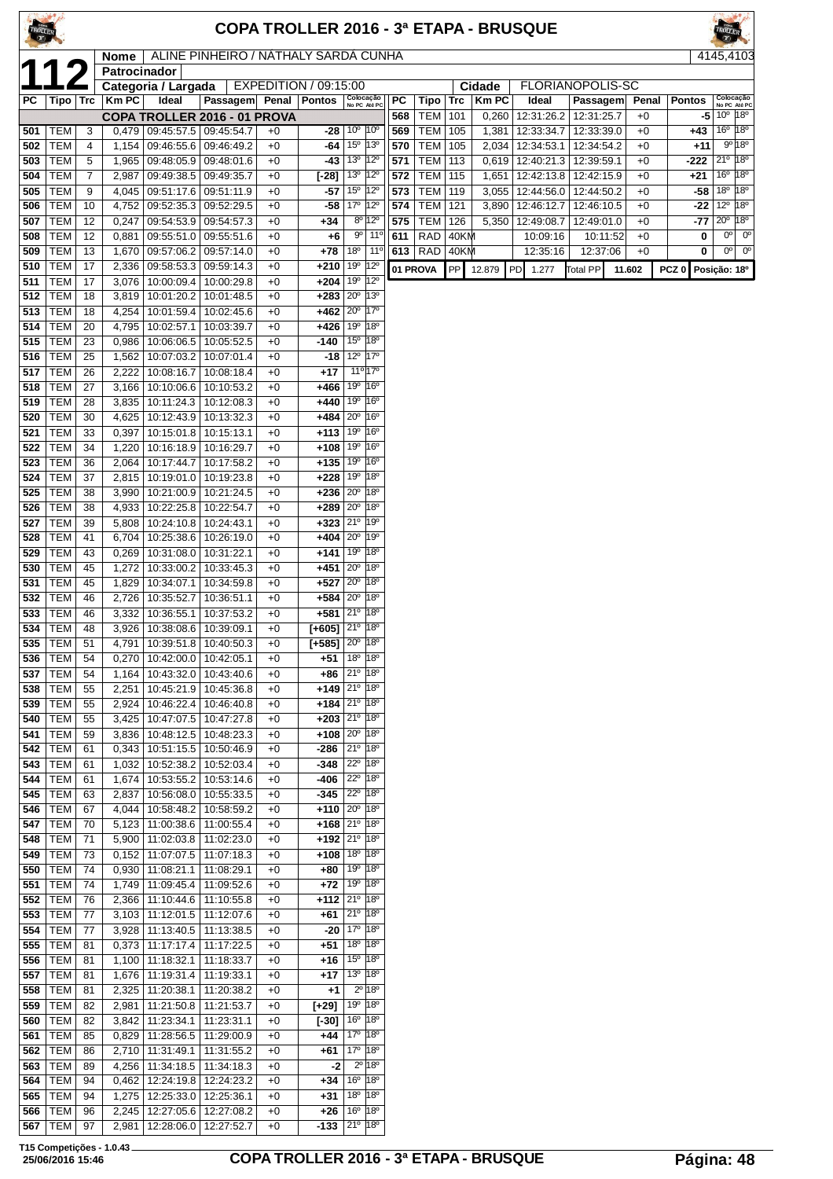|            |                          |          |                |                                                         |                                            |              |                                          |                                                                   |                               |            |                          |              |                | COPA TROLLER 2016 - 3ª ETAPA - BRUSQUE |                          |              |                  |                                                                          |
|------------|--------------------------|----------|----------------|---------------------------------------------------------|--------------------------------------------|--------------|------------------------------------------|-------------------------------------------------------------------|-------------------------------|------------|--------------------------|--------------|----------------|----------------------------------------|--------------------------|--------------|------------------|--------------------------------------------------------------------------|
|            |                          |          | Nome           |                                                         | ALINE PINHEIRO / NÁTHALY SARDÁ CUNHA       |              |                                          |                                                                   |                               |            |                          |              |                |                                        |                          |              |                  | 4145.4103                                                                |
|            |                          |          | Patrocinador   | Categoria / Largada                                     |                                            |              | EXPEDITION / 09:15:00                    |                                                                   |                               |            |                          |              | Cidade         | FLORIANOPOLIS-SC                       |                          |              |                  |                                                                          |
| РC         | Tipo   Trc               |          | <b>Km PC</b>   | Ideal                                                   | Passagem Penal                             |              | <b>Pontos</b>                            | Colocação<br>No PC Até PC                                         |                               | PC         | Tipo                     | Trc          | <b>KmPC</b>    | Ideal                                  | Passagem                 | Penal        | <b>Pontos</b>    | Colocação<br>No PC Até PC                                                |
| 501        | <b>TEM</b>               | 3        | 0,479          | 09:45:57.5                                              | COPA TROLLER 2016 - 01 PROVA<br>09:45:54.7 | $+0$         | -28                                      | 10 <sup>o</sup>                                                   | 10°                           | 568<br>569 | <b>TEM</b><br><b>TEM</b> | 101<br>105   | 0,260<br>1,381 | 12:31:26.2<br>12:33:34.7               | 12:31:25.7<br>12:33:39.0 | $+0$<br>$+0$ | -5<br>+43        | $10^{\circ}$ $ 18^{\circ}$<br>16 <sup>o</sup><br>18°                     |
| 502        | <b>TEM</b>               | 4        | 1,154          |                                                         | 09:46:55.6   09:46:49.2                    | $+0$         | -64                                      | 15 <sup>o</sup> 13 <sup>o</sup>                                   |                               | 570        | TEM                      | 105          | 2,034          | 12:34:53.1   12:34:54.2                |                          | $+0$         | +11              | 9° 18°                                                                   |
| 503        | <b>TEM</b>               | 5        | 1,965          | 09:48:05.9                                              | 09:48:01.6                                 | $+0$         | -43                                      | 13 <sup>°</sup>                                                   | $12^{\circ}$                  | 571        | <b>TEM</b>               | 113          | 0,619          | 12:40:21.3                             | 12:39:59.1               | $+0$         | -222             | $21^{\circ}$ 18 <sup>°</sup>                                             |
| 504<br>505 | <b>TEM</b><br><b>TEM</b> | 7<br>9   | 2,987<br>4,045 | 09:49:38.5                                              | 09:49:35.7<br>09:51:17.6   09:51:11.9      | $+0$<br>$+0$ | $[-28]$<br>$-57$                         | $13^{\circ}$ $ 12^{\circ}$<br>15 <sup>0</sup>                     | $ 12^{\circ}$                 | 572<br>573 | TEM<br><b>TEM</b>        | 115<br>119   | 1,651<br>3,055 | 12:42:13.8<br>12:44:56.0               | 12:42:15.9<br>12:44:50.2 | $+0$<br>$+0$ | $+21$<br>-58     | 18 <sup>°</sup><br>16 <sup>o</sup><br>18 <sup>o</sup><br>18 <sup>o</sup> |
| 506        | <b>TEM</b>               | 10       | 4,752          | 09:52:35.3                                              | 09:52:29.5                                 | $+0$         | -58                                      | 17 <sup>o</sup>                                                   | $12^{\circ}$                  | 574        | <b>TEM</b>               | 121          | 3,890          | 12:46:12.7                             | 12:46:10.5               | $+0$         | -22              | $12^{\circ}$<br>18 <sup>o</sup>                                          |
| 507        | <b>TEM</b>               | 12       | 0,247          |                                                         | 09:54:53.9 09:54:57.3                      | $+0$         | $+34$                                    | $8^{\circ}$                                                       | 12°                           | 575        | <b>TEM</b>               | 126          | 5,350          | 12:49:08.7                             | 12:49:01.0               | $+0$         | -77              | 18°<br>$20^{\circ}$                                                      |
| 508<br>509 | <b>TEM</b><br><b>TEM</b> | 12<br>13 | 0,881<br>1,670 | 09:55:51.0<br>09:57:06.2                                | 09:55:51.6<br>09:57:14.0                   | $+0$<br>$+0$ | $+6$<br>$+78$                            | 90<br>18 <sup>o</sup>                                             | $11^{\circ}$<br>$11^{\circ}$  | 611        | <b>RAD</b><br>$613$ RAD  | 40KM<br>40KM |                | 10:09:16<br>12:35:16                   | 10:11:52<br>12:37:06     | $+0$<br>$+0$ | 0<br>0           | 0°<br>$0^{\circ}$<br>0 <sup>o</sup><br>$0^{\circ}$                       |
| 510        | <b>TEM</b>               | 17       | 2,336          | 09:58:53.3                                              | 09:59:14.3                                 | $+0$         | $+210$                                   | 19 <sup>o</sup>                                                   | $12^{\circ}$                  |            | 01 PROVA                 | PP           | 12.879         | PD<br>1.277                            | <b>Total PP</b>          | 11.602       | PCZ <sub>0</sub> | Posição: 18º                                                             |
| 511        | <b>TEM</b>               | 17       | 3,076          | 10:00:09.4                                              | 10:00:29.8                                 | $+0$         | +204                                     | 19 <sup>o</sup>                                                   | 12°                           |            |                          |              |                |                                        |                          |              |                  |                                                                          |
| 512<br>513 | <b>TEM</b><br><b>TEM</b> | 18<br>18 | 3,819<br>4,254 | 10:01:20.2 <br>10:01:59.4                               | 10:01:48.5<br>10:02:45.6                   | $+0$<br>$+0$ | +283<br>+462                             | $20^{\circ}$<br>$20^{\circ}$                                      | 13 <sup>o</sup><br>$17^\circ$ |            |                          |              |                |                                        |                          |              |                  |                                                                          |
| 514        | <b>TEM</b>               | 20       | 4,795          | 10:02:57.1                                              | 10:03:39.7                                 | $+0$         | +426                                     | 19 <sup>o</sup>                                                   | 18°                           |            |                          |              |                |                                        |                          |              |                  |                                                                          |
| 515        | <b>TEM</b>               | 23       | 0,986          | 10:06:06.5                                              | 10:05:52.5                                 | $+0$         | -140                                     | 15 <sup>o</sup>                                                   | 18°                           |            |                          |              |                |                                        |                          |              |                  |                                                                          |
| 516        | <b>TEM</b><br><b>TEM</b> | 25       | 1,562          | 10:07:03.2                                              | 10:07:01.4                                 | $+0$         | -18                                      | $12^{\circ}$<br>$11^{\circ}$ 17 <sup>°</sup>                      | $17^\circ$                    |            |                          |              |                |                                        |                          |              |                  |                                                                          |
| 517<br>518 | <b>TEM</b>               | 26<br>27 | 2,222<br>3,166 | 10:08:16.7<br>10:10:06.6                                | 10:08:18.4<br>10:10:53.2                   | $+0$<br>$+0$ | $+17$<br>+466                            | 19 <sup>o</sup>                                                   | 16°                           |            |                          |              |                |                                        |                          |              |                  |                                                                          |
| 519        | <b>TEM</b>               | 28       | 3.835          | 10:11:24.3                                              | 10:12:08.3                                 | $+0$         | +440                                     | 19 <sup>o</sup>                                                   | 16 <sup>o</sup>               |            |                          |              |                |                                        |                          |              |                  |                                                                          |
| 520        | <b>TEM</b>               | 30       | 4,625          | 10:12:43.9                                              | 10:13:32.3                                 | $+0$         | +484<br>$+113 19°$                       | $20^{\circ}$                                                      | 16°<br>16°                    |            |                          |              |                |                                        |                          |              |                  |                                                                          |
| 521<br>522 | <b>TEM</b><br><b>TEM</b> | 33<br>34 | 0,397<br>1,220 | 10:15:01.8                                              | 10:15:13.1<br>10:16:18.9   10:16:29.7      | $+0$<br>$+0$ | +108                                     | 19°                                                               | 16°                           |            |                          |              |                |                                        |                          |              |                  |                                                                          |
| 523        | <b>TEM</b>               | 36       | 2,064          | 10:17:44.7                                              | 10:17:58.2                                 | $+0$         | +135                                     | 19 <sup>o</sup>                                                   | 16°                           |            |                          |              |                |                                        |                          |              |                  |                                                                          |
| 524        | <b>TEM</b>               | 37       | 2,815          |                                                         | 10:19:01.0   10:19:23.8                    | $+0$         | $+228$                                   | 19 <sup>o</sup>                                                   | 18°                           |            |                          |              |                |                                        |                          |              |                  |                                                                          |
| 525<br>526 | <b>TEM</b><br><b>TEM</b> | 38<br>38 | 3,990<br>4,933 | 10:21:00.9<br>10:22:25.8                                | 10:21:24.5<br>10:22:54.7                   | $+0$<br>$+0$ | +236<br>$+289$                           | $20^{\circ}$<br>$20^{\circ}$                                      | 18°<br>18°                    |            |                          |              |                |                                        |                          |              |                  |                                                                          |
| 527        | <b>TEM</b>               | 39       | 5,808          | 10:24:10.8                                              | 10:24:43.1                                 | $+0$         | +323                                     | 21º 19º                                                           |                               |            |                          |              |                |                                        |                          |              |                  |                                                                          |
| 528        | <b>TEM</b>               | 41       | 6,704          | 10:25:38.6                                              | 10:26:19.0                                 | $+0$         | +404                                     | $20^{\circ}$                                                      | 19°                           |            |                          |              |                |                                        |                          |              |                  |                                                                          |
| 529<br>530 | <b>TEM</b><br><b>TEM</b> | 43<br>45 | 0,269<br>1,272 | 10:31:08.0   10:31:22.1<br>10:33:00.2                   | 10:33:45.3                                 | $+0$<br>$+0$ | $+141$<br>+451                           | 19°<br>$20^{\circ}$                                               | 18°<br>18°                    |            |                          |              |                |                                        |                          |              |                  |                                                                          |
| 531        | <b>TEM</b>               | 45       |                | 1,829   10:34:07.1                                      | 10:34:59.8                                 | $+0$         | $+527$ 20 <sup>°</sup> 18 <sup>°</sup>   |                                                                   |                               |            |                          |              |                |                                        |                          |              |                  |                                                                          |
| 532        | <b>TEM</b>               | 46       | 2,726          | 10:35:52.7                                              | 10:36:51.1                                 | $+0$         | $+584$ 20° 18°                           |                                                                   |                               |            |                          |              |                |                                        |                          |              |                  |                                                                          |
| 533<br>534 | <b>TEM</b><br><b>TEM</b> | 46<br>48 |                | 3,332   10:36:55.1  <br>3,926 10:38:08.6 10:39:09.1     | 10:37:53.2                                 | $+0$<br>$+0$ | $[+605]$ 21 <sup>°</sup> 18 <sup>°</sup> | $+581$ 21 <sup>°</sup> 18 <sup>°</sup>                            |                               |            |                          |              |                |                                        |                          |              |                  |                                                                          |
|            | 535   TEM                | 51       | 4,791          |                                                         | 10:39:51.8   10:40:50.3                    | $+0$         | [+585]                                   | $20^{\circ}$                                                      | 18 <sup>o</sup>               |            |                          |              |                |                                        |                          |              |                  |                                                                          |
| 536        | TEM                      | 54       | 0,270          | 10:42:00.0   10:42:05.1                                 |                                            | $+0$         |                                          | $+51$ 18 <sup>°</sup> 18 <sup>°</sup>                             |                               |            |                          |              |                |                                        |                          |              |                  |                                                                          |
| 537<br>538 | <b>TEM</b><br><b>TEM</b> | 54<br>55 | 1,164<br>2,251 | 10:43:32.0<br>10:45:21.9                                | 10:43:40.6<br>10:45:36.8                   | $+0$<br>$+0$ | +86<br>$+149$ $21°$ 18 <sup>°</sup>      | $21^{\circ}$ 18 <sup>°</sup>                                      |                               |            |                          |              |                |                                        |                          |              |                  |                                                                          |
| 539        | <b>TEM</b>               | 55       | 2,924          | 10:46:22.4                                              | 10:46:40.8                                 | $+0$         | $+184$ $21°$ $18°$                       |                                                                   |                               |            |                          |              |                |                                        |                          |              |                  |                                                                          |
| 540        | <b>TEM</b>               | 55       | 3,425          | 10:47:07.5                                              | 10:47:27.8                                 | $+0$         | $+203$                                   | $21^{\circ}$ 18 <sup>°</sup>                                      |                               |            |                          |              |                |                                        |                          |              |                  |                                                                          |
| 541<br>542 | TEM<br>TEM               | 59<br>61 |                | 3,836   10:48:12.5   10:48:23.3<br>$0,343$   10:51:15.5 | 10:50:46.9                                 | $+0$<br>$+0$ | -286                                     | $+108$ $20^{\circ}$ 18 <sup>°</sup><br>$21^{\circ}$ 18 $^{\circ}$ |                               |            |                          |              |                |                                        |                          |              |                  |                                                                          |
| 543        | <b>TEM</b>               | 61       | 1,032          | 10:52:38.2                                              | 10:52:03.4                                 | $+0$         | -348                                     | 22 <sup>o</sup> 18 <sup>o</sup>                                   |                               |            |                          |              |                |                                        |                          |              |                  |                                                                          |
| 544        | <b>TEM</b>               | 61       | 1,674          |                                                         | 10:53:55.2   10:53:14.6                    | $+0$         | -406                                     | 22° 18°                                                           |                               |            |                          |              |                |                                        |                          |              |                  |                                                                          |
| 545        | <b>TEM</b><br><b>TEM</b> | 63<br>67 | 2,837          | 10:56:08.0                                              | 10:55:33.5                                 | $+0$         | -345                                     | $22^{\circ}$<br>$+110$ $20^{\circ}$ 18 <sup>°</sup>               | $ 18^{\circ} $                |            |                          |              |                |                                        |                          |              |                  |                                                                          |
| 546<br>547 | TEM                      | 70       |                | 4,044   10:58:48.2   10:58:59.2<br>$5,123$   11:00:38.6 | 11:00:55.4                                 | $+0$<br>$+0$ |                                          | $+168$ 21° $ 18^{\circ}$                                          |                               |            |                          |              |                |                                        |                          |              |                  |                                                                          |
| 548        | TEM                      | 71       |                | 5,900   11:02:03.8   11:02:23.0                         |                                            | $+0$         |                                          | $+192$ 21 <sup>0</sup> 18 <sup>0</sup>                            |                               |            |                          |              |                |                                        |                          |              |                  |                                                                          |
| 549        | <b>TEM</b><br><b>TEM</b> | 73       | 0,152          | 11:07:07.5                                              | 11:07:18.3                                 | $+0$         | $+108$                                   | 18 <sup>o</sup><br>19°                                            | $ 18^{\circ}$<br>18°          |            |                          |              |                |                                        |                          |              |                  |                                                                          |
| 550<br>551 | TEM                      | 74<br>74 |                | $0,930$   11:08:21.1<br>1,749   11:09:45.4              | 11:08:29.1<br>11:09:52.6                   | $+0$<br>$+0$ | +80<br>+72                               | 19°                                                               | 18°                           |            |                          |              |                |                                        |                          |              |                  |                                                                          |
|            | 552   TEM                | 76       |                | 2,366   11:10:44.6                                      | 11:10:55.8                                 | $+0$         | $+112$ $\sqrt{21^\circ}$ 18 <sup>o</sup> |                                                                   |                               |            |                          |              |                |                                        |                          |              |                  |                                                                          |
| 553        | TEM                      | 77       |                | $3,103$   11:12:01.5                                    | 11:12:07.6                                 | $+0$         |                                          | $+61$ 21 <sup>o</sup> 18 <sup>o</sup>                             |                               |            |                          |              |                |                                        |                          |              |                  |                                                                          |
| 554<br>555 | <b>TEM</b><br><b>TEM</b> | 77<br>81 |                | 3,928   11:13:40.5<br>$0,373$   11:17:17.4              | 11:13:38.5<br>11:17:22.5                   | $+0$<br>$+0$ | +51                                      | $-20$   17 <sup>o</sup>   18 <sup>o</sup><br>18 <sup>o</sup>      | $ 18^{\circ} $                |            |                          |              |                |                                        |                          |              |                  |                                                                          |
| 556        | <b>TEM</b>               | 81       |                | $1,100$   11:18:32.1                                    | 11:18:33.7                                 | $+0$         | +16                                      | 15 <sup>°</sup> 18 <sup>°</sup>                                   |                               |            |                          |              |                |                                        |                          |              |                  |                                                                          |
| 557        | TEM                      | 81       |                | 1,676   11:19:31.4                                      | 11:19:33.1                                 | $+0$         | +17                                      | 13 <sup>°</sup> 18 <sup>°</sup>                                   |                               |            |                          |              |                |                                        |                          |              |                  |                                                                          |
| 558<br>559 | <b>TEM</b><br><b>TEM</b> | 81<br>82 | 2,325<br>2,981 | 11:20:38.1<br>11:21:50.8                                | 11:20:38.2<br>11:21:53.7                   | $+0$<br>$+0$ | $+1$<br>$[+29]$                          | $2^{\circ}$ 18 $^{\circ}$<br>19 <sup>o</sup> 18 <sup>o</sup>      |                               |            |                          |              |                |                                        |                          |              |                  |                                                                          |
| 560        | <b>TEM</b>               | 82       |                | 3,842 11:23:34.1                                        | 11:23:31.1                                 | $+0$         | $[-30]$                                  | 16 <sup>o</sup>                                                   | $ 18^{\circ}$                 |            |                          |              |                |                                        |                          |              |                  |                                                                          |
| 561        | TEM                      | 85       |                | $0,829$   11:28:56.5                                    | 11:29:00.9                                 | $+0$         | +44                                      | 17 <sup>0</sup> 18 <sup>0</sup>                                   |                               |            |                          |              |                |                                        |                          |              |                  |                                                                          |
| 562<br>563 | TEM<br><b>TEM</b>        | 86<br>89 | 2,710          | 11:31:49.1<br>4,256   11:34:18.5                        | 11:31:55.2<br>11:34:18.3                   | $+0$<br>$+0$ | +61<br>-2                                | 17 <sup>o</sup> 18 <sup>o</sup><br>$2^{\circ}$ 18 $^{\circ}$      |                               |            |                          |              |                |                                        |                          |              |                  |                                                                          |
| 564        | <b>TEM</b>               | 94       |                | $0,462$   12:24:19.8                                    | 12:24:23.2                                 | $+0$         | +34                                      | $16^{\circ}$ $ 18^{\circ}$                                        |                               |            |                          |              |                |                                        |                          |              |                  |                                                                          |
| 565        | TEM                      | 94       |                | 1,275   12:25:33.0                                      | 12:25:36.1                                 | $+0$         | +31                                      | $18^{\circ}$ $ 18^{\circ}$                                        |                               |            |                          |              |                |                                        |                          |              |                  |                                                                          |
| 566<br>567 | TEM<br>TEM               | 96<br>97 | 2,245<br>2,981 | 12:27:05.6<br>12:28:06.0                                | 12:27:08.2<br>12:27:52.7                   | $+0$<br>$+0$ | +26<br>-133                              | $16^{\circ}$ 18 <sup>°</sup><br>$21^{\circ}$ 18 $^{\circ}$        |                               |            |                          |              |                |                                        |                          |              |                  |                                                                          |
|            |                          |          |                |                                                         |                                            |              |                                          |                                                                   |                               |            |                          |              |                |                                        |                          |              |                  |                                                                          |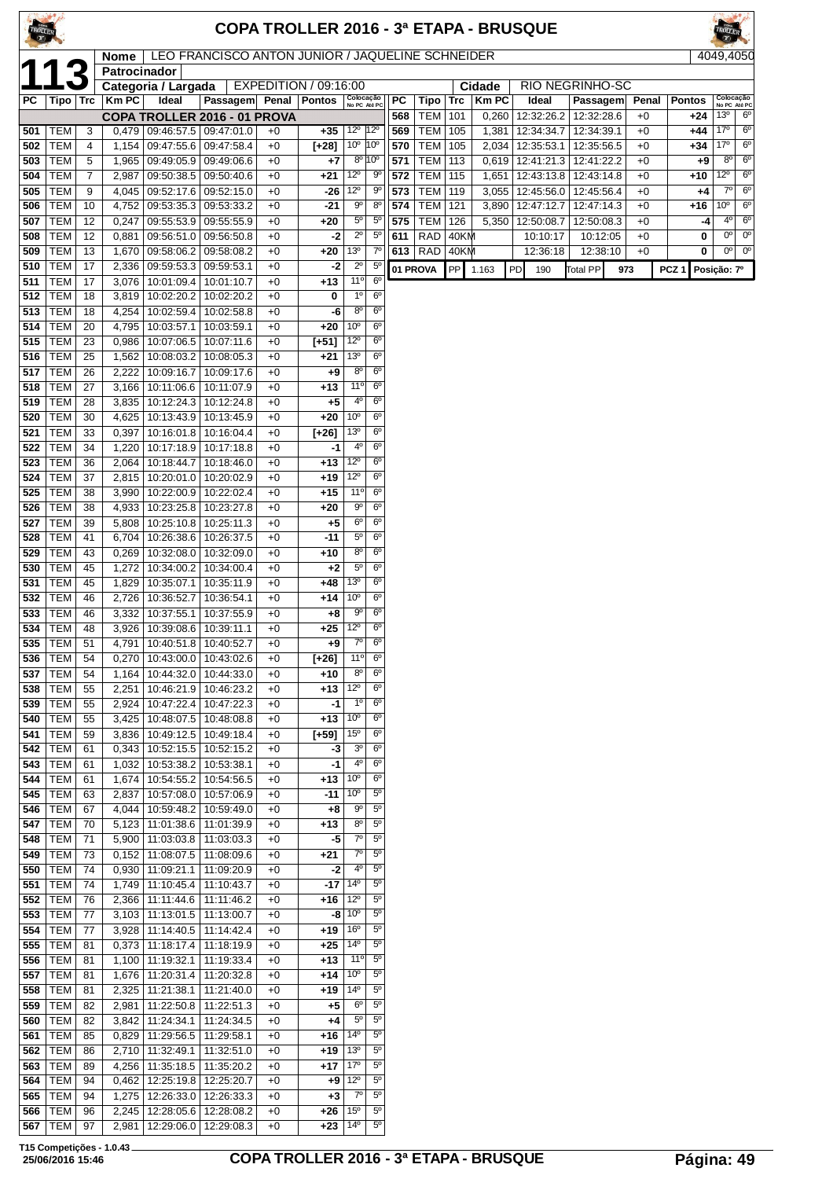|            |                          |                |                |                                          |                                                  |              |                       |                                    |                            |            |                   |            |                | COPA TROLLER 2016 - 3ª ETAPA - BRUSQUE |                          |              |                  |                    |                            |
|------------|--------------------------|----------------|----------------|------------------------------------------|--------------------------------------------------|--------------|-----------------------|------------------------------------|----------------------------|------------|-------------------|------------|----------------|----------------------------------------|--------------------------|--------------|------------------|--------------------|----------------------------|
|            |                          |                | Nome           |                                          | LEO FRANCISCO ANTON JUNIOR / JAQUELINE SCHNEIDER |              |                       |                                    |                            |            |                   |            |                |                                        |                          |              |                  |                    | 4049,4050                  |
|            |                          |                | Patrocinador   | Categoria / Largada                      |                                                  |              | EXPEDITION / 09:16:00 |                                    |                            |            |                   |            | Cidade         |                                        | <b>RIO NEGRINHO-SC</b>   |              |                  |                    |                            |
| РC         | Tipo   Trc               |                | <b>Km PC</b>   | Ideal                                    | Passagem                                         |              | Penal   Pontos        |                                    | Colocação<br>No PC Até PC  | <b>PC</b>  | Tipo              | <b>Trc</b> | <b>KmPC</b>    | Ideal                                  | Passagem                 | Penal        | <b>Pontos</b>    |                    | Colocação<br>No PC Até PC  |
|            |                          |                |                |                                          | COPA TROLLER 2016 - 01 PROVA                     |              |                       |                                    |                            | 568        | <b>TEM</b>        | 101        | 0,260          | 12:32:26.2                             | 12:32:28.6               | $+0$         | $+24$            | 13 <sup>o</sup>    | $6^{\circ}$                |
| 501        | <b>TEM</b>               | 3              |                | $0,479$   09:46:57.5                     | 09:47:01.0                                       | $+0$         | +35                   | 12 <sup>o</sup> 12 <sup>o</sup>    |                            | 569        | <b>TEM</b>        | 105        | 1,381          | 12:34:34.7                             | 12:34:39.1               | $+0$         | +44              | 17°                | $6^{\circ}$                |
| 502<br>503 | TEM<br><b>TEM</b>        | 4<br>5         | 1,965          | 1,154   09:47:55.6<br>09:49:05.9         | 09:47:58.4<br>09:49:06.6                         | $+0$<br>$+0$ | [+28]<br>+7           | 10 <sup>°</sup> 10 <sup>°</sup>    | $8^{\circ}$ 10 $^{\circ}$  | 570<br>571 | TEM<br><b>TEM</b> | 105<br>113 | 2,034<br>0,619 | 12:35:53.1<br>12:41:21.3               | 12:35:56.5<br>12:41:22.2 | $+0$<br>$+0$ | +34<br>$+9$      | 17°<br>$8^{\circ}$ | $6^{\circ}$<br>$6^{\circ}$ |
| 504        | <b>TEM</b>               | $\overline{7}$ | 2,987          | 09:50:38.5                               | 09:50:40.6                                       | $+0$         | +21                   | $12^{\circ}$                       | 90                         | 572        | <b>TEM</b>        | 115        | 1,651          | 12:43:13.8                             | 12:43:14.8               | $+0$         | +10              | $12^{\circ}$       | $6^{\circ}$                |
| 505        | <b>TEM</b>               | 9              | 4,045          | 09:52:17.6                               | 09:52:15.0                                       | $+0$         | -26                   | $12^{\circ}$                       | 90                         | 573        | <b>TEM</b>        | 119        | 3,055          | 12:45:56.0                             | 12:45:56.4               | $+0$         | +4               | $7^\circ$          | $6^{\circ}$                |
| 506        | <b>TEM</b>               | 10             |                | 4,752   09:53:35.3                       | 09:53:33.2                                       | $+0$         | $-21$                 | $9^{\circ}$                        | $8^{\circ}$                | 574        | <b>TEM</b>        | 121        | 3,890          | 12:47:12.7                             | 12:47:14.3               | $+0$         | +16              | $10^{\circ}$       | $6^{\circ}$                |
| 507        | <b>TEM</b>               | 12             | 0,247          | 09:55:53.9                               | 09:55:55.9                                       | $+0$         | +20                   | $5^{\circ}$                        | $5^{\circ}$                | 575        | <b>TEM</b>        | 126        | 5,350          | 12:50:08.7                             | 12:50:08.3               | $+0$         | -4               | $4^{\circ}$        | $6^{\circ}$                |
| 508        | <b>TEM</b>               | 12             | 0,881          | 09:56:51.0                               | 09:56:50.8                                       | $+0$         | -2                    | $2^{\circ}$                        | $5^{\circ}$                | 611        | <b>RAD</b>        | 40KM       |                | 10:10:17                               | 10:12:05                 | $+0$         | 0                | $0^{\circ}$        | $0^{\circ}$                |
| 509<br>510 | <b>TEM</b><br><b>TEM</b> | 13<br>17       | 1,670<br>2,336 | 09:58:06.2<br>09:59:53.3                 | 09:58:08.2<br>09:59:53.1                         | $+0$<br>$+0$ | +20<br>-2             | 13 <sup>o</sup><br>$2^{\circ}$     | $7^{\circ}$<br>$5^{\circ}$ |            | 613   RAD         | 40KM       |                | 12:36:18                               | 12:38:10                 | $+0$         | 0                | $0^{\circ}$        | $0^{\circ}$                |
| 511        | <b>TEM</b>               | 17             | 3,076          | 10:01:09.4                               | 10:01:10.7                                       | $+0$         | $+13$                 | 11°                                | $6^{\circ}$                |            | 01 PROVA          | PP         | 1.163          | PD<br>190                              | <b>Total PP</b>          | 973          | PCZ <sub>1</sub> | Posição: 7º        |                            |
| 512        | <b>TEM</b>               | 18             | 3,819          | 10:02:20.2                               | 10:02:20.2                                       | $+0$         | 0                     | $1^{\circ}$                        | $6^{\circ}$                |            |                   |            |                |                                        |                          |              |                  |                    |                            |
| 513        | <b>TEM</b>               | 18             | 4,254          | 10:02:59.4                               | 10:02:58.8                                       | $+0$         | -6                    | 8 <sup>o</sup>                     | $6^{\circ}$                |            |                   |            |                |                                        |                          |              |                  |                    |                            |
| 514        | <b>TEM</b>               | 20             | 4,795          | 10:03:57.1                               | 10:03:59.1                                       | $+0$         | +20                   | 10 <sup>o</sup>                    | $6^{\circ}$                |            |                   |            |                |                                        |                          |              |                  |                    |                            |
| 515        | <b>TEM</b>               | 23             | 0,986          | 10:07:06.5                               | 10:07:11.6                                       | $+0$         | $[-51]$               | $12^{\circ}$                       | $6^{\circ}$                |            |                   |            |                |                                        |                          |              |                  |                    |                            |
| 516<br>517 | <b>TEM</b><br><b>TEM</b> | 25<br>26       | 2,222          | 1,562 10:08:03.2<br>10:09:16.7           | 10:08:05.3<br>10:09:17.6                         | $+0$<br>$+0$ | $+21$<br>+9           | 13 <sup>°</sup><br>$8^{\circ}$     | $6^{\circ}$<br>$6^{\circ}$ |            |                   |            |                |                                        |                          |              |                  |                    |                            |
| 518        | <b>TEM</b>               | 27             | 3,166          | 10:11:06.6                               | 10:11:07.9                                       | $+0$         | $+13$                 | 11°                                | $6^{\circ}$                |            |                   |            |                |                                        |                          |              |                  |                    |                            |
| 519        | <b>TEM</b>               | 28             | 3,835          | 10:12:24.3                               | 10:12:24.8                                       | $+0$         | $+5$                  | 4 <sup>0</sup>                     | $6^{\circ}$                |            |                   |            |                |                                        |                          |              |                  |                    |                            |
| 520        | <b>TEM</b>               | 30             | 4,625          | 10:13:43.9                               | 10:13:45.9                                       | $+0$         | +20                   | 10 <sup>o</sup>                    | $6^{\circ}$                |            |                   |            |                |                                        |                          |              |                  |                    |                            |
| 521        | <b>TEM</b>               | 33             | 0,397          | 10:16:01.8                               | 10:16:04.4                                       | $+0$         | $[+26]$               | 13 <sup>o</sup>                    | $6^{\circ}$                |            |                   |            |                |                                        |                          |              |                  |                    |                            |
| 522        | <b>TEM</b>               | 34             | 1,220          | 10:17:18.9                               | 10:17:18.8                                       | $+0$         | -1                    | 4 <sup>0</sup>                     | $6^{\circ}$                |            |                   |            |                |                                        |                          |              |                  |                    |                            |
| 523<br>524 | <b>TEM</b><br><b>TEM</b> | 36<br>37       | 2,064<br>2,815 | 10:18:44.7<br>10:20:01.0                 | 10:18:46.0<br>10:20:02.9                         | $+0$<br>$+0$ | $+13$<br>+19          | $12^{\circ}$<br>$12^{\circ}$       | $6^{\circ}$<br>$6^{\circ}$ |            |                   |            |                |                                        |                          |              |                  |                    |                            |
| 525        | <b>TEM</b>               | 38             | 3,990          | 10:22:00.9                               | 10:22:02.4                                       | $+0$         | +15                   | 11°                                | $6^{\circ}$                |            |                   |            |                |                                        |                          |              |                  |                    |                            |
| 526        | <b>TEM</b>               | 38             |                | 4,933   10:23:25.8                       | 10:23:27.8                                       | $+0$         | +20                   | $9^{\circ}$                        | $6^{\circ}$                |            |                   |            |                |                                        |                          |              |                  |                    |                            |
| 527        | <b>TEM</b>               | 39             | 5,808          | 10:25:10.8                               | 10:25:11.3                                       | $+0$         | $+5$                  | $6^{\circ}$                        | $6^{\circ}$                |            |                   |            |                |                                        |                          |              |                  |                    |                            |
| 528        | <b>TEM</b>               | 41             | 6,704          | 10:26:38.6                               | 10:26:37.5                                       | $+0$         | $-11$                 | $5^{\circ}$                        | $6^{\circ}$                |            |                   |            |                |                                        |                          |              |                  |                    |                            |
| 529        | <b>TEM</b>               | 43             | 0,269          | 10:32:08.0                               | 10:32:09.0                                       | $+0$         | +10                   | $8^{\circ}$                        | $6^{\circ}$                |            |                   |            |                |                                        |                          |              |                  |                    |                            |
| 530<br>531 | <b>TEM</b><br><b>TEM</b> | 45<br>45       | 1,272<br>1,829 | 10:34:00.2<br>10:35:07.1                 | 10:34:00.4<br>10:35:11.9                         | $+0$<br>$+0$ | $+2$<br>+48           | $5^{\circ}$<br>13 <sup>o</sup>     | $6^{\circ}$<br>$6^{\circ}$ |            |                   |            |                |                                        |                          |              |                  |                    |                            |
| 532        | <b>TEM</b>               | 46             | 2,726          | 10:36:52.7                               | 10:36:54.1                                       | $+0$         | +14                   | 10 <sup>o</sup>                    | $6^{\circ}$                |            |                   |            |                |                                        |                          |              |                  |                    |                            |
| 533        | <b>TEM</b>               | 46             | 3,332          | 10:37:55.1                               | 10:37:55.9                                       | $+0$         | +8                    | 90                                 | $6^{\circ}$                |            |                   |            |                |                                        |                          |              |                  |                    |                            |
| 534        | <b>TEM</b>               | 48             | 3,926          | 10:39:08.6                               | 10:39:11.1                                       | $+0$         | +25                   | $12^{\circ}$                       | $6^{\circ}$                |            |                   |            |                |                                        |                          |              |                  |                    |                            |
|            | 535   TEM                | 51             |                | 4,791   10:40:51.8   10:40:52.7          |                                                  | $+0$         | +9                    | $7^\circ$                          | 6 <sup>o</sup>             |            |                   |            |                |                                        |                          |              |                  |                    |                            |
|            | 536   TEM                | 54             |                | $0,270$   10:43:00.0   10:43:02.6        |                                                  | $+0$         | [+26]                 | 11°                                | $6^{\circ}$                |            |                   |            |                |                                        |                          |              |                  |                    |                            |
| 537<br>538 | <b>TEM</b><br><b>TEM</b> | 54<br>55       | 1,164<br>2,251 | 10:44:32.0<br>10:46:21.9                 | 10:44:33.0<br>10:46:23.2                         | $+0$<br>$+0$ | $+10$<br>$+13$        | $8^{\circ}$<br>$12^{\circ}$        | $6^{\circ}$<br>$6^{\circ}$ |            |                   |            |                |                                        |                          |              |                  |                    |                            |
| 539        | TEM                      | 55             | 2,924          | 10:47:22.4                               | 10:47:22.3                                       | $+0$         | -1                    | $1^{\circ}$                        | 6 <sup>o</sup>             |            |                   |            |                |                                        |                          |              |                  |                    |                            |
| 540        | TEM                      | 55             | 3,425          | 10:48:07.5                               | 10:48:08.8                                       | $+0$         | $+13$                 | 10 <sup>o</sup>                    | $6^{\circ}$                |            |                   |            |                |                                        |                          |              |                  |                    |                            |
| 541        | <b>TEM</b>               | 59             |                | 3,836 10:49:12.5                         | 10:49:18.4                                       | $+0$         | [+59]                 | 15 <sup>o</sup>                    | 6 <sup>o</sup>             |            |                   |            |                |                                        |                          |              |                  |                    |                            |
| 542        | TEM                      | 61             |                | $0,343$   10:52:15.5                     | 10:52:15.2                                       | $+0$         | -3                    | 3 <sup>o</sup>                     | $6^{\circ}$                |            |                   |            |                |                                        |                          |              |                  |                    |                            |
| 543        | <b>TEM</b>               | 61             | 1,032          | 10:53:38.2                               | 10:53:38.1                                       | $+0$         | -1                    | $4^{\circ}$                        | $6^{\circ}$                |            |                   |            |                |                                        |                          |              |                  |                    |                            |
| 544<br>545 | <b>TEM</b><br><b>TEM</b> | 61<br>63       | 1,674<br>2,837 | 10:54:55.2<br>10:57:08.0                 | 10:54:56.5<br>10:57:06.9                         | $+0$<br>$+0$ | +13<br>-11            | 10 <sup>o</sup><br>10 <sup>o</sup> | $6^{\circ}$<br>$5^{\circ}$ |            |                   |            |                |                                        |                          |              |                  |                    |                            |
| 546        | TEM                      | 67             | 4,044          | 10:59:48.2                               | 10:59:49.0                                       | $+0$         | +8                    | $9^{\circ}$                        | $5^{\rm o}$                |            |                   |            |                |                                        |                          |              |                  |                    |                            |
| 547        | <b>TEM</b>               | 70             |                | 5,123   11:01:38.6                       | 11:01:39.9                                       | $+0$         | +13                   | $8^{\circ}$                        | $5^{\circ}$                |            |                   |            |                |                                        |                          |              |                  |                    |                            |
| 548        | <b>TEM</b>               | 71             |                | 5,900 11:03:03.8                         | 11:03:03.3                                       | $+0$         | -5                    | $7^\circ$                          | $5^{\circ}$                |            |                   |            |                |                                        |                          |              |                  |                    |                            |
| 549        | <b>TEM</b>               | 73             | 0,152          | 11:08:07.5                               | 11:08:09.6                                       | $+0$         | +21                   | $7^\circ$                          | $5^{\circ}$                |            |                   |            |                |                                        |                          |              |                  |                    |                            |
| 550        | <b>TEM</b>               | 74             |                | $0,930$   11:09:21.1                     | 11:09:20.9                                       | $+0$         | -2                    | $4^{\circ}$<br>$14^{o}$            | $5^{\circ}$<br>$5^{\circ}$ |            |                   |            |                |                                        |                          |              |                  |                    |                            |
| 551<br>552 | TEM<br><b>TEM</b>        | 74<br>76       |                | 1,749   11:10:45.4<br>2,366   11:11:44.6 | 11:10:43.7<br>11:11:46.2                         | $+0$<br>$+0$ | $-17$<br>+16          | $12^{\circ}$                       | $5^{\circ}$                |            |                   |            |                |                                        |                          |              |                  |                    |                            |
| 553        | <b>TEM</b>               | 77             |                | $3,103$ 11:13:01.5                       | 11:13:00.7                                       | $+0$         |                       | $-8$ 10 <sup>o</sup>               | $5^{\circ}$                |            |                   |            |                |                                        |                          |              |                  |                    |                            |
| 554        | <b>TEM</b>               | 77             | 3,928          | 11:14:40.5                               | 11:14:42.4                                       | $+0$         | +19                   | 16 <sup>o</sup>                    | $5^{\circ}$                |            |                   |            |                |                                        |                          |              |                  |                    |                            |
| 555        | <b>TEM</b>               | 81             |                | $0,373$   11:18:17.4                     | 11:18:19.9                                       | $+0$         | +25                   | $14^{\circ}$                       | $5^{\circ}$                |            |                   |            |                |                                        |                          |              |                  |                    |                            |
| 556        | TEM                      | 81             |                | 1,100 11:19:32.1                         | 11:19:33.4                                       | $+0$         | +13                   | $11^{\circ}$                       | $5^{\circ}$                |            |                   |            |                |                                        |                          |              |                  |                    |                            |
| 557        | <b>TEM</b>               | 81             |                | 1,676   11:20:31.4                       | 11:20:32.8                                       | $+0$         | +14                   | 10 <sup>o</sup><br>$14^{\circ}$    | $5^{\circ}$                |            |                   |            |                |                                        |                          |              |                  |                    |                            |
| 558<br>559 | <b>TEM</b><br><b>TEM</b> | 81<br>82       | 2,981          | 2,325 11:21:38.1<br>11:22:50.8           | 11:21:40.0<br>11:22:51.3                         | $+0$<br>$+0$ | $+19$<br>+5           | $6^{\circ}$                        | $5^{\circ}$<br>$5^{\circ}$ |            |                   |            |                |                                        |                          |              |                  |                    |                            |
| 560        | <b>TEM</b>               | 82             |                | 3,842   11:24:34.1                       | 11:24:34.5                                       | $+0$         | +4                    | $5^{\circ}$                        | $5^{\circ}$                |            |                   |            |                |                                        |                          |              |                  |                    |                            |
| 561        | <b>TEM</b>               | 85             |                | $0,829$   11:29:56.5                     | 11:29:58.1                                       | $+0$         | +16                   | $14^{\circ}$                       | $5^{\circ}$                |            |                   |            |                |                                        |                          |              |                  |                    |                            |
| 562        | TEM                      | 86             |                | 2,710   11:32:49.1                       | 11:32:51.0                                       | $+0$         | $+19$                 | 13 <sup>°</sup>                    | $5^{\circ}$                |            |                   |            |                |                                        |                          |              |                  |                    |                            |
| 563        | <b>TEM</b>               | 89             |                | 4,256 11:35:18.5                         | 11:35:20.2                                       | $+0$         | +17                   | 17 <sup>o</sup>                    | $5^{\circ}$                |            |                   |            |                |                                        |                          |              |                  |                    |                            |
| 564        | TEM                      | 94             | 0,462          | 12:25:19.8                               | 12:25:20.7                                       | $+0$         | +9                    | $12^{\circ}$                       | $5^{\circ}$<br>$5^{\circ}$ |            |                   |            |                |                                        |                          |              |                  |                    |                            |
| 565<br>566 | <b>TEM</b><br><b>TEM</b> | 94<br>96       | 1,275<br>2,245 | 12:26:33.0<br>12:28:05.6                 | 12:26:33.3<br>12:28:08.2                         | $+0$<br>$+0$ | $+3$<br>+26           | $7^\circ$<br>15 <sup>o</sup>       | $5^{\circ}$                |            |                   |            |                |                                        |                          |              |                  |                    |                            |
|            | <b>567 TEM</b>           | 97             | 2,981          | 12:29:06.0                               | 12:29:08.3                                       | $+0$         | $+23$                 | $14^{\circ}$                       | $5^{\circ}$                |            |                   |            |                |                                        |                          |              |                  |                    |                            |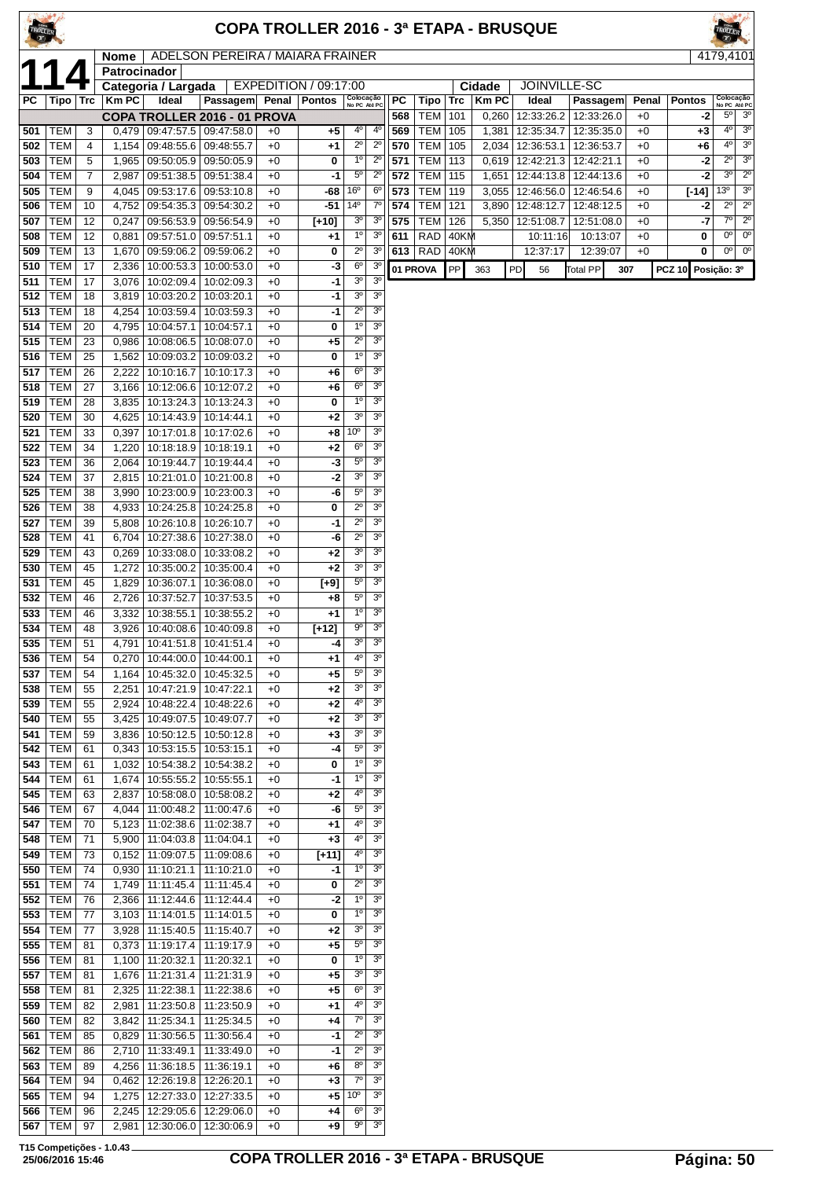| TROLLER    |                                |                |                |                                                           |                          |              |                       |                                  |                                  |           |                    |            |                      | COPA TROLLER 2016 - 3ª ETAPA - BRUSQUE |                               |     |               |                     |                                          |                            |
|------------|--------------------------------|----------------|----------------|-----------------------------------------------------------|--------------------------|--------------|-----------------------|----------------------------------|----------------------------------|-----------|--------------------|------------|----------------------|----------------------------------------|-------------------------------|-----|---------------|---------------------|------------------------------------------|----------------------------|
|            |                                |                | Nome           | ADELSON PEREIRA / MAIARA FRAINER                          |                          |              |                       |                                  |                                  |           |                    |            |                      |                                        |                               |     |               |                     | 4179,4101                                |                            |
|            |                                |                | Patrocinador   |                                                           |                          |              |                       |                                  |                                  |           |                    |            |                      |                                        |                               |     |               |                     |                                          |                            |
|            |                                |                |                | Categoria / Largada                                       |                          |              | EXPEDITION / 09:17:00 |                                  |                                  |           |                    |            | Cidade               | JOINVILLE-SC                           |                               |     |               |                     |                                          |                            |
| РC         | Tipo   Trc                     |                | <b>Km PC</b>   | Ideal<br>COPA TROLLER 2016 - 01 PROVA                     | <b>Passagem</b>          | Penal        | <b>Pontos</b>         | Colocação<br>No PC Até PC        |                                  | PC<br>568 | Tipo<br><b>TEM</b> | Trc<br>101 | <b>KmPC</b><br>0,260 | Ideal<br>12:33:26.2                    | <b>Passagem</b><br>12:33:26.0 |     | Penal<br>$+0$ | <b>Pontos</b><br>-2 | Colocação<br>No PC Até PC<br>$5^{\circ}$ | 3 <sup>o</sup>             |
| 501        | TEM                            | 3              | 0,479          | 09:47:57.5                                                | 09:47:58.0               | $+0$         | +5                    | 4º                               | $4^{\circ}$                      | 569       | TEM                | 105        | 1,381                | 12:35:34.7                             | 12:35:35.0                    |     | $+0$          | +3                  | 4°                                       | 3 <sup>o</sup>             |
| 502        | <b>TEM</b>                     | 4              | 1,154          | 09:48:55.6                                                | 09:48:55.7               | $+0$         | $+1$                  | $2^{\circ}$                      | $2^{\circ}$                      | 570       | <b>TEM</b>         | 105        | 2,034                | 12:36:53.1                             | 12:36:53.7                    |     | $+0$          | +6                  | $4^{\circ}$                              | 3 <sup>o</sup>             |
| 503        | <b>TEM</b>                     | 5              | 1,965          | 09:50:05.9 09:50:05.9                                     |                          | $+0$         | 0                     | $1^{\circ}$                      | $2^{\circ}$                      | 571       | <b>TEM</b>         | 113        | 0,619                | 12:42:21.3 12:42:21.1                  |                               |     | $+0$          | $-2$                | $2^{\circ}$                              | 3 <sup>0</sup>             |
| 504        | <b>TEM</b>                     | $\overline{7}$ | 2,987          | 09:51:38.5                                                | 09:51:38.4               | $+0$         | -1                    | $5^{\circ}$                      | $2^{\circ}$                      | 572       | <b>TEM</b>         | 115        | 1,651                | 12:44:13.8                             | 12:44:13.6                    |     | $+0$          | $-2$                | 3 <sup>o</sup>                           | $2^{\circ}$                |
| 505        | TEM                            | 9              | 4,045          | 09:53:17.6                                                | 09:53:10.8               | $+0$         | -68                   | 16°                              | 6 <sup>o</sup>                   | 573       | <b>TEM</b>         | 119        | 3,055                | 12:46:56.0                             | 12:46:54.6                    |     | $+0$          | $[-14]$             | 13 <sup>o</sup>                          | 3 <sup>o</sup>             |
| 506        | <b>TEM</b>                     | 10             | 4,752          | 09:54:35.3                                                | 09:54:30.2               | $+0$         | $-51$                 | $14^{\circ}$                     | $7^{\circ}$                      | 574       | <b>TEM</b>         | 121        | 3,890                | 12:48:12.7                             | 12:48:12.5                    |     | $+0$          | -2                  | $2^{\circ}$                              | $2^{\circ}$                |
| 507        | <b>TEM</b>                     | 12             | 0,247          | 09:56:53.9 09:56:54.9                                     |                          | $+0$         | [+10]                 | 3 <sup>o</sup>                   | 3 <sup>o</sup>                   | 575       | <b>TEM</b>         | 126        | 5,350                | 12:51:08.7                             | 12:51:08.0                    |     | $+0$          | -7                  | $7^\circ$                                | $\overline{2^{\circ}}$     |
| 508        | TEM                            | 12             | 0,881          | 09:57:51.0                                                | 09:57:51.1               | $+0$         | $+1$                  | $1^{\circ}$                      | 3 <sup>o</sup>                   | 611       | <b>RAD</b>         | 40KM       |                      | 10:11:16                               | 10:13:07                      |     | $+0$          | 0                   | $0^{\circ}$<br>$0^{\circ}$               | $0^{\circ}$<br>$0^{\circ}$ |
| 509<br>510 | <b>TEM</b><br><b>TEM</b>       | 13<br>17       | 1,670<br>2,336 | 09:59:06.2<br>10:00:53.3                                  | 09:59:06.2<br>10:00:53.0 | $+0$<br>$+0$ | 0<br>-3               | $2^{\circ}$<br>6 <sup>o</sup>    | 3 <sup>o</sup><br>3 <sup>o</sup> | 613       | RAD                | 40KM       |                      | 12:37:17                               | 12:39:07                      |     | $+0$          | 0                   |                                          |                            |
| 511        | TEM                            | 17             | 3,076          | 10:02:09.4                                                | 10:02:09.3               | $+0$         | -1                    | 3 <sup>o</sup>                   | 3 <sup>o</sup>                   |           | 01 PROVA           | PP         | 363                  | PD<br>56                               | <b>Total PP</b>               | 307 |               | PCZ 10 Posição: 3º  |                                          |                            |
| 512        | <b>TEM</b>                     | 18             | 3,819          | 10:03:20.2   10:03:20.1                                   |                          | $+0$         | -1                    | 3 <sup>o</sup>                   | 3 <sup>o</sup>                   |           |                    |            |                      |                                        |                               |     |               |                     |                                          |                            |
| 513        | <b>TEM</b>                     | 18             | 4,254          | 10:03:59.4                                                | 10:03:59.3               | $+0$         | -1                    | $2^{\circ}$                      | 3 <sup>o</sup>                   |           |                    |            |                      |                                        |                               |     |               |                     |                                          |                            |
| 514        | TEM                            | 20             | 4,795          | 10:04:57.1                                                | 10:04:57.1               | $+0$         | 0                     | 1 <sup>0</sup>                   | 3 <sup>o</sup>                   |           |                    |            |                      |                                        |                               |     |               |                     |                                          |                            |
| 515        | TEM                            | 23             | 0,986          | 10:08:06.5                                                | 10:08:07.0               | $+0$         | +5                    | $2^{\circ}$                      | 3 <sup>o</sup>                   |           |                    |            |                      |                                        |                               |     |               |                     |                                          |                            |
| 516        | <b>TEM</b>                     | 25             | 1,562          | 10:09:03.2                                                | 10:09:03.2               | $+0$         | 0                     | 1 <sup>0</sup>                   | 3 <sup>o</sup>                   |           |                    |            |                      |                                        |                               |     |               |                     |                                          |                            |
| 517        | <b>TEM</b>                     | 26             | 2,222          | 10:10:16.7                                                | 10:10:17.3               | $+0$         | +6                    | 6 <sup>o</sup>                   | 3 <sup>o</sup>                   |           |                    |            |                      |                                        |                               |     |               |                     |                                          |                            |
| 518        | <b>TEM</b>                     | 27             | 3,166          | 10:12:06.6                                                | 10:12:07.2               | $+0$         | $+6$                  | $6^{\circ}$<br>$1^{\circ}$       | 3 <sup>o</sup><br>3 <sup>o</sup> |           |                    |            |                      |                                        |                               |     |               |                     |                                          |                            |
| 519<br>520 | <b>TEM</b><br>TEM              | 28<br>30       | 3,835          | 10:13:24.3<br>10:14:43.9                                  | 10:13:24.3<br>10:14:44.1 | $+0$<br>$+0$ | 0<br>$+2$             | 3 <sup>o</sup>                   | 3 <sup>o</sup>                   |           |                    |            |                      |                                        |                               |     |               |                     |                                          |                            |
| 521        | <b>TEM</b>                     | 33             | 4,625<br>0,397 | 10:17:01.8                                                | 10:17:02.6               | $+0$         | +8                    | 10°                              | 3 <sup>o</sup>                   |           |                    |            |                      |                                        |                               |     |               |                     |                                          |                            |
| 522        | <b>TEM</b>                     | 34             | 1,220          | 10:18:18.9   10:18:19.1                                   |                          | $+0$         | +2                    | 6 <sup>o</sup>                   | 3 <sup>o</sup>                   |           |                    |            |                      |                                        |                               |     |               |                     |                                          |                            |
| 523        | <b>TEM</b>                     | 36             | 2,064          | 10:19:44.7                                                | 10:19:44.4               | $+0$         | -3                    | $5^{\circ}$                      | 3 <sup>o</sup>                   |           |                    |            |                      |                                        |                               |     |               |                     |                                          |                            |
| 524        | <b>TEM</b>                     | 37             | 2,815          | 10:21:01.0                                                | 10:21:00.8               | $+0$         | -2                    | 3 <sup>o</sup>                   | 3 <sup>o</sup>                   |           |                    |            |                      |                                        |                               |     |               |                     |                                          |                            |
| 525        | <b>TEM</b>                     | 38             | 3,990          | 10:23:00.9                                                | 10:23:00.3               | $+0$         | -6                    | $5^{\circ}$                      | 3 <sup>o</sup>                   |           |                    |            |                      |                                        |                               |     |               |                     |                                          |                            |
| 526        | <b>TEM</b>                     | 38             | 4,933          | 10:24:25.8                                                | 10:24:25.8               | $+0$         | 0                     | $2^{\circ}$                      | 3 <sup>o</sup>                   |           |                    |            |                      |                                        |                               |     |               |                     |                                          |                            |
| 527        | <b>TEM</b>                     | 39             | 5,808          | 10:26:10.8                                                | 10:26:10.7               | $+0$         | -1                    | $2^{\circ}$                      | 3 <sup>o</sup>                   |           |                    |            |                      |                                        |                               |     |               |                     |                                          |                            |
| 528        | TEM                            | 41             | 6,704          | 10:27:38.6                                                | 10:27:38.0               | $+0$         | -6                    | $2^{\circ}$                      | 3 <sup>0</sup>                   |           |                    |            |                      |                                        |                               |     |               |                     |                                          |                            |
| 529        | TEM                            | 43             | 0,269          | 10:33:08.0                                                | 10:33:08.2               | $+0$         | +2<br>$+2$            | 3 <sup>o</sup><br>3 <sup>o</sup> | 3 <sup>0</sup><br>3 <sup>o</sup> |           |                    |            |                      |                                        |                               |     |               |                     |                                          |                            |
| 530<br>531 | <b>TEM</b><br><b>TEM</b>       | 45<br>45       | 1,272<br>1,829 | 10:35:00.2<br>10:36:07.1                                  | 10:35:00.4<br>10:36:08.0 | $+0$<br>$+0$ | $[+9]$                | $5^{\circ}$                      | 3 <sup>o</sup>                   |           |                    |            |                      |                                        |                               |     |               |                     |                                          |                            |
| 532        | <b>TEM</b>                     | 46             | 2,726          | 10:37:52.7                                                | 10:37:53.5               | $+0$         | +8                    | $5^{\circ}$                      | 3 <sup>o</sup>                   |           |                    |            |                      |                                        |                               |     |               |                     |                                          |                            |
| 533        | TEM                            | 46             | 3,332          | 10:38:55.1                                                | 10:38:55.2               | $+0$         | $+1$                  | $1^{\circ}$                      | 3 <sup>o</sup>                   |           |                    |            |                      |                                        |                               |     |               |                     |                                          |                            |
| 534        | TEM                            | 48             | 3,926          | 10:40:08.6                                                | 10:40:09.8               | $+0$         | $[+12]$               | $9^{\circ}$                      | 3 <sup>0</sup>                   |           |                    |            |                      |                                        |                               |     |               |                     |                                          |                            |
| 535        | TEM                            | 51             | 4,791          | 10:41:51.8                                                | 10:41:51.4               | $+0$         | -4                    | 3 <sup>o</sup>                   | 3 <sup>o</sup>                   |           |                    |            |                      |                                        |                               |     |               |                     |                                          |                            |
| 536        | <b>TEM</b>                     | 54             | 0,270          | 10:44:00.0                                                | 10:44:00.1               | $+0$         | $+1$                  | 40                               | 3 <sup>o</sup>                   |           |                    |            |                      |                                        |                               |     |               |                     |                                          |                            |
| 537        | TEM                            | 54             | 1,164          | 10:45:32.0                                                | 10:45:32.5               | $+0$         | +5                    | $5^{\circ}$                      | 3 <sup>o</sup>                   |           |                    |            |                      |                                        |                               |     |               |                     |                                          |                            |
| 538        | <b>TEM</b>                     | 55             | 2,251          | 10:47:21.9                                                | 10:47:22.1               | $+0$         | $+2$                  | 3 <sup>o</sup>                   | 3 <sup>o</sup>                   |           |                    |            |                      |                                        |                               |     |               |                     |                                          |                            |
| 539        | TEM                            | 55             | 2,924          | 10:48:22.4                                                | 10:48:22.6               | $+0$         | $+2$                  | 40<br>3 <sup>o</sup>             | 3 <sup>o</sup><br>3 <sup>o</sup> |           |                    |            |                      |                                        |                               |     |               |                     |                                          |                            |
| 540<br>541 | <b>TEM</b><br><b>TEM</b>       | 55<br>59       | 3,425<br>3,836 | 10:49:07.5                                                | 10:49:07.7               | $+0$<br>$+0$ | $+2$<br>$+3$          | 3 <sup>o</sup>                   | 3 <sup>o</sup>                   |           |                    |            |                      |                                        |                               |     |               |                     |                                          |                            |
| 542        | TEM                            | 61             | 0,343          | 10:50:12.5<br>10:53:15.5   10:53:15.1                     | 10:50:12.8               | $+0$         | -4                    | $5^{\circ}$                      | 3 <sup>o</sup>                   |           |                    |            |                      |                                        |                               |     |               |                     |                                          |                            |
| 543        | <b>TEM</b>                     | 61             | 1,032          | 10:54:38.2                                                | 10:54:38.2               | $+0$         | 0                     | $1^{\circ}$                      | 3 <sup>o</sup>                   |           |                    |            |                      |                                        |                               |     |               |                     |                                          |                            |
| 544        | TEM                            | 61             | 1,674          | 10:55:55.2                                                | 10:55:55.1               | $+0$         | -1                    | $1^{\circ}$                      | 3 <sup>o</sup>                   |           |                    |            |                      |                                        |                               |     |               |                     |                                          |                            |
| 545        | TEM                            | 63             | 2,837          | 10:58:08.0                                                | 10:58:08.2               | $+0$         | $+2$                  | 4º                               | 3 <sup>o</sup>                   |           |                    |            |                      |                                        |                               |     |               |                     |                                          |                            |
| 546        | <b>TEM</b>                     | 67             | 4,044          | 11:00:48.2                                                | 11:00:47.6               | $+0$         | -6                    | $5^{\rm o}$                      | 3 <sup>o</sup>                   |           |                    |            |                      |                                        |                               |     |               |                     |                                          |                            |
| 547        | TEM                            | 70             | 5,123          | 11:02:38.6                                                | 11:02:38.7               | $+0$         | $+1$                  | 40                               | 3 <sup>o</sup>                   |           |                    |            |                      |                                        |                               |     |               |                     |                                          |                            |
| 548        | TEM                            | 71             | 5,900          | 11:04:03.8                                                | 11:04:04.1               | $+0$         | $+3$                  | 4º                               | 3 <sup>o</sup>                   |           |                    |            |                      |                                        |                               |     |               |                     |                                          |                            |
| 549        | <b>TEM</b><br>$550$   TEM   74 | 73             |                | $0,152$   11:09:07.5<br>$0.930$   11:10:21.1   11:10:21.0 | 11:09:08.6               | $+0$         | $[+11]$               | 40<br>$1^{\circ}$                | 3 <sup>0</sup><br>3 <sup>o</sup> |           |                    |            |                      |                                        |                               |     |               |                     |                                          |                            |
|            |                                |                |                |                                                           |                          | $+0$         | -1                    |                                  |                                  |           |                    |            |                      |                                        |                               |     |               |                     |                                          |                            |

 TEM 74 0,930 11:10:21.1 11:10:21.0 +0 **-1**  TEM 74 1,749 11:11:45.4 11:11:45.4 +0 **0** 2º 3º TEM 76 2,366 11:12:44.6 11:12:44.4 +0 **-2** 1º 3º TEM 77 3,103 11:14:01.5 11:14:01.5 +0 **0** 1<sup>0</sup> 3<sup>0</sup><br>**554** TEM 77 3,928 11:15:40.5 11:15:40.7 +0 +2 3<sup>9</sup> 3<sup>0</sup> TEM 77 3,928 11:15:40.5 11:15:40.7 +0 +2 TEM 81 0,373 11:19:17.4 11:19:17.9 +0 **+5** 5º 3º TEM 81 1,100 11:20:32.1 11:20:32.1 +0 **0** 1º 3º TEM 81 1,676 11:21:31.4 11:21:31.9 +0 **+5** 3º 3º TEM 81 2,325 11:22:38.1 11:22:38.6 +0 **+5** 6º 3º TEM 82 2,981 11:23:50.8 11:23:50.9 +0 **+1** 4º 3º TEM 82 3,842 11:25:34.1 11:25:34.5 +0 **+4** 7º 3º TEM 85 0,829 11:30:56.5 11:30:56.4 +0 **-1** 2º 3º TEM 86 2,710 11:33:49.1 11:33:49.0 +0 -1 TEM 89 4,256 11:36:18.5 11:36:19.1 +0 **+6** 8º 3º TEM 94 0,462 12:26:19.8 12:26:20.1 +0 **+3** 7º 3º TEM 94 1,275 12:27:33.0 12:27:33.5 +0 **+5** 

 TEM 96 2,245 12:29:05.6 12:29:06.0 +0 **+4** 6º 3º TEM 97 2,981 12:30:06.0 12:30:06.9 +0 +9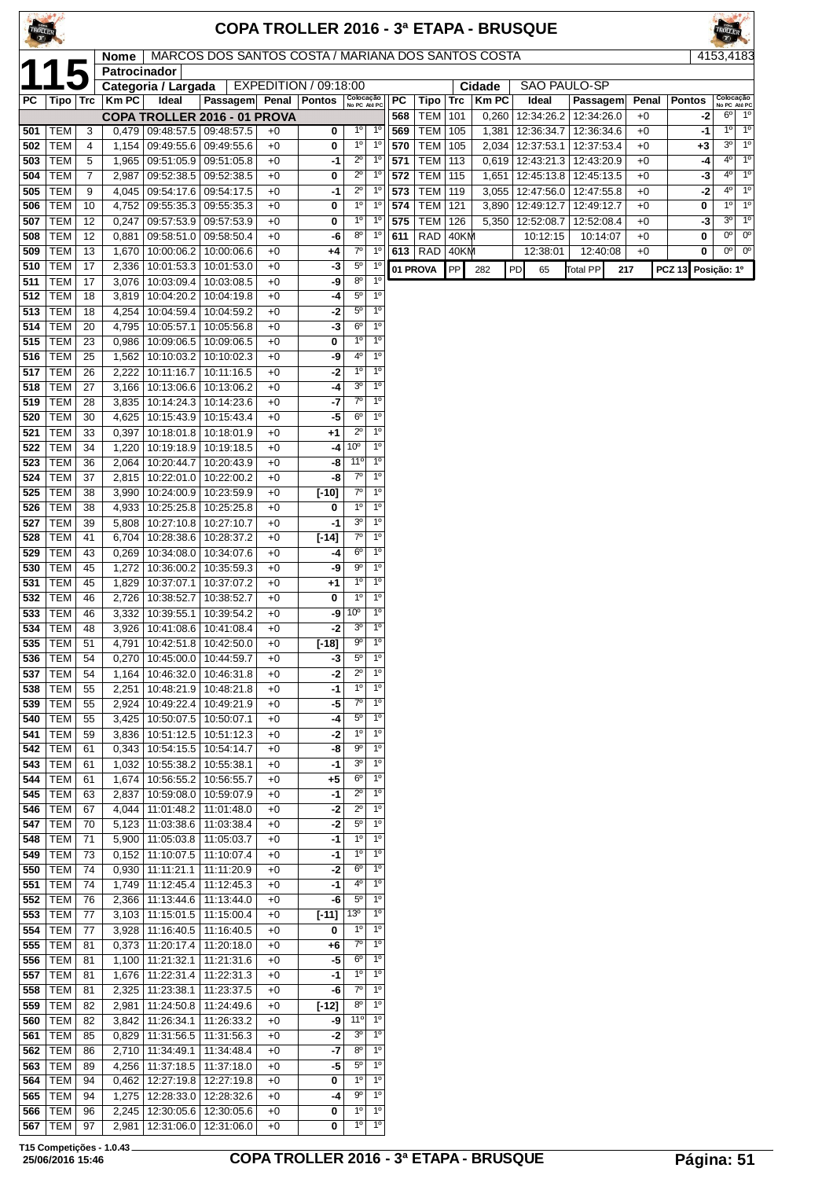| TROLLER    |                              |                       |                             |                                                                      |                                                    |              |                       |                                  |                               |            |                   |            |                | COPA TROLLER 2016 - 3ª ETAPA - BRUSQUE |                                       |              |               |                            |                            |
|------------|------------------------------|-----------------------|-----------------------------|----------------------------------------------------------------------|----------------------------------------------------|--------------|-----------------------|----------------------------------|-------------------------------|------------|-------------------|------------|----------------|----------------------------------------|---------------------------------------|--------------|---------------|----------------------------|----------------------------|
|            |                              |                       | <b>Nome</b><br>Patrocinador |                                                                      | MARCOS DOS SANTOS COSTA / MARIANA DOS SANTOS COSTA |              |                       |                                  |                               |            |                   |            |                |                                        |                                       |              |               | 4153,4183                  |                            |
|            |                              |                       |                             | Categoria / Largada                                                  |                                                    |              | EXPEDITION / 09:18:00 |                                  |                               |            |                   |            | Cidade         | <b>SAO PAULO-SP</b>                    |                                       |              |               |                            |                            |
| PC         | Tipo   Trc                   |                       | <b>Km PC</b>                | Ideal                                                                | Passagem Penal                                     |              | <b>Pontos</b>         | Colocação<br>No PC Até PC        |                               | PC         | Tipo              | Trc        | <b>KmPC</b>    | Ideal                                  | Passagem                              | Penal        | <b>Pontos</b> |                            | Colocação<br>No PC Até PC  |
| 501        | <b>TEM</b>                   | 3                     |                             | $0,479$   09:48:57.5   09:48:57.5                                    | COPA TROLLER 2016 - 01 PROVA                       |              | 0                     | $1^{\circ}$                      | $1^{\circ}$                   | 568<br>569 | <b>TEM</b><br>TEM | 101<br>105 | 0,260<br>1,381 | 12:34:26.2                             | 12:34:26.0<br>12:36:34.7   12:36:34.6 | $+0$<br>$+0$ | -2<br>-1      | $6^{\circ}$<br>$1^{\circ}$ | $1^{\circ}$<br>$1^{\circ}$ |
| 502        | <b>TEM</b>                   | 4                     |                             | 1,154   09:49:55.6   09:49:55.6                                      |                                                    | $+0$<br>$+0$ | 0                     | $1^{\circ}$                      | $1^{\circ}$                   | 570        | <b>TEM</b>        | 105        | 2,034          | 12:37:53.1                             | 12:37:53.4                            | $+0$         | +3            | $3^{\circ}$                | $1^{\circ}$                |
| 503        | <b>TEM</b>                   | 5                     |                             | 1,965   09:51:05.9   09:51:05.8                                      |                                                    | $+0$         | -1                    | $\overline{2^0}$                 | $1^{\circ}$                   | 571        | <b>TEM</b>        | 113        | 0,619          | 12:43:21.3                             | 12:43:20.9                            | $+0$         | -4            | 4 <sup>0</sup>             | $1^{\circ}$                |
| 504        | <b>TEM</b>                   | 7                     | 2,987                       |                                                                      | 09:52:38.5   09:52:38.5                            | $+0$         | 0                     | $2^{\circ}$                      | $1^{\circ}$                   | 572        | <b>TEM</b>        | 115        | 1,651          | 12:45:13.8                             | 12:45:13.5                            | $+0$         | -3            | $4^{\circ}$                | 1 <sup>o</sup>             |
| 505        | <b>TEM</b>                   | 9                     |                             | 4,045   09:54:17.6                                                   | 09:54:17.5                                         | $+0$         | -1                    | $2^{\circ}$                      | $1^{\circ}$                   | 573        | <b>TEM</b>        | 119        | 3,055          | 12:47:56.0                             | 12:47:55.8                            | $+0$         | $-2$          | $4^{\circ}$                | 1 <sup>0</sup>             |
| 506        | <b>TEM</b>                   | 10                    |                             | 4,752 09:55:35.3                                                     | 09:55:35.3                                         | $+0$         | 0                     | 1 <sup>0</sup>                   | $1^{\circ}$                   | 574        | <b>TEM</b>        | 121        | 3,890          | 12:49:12.7                             | 12:49:12.7                            | $+0$         | 0             | $1^{\circ}$                | $1^{\circ}$                |
| 507        | <b>TEM</b>                   | 12                    | 0,247                       | 09:57:53.9                                                           | 09:57:53.9                                         | $+0$         | 0                     | $1^{\circ}$                      | $1^{\circ}$                   | 575        | <b>TEM</b>        | 126        | 5,350          | 12:52:08.7                             | 12:52:08.4                            | $+0$         | -3            | $3^{\circ}$                | $1^{\circ}$                |
| 508        | <b>TEM</b>                   | 12                    | 0,881                       | 09:58:51.0                                                           | 09:58:50.4                                         | $+0$         | -6                    | $8^{\circ}$                      | $1^{\circ}$                   | 611        | <b>RAD</b>        | 40KM       |                | 10:12:15                               | 10:14:07                              | $+0$         | 0             | $0^{\circ}$<br>$0^{\circ}$ | $0^{\circ}$<br>$0^{\circ}$ |
| 509<br>510 | <b>TEM</b><br><b>TEM</b>     | 13<br>17              | 1,670                       | 10:00:06.2<br>2,336 10:01:53.3                                       | 10:00:06.6<br>10:01:53.0                           | $+0$<br>$+0$ | +4<br>-3              | $7^{\circ}$<br>$5^{\circ}$       | 1 <sup>0</sup><br>$1^{\circ}$ | 613        | RAD               | 40KM       |                | 12:38:01                               | 12:40:08                              | $+0$         | 0             |                            |                            |
| 511        | <b>TEM</b>                   | 17                    |                             | 3,076   10:03:09.4                                                   | 10:03:08.5                                         | $+0$         | -9                    | $8^{\circ}$                      | 1 <sup>0</sup>                |            | 01 PROVA          | PP         | 282            | PD<br>65                               | <b>Total PP</b><br>217                |              | <b>PCZ 13</b> | Posição: 1º                |                            |
| 512        | <b>TEM</b>                   | 18                    |                             | 3,819 10:04:20.2                                                     | 10:04:19.8                                         | $+0$         | -4                    | $5^{\circ}$                      | $1^{\circ}$                   |            |                   |            |                |                                        |                                       |              |               |                            |                            |
| 513        | <b>TEM</b>                   | 18                    |                             | 4,254   10:04:59.4   10:04:59.2                                      |                                                    | $+0$         | -2                    | $5^{\circ}$                      | 1 <sup>0</sup>                |            |                   |            |                |                                        |                                       |              |               |                            |                            |
| 514        | <b>TEM</b>                   | 20                    | 4,795                       | 10:05:57.1                                                           | 10:05:56.8                                         | $+0$         | -3                    | $6^{\circ}$                      | 1 <sup>0</sup>                |            |                   |            |                |                                        |                                       |              |               |                            |                            |
| 515        | <b>TEM</b>                   | 23                    |                             | $0,986$   10:09:06.5                                                 | 10:09:06.5                                         | $+0$         | 0                     | $1^{\circ}$                      | 1 <sup>0</sup>                |            |                   |            |                |                                        |                                       |              |               |                            |                            |
| 516        | <b>TEM</b>                   | 25                    |                             | 1,562   10:10:03.2   10:10:02.3                                      |                                                    | $+0$         | -9                    | 4 <sup>°</sup>                   | 1 <sup>0</sup>                |            |                   |            |                |                                        |                                       |              |               |                            |                            |
| 517        | <b>TEM</b>                   | 26                    |                             | 2,222 10:11:16.7                                                     | 10:11:16.5                                         | $+0$         | -2                    | 1 <sup>0</sup><br>3 <sup>o</sup> | 1 <sup>0</sup><br>$1^{\circ}$ |            |                   |            |                |                                        |                                       |              |               |                            |                            |
| 518<br>519 | <b>TEM</b><br><b>TEM</b>     | 27<br>28              |                             | 3,166   10:13:06.6   10:13:06.2<br>3,835   10:14:24.3                | 10:14:23.6                                         | $+0$<br>$+0$ | -4<br>-7              | $7^{\circ}$                      | 1 <sup>0</sup>                |            |                   |            |                |                                        |                                       |              |               |                            |                            |
| 520        | <b>TEM</b>                   | 30                    |                             | 4,625   10:15:43.9   10:15:43.4                                      |                                                    | $+0$         | -5                    | $6^{\circ}$                      | $\overline{1^0}$              |            |                   |            |                |                                        |                                       |              |               |                            |                            |
| 521        | <b>TEM</b>                   | 33                    |                             | 0,397   10:18:01.8   10:18:01.9                                      |                                                    | $+0$         | $+1$                  | $2^{\circ}$                      | $1^{\circ}$                   |            |                   |            |                |                                        |                                       |              |               |                            |                            |
| 522        | <b>TEM</b>                   | 34                    |                             | 1,220   10:19:18.9   10:19:18.5                                      |                                                    | $+0$         | -4                    | 10 <sup>o</sup>                  | $1^{\circ}$                   |            |                   |            |                |                                        |                                       |              |               |                            |                            |
| 523        | <b>TEM</b>                   | 36                    |                             | 2,064   10:20:44.7   10:20:43.9                                      |                                                    | $+0$         | -8                    | 11 <sup>0</sup>                  | $1^{\circ}$                   |            |                   |            |                |                                        |                                       |              |               |                            |                            |
| 524        | <b>TEM</b>                   | 37                    |                             | 2,815   10:22:01.0                                                   | 10:22:00.2                                         | $+0$         | -8                    | $7^\circ$                        | 1 <sup>0</sup>                |            |                   |            |                |                                        |                                       |              |               |                            |                            |
| 525        | <b>TEM</b>                   | 38                    |                             | 3,990   10:24:00.9   10:23:59.9                                      |                                                    | $+0$         | $[-10]$               | $7^{\circ}$                      | 1 <sup>0</sup>                |            |                   |            |                |                                        |                                       |              |               |                            |                            |
| 526<br>527 | <b>TEM</b><br><b>TEM</b>     | 38<br>39              |                             | 4,933   10:25:25.8  <br>5,808   10:27:10.8                           | 10:25:25.8<br>10:27:10.7                           | $+0$<br>$+0$ | 0<br>-1               | $1^{\circ}$<br>3 <sup>o</sup>    | $1^{\circ}$<br>$1^{\circ}$    |            |                   |            |                |                                        |                                       |              |               |                            |                            |
| 528        | <b>TEM</b>                   | 41                    | 6,704                       |                                                                      | 10:28:38.6   10:28:37.2                            | $+0$         | $[-14]$               | $7^{\circ}$                      | 1 <sup>0</sup>                |            |                   |            |                |                                        |                                       |              |               |                            |                            |
| 529        | <b>TEM</b>                   | 43                    |                             | $0,269$   10:34:08.0                                                 | 10:34:07.6                                         | $+0$         | -4                    | $6^{\circ}$                      | $1^{\circ}$                   |            |                   |            |                |                                        |                                       |              |               |                            |                            |
| 530        | <b>TEM</b>                   | 45                    |                             | 1,272   10:36:00.2                                                   | 10:35:59.3                                         | $+0$         | -9                    | $9^{\circ}$                      | 10                            |            |                   |            |                |                                        |                                       |              |               |                            |                            |
| 531        | <b>TEM</b>                   | 45                    |                             | 1,829   10:37:07.1                                                   | 10:37:07.2                                         | $+0$         | $+1$                  | 1 <sup>0</sup>                   | $1^{\circ}$                   |            |                   |            |                |                                        |                                       |              |               |                            |                            |
| 532        | <b>TEM</b>                   | 46                    |                             | 2,726   10:38:52.7                                                   | 10:38:52.7                                         | $+0$         | 0                     | $1^{\circ}$                      | 1 <sup>0</sup>                |            |                   |            |                |                                        |                                       |              |               |                            |                            |
| 533        | <b>TEM</b>                   | 46                    |                             | 3,332   10:39:55.1                                                   | 10:39:54.2                                         | $+0$         | -9                    | 10 <sup>o</sup>                  | $1^{\circ}$                   |            |                   |            |                |                                        |                                       |              |               |                            |                            |
| 534        | <b>TEM</b><br><b>535 TEM</b> | 48<br>$\overline{51}$ |                             | 3,926   10:41:08.6   10:41:08.4                                      | 4,791 10:42:51.8 10:42:50.0                        | $+0$<br>$+0$ | -2<br>$[-18]$         | 3 <sup>o</sup><br>9°             | $1^{\circ}$<br>$1^{\circ}$    |            |                   |            |                |                                        |                                       |              |               |                            |                            |
| 536        | TEM                          | 54                    |                             | 0,270 10:45:00.0 10:44:59.7                                          |                                                    | $+0$         | -3                    | $5^{\circ}$                      | $1^{\circ}$                   |            |                   |            |                |                                        |                                       |              |               |                            |                            |
| 537        | <b>TEM</b>                   | 54                    |                             | 1,164 10:46:32.0                                                     | 10:46:31.8                                         | $+0$         | -2                    | $2^{\circ}$                      | $1^{\circ}$                   |            |                   |            |                |                                        |                                       |              |               |                            |                            |
| 538        | <b>TEM</b>                   | 55                    |                             | 2,251   10:48:21.9   10:48:21.8                                      |                                                    | $+0$         | -1                    | $1^{\circ}$                      | $1^{\circ}$                   |            |                   |            |                |                                        |                                       |              |               |                            |                            |
| 539        | <b>TEM</b>                   | 55                    |                             | 2,924   10:49:22.4                                                   | 10:49:21.9                                         | $+0$         | -5                    | $7^\circ$                        | $1^{\circ}$                   |            |                   |            |                |                                        |                                       |              |               |                            |                            |
| 540        | <b>TEM</b>                   | 55                    |                             | 3,425   10:50:07.5   10:50:07.1                                      |                                                    | $+0$         | -4                    | $5^{\circ}$                      | $1^{\circ}$                   |            |                   |            |                |                                        |                                       |              |               |                            |                            |
| 541        | <b>TEM</b>                   | 59                    |                             | 3,836   10:51:12.5                                                   | 10:51:12.3                                         | $+0$         | -2                    | $1^{\circ}$<br>$9^{\circ}$       | $1^{\circ}$<br>1 <sup>0</sup> |            |                   |            |                |                                        |                                       |              |               |                            |                            |
| 542<br>543 | TEM<br><b>TEM</b>            | 61<br>61              |                             | $0,343$   10:54:15.5   10:54:14.7<br>1,032   10:55:38.2   10:55:38.1 |                                                    | $+0$<br>$+0$ | -8<br>-1              | 3 <sup>o</sup>                   | $1^{\circ}$                   |            |                   |            |                |                                        |                                       |              |               |                            |                            |
| 544        | <b>TEM</b>                   | 61                    |                             | 1,674   10:56:55.2                                                   | 10:56:55.7                                         | $+0$         | +5                    | $6^{\circ}$                      | $1^{\circ}$                   |            |                   |            |                |                                        |                                       |              |               |                            |                            |
| 545        | <b>TEM</b>                   | 63                    |                             | 2,837   10:59:08.0                                                   | 10:59:07.9                                         | $+0$         | -1                    | $\overline{2^0}$                 | $1^{\circ}$                   |            |                   |            |                |                                        |                                       |              |               |                            |                            |
| 546        | <b>TEM</b>                   | 67                    |                             | 4,044 11:01:48.2                                                     | 11:01:48.0                                         | $+0$         | -2                    | $2^{\circ}$                      | $1^{\circ}$                   |            |                   |            |                |                                        |                                       |              |               |                            |                            |
| 547        | TEM                          | 70                    |                             | $5,123$ 11:03:38.6                                                   | 11:03:38.4                                         | $+0$         | -2                    | $5^{\circ}$                      | $1^{\circ}$                   |            |                   |            |                |                                        |                                       |              |               |                            |                            |
| 548        | <b>TEM</b>                   | 71                    |                             | 5,900   11:05:03.8                                                   | 11:05:03.7                                         | $+0$         | -1                    | $1^{\circ}$                      | $1^{\circ}$                   |            |                   |            |                |                                        |                                       |              |               |                            |                            |
| 549<br>550 | <b>TEM</b><br><b>TEM</b>     | 73<br>74              |                             | $0,152$   11:10:07.5<br>$0,930$   11:11:21.1                         | 11:10:07.4<br>11:11:20.9                           | $+0$<br>$+0$ | -1<br>-2              | $1^{\circ}$<br>6 <sup>o</sup>    | $1^{\circ}$<br>$1^{\circ}$    |            |                   |            |                |                                        |                                       |              |               |                            |                            |
| 551        | <b>TEM</b>                   | 74                    |                             | 1,749   11:12:45.4                                                   | 11:12:45.3                                         | $+0$         | -1                    | $4^{\circ}$                      | $1^{\circ}$                   |            |                   |            |                |                                        |                                       |              |               |                            |                            |
| 552        | <b>TEM</b>                   | 76                    |                             | 2,366 11:13:44.6                                                     | 11:13:44.0                                         | $+0$         | -6                    | $5^{\rm o}$                      | $1^{\circ}$                   |            |                   |            |                |                                        |                                       |              |               |                            |                            |
| 553        | <b>TEM</b>                   | 77                    |                             | $3,103$   11:15:01.5                                                 | 11:15:00.4                                         | $+0$         | $[-11]$               | 13 <sup>0</sup>                  | $1^{\circ}$                   |            |                   |            |                |                                        |                                       |              |               |                            |                            |
| 554        | <b>TEM</b>                   | 77                    |                             | $3,928$   11:16:40.5                                                 | 11:16:40.5                                         | $+0$         | 0                     | $1^{\circ}$                      | $1^{\circ}$                   |            |                   |            |                |                                        |                                       |              |               |                            |                            |
| 555        | <b>TEM</b>                   | 81                    |                             | 0,373 11:20:17.4                                                     | 11:20:18.0                                         | $+0$         | +6                    | $7^\circ$                        | $1^{\circ}$                   |            |                   |            |                |                                        |                                       |              |               |                            |                            |
| 556        | <b>TEM</b>                   | 81                    |                             | 1,100 11:21:32.1                                                     | 11:21:31.6                                         | $+0$         | -5                    | $6^{\circ}$                      | $1^{\circ}$                   |            |                   |            |                |                                        |                                       |              |               |                            |                            |
| 557        | TEM                          | 81                    |                             | 1,676 11:22:31.4                                                     | 11:22:31.3                                         | $+0$         | -1                    | $1^{\circ}$                      | $1^{\circ}$                   |            |                   |            |                |                                        |                                       |              |               |                            |                            |
| 558<br>559 | <b>TEM</b><br><b>TEM</b>     | 81<br>82              |                             | 2,325   11:23:38.1<br>2,981 11:24:50.8                               | 11:23:37.5                                         | $+0$         | -6                    | $7^\circ$<br>$8^{\circ}$         | $1^{\circ}$<br>$1^{\circ}$    |            |                   |            |                |                                        |                                       |              |               |                            |                            |
| 560        | <b>TEM</b>                   | 82                    |                             | 3,842 11:26:34.1                                                     | 11:24:49.6<br>11:26:33.2                           | $+0$<br>$+0$ | $[-12]$<br>-9         | 11°                              | $1^{\circ}$                   |            |                   |            |                |                                        |                                       |              |               |                            |                            |
| 561        | <b>TEM</b>                   | 85                    |                             | $0,829$ 11:31:56.5                                                   | 11:31:56.3                                         | $+0$         | -2                    | 3 <sup>0</sup>                   | $1^{\circ}$                   |            |                   |            |                |                                        |                                       |              |               |                            |                            |
| 562        | TEM                          | 86                    |                             | 2,710   11:34:49.1                                                   | 11:34:48.4                                         | $+0$         | -7                    | $8^{\circ}$                      | $1^{\circ}$                   |            |                   |            |                |                                        |                                       |              |               |                            |                            |
| 563        | <b>TEM</b>                   | 89                    |                             | 4,256   11:37:18.5                                                   | 11:37:18.0                                         | $+0$         | -5                    | $5^{\circ}$                      | 1 <sup>o</sup>                |            |                   |            |                |                                        |                                       |              |               |                            |                            |
| 564        | <b>TEM</b>                   | 94                    |                             | 0,462   12:27:19.8   12:27:19.8                                      |                                                    | $+0$         | 0                     | $1^{\circ}$                      | 1 <sup>0</sup>                |            |                   |            |                |                                        |                                       |              |               |                            |                            |
| 565        | <b>TEM</b>                   | 94                    |                             | 1,275   12:28:33.0                                                   | 12:28:32.6                                         | $+0$         | -4                    | $9^{\circ}$                      | $1^{\circ}$                   |            |                   |            |                |                                        |                                       |              |               |                            |                            |
| 566<br>567 | <b>TEM</b><br><b>TEM</b>     | 96<br>97              |                             | 2,245   12:30:05.6<br>2,981   12:31:06.0   12:31:06.0                | 12:30:05.6                                         | $+0$<br>$+0$ | 0<br>0                | $1^{\circ}$<br>$1^{\circ}$       | $1^{\circ}$<br>$1^{\circ}$    |            |                   |            |                |                                        |                                       |              |               |                            |                            |
|            |                              |                       |                             |                                                                      |                                                    |              |                       |                                  |                               |            |                   |            |                |                                        |                                       |              |               |                            |                            |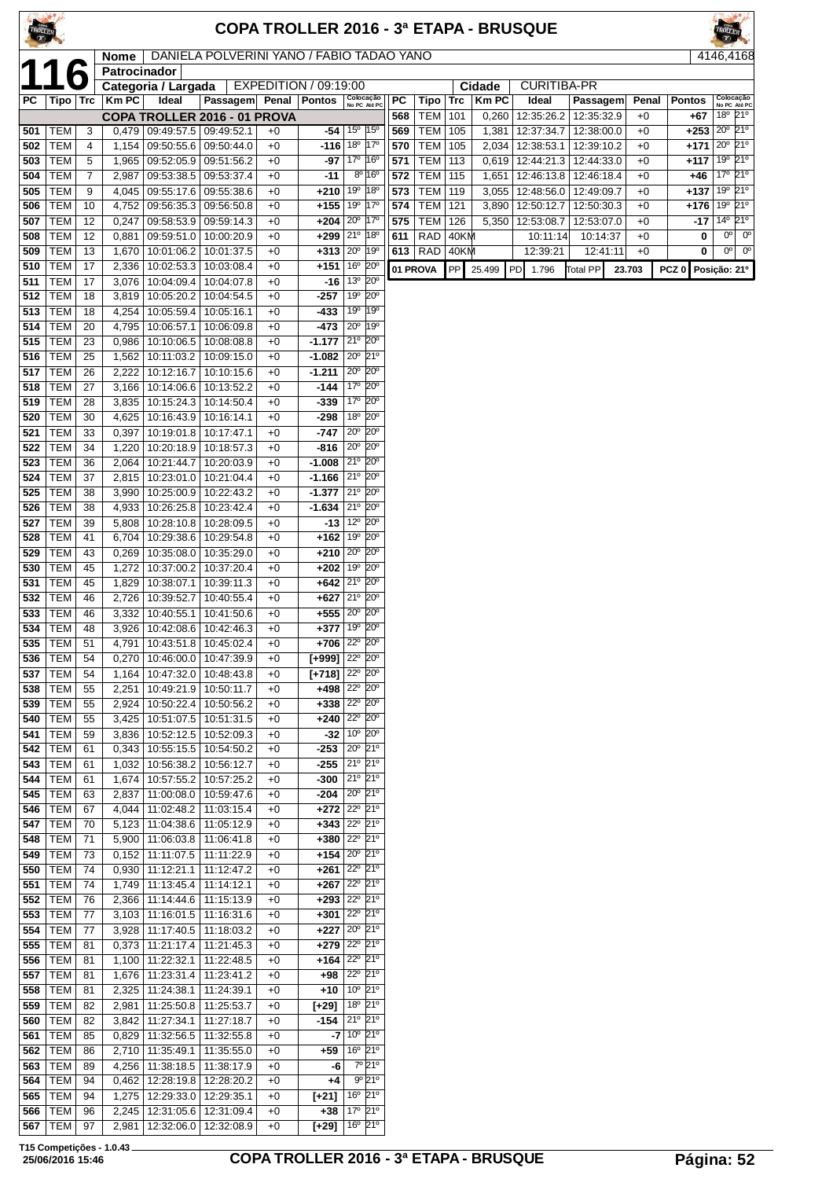| <b>TROLLE</b> |                          |                |                |                                                            |                                                    |              |                       |                                                                                  |            |                          |              |                | <b>COPA TROLLER 2016 - 3ª ETAPA - BRUSQUE</b> |                          |              |                  |                                                             |
|---------------|--------------------------|----------------|----------------|------------------------------------------------------------|----------------------------------------------------|--------------|-----------------------|----------------------------------------------------------------------------------|------------|--------------------------|--------------|----------------|-----------------------------------------------|--------------------------|--------------|------------------|-------------------------------------------------------------|
|               |                          |                | <b>Nome</b>    |                                                            | DANIELA POLVERINI YANO / FABIO TADAO YANO          |              |                       |                                                                                  |            |                          |              |                |                                               |                          |              |                  | 4146,4168                                                   |
|               |                          | b              | Patrocinador   | Categoria / Largada                                        |                                                    |              | EXPEDITION / 09:19:00 |                                                                                  |            |                          |              | Cidade         | <b>CURITIBA-PR</b>                            |                          |              |                  |                                                             |
| РC            | Tipo   Trc               |                | Km PC          | Ideal                                                      | Passagem                                           | Penal        | <b>Pontos</b>         | Colocação<br>No PC Até PC                                                        | РC         | Tipo                     | Trc          | <b>KmPC</b>    | Ideal                                         | Passagem                 | Penal        | <b>Pontos</b>    | Colocação<br>No PC Até PC                                   |
| 501           | TEM                      | 3              |                | $0,479$   09:49:57.5   09:49:52.1                          | COPA TROLLER 2016 - 01 PROVA                       | $+0$         | -54                   | 15 <sup>o</sup><br>$15^{\circ}$                                                  | 568<br>569 | <b>TEM</b><br><b>TEM</b> | 101<br>105   | 0,260<br>1,381 | 12:35:26.2<br>12:37:34.7                      | 12:35:32.9<br>12:38:00.0 | $+0$<br>$+0$ | $+67$<br>+253    | 18º 21º<br>20 <sup>o</sup><br>21°                           |
| 502           | <b>TEM</b>               | $\overline{4}$ | 1,154          | 09:50:55.6   09:50:44.0                                    |                                                    | $+0$         |                       | $-116$ 18 <sup>o</sup> 17 <sup>o</sup>                                           | 570        | <b>TEM</b>               | 105          |                | 2,034   12:38:53.1                            | 12:39:10.2               | $+0$         | $+171$ 20°       | $21^{\circ}$                                                |
| 503           | <b>TEM</b>               | 5              | 1,965          | 09:52:05.9 09:51:56.2                                      |                                                    | $+0$         |                       | $-97$ 17 <sup>°</sup> 16 <sup>°</sup>                                            | 571        | <b>TEM</b>               | 113          |                | $0,619$   12:44:21.3                          | 12:44:33.0               | $+0$         | +117             | 21°<br>19°                                                  |
| 504<br>505    | <b>TEM</b><br><b>TEM</b> | 7<br>9         | 2,987<br>4,045 | 09:55:17.6 09:55:38.6                                      | 09:53:38.5   09:53:37.4                            | $+0$<br>$+0$ | $-11$<br>$+210$       | $8^{\circ}$ 16 <sup>°</sup><br>19°<br>18°                                        | 572<br>573 | <b>TEM</b><br><b>TEM</b> | 115<br>119   | 1,651          | 12:46:13.8<br>3,055   12:48:56.0   12:49:09.7 | 12:46:18.4               | $+0$<br>$+0$ | +46<br>+137      | 17°<br>21°<br>21°<br>19°                                    |
| 506           | <b>TEM</b>               | 10             | 4,752          |                                                            | 09:56:35.3   09:56:50.8                            | $+0$         | $+155$                | 19 <sup>o</sup><br>17°                                                           | 574        | <b>TEM</b>               | 121          | 3,890          | 12:50:12.7                                    | 12:50:30.3               | $+0$         | +176             | 21°<br>19 <sup>o</sup>                                      |
| 507           | <b>TEM</b>               | 12             | 0,247          |                                                            | 09:58:53.9   09:59:14.3                            | $+0$         | $+204$ $20^{\circ}$   | $17^\circ$                                                                       | 575        | <b>TEM</b>               | 126          | 5,350          | 12:53:08.7                                    | 12:53:07.0               | $+0$         | -17              | 21°<br>$14^{\circ}$                                         |
| 508<br>509    | <b>TEM</b><br><b>TEM</b> | 12<br>13       | 0,881<br>1,670 | 09:59:51.0   10:00:20.9<br>10:01:06.2   10:01:37.5         |                                                    | $+0$<br>$+0$ | $+299$                | 21°<br>$ 18^{\circ}$<br>$+313 20° 19°$                                           | 611        | RAD<br>$613$ RAD         | 40KM<br>40KM |                | 10:11:14<br>12:39:21                          | 10:14:37<br>12:41:11     | $+0$<br>$+0$ | 0<br>0           | $0^{\circ}$<br>$0^{\circ}$<br>0 <sup>o</sup><br>$0^{\circ}$ |
| 510           | <b>TEM</b>               | 17             | 2,336          | 10:02:53.3                                                 | 10:03:08.4                                         | $+0$         | $+151$                | 16 <sup>o</sup><br>$20^{\circ}$                                                  |            | 01 PROVA                 | PP           | 25.499         | PD.<br>1.796                                  | <b>Total PP</b>          | 23.703       | PCZ <sub>0</sub> | Posição: 21º                                                |
| 511           | <b>TEM</b>               | 17             | 3,076          | 10:04:09.4   10:04:07.8                                    |                                                    | $+0$         | $-16$                 | 13° 20°                                                                          |            |                          |              |                |                                               |                          |              |                  |                                                             |
| 512           | <b>TEM</b>               | 18             | 3,819          | 10:05:20.2                                                 | 10:04:54.5                                         | $+0$         | -257                  | 19°<br>$20^{\circ}$<br>19 <sup>o</sup><br>19°                                    |            |                          |              |                |                                               |                          |              |                  |                                                             |
| 513<br>514    | <b>TEM</b><br><b>TEM</b> | 18<br>20       | 4,254<br>4,795 | 10:05:59.4   10:05:16.1<br>10:06:57.1                      | 10:06:09.8                                         | $+0$<br>$+0$ | -433<br>-473          | 20°<br>19°                                                                       |            |                          |              |                |                                               |                          |              |                  |                                                             |
| 515           | TEM                      | 23             | 0,986          | 10:10:06.5                                                 | 10:08:08.8                                         | $+0$         |                       | $-1.177$ 21 <sup>°</sup> 20 <sup>°</sup>                                         |            |                          |              |                |                                               |                          |              |                  |                                                             |
| 516           | <b>TEM</b>               | 25             | 1,562          | 10:11:03.2                                                 | 10:09:15.0                                         | $+0$         | $-1.082$              | $20^{\circ}$ 21°                                                                 |            |                          |              |                |                                               |                          |              |                  |                                                             |
| 517<br>518    | <b>TEM</b><br><b>TEM</b> | 26<br>27       | 2,222<br>3,166 | 10:14:06.6   10:13:52.2                                    | 10:12:16.7   10:10:15.6                            | $+0$<br>$+0$ | $-1.211$<br>-144      | $20^{\circ}$<br>$20^{\circ}$<br>17º 20°                                          |            |                          |              |                |                                               |                          |              |                  |                                                             |
| 519           | <b>TEM</b>               | 28             | 3,835          | 10:15:24.3                                                 | 10:14:50.4                                         | $+0$         | -339                  | 17º 20º                                                                          |            |                          |              |                |                                               |                          |              |                  |                                                             |
| 520           | <b>TEM</b>               | 30             | 4,625          | 10:16:43.9                                                 | 10:16:14.1                                         | $+0$         | -298                  | 18 <sup>o</sup> 20 <sup>o</sup>                                                  |            |                          |              |                |                                               |                          |              |                  |                                                             |
| 521<br>522    | <b>TEM</b><br><b>TEM</b> | 33<br>34       | 0,397<br>1,220 | 10:19:01.8<br>10:20:18.9   10:18:57.3                      | 10:17:47.1                                         | $+0$<br>$+0$ | $-747$<br>-816        | 20° 20°<br>$20^{\circ}$<br>$20^{\circ}$                                          |            |                          |              |                |                                               |                          |              |                  |                                                             |
| 523           | <b>TEM</b>               | 36             | 2,064          | 10:21:44.7                                                 | 10:20:03.9                                         | $+0$         |                       | $-1.008$ 21 <sup>°</sup> 20 <sup>°</sup>                                         |            |                          |              |                |                                               |                          |              |                  |                                                             |
| 524           | <b>TEM</b>               | 37             | 2,815          | 10:23:01.0   10:21:04.4                                    |                                                    | $+0$         |                       | $-1.166$ $21°$ $20°$                                                             |            |                          |              |                |                                               |                          |              |                  |                                                             |
| 525           | <b>TEM</b>               | 38             | 3,990          | 10:25:00.9                                                 | 10:22:43.2                                         | $+0$         | $-1.377$              | 21° 20°<br>$-1.634$ 21° 20°                                                      |            |                          |              |                |                                               |                          |              |                  |                                                             |
| 526<br>527    | <b>TEM</b><br><b>TEM</b> | 38<br>39       | 4,933<br>5,808 | 10:26:25.8<br>10:28:10.8   10:28:09.5                      | 10:23:42.4                                         | $+0$<br>$+0$ | -13                   | 12° 20°                                                                          |            |                          |              |                |                                               |                          |              |                  |                                                             |
| 528           | <b>TEM</b>               | 41             | 6,704          | 10:29:38.6                                                 | 10:29:54.8                                         | $+0$         | $+162$                | 19 <sup>°</sup> 20 <sup>°</sup>                                                  |            |                          |              |                |                                               |                          |              |                  |                                                             |
| 529           | <b>TEM</b>               | 43             | 0,269          | 10:35:08.0                                                 | 10:35:29.0                                         | $+0$         | $+210$                | $20^{\circ}$<br>$20^{\circ}$                                                     |            |                          |              |                |                                               |                          |              |                  |                                                             |
| 530<br>531    | TEM<br><b>TEM</b>        | 45<br>45       | 1,272<br>1,829 | 10:37:00.2<br>10:38:07.1   10:39:11.3                      | 10:37:20.4                                         | $+0$<br>$+0$ | $+202$                | 19 <sup>o</sup><br>$20^{\circ}$<br>$+642$ 21° 20°                                |            |                          |              |                |                                               |                          |              |                  |                                                             |
| 532           | <b>TEM</b>               | 46             | 2,726          | 10:39:52.7                                                 | 10:40:55.4                                         | $+0$         |                       | $+627$ 21° 20°                                                                   |            |                          |              |                |                                               |                          |              |                  |                                                             |
| 533           | <b>TEM</b>               | 46             | 3,332          | 10:40:55.1   10:41:50.6                                    |                                                    | $+0$         |                       | $+555$ 20° 20°                                                                   |            |                          |              |                |                                               |                          |              |                  |                                                             |
| 534<br>535    | <b>TEM</b><br>TEM        | 48<br>51       | 4,791          | 3,926   10:42:08.6   10:42:46.3<br>10:43:51.8   10:45:02.4 |                                                    | $+0$<br>$+0$ | $+706$ $22^\circ$     | +377 19° 20°<br>$20^{\circ}$                                                     |            |                          |              |                |                                               |                          |              |                  |                                                             |
| 536           | TEM                      | 54             |                | $0,270$   10:46:00.0   10:47:39.9                          |                                                    | $+0$         |                       | $[+999]$ 22° 20°                                                                 |            |                          |              |                |                                               |                          |              |                  |                                                             |
| 537           | <b>TEM</b>               | 54             | 1,164          | 10:47:32.0   10:48:43.8                                    |                                                    | $+0$         |                       | $[+718]$ $22^{\circ}$ $20^{\circ}$                                               |            |                          |              |                |                                               |                          |              |                  |                                                             |
| 538           | TEM<br>TEM               | 55             | 2,251          | 10:49:21.9   10:50:11.7                                    |                                                    | $+0$         |                       | $+498$ $22°$ $20°$<br>$+338 22° 20°$                                             |            |                          |              |                |                                               |                          |              |                  |                                                             |
| 539<br>540    | TEM                      | 55<br>55       | 2,924<br>3,425 |                                                            | 10:50:22.4   10:50:56.2<br>10:51:07.5   10:51:31.5 | $+0$<br>$+0$ | +240                  | 22° 20°                                                                          |            |                          |              |                |                                               |                          |              |                  |                                                             |
| 541           | TEM                      | 59             | 3,836          |                                                            | 10:52:12.5   10:52:09.3                            | $+0$         |                       | $-32$ 10 <sup>o</sup> 20 <sup>o</sup>                                            |            |                          |              |                |                                               |                          |              |                  |                                                             |
| 542           | TEM                      | 61             | 0,343          |                                                            | 10:55:15.5   10:54:50.2                            | $+0$         | $-253$                | $20^{\circ}$ 21°                                                                 |            |                          |              |                |                                               |                          |              |                  |                                                             |
| 543<br>544    | TEM  <br>TEM             | 61<br>61       | 1,032<br>1,674 | 10:56:38.2   10:56:12.7<br>10:57:55.2   10:57:25.2         |                                                    | $+0$<br>$+0$ |                       | $-255$ 21 <sup>0</sup> 21 <sup>0</sup><br>$-300$ 21 <sup>0</sup> 21 <sup>0</sup> |            |                          |              |                |                                               |                          |              |                  |                                                             |
| 545           | TEM                      | 63             | 2,837          | 11:00:08.0                                                 | 10:59:47.6                                         | $+0$         | $-204$                | $20^{\circ}$ 21°                                                                 |            |                          |              |                |                                               |                          |              |                  |                                                             |
| 546           | TEM                      | 67             |                | 4,044   11:02:48.2   11:03:15.4                            |                                                    | $+0$         |                       | $+272$ $22^{\circ}$ $21^{\circ}$                                                 |            |                          |              |                |                                               |                          |              |                  |                                                             |
| 547<br>548    | TEM<br>TEM               | 70<br>71       | 5,900          | 5,123   11:04:38.6   11:05:12.9<br>11:06:03.8              | 11:06:41.8                                         | $+0$<br>$+0$ |                       | $+343$ $22^{\circ}$ $21^{\circ}$<br>$+380$ $22^{\circ}$ $21^{\circ}$             |            |                          |              |                |                                               |                          |              |                  |                                                             |
| 549           | TEM                      | 73             |                | $0,152$   11:11:07.5   11:11:22.9                          |                                                    | $+0$         |                       | $+154$ 20° 21°                                                                   |            |                          |              |                |                                               |                          |              |                  |                                                             |
| 550           | <b>TEM</b>               | 74             | 0,930          | 11:12:21.1                                                 | 11:12:47.2                                         | $+0$         | +261                  | $22^{\circ}$ 21°                                                                 |            |                          |              |                |                                               |                          |              |                  |                                                             |
| 551<br>552    | <b>TEM</b><br><b>TEM</b> | 74<br>76       | 1,749<br>2,366 | $11:13:45.4$   $11:14:12.1$<br>11:14:44.6                  | 11:15:13.9                                         | $+0$<br>$+0$ |                       | $+267$ 22° 21°<br>$+293$ $22^{\circ}$ $21^{\circ}$                               |            |                          |              |                |                                               |                          |              |                  |                                                             |
| 553           | <b>TEM</b>               | 77             |                | $3,103$   11:16:01.5   11:16:31.6                          |                                                    | $+0$         |                       | $+301$ 22° 21°                                                                   |            |                          |              |                |                                               |                          |              |                  |                                                             |
| 554           | TEM                      | 77             | 3,928          | 11:17:40.5   11:18:03.2                                    |                                                    | $+0$         |                       | +227 20° $21^\circ$                                                              |            |                          |              |                |                                               |                          |              |                  |                                                             |
| 555           | TEM                      | 81             | 0,373          | 11:21:17.4   11:21:45.3                                    |                                                    | $+0$         |                       | $+279$ 22° 21°<br>$+164$ 22° 21°                                                 |            |                          |              |                |                                               |                          |              |                  |                                                             |
| 556<br>557    | TEM  <br>TEM             | 81<br>81       | 1,676          | 1,100   11:22:32.1   11:22:48.5<br>11:23:31.4              | 11:23:41.2                                         | $+0$<br>$+0$ |                       | $+98$ 22 <sup>°</sup> 21 <sup>°</sup>                                            |            |                          |              |                |                                               |                          |              |                  |                                                             |
| 558           | TEM                      | 81             | 2,325          | 11:24:38.1                                                 | 11:24:39.1                                         | $+0$         |                       | $+10$ 10 <sup>°</sup> 21 <sup>°</sup>                                            |            |                          |              |                |                                               |                          |              |                  |                                                             |
| 559           | TEM                      | 82             | 2,981          | 11:25:50.8                                                 | 11:25:53.7                                         | $+0$         | $[-29]$               | $18^{\circ}$ 21 $^{\circ}$                                                       |            |                          |              |                |                                               |                          |              |                  |                                                             |
| 560<br>561    | <b>TEM</b><br>TEM        | 82<br>85       | 3,842<br>0,829 | 11:27:34.1<br>11:32:56.5   11:32:55.8                      | 11:27:18.7                                         | $+0$<br>$+0$ | -154                  | $21^{\circ}$ 21°<br>$-7$ 10 $^{\circ}$ 21 $^{\circ}$                             |            |                          |              |                |                                               |                          |              |                  |                                                             |
| 562           | TEM                      | 86             | 2,710          | 11:35:49.1   11:35:55.0                                    |                                                    | $+0$         | +59                   | $16^{\circ}$ 21°                                                                 |            |                          |              |                |                                               |                          |              |                  |                                                             |
| 563           | TEM                      | 89             | 4,256          | 11:38:18.5                                                 | 11:38:17.9                                         | $+0$         | -6                    | 7°21°                                                                            |            |                          |              |                |                                               |                          |              |                  |                                                             |
| 564<br>565    | TEM<br><b>TEM</b>        | 94<br>94       | 0,462<br>1,275 | 12:28:19.8   12:28:20.2<br>12:29:33.0   12:29:35.1         |                                                    | $+0$<br>$+0$ | $+4$<br>$[+21]$       | $9^{\circ} 21^{\circ}$<br>16 <sup>o</sup> 21 <sup>o</sup>                        |            |                          |              |                |                                               |                          |              |                  |                                                             |
| 566           | TEM                      | 96             |                | 2,245   12:31:05.6   12:31:09.4                            |                                                    | $+0$         |                       | $+38$ 17 <sup>0</sup> 21 <sup>0</sup>                                            |            |                          |              |                |                                               |                          |              |                  |                                                             |

TEM 97 2,981 12:32:06.0 12:32:08.9 +0 **[+29]** 16º 21º

## **25/06/2016 15:46 COPA TROLLER 2016 - 3ª ETAPA - BRUSQUE Página: 52**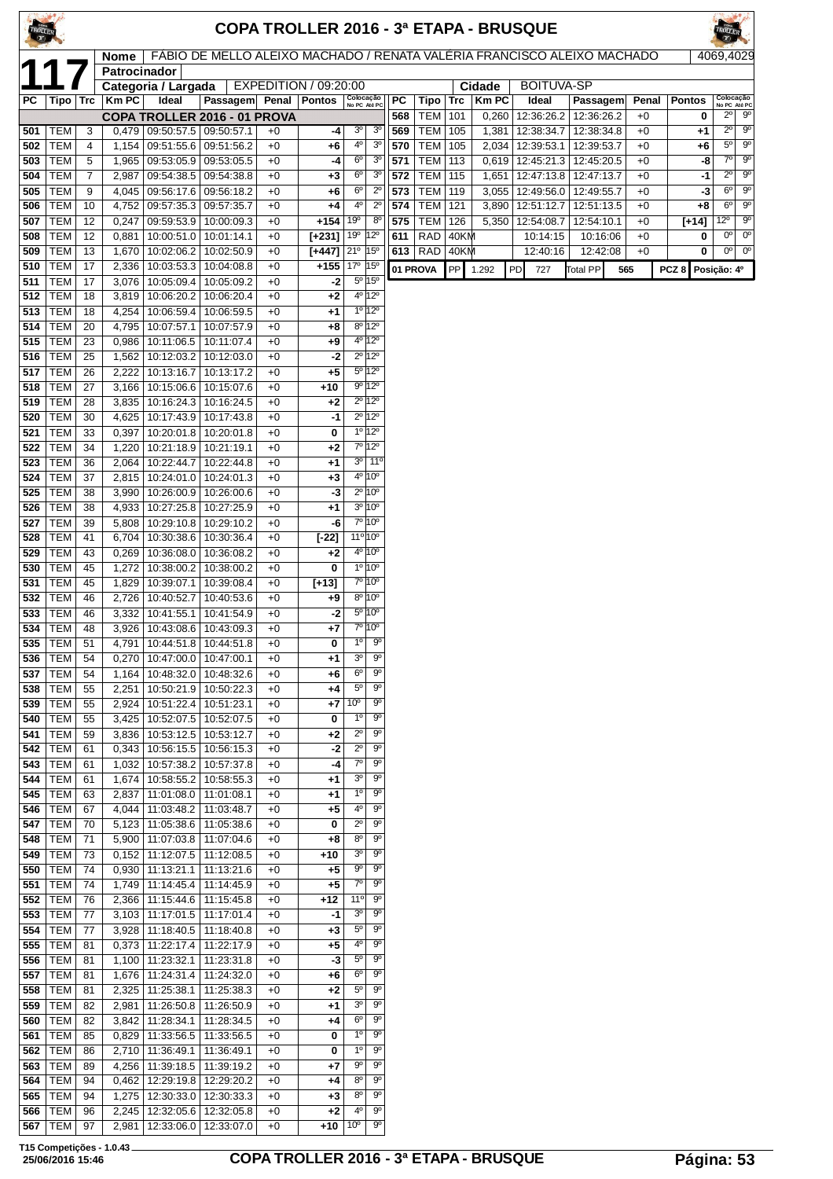|            |                          |                |                |                                                            |                                                                         |              |                                          |                                |                                                          |            |                          |            |                | <b>COPA TROLLER 2016 - 3ª ETAPA - BRUSQUE</b> |                 |              |                  |                               |                            |
|------------|--------------------------|----------------|----------------|------------------------------------------------------------|-------------------------------------------------------------------------|--------------|------------------------------------------|--------------------------------|----------------------------------------------------------|------------|--------------------------|------------|----------------|-----------------------------------------------|-----------------|--------------|------------------|-------------------------------|----------------------------|
|            |                          |                | <b>Nome</b>    |                                                            | FÁBIO DE MELLO ALEIXO MACHADO / RENATA VALÉRIA FRANCISCO ALEIXO MACHADO |              |                                          |                                |                                                          |            |                          |            |                |                                               |                 |              |                  | 4069,4029                     |                            |
|            |                          |                | Patrocinador   | Categoria / Largada                                        |                                                                         |              | EXPEDITION / 09:20:00                    |                                |                                                          |            |                          |            | Cidade         | <b>BOITUVA-SP</b>                             |                 |              |                  |                               |                            |
| PC.        | Tipo                     | <b>Trc</b>     | <b>KmPC</b>    | Ideal                                                      | Passagem                                                                | Penal        | <b>Pontos</b>                            |                                | Colocação<br>No PC Até PC                                | PC         | Tipo                     | <b>Trc</b> | <b>KmPC</b>    | Ideal                                         | Passagem        | Penal        | <b>Pontos</b>    | Colocação<br>No PC Até PC     |                            |
| 501        |                          | 3              |                | 09:50:57.5 09:50:57.1                                      | COPA TROLLER 2016 - 01 PROVA                                            | $+0$         |                                          | 3 <sup>o</sup>                 | 3 <sup>o</sup>                                           | 568<br>569 | TEM<br><b>TEM</b>        | 101<br>105 | 0,260<br>1,381 | 12:36:26.2   12:36:26.2<br>12:38:34.7         | 12:38:34.8      | $+0$<br>$+0$ | 0                | $2^{\circ}$<br>$2^{\circ}$    | 90<br>90                   |
| 502        | TEM<br>TEM               | 4              | 0,479<br>1,154 | 09:51:55.6   09:51:56.2                                    |                                                                         | $+0$         | -4<br>$+6$                               | 4 <sup>0</sup>                 | 3 <sup>o</sup>                                           | 570        | <b>TEM</b>               | 105        | 2,034          | 12:39:53.1   12:39:53.7                       |                 | $+0$         | +1<br>+6         | $5^{\circ}$                   | $9^{\circ}$                |
| 503        | <b>TEM</b>               | 5              | 1,965          | 09:53:05.9 09:53:05.5                                      |                                                                         | $+0$         | -4                                       | 6 <sup>o</sup>                 | 3 <sup>o</sup>                                           | 571        | <b>TEM</b>               | 113        | 0,619          | 12:45:21.3   12:45:20.5                       |                 | $+0$         | -8               | $7^\circ$                     | $9^{\circ}$                |
| 504        | <b>TEM</b>               | $\overline{7}$ | 2,987          | 09:54:38.5   09:54:38.8                                    |                                                                         | $+0$         | $+3$                                     | $6^{\circ}$                    | 3 <sup>o</sup>                                           | 572        | <b>TEM</b>               | 115        | 1,651          | 12:47:13.8   12:47:13.7                       |                 | $+0$         | -1               | $2^{\circ}$                   | $9^{\circ}$                |
| 505<br>506 | <b>TEM</b><br><b>TEM</b> | 9<br>10        | 4,045<br>4,752 | 09:56:17.6 09:56:18.2<br>09:57:35.3                        | 09:57:35.7                                                              | $+0$<br>$+0$ | +6<br>+4                                 | 6 <sup>o</sup><br>4º           | $2^{\circ}$<br>$2^{\circ}$                               | 573<br>574 | <b>TEM</b><br><b>TEM</b> | 119<br>121 | 3,055<br>3,890 | 12:49:56.0   12:49:55.7<br>12:51:12.7         | 12:51:13.5      | $+0$<br>$+0$ | -3<br>+8         | 6 <sup>o</sup><br>$6^{\circ}$ | $9^{\circ}$<br>$9^{\circ}$ |
| 507        | TEM                      | 12             | 0,247          | 09:59:53.9   10:00:09.3                                    |                                                                         | $+0$         | $+154$                                   | 19°                            | $8^{\circ}$                                              | 575        | <b>TEM</b>               | 126        | 5,350          | 12:54:08.7                                    | 12:54:10.1      | $+0$         | $[+14]$          | $12^{\circ}$                  | $9^{\circ}$                |
| 508        | <b>TEM</b>               | 12             | 0,881          | 10:00:51.0                                                 | 10:01:14.1                                                              | $+0$         | $[+231]$                                 | 19 <sup>o</sup>                | $12^{\circ}$                                             | 611        | <b>RAD</b>               | 40KM       |                | 10:14:15                                      | 10:16:06        | $+0$         | 0                | $0^{\circ}$                   | $0^{\circ}$                |
| 509        | TEM                      | 13             | 1,670          | 10:02:06.2                                                 | 10:02:50.9                                                              | $+0$         | $[+447]$ 21 <sup>o</sup> 15 <sup>o</sup> |                                |                                                          |            | 613   $RAD$              | 40KM       |                | 12:40:16                                      | 12:42:08        | $+0$         | 0                |                               | $00$ 0 <sup>o</sup>        |
| 510<br>511 | <b>TEM</b><br><b>TEM</b> | 17<br>17       | 2,336<br>3,076 | 10:03:53.3<br>10:05:09.4                                   | 10:04:08.8<br>10:05:09.2                                                | $+0$<br>$+0$ | $+155$<br>-2                             | 17º 15º                        | 5º 15°                                                   |            | 01 PROVA                 | PP         | 1.292          | PD<br>727                                     | <b>Total PP</b> | 565          | PCZ <sub>8</sub> | Posição: 4º                   |                            |
| 512        | <b>TEM</b>               | 18             | 3,819          | 10:06:20.2                                                 | 10:06:20.4                                                              | $+0$         | $+2$                                     |                                | 4º 12º                                                   |            |                          |            |                |                                               |                 |              |                  |                               |                            |
| 513        | <b>TEM</b>               | 18             | 4,254          | 10:06:59.4                                                 | 10:06:59.5                                                              | $+0$         | $+1$                                     |                                | $1^{\circ}$ 12°                                          |            |                          |            |                |                                               |                 |              |                  |                               |                            |
| 514        | TEM                      | 20             | 4,795          | 10:07:57.1                                                 | 10:07:57.9                                                              | $+0$         | +8                                       |                                | $8^{\circ}$ 12°<br>4º 12º                                |            |                          |            |                |                                               |                 |              |                  |                               |                            |
| 515<br>516 | <b>TEM</b><br><b>TEM</b> | 23<br>25       | 0,986<br>1,562 | 10:11:06.5<br>10:12:03.2                                   | 10:11:07.4<br>10:12:03.0                                                | $+0$<br>$+0$ | +9<br>-2                                 |                                | $2^{\circ}$ 12°                                          |            |                          |            |                |                                               |                 |              |                  |                               |                            |
| 517        | <b>TEM</b>               | 26             | 2,222          | 10:13:16.7                                                 | 10:13:17.2                                                              | $+0$         | $+5$                                     |                                | 5º 12º                                                   |            |                          |            |                |                                               |                 |              |                  |                               |                            |
| 518        | <b>TEM</b>               | 27             | 3,166          | 10:15:06.6                                                 | 10:15:07.6                                                              | $+0$         | $+10$                                    |                                | $9^{\circ}$ 12°                                          |            |                          |            |                |                                               |                 |              |                  |                               |                            |
| 519        | <b>TEM</b>               | 28             | 3.835          | 10:16:24.3                                                 | 10:16:24.5                                                              | $+0$         | $+2$<br>-1                               |                                | $2^{\circ}$ 12°<br>$2^{\circ}$ 12°                       |            |                          |            |                |                                               |                 |              |                  |                               |                            |
| 520<br>521 | <b>TEM</b><br><b>TEM</b> | 30<br>33       | 4,625<br>0,397 | 10:17:43.9<br>10:20:01.8                                   | 10:17:43.8<br>10:20:01.8                                                | $+0$<br>$+0$ | 0                                        |                                | $1^{\circ}$ 12°                                          |            |                          |            |                |                                               |                 |              |                  |                               |                            |
| 522        | <b>TEM</b>               | 34             | 1,220          | 10:21:18.9                                                 | 10:21:19.1                                                              | $+0$         | $+2$                                     |                                | $7^{\circ}$ 12°                                          |            |                          |            |                |                                               |                 |              |                  |                               |                            |
| 523        | <b>TEM</b>               | 36             | 2,064          | 10:22:44.7                                                 | 10:22:44.8                                                              | $+0$         | $+1$                                     |                                | $3^0$ 11 <sup>o</sup>                                    |            |                          |            |                |                                               |                 |              |                  |                               |                            |
| 524<br>525 | <b>TEM</b><br><b>TEM</b> | 37<br>38       | 2,815<br>3,990 | 10:24:01.0<br>10:26:00.9                                   | 10:24:01.3<br>10:26:00.6                                                | $+0$<br>$+0$ | $+3$<br>-3                               |                                | $4^{\circ}$ 10 <sup>°</sup><br>$2^{\circ}$ 10 $^{\circ}$ |            |                          |            |                |                                               |                 |              |                  |                               |                            |
| 526        | <b>TEM</b>               | 38             | 4,933          | 10:27:25.8                                                 | 10:27:25.9                                                              | $+0$         | $+1$                                     |                                | $3^{\circ}$ 10 $^{\circ}$                                |            |                          |            |                |                                               |                 |              |                  |                               |                            |
| 527        | <b>TEM</b>               | 39             | 5,808          | 10:29:10.8                                                 | 10:29:10.2                                                              | $+0$         | -6                                       |                                | 7º 10º                                                   |            |                          |            |                |                                               |                 |              |                  |                               |                            |
| 528        | <b>TEM</b>               | 41             | 6,704          | 10:30:38.6                                                 | 10:30:36.4                                                              | $+0$         | $[-22]$                                  |                                | $11^{\circ} 10^{\circ}$<br>$4^{\circ}$ 10 <sup>°</sup>   |            |                          |            |                |                                               |                 |              |                  |                               |                            |
| 529<br>530 | TEM<br><b>TEM</b>        | 43<br>45       | 0,269<br>1,272 | 10:36:08.0<br>10:38:00.2                                   | 10:36:08.2<br>10:38:00.2                                                | $+0$<br>$+0$ | +2<br>0                                  |                                | $10 10^{\circ}$                                          |            |                          |            |                |                                               |                 |              |                  |                               |                            |
| 531        | TEM                      | 45             | 1,829          | 10:39:07.1                                                 | 10:39:08.4                                                              | $+0$         | $[+13]$                                  |                                | $7°$ 10 $°$                                              |            |                          |            |                |                                               |                 |              |                  |                               |                            |
| 532        | <b>TEM</b>               | 46             | 2,726          | 10:40:52.7                                                 | 10:40:53.6                                                              | $+0$         | +9                                       |                                | $8^{\circ}$ 10 $^{\circ}$                                |            |                          |            |                |                                               |                 |              |                  |                               |                            |
| 533<br>534 | TEM<br>TEM               | 46<br>48       | 3,332          | 10:41:55.1                                                 | 10:41:54.9                                                              | $+0$<br>$+0$ | -2<br>$+7$                               |                                | 5º 10°<br>7°10°                                          |            |                          |            |                |                                               |                 |              |                  |                               |                            |
| 535        | TEM                      | 51             | 3,926          | 10:43:08.6<br>4,791   10:44:51.8   10:44:51.8              | 10:43:09.3                                                              | $+0$         | 0                                        | $1^{\circ}$                    | a.                                                       |            |                          |            |                |                                               |                 |              |                  |                               |                            |
| 536        | TEM                      | 54             |                | $0,270$   10:47:00.0   10:47:00.1                          |                                                                         | $+0$         | $+1$                                     | 3 <sup>o</sup>                 | $9^\circ$                                                |            |                          |            |                |                                               |                 |              |                  |                               |                            |
| 537        | <b>TEM</b>               | 54             | 1,164          |                                                            | 10:48:32.0   10:48:32.6                                                 | $+0$         | $+6$                                     | $6^{\circ}$                    | $9^{\circ}$                                              |            |                          |            |                |                                               |                 |              |                  |                               |                            |
| 538<br>539 | <b>TEM</b><br>TEM        | 55<br>55       | 2,251<br>2,924 | 10:50:21.9 10:50:22.3<br>10:51:22.4                        | 10:51:23.1                                                              | $+0$<br>$+0$ | $+4$<br>$+7$                             | $5^{\circ}$<br>10 <sup>o</sup> | $9^{\circ}$<br>$9^{\circ}$                               |            |                          |            |                |                                               |                 |              |                  |                               |                            |
| 540        | <b>TEM</b>               | 55             | 3,425          | 10:52:07.5                                                 | 10:52:07.5                                                              | $+0$         | 0                                        | $1^{\circ}$                    | $9^{\circ}$                                              |            |                          |            |                |                                               |                 |              |                  |                               |                            |
| 541        | TEM                      | 59             | 3,836          | 10:53:12.5   10:53:12.7                                    |                                                                         | $+0$         | $+2$                                     | $2^{\circ}$                    | $9^{\circ}$                                              |            |                          |            |                |                                               |                 |              |                  |                               |                            |
| 542        | TEM                      | 61             | 0,343          | 10:56:15.5   10:56:15.3                                    |                                                                         | $+0$         | -2                                       | $2^{\circ}$<br>$7^\circ$       | 90<br>$9^{\circ}$                                        |            |                          |            |                |                                               |                 |              |                  |                               |                            |
| 543<br>544 | TEM<br>TEM               | 61<br>61       | 1,032<br>1,674 | 10:57:38.2<br>10:58:55.2                                   | 10:57:37.8<br>10:58:55.3                                                | $+0$<br>$+0$ | -4<br>$+1$                               | 3 <sup>0</sup>                 | 90                                                       |            |                          |            |                |                                               |                 |              |                  |                               |                            |
| 545        | <b>TEM</b>               | 63             | 2,837          | 11:01:08.0                                                 | 11:01:08.1                                                              | $+0$         | $+1$                                     | $1^{\circ}$                    | $9^{\circ}$                                              |            |                          |            |                |                                               |                 |              |                  |                               |                            |
| 546        | TEM                      | 67             |                | 4,044   11:03:48.2                                         | 11:03:48.7                                                              | $+0$         | +5                                       | $4^{\circ}$                    | $9^{\circ}$                                              |            |                          |            |                |                                               |                 |              |                  |                               |                            |
| 547<br>548 | TEM<br>TEM               | 70<br>71       | 5,123          | 11:05:38.6<br>5,900   11:07:03.8                           | 11:05:38.6<br>11:07:04.6                                                | $+0$<br>$+0$ | 0<br>+8                                  | $2^{\circ}$<br>$8^{\circ}$     | $9^{\circ}$<br>$9^{\circ}$                               |            |                          |            |                |                                               |                 |              |                  |                               |                            |
| 549        | TEM                      | 73             | 0,152          | 11:12:07.5                                                 | 11:12:08.5                                                              | $+0$         | +10                                      | 3 <sup>o</sup>                 | 90                                                       |            |                          |            |                |                                               |                 |              |                  |                               |                            |
| 550        | <b>TEM</b>               | 74             | 0,930          | 11:13:21.1                                                 | 11:13:21.6                                                              | $+0$         | +5                                       | $9^{\circ}$                    | $9^{\circ}$                                              |            |                          |            |                |                                               |                 |              |                  |                               |                            |
| 551        | TEM                      | 74             |                | 1,749   11:14:45.4                                         | 11:14:45.9                                                              | $+0$         | $+5$                                     | $7^\circ$                      | $9^{\circ}$                                              |            |                          |            |                |                                               |                 |              |                  |                               |                            |
| 552<br>553 | <b>TEM</b><br><b>TEM</b> | 76<br>77       | 2,366          | 11:15:44.6<br>3,103   11:17:01.5                           | 11:15:45.8<br>11:17:01.4                                                | $+0$<br>$+0$ | +12<br>-1                                | 11°<br>3 <sup>o</sup>          | $9^{\circ}$<br>$9^{\circ}$                               |            |                          |            |                |                                               |                 |              |                  |                               |                            |
| 554        | <b>TEM</b>               | 77             | 3,928          | 11:18:40.5                                                 | 11:18:40.8                                                              | $+0$         | $+3$                                     | $5^{\circ}$                    | $9^{\circ}$                                              |            |                          |            |                |                                               |                 |              |                  |                               |                            |
| 555        | <b>TEM</b>               | 81             | 0,373          | 11:22:17.4                                                 | 11:22:17.9                                                              | $+0$         | +5                                       | 40                             | 90                                                       |            |                          |            |                |                                               |                 |              |                  |                               |                            |
| 556<br>557 | TEM<br>TEM               | 81             |                | 1,100 11:23:32.1<br>11:24:31.4                             | 11:23:31.8<br>11:24:32.0                                                | $+0$<br>$+0$ | -3                                       | $5^{\circ}$<br>$6^{\circ}$     | $9^{\circ}$<br>$9^{\circ}$                               |            |                          |            |                |                                               |                 |              |                  |                               |                            |
| 558        | TEM                      | 81<br>81       | 1,676<br>2,325 | 11:25:38.1                                                 | 11:25:38.3                                                              | $+0$         | +6<br>$+2$                               | $5^{\circ}$                    | $9^{\circ}$                                              |            |                          |            |                |                                               |                 |              |                  |                               |                            |
| 559        | <b>TEM</b>               | 82             | 2,981          | 11:26:50.8                                                 | 11:26:50.9                                                              | $+0$         | $+1$                                     | 3 <sup>o</sup>                 | 90                                                       |            |                          |            |                |                                               |                 |              |                  |                               |                            |
| 560        | <b>TEM</b>               | 82             | 3,842          | 11:28:34.1                                                 | 11:28:34.5                                                              | $+0$         | $+4$                                     | $6^{\circ}$                    | $9^{\circ}$                                              |            |                          |            |                |                                               |                 |              |                  |                               |                            |
| 561        | <b>TEM</b><br><b>TEM</b> | 85             | 0,829          | 11:33:56.5<br>11:36:49.1                                   | 11:33:56.5<br>11:36:49.1                                                | $+0$         | 0<br>0                                   | $1^{\circ}$<br>$1^{\circ}$     | 90<br>$9^{\circ}$                                        |            |                          |            |                |                                               |                 |              |                  |                               |                            |
| 562<br>563 | TEM                      | 86<br>89       | 2,710<br>4,256 | 11:39:18.5                                                 | 11:39:19.2                                                              | $+0$<br>$+0$ | +7                                       | $9^{\circ}$                    | 90                                                       |            |                          |            |                |                                               |                 |              |                  |                               |                            |
| 564        | <b>TEM</b>               | 94             | 0,462          | 12:29:19.8                                                 | 12:29:20.2                                                              | $+0$         | +4                                       | 80                             | 90                                                       |            |                          |            |                |                                               |                 |              |                  |                               |                            |
| 565        | <b>TEM</b>               | 94             | 1,275          | 12:30:33.0                                                 | 12:30:33.3                                                              | $+0$         | $+3$                                     | 8 <sup>o</sup>                 | $9^{\circ}$                                              |            |                          |            |                |                                               |                 |              |                  |                               |                            |
| 566        | TEM<br>567   TEM $ $     | 96<br>97       | 2,245          | 12:32:05.6   12:32:05.8<br>2,981   12:33:06.0   12:33:07.0 |                                                                         | $+0$<br>$+0$ | $+2$<br>$+10$ 10°                        | 4 <sup>0</sup>                 | $9^{\circ}$<br>$9^{\circ}$                               |            |                          |            |                |                                               |                 |              |                  |                               |                            |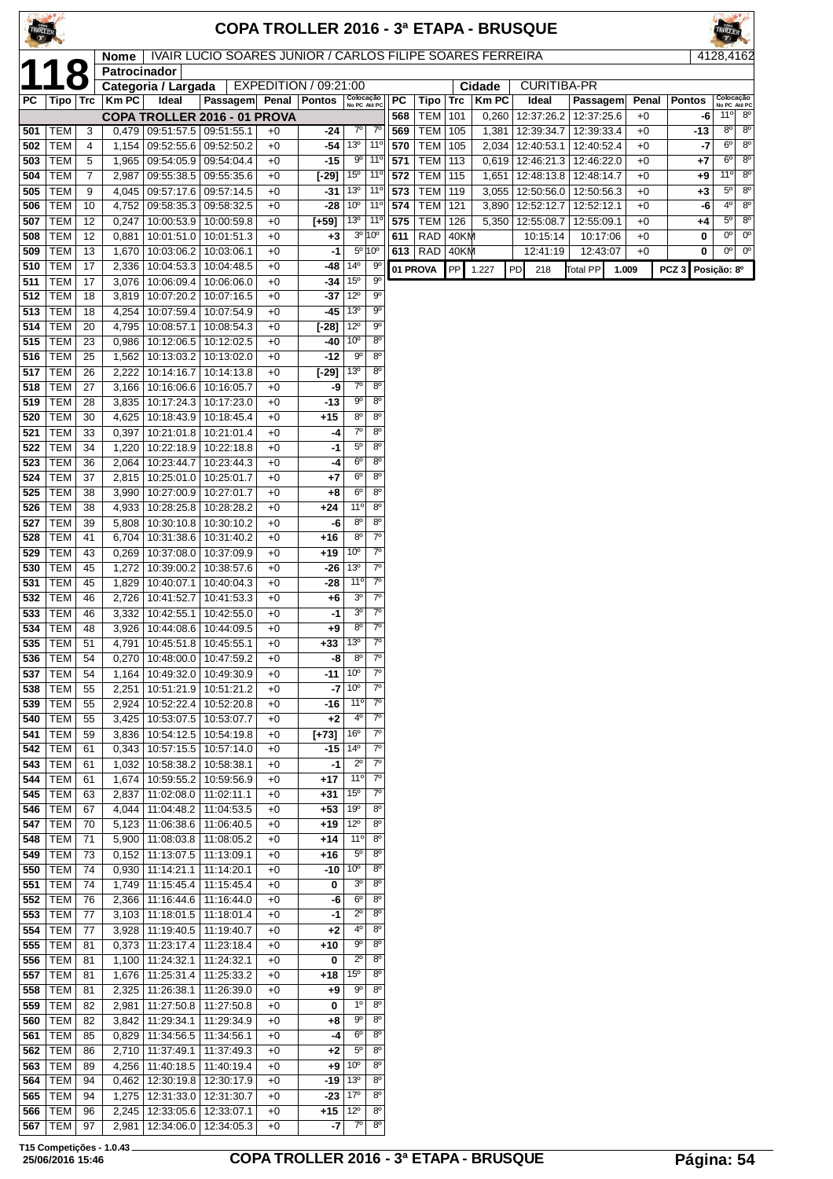| TROLLER    |                          |                     |                |                                                            |                                                           |              |                         |                                    |                                  |            |                                    |      |                | <b>COPA TROLLER 2016 - 3ª ETAPA - BRUSQUE</b>           |                          |               |                                      |                               |                            |
|------------|--------------------------|---------------------|----------------|------------------------------------------------------------|-----------------------------------------------------------|--------------|-------------------------|------------------------------------|----------------------------------|------------|------------------------------------|------|----------------|---------------------------------------------------------|--------------------------|---------------|--------------------------------------|-------------------------------|----------------------------|
|            |                          | $\bullet$           | <b>Nome</b>    |                                                            | IVAIR LUCIO SOARES JUNIOR / CARLOS FILIPE SOARES FERREIRA |              |                         |                                    |                                  |            |                                    |      |                |                                                         |                          |               |                                      | 4128,4162                     |                            |
|            |                          | $\bullet$           | Patrocinador   | Categoria / Largada                                        |                                                           |              | EXPEDITION / 09:21:00   |                                    |                                  |            |                                    |      | Cidade         | <b>CURITIBA-PR</b>                                      |                          |               |                                      |                               |                            |
| PC         | Tipo   Trc               |                     | <b>KmPC</b>    | Ideal                                                      | Passagem Penal Pontos                                     |              |                         | Colocação<br>No PC Até PC          |                                  | <b>PC</b>  | Tipo                               | Trc  | <b>KmPC</b>    | Ideal                                                   | Passagem                 | Penal         | <b>Pontos</b>                        | Colocação<br>No PC Até PC     |                            |
| 501        | <b>TEM</b>               | 3                   | 0,479          | 09:51:57.5                                                 | COPA TROLLER 2016 - 01 PROVA<br>09:51:55.1                | $+0$         | -24                     | $7^\circ$                          | $7^\circ$                        | 568<br>569 | <b>TEM 101</b><br><b>TEM 105</b>   |      | 0,260<br>1,381 | 12:37:26.2<br>12:39:34.7                                | 12:37:25.6<br>12:39:33.4 | $+0$<br>$+0$  | -6<br>$-13$                          | 11°<br>$8^{\circ}$            | $8^{\circ}$<br>$8^{\circ}$ |
| 502        | <b>TEM</b>               | $\overline{4}$      | 1,154          | 09:52:55.6                                                 | 09:52:50.2                                                | $+0$         | -54                     | 13 <sup>0</sup>                    | $11^{\circ}$                     | 570        | TEM                                | 105  |                | 2,034   12:40:53.1                                      | 12:40:52.4               | $+0$          | -7                                   | $6^{\circ}$                   | $8^{\circ}$                |
| 503        | <b>TEM</b>               | 5                   | 1,965          | 09:54:05.9                                                 | 09:54:04.4                                                | $+0$         | -15                     | 90                                 | $11^{\circ}$                     | 571        | TEM                                | 113  |                | $0,619$   12:46:21.3                                    | 12:46:22.0               | $+0$          | +7                                   | 6 <sup>o</sup>                | $8^{\circ}$                |
| 504        | <b>TEM</b><br><b>TEM</b> | $\overline{7}$<br>9 | 2,987          | 09:55:38.5   09:55:35.6<br>09:57:17.6 09:57:14.5           |                                                           | $+0$<br>$+0$ | [-29]<br>-31            | 15 <sup>0</sup><br>13 <sup>o</sup> | 11°<br>$11^{\circ}$              | 572<br>573 | <b>TEM   115</b><br><b>TEM 119</b> |      |                | 1,651   12:48:13.8   12:48:14.7<br>$3,055$   12:50:56.0 | 12:50:56.3               | $+0$<br>$+0$  | +9                                   | 11°<br>$5^{\circ}$            | $8^{\circ}$<br>$8^{\circ}$ |
| 505<br>506 | <b>TEM</b>               | 10                  | 4,045<br>4,752 | 09:58:35.3                                                 | 09:58:32.5                                                | $+0$         | -28                     | 10 <sup>o</sup>                    | 11 <sup>0</sup>                  | 574        | TEM                                | 121  | 3,890          | 12:52:12.7                                              | 12:52:12.1               | $+0$          | +3<br>-6                             | $4^{\circ}$                   | $8^{\circ}$                |
| 507        | <b>TEM</b>               | 12                  | 0,247          |                                                            | 10:00:53.9   10:00:59.8                                   | $+0$         | $[-59]$                 | 13 <sup>o</sup>                    | $11^{\circ}$                     | 575        | TEM                                | 126  |                | 5,350   12:55:08.7                                      | 12:55:09.1               | $+0$          | $+4$                                 | $5^{\circ}$                   | $8^{\circ}$                |
| 508        | <b>TEM</b>               | 12                  | 0,881          | 10:01:51.0   10:01:51.3                                    |                                                           | $+0$         | $+3$                    | 3 <sup>o</sup>                     | 10°                              | 611        | RAD                                | 40KM |                | 10:15:14                                                | 10:17:06                 | $+0$          | 0                                    | $0^{\circ}$<br>0 <sup>0</sup> | $0^{\circ}$<br>$0^{\circ}$ |
| 509<br>510 | <b>TEM</b><br><b>TEM</b> | 13<br>17            | 1,670<br>2,336 | 10:03:06.2   10:03:06.1<br>10:04:53.3   10:04:48.5         |                                                           | $+0$<br>$+0$ | $-1$<br>-48             | $14^{\circ}$                       | $5^{\circ}$ 10 $^{\circ}$<br>90  |            | 613   RAD $ 40$ KM<br>01 PROVA     | PP   | 1.227          | 12:41:19<br>PD<br>218                                   | 12:43:07<br>Total PP     | $+0$<br>1.009 | 0<br>PCZ <sub>3</sub><br>Posição: 8º |                               |                            |
| 511        | <b>TEM</b>               | 17                  | 3,076          | 10:06:09.4   10:06:06.0                                    |                                                           | $+0$         | -34                     | 15 <sup>o</sup>                    | $9^{\circ}$                      |            |                                    |      |                |                                                         |                          |               |                                      |                               |                            |
| 512        | <b>TEM</b>               | 18                  | 3,819          | 10:07:20.2   10:07:16.5                                    |                                                           | $+0$         | -37                     | $12^{\circ}$                       | 90                               |            |                                    |      |                |                                                         |                          |               |                                      |                               |                            |
| 513<br>514 | <b>TEM</b><br><b>TEM</b> | 18<br>20            | 4,254<br>4,795 | 10:07:59.4<br>10:08:57.1                                   | 10:07:54.9<br> 10:08:54.3                                 | $+0$<br>$+0$ | -45<br>[-28]            | 13 <sup>o</sup><br>12°             | $9^{\circ}$<br>$9^{\circ}$       |            |                                    |      |                |                                                         |                          |               |                                      |                               |                            |
| 515        | <b>TEM</b>               | 23                  | 0,986          | 10:12:06.5   10:12:02.5                                    |                                                           | $+0$         | -40                     | 10 <sup>o</sup>                    | 8 <sup>o</sup>                   |            |                                    |      |                |                                                         |                          |               |                                      |                               |                            |
| 516        | <b>TEM</b>               | 25                  | 1,562          | 10:13:03.2                                                 | 10:13:02.0                                                | $+0$         | -12                     | 90                                 | 8 <sup>o</sup>                   |            |                                    |      |                |                                                         |                          |               |                                      |                               |                            |
| 517        | <b>TEM</b><br><b>TEM</b> | 26<br>27            | 2,222          | 10:14:16.7                                                 | 10:14:13.8                                                | $+0$         | $[-29]$                 | 13 <sup>o</sup><br>70              | 8 <sup>o</sup><br>8 <sup>o</sup> |            |                                    |      |                |                                                         |                          |               |                                      |                               |                            |
| 518<br>519 | <b>TEM</b>               | 28                  | 3,166<br>3,835 | 10:16:06.6<br>10:17:24.3   10:17:23.0                      | 10:16:05.7                                                | $+0$<br>$+0$ | -9<br>$-13$             | $9^{\circ}$                        | 8 <sup>o</sup>                   |            |                                    |      |                |                                                         |                          |               |                                      |                               |                            |
| 520        | <b>TEM</b>               | 30                  | 4,625          | 10:18:43.9   10:18:45.4                                    |                                                           | $+0$         | +15                     | $8^{\circ}$                        | 8 <sup>o</sup>                   |            |                                    |      |                |                                                         |                          |               |                                      |                               |                            |
| 521        | <b>TEM</b>               | 33                  | 0,397          | 10:21:01.8                                                 | 10:21:01.4                                                | $+0$         | -4                      | $7^{\circ}$                        | 8 <sup>o</sup>                   |            |                                    |      |                |                                                         |                          |               |                                      |                               |                            |
| 522<br>523 | TEM<br><b>TEM</b>        | 34<br>36            | 1,220<br>2,064 | 10:22:18.9<br>10:23:44.7                                   | 10:22:18.8<br>10:23:44.3                                  | $+0$<br>$+0$ | -1<br>-4                | $5^{\circ}$<br>$6^{\circ}$         | 8 <sup>o</sup><br>8 <sup>o</sup> |            |                                    |      |                |                                                         |                          |               |                                      |                               |                            |
| 524        | <b>TEM</b>               | 37                  | 2,815          | 10:25:01.0   10:25:01.7                                    |                                                           | $+0$         | +7                      | $6^{\circ}$                        | 8 <sup>o</sup>                   |            |                                    |      |                |                                                         |                          |               |                                      |                               |                            |
| 525        | <b>TEM</b>               | 38                  | 3,990          | 10:27:00.9                                                 | 10:27:01.7                                                | $+0$         | $+8$                    | $6^{\circ}$                        | $8^{\circ}$                      |            |                                    |      |                |                                                         |                          |               |                                      |                               |                            |
| 526<br>527 | <b>TEM</b><br>TEM        | 38<br>39            | 4,933<br>5,808 | 10:28:25.8<br>10:30:10.8                                   | 10:28:28.2<br>10:30:10.2                                  | $+0$<br>$+0$ | $+24$<br>-6             | $11^{\circ}$<br>$8^{\circ}$        | 8 <sup>o</sup><br>8 <sup>o</sup> |            |                                    |      |                |                                                         |                          |               |                                      |                               |                            |
| 528        | <b>TEM</b>               | 41                  | 6,704          | 10:31:38.6                                                 | 10:31:40.2                                                | $+0$         | $+16$                   | $8^{\circ}$                        | $7^{\circ}$                      |            |                                    |      |                |                                                         |                          |               |                                      |                               |                            |
| 529        | <b>TEM</b>               | 43                  | 0,269          | 10:37:08.0   10:37:09.9                                    |                                                           | $+0$         | $+19$                   | 10 <sup>o</sup>                    | $7^\circ$                        |            |                                    |      |                |                                                         |                          |               |                                      |                               |                            |
| 530        | <b>TEM</b>               | 45                  | 1,272          | 10:39:00.2                                                 | 10:38:57.6                                                | $+0$         | -26                     | 13 <sup>0</sup><br>11 <sup>0</sup> | $7^{\circ}$<br>$7^\circ$         |            |                                    |      |                |                                                         |                          |               |                                      |                               |                            |
| 531<br>532 | TEM<br><b>TEM</b>        | 45<br>46            | 1,829<br>2,726 | 10:40:07.1<br>10:41:52.7                                   | 10:40:04.3<br>10:41:53.3                                  | $+0$<br>$+0$ | -28<br>+6               | 3 <sup>o</sup>                     | $7^\circ$                        |            |                                    |      |                |                                                         |                          |               |                                      |                               |                            |
| 533        | <b>TEM</b>               | 46                  | 3,332          | 10:42:55.1                                                 | 10:42:55.0                                                | $+0$         | -1                      | 3 <sup>o</sup>                     | $7^{\circ}$                      |            |                                    |      |                |                                                         |                          |               |                                      |                               |                            |
| 534        | <b>TEM</b>               | 48                  | 3,926          | 10:44:08.6   10:44:09.5                                    |                                                           | $+0$         | +9                      | $8^{\circ}$                        | $7^\circ$                        |            |                                    |      |                |                                                         |                          |               |                                      |                               |                            |
| 535<br>536 | <b>TEM</b><br>TEM        | 51<br>54            | 0,270          | 4,791   10:45:51.8   10:45:55.1<br>10:48:00.0   10:47:59.2 |                                                           | +0<br>$+0$   | +33<br>-8               | 13 <sup>o</sup><br>8 <sup>o</sup>  | $7^{\circ}$<br>$7^\circ$         |            |                                    |      |                |                                                         |                          |               |                                      |                               |                            |
| 537        | TEM                      | 54                  | 1,164          | 10:49:32.0                                                 | 10:49:30.9                                                | $+0$         | -11                     | 10 <sup>o</sup>                    | 7°                               |            |                                    |      |                |                                                         |                          |               |                                      |                               |                            |
| 538        | <b>TEM</b>               | 55                  | 2,251          | 10:51:21.9   10:51:21.2                                    |                                                           | $+0$         | -7                      | 10 <sup>o</sup>                    | $7^\circ$                        |            |                                    |      |                |                                                         |                          |               |                                      |                               |                            |
| 539<br>540 | TEM<br><b>TEM</b>        | 55<br>55            | 2,924<br>3,425 | 10:52:22.4   10:52:20.8<br>10:53:07.5                      | 10:53:07.7                                                | $+0$<br>$+0$ | -16<br>+2               | $11^{\circ}$<br>$4^{\circ}$        | $7^\circ$<br>$7^{\circ}$         |            |                                    |      |                |                                                         |                          |               |                                      |                               |                            |
| 541        | TEM                      | 59                  | 3,836          | 10:54:12.5 10:54:19.8                                      |                                                           | $+0$         | $[-73]$                 | 16 <sup>o</sup>                    | $7^{\circ}$                      |            |                                    |      |                |                                                         |                          |               |                                      |                               |                            |
| 542        | <b>TEM</b>               | 61                  | 0,343          | 10:57:15.5   10:57:14.0                                    |                                                           | $+0$         | -15                     | $14^{\circ}$                       | $7^\circ$                        |            |                                    |      |                |                                                         |                          |               |                                      |                               |                            |
| 543<br>544 | <b>TEM</b><br>TEM        | 61<br>61            | 1,032<br>1,674 | 10:58:38.2<br>10:59:55.2   10:59:56.9                      | 10:58:38.1                                                | $+0$<br>$+0$ | -1<br>+17               | $2^{\circ}$<br>$11^{\circ}$        | $7^\circ$<br>$7^\circ$           |            |                                    |      |                |                                                         |                          |               |                                      |                               |                            |
| 545        | <b>TEM</b>               | 63                  | 2,837          | 11:02:08.0                                                 | 11:02:11.1                                                | $+0$         | +31                     | 15 <sup>0</sup>                    | $7^{\circ}$                      |            |                                    |      |                |                                                         |                          |               |                                      |                               |                            |
| 546        | TEM                      | 67                  | 4,044          | 11:04:48.2                                                 | 11:04:53.5                                                | $+0$         | +53                     | 19 <sup>o</sup>                    | 8 <sup>o</sup>                   |            |                                    |      |                |                                                         |                          |               |                                      |                               |                            |
| 547        | TEM                      | 70                  | 5,123          | 11:06:38.6                                                 | 11:06:40.5                                                | $+0$         | +19                     | $12^{\circ}$<br>11°                | $8^{\circ}$<br>8 <sup>o</sup>    |            |                                    |      |                |                                                         |                          |               |                                      |                               |                            |
| 548<br>549 | TEM<br>TEM               | 71<br>73            | 5,900          | 11:08:03.8 11:08:05.2<br>$0,152$   11:13:07.5              | 11:13:09.1                                                | $+0$<br>$+0$ | +14<br>$+16$            | $5^{\circ}$                        | $8^{\circ}$                      |            |                                    |      |                |                                                         |                          |               |                                      |                               |                            |
| 550        | <b>TEM</b>               | 74                  | 0,930          | 11:14:21.1                                                 | 11:14:20.1                                                | $+0$         | $-10$                   | 10 <sup>o</sup>                    | $8^{\circ}$                      |            |                                    |      |                |                                                         |                          |               |                                      |                               |                            |
| 551        | TEM                      | 74                  | 1,749          | 11:15:45.4                                                 | 11:15:45.4                                                | $+0$         | 0                       | 3 <sup>o</sup>                     | 8 <sup>o</sup>                   |            |                                    |      |                |                                                         |                          |               |                                      |                               |                            |
| 552<br>553 | <b>TEM</b><br>TEM        | 76<br>77            | 2,366          | 11:16:44.6<br>$3,103$   11:18:01.5   11:18:01.4            | 11:16:44.0                                                | $+0$<br>$+0$ | -6<br>-1                | $6^{\circ}$<br>$2^{\circ}$         | 8 <sup>o</sup><br>8 <sup>o</sup> |            |                                    |      |                |                                                         |                          |               |                                      |                               |                            |
| 554        | <b>TEM</b>               | 77                  | 3,928          | 11:19:40.5                                                 | 11:19:40.7                                                | $+0$         | +2                      | 4º                                 | $8^{\circ}$                      |            |                                    |      |                |                                                         |                          |               |                                      |                               |                            |
| 555        | TEM                      | 81                  |                | $0,373$ 11:23:17.4                                         | 11:23:18.4                                                | $+0$         | +10                     | 90                                 | 8 <sup>o</sup>                   |            |                                    |      |                |                                                         |                          |               |                                      |                               |                            |
| 556<br>557 | TEM<br><b>TEM</b>        | 81<br>81            | 1,100<br>1,676 | 11:24:32.1<br>11:25:31.4                                   | 11:24:32.1<br>11:25:33.2                                  | $+0$<br>$+0$ | 0<br>+18                | $2^{\circ}$<br>15 <sup>0</sup>     | 8 <sup>o</sup><br>8 <sup>o</sup> |            |                                    |      |                |                                                         |                          |               |                                      |                               |                            |
| 558        | TEM                      | 81                  | 2,325          | 11:26:38.1                                                 | 11:26:39.0                                                | $+0$         | +9                      | $9^{\rm o}$                        | 8 <sup>o</sup>                   |            |                                    |      |                |                                                         |                          |               |                                      |                               |                            |
| 559        | <b>TEM</b>               | 82                  | 2,981          | 11:27:50.8                                                 | 11:27:50.8                                                | $+0$         | 0                       | $1^{\circ}$                        | $8^{\circ}$                      |            |                                    |      |                |                                                         |                          |               |                                      |                               |                            |
| 560        | <b>TEM</b>               | 82                  | 3,842          | 11:29:34.1                                                 | 11:29:34.9                                                | $+0$         | +8                      | 90<br>$6^{\circ}$                  | $8^{\circ}$<br>8 <sup>o</sup>    |            |                                    |      |                |                                                         |                          |               |                                      |                               |                            |
| 561<br>562 | TEM<br><b>TEM</b>        | 85<br>86            | 0,829<br>2,710 | 11:34:56.5<br>11:37:49.1                                   | 11:34:56.1<br>11:37:49.3                                  | $+0$<br>$+0$ | -4<br>+2                | $5^{\circ}$                        | 8 <sup>o</sup>                   |            |                                    |      |                |                                                         |                          |               |                                      |                               |                            |
| 563        | <b>TEM</b>               | 89                  | 4,256          | 11:40:18.5   11:40:19.4                                    |                                                           | $+0$         | +9                      | 10 <sup>o</sup>                    | $8^{\circ}$                      |            |                                    |      |                |                                                         |                          |               |                                      |                               |                            |
| 564        | <b>TEM</b>               | 94                  | 0,462          | 12:30:19.8   12:30:17.9                                    |                                                           | $+0$         | -19                     | $13^{\circ}$                       | $8^{\circ}$                      |            |                                    |      |                |                                                         |                          |               |                                      |                               |                            |
| 565<br>566 | <b>TEM</b><br>TEM        | 94<br>96            | 1,275<br>2,245 | 12:31:33.0 12:31:30.7<br> 12:33:05.6 12:33:07.1            |                                                           | $+0$<br>$+0$ | $+15$   12 <sup>o</sup> | $-23$ 17 <sup>o</sup>              | 8 <sup>o</sup><br>$8^{\circ}$    |            |                                    |      |                |                                                         |                          |               |                                      |                               |                            |

TEM 97 2,981 12:34:06.0 12:34:05.3 +0 **-7** 7º 8º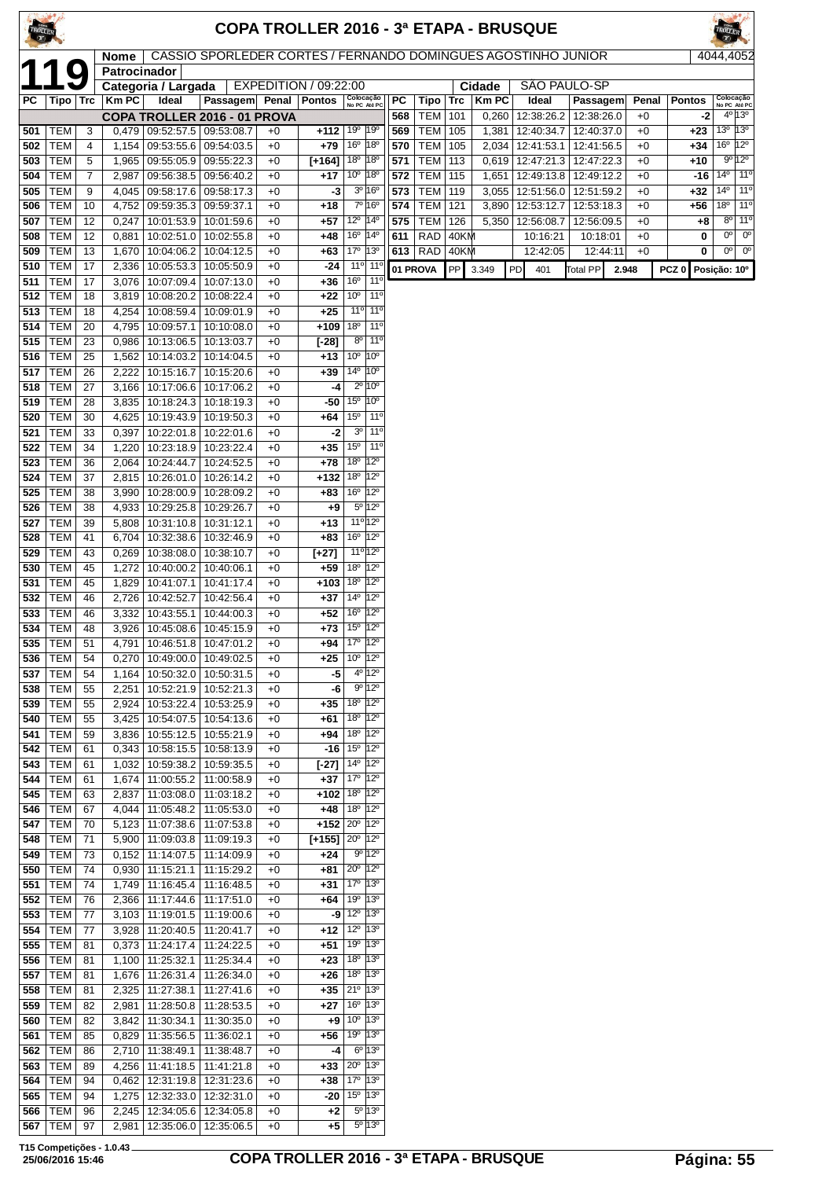| TROLLER<br>$\mathbf{r}$ |                          |          |                |                                                       |                                                               |              |                                              |                                                                    |                                 |            |                          |              |                | <b>COPA TROLLER 2016 - 3ª ETAPA - BRUSQUE</b>      |                      |              |                    |                            |                                               |
|-------------------------|--------------------------|----------|----------------|-------------------------------------------------------|---------------------------------------------------------------|--------------|----------------------------------------------|--------------------------------------------------------------------|---------------------------------|------------|--------------------------|--------------|----------------|----------------------------------------------------|----------------------|--------------|--------------------|----------------------------|-----------------------------------------------|
|                         | $\bullet$                |          | Nome           |                                                       | CASSIO SPORLEDER CORTES / FERNANDO DOMINGUES AGOSTINHO JUNIOR |              |                                              |                                                                    |                                 |            |                          |              |                |                                                    |                      |              |                    | 4044,4052                  |                                               |
|                         |                          |          | Patrocinador   | Categoria / Largada                                   |                                                               |              | EXPEDITION / 09:22:00                        |                                                                    |                                 |            |                          |              | Cidade         | SÃO PAULO-SP                                       |                      |              |                    |                            |                                               |
| РC                      | Tipo   Trc               |          | KmPC           | Ideal                                                 | <b>Passagem</b>                                               | Penal        | <b>Pontos</b>                                | Colocação<br>No PC Até PC                                          |                                 | PC         | Tipo                     | Trc          | <b>KmPC</b>    | Ideal                                              | Passagem             | Penal        | <b>Pontos</b>      |                            | Colocação<br>No PC Até PC                     |
| 501                     | TEM                      | 3        |                | $0,479$   09:52:57.5   09:53:08.7                     | COPA TROLLER 2016 - 01 PROVA                                  | $+0$         | $+112$                                       | 19°                                                                | $ 19^{\circ}$                   | 568<br>569 | TEM<br><b>TEM</b>        | 101<br>105   | 0,260<br>1,381 | 12:38:26.2<br>12:40:34.7   12:40:37.0              | 12:38:26.0           | $+0$<br>$+0$ | -2<br>+23          | $13^{\circ}$ 13 $^{\circ}$ | $4^{\circ}$ 13°                               |
| 502                     | <b>TEM</b>               | 4        | 1,154          | 09:53:55.6   09:54:03.5                               |                                                               | $+0$         | $+79$                                        | 16 <sup>°</sup> 18 <sup>°</sup>                                    |                                 | 570        | <b>TEM</b>               | 105          | 2.034          | 12:41:53.1   12:41:56.5                            |                      | $+0$         | $+34$              |                            | $16^{\circ}$ $12^{\circ}$                     |
| 503                     | <b>TEM</b>               | 5        | 1,965          | 09:55:05.9 09:55:22.3                                 |                                                               | $+0$         | $[-164]$                                     | 18 <sup>o</sup>   18 <sup>o</sup>                                  |                                 | 571        | <b>TEM</b>               | 113          | 0,619          | 12:47:21.3 12:47:22.3                              |                      | $+0$         | $+10$              | $14^{\circ}$               | 9°12°                                         |
| 504<br>505              | TEM<br><b>TEM</b>        | 7<br>9   | 2,987<br>4,045 | 09:56:38.5   09:56:40.2<br>09:58:17.6                 | 09:58:17.3                                                    | $+0$<br>$+0$ | $+17$<br>-3                                  | 10 <sup>°</sup> 18 <sup>°</sup>                                    | $3^{\circ}$ 16 $^{\circ}$       | 572<br>573 | <b>TEM</b><br><b>TEM</b> | 115<br>119   | 1,651<br>3,055 | 12:49:13.8   12:49:12.2<br>12:51:56.0   12:51:59.2 |                      | $+0$<br>$+0$ | -16<br>+32         | $14^{\circ}$               | $11^{\circ}$<br>11°                           |
| 506                     | TEM                      | 10       | 4.752          | 09:59:35.3 09:59:37.1                                 |                                                               | $+0$         | $+18$                                        |                                                                    | 7º 16º                          | 574        | <b>TEM</b>               | 121          | 3.890          | 12:53:12.7   12:53:18.3                            |                      | $+0$         | +56                |                            | 18º 11º                                       |
| 507                     | <b>TEM</b>               | 12       | 0,247          | 10:01:53.9                                            | 10:01:59.6                                                    | $+0$         | $+57$                                        | 12 <sup>o</sup> 14 <sup>o</sup>                                    |                                 | 575        | <b>TEM</b>               | 126          | 5,350          | 12:56:08.7   12:56:09.5                            |                      | $+0$         | +8                 | $0^{\circ}$                | $8^{\circ}$ 11 <sup>°</sup><br>0 <sup>o</sup> |
| 508<br>509              | <b>TEM</b><br>TEM        | 12<br>13 | 0,881<br>1,670 | 10:02:51.0<br>10:04:06.2                              | 10:02:55.8<br>10:04:12.5                                      | $+0$<br>$+0$ | $+48$<br>+63                                 | 16 <sup>o</sup> 14 <sup>o</sup><br>17 <sup>0</sup> 13 <sup>0</sup> |                                 | 611<br>613 | <b>RAD</b><br>  RAD      | 40KM<br>40KM |                | 10:16:21<br>12:42:05                               | 10:18:01<br>12:44:11 | $+0$<br>$+0$ | 0<br>0             |                            | $0o$ 0 <sup>o</sup>                           |
| 510                     | <b>TEM</b>               | 17       | 2,336          | 10:05:53.3                                            | 10:05:50.9                                                    | $+0$         | -24                                          | 11°                                                                | $11^{\circ}$                    |            | 01 PROVA                 | PP           | 3.349          | PD<br>401                                          | <b>Total PP</b>      | 2.948        | PCZ 0 Posição: 10° |                            |                                               |
| 511                     | TEM                      | 17       | 3,076          |                                                       | 10:07:09.4   10:07:13.0                                       | $+0$         | +36                                          | 16 <sup>o</sup>                                                    | 11°                             |            |                          |              |                |                                                    |                      |              |                    |                            |                                               |
| 512<br>513              | <b>TEM</b><br><b>TEM</b> | 18<br>18 | 3,819<br>4,254 | 10:08:20.2<br>10:08:59.4                              | 10:08:22.4<br>10:09:01.9                                      | $+0$<br>$+0$ | +22<br>$+25$                                 | $10^{\circ}$<br>11°                                                | 11°<br>$11^{\circ}$             |            |                          |              |                |                                                    |                      |              |                    |                            |                                               |
| 514                     | <b>TEM</b>               | 20       | 4,795          | 10:09:57.1                                            | 10:10:08.0                                                    | $+0$         | $+109$                                       | 18 <sup>o</sup>                                                    | 11°                             |            |                          |              |                |                                                    |                      |              |                    |                            |                                               |
| 515                     | <b>TEM</b>               | 23       | 0,986          | 10:13:06.5                                            | 10:13:03.7                                                    | $+0$         | $[-28]$                                      | 8 <sup>o</sup>                                                     | $11^{\circ}$                    |            |                          |              |                |                                                    |                      |              |                    |                            |                                               |
| 516<br>517              | <b>TEM</b><br><b>TEM</b> | 25<br>26 | 1,562<br>2,222 | 10:15:16.7                                            | 10:14:03.2   10:14:04.5<br>10:15:20.6                         | $+0$<br>$+0$ | $+13$<br>$+39$                               | 10 <sup>o</sup><br>14 <sup>o</sup> 10 <sup>o</sup>                 | 10 <sup>o</sup>                 |            |                          |              |                |                                                    |                      |              |                    |                            |                                               |
| 518                     | <b>TEM</b>               | 27       | 3,166          | 10:17:06.6                                            | 10:17:06.2                                                    | $+0$         | -4                                           |                                                                    | $2^{\circ}$ 10 $^{\circ}$       |            |                          |              |                |                                                    |                      |              |                    |                            |                                               |
| 519                     | <b>TEM</b>               | 28       | 3,835          | 10:18:24.3                                            | 10:18:19.3                                                    | $+0$         | -50                                          | $15^{\circ}$                                                       | 10 <sup>o</sup>                 |            |                          |              |                |                                                    |                      |              |                    |                            |                                               |
| 520                     | <b>TEM</b>               | 30       | 4,625          | 10:19:43.9                                            | 10:19:50.3                                                    | $+0$         | +64                                          | $15^{\circ}$<br>3 <sup>o</sup>                                     | $11^{\circ}$<br>11°             |            |                          |              |                |                                                    |                      |              |                    |                            |                                               |
| 521<br>522              | TEM<br><b>TEM</b>        | 33<br>34 | 0,397<br>1,220 | 10:23:18.9                                            | 10:22:01.8   10:22:01.6<br>10:23:22.4                         | $+0$<br>$+0$ | -2<br>$+35$                                  | 15 <sup>o</sup>                                                    | 11°                             |            |                          |              |                |                                                    |                      |              |                    |                            |                                               |
| 523                     | TEM                      | 36       | 2,064          | 10:24:44.7                                            | 10:24:52.5                                                    | $+0$         | +78                                          | 18°                                                                | $12^{\circ}$                    |            |                          |              |                |                                                    |                      |              |                    |                            |                                               |
| 524                     | <b>TEM</b>               | 37       | 2,815          | 10:26:01.0                                            | 10:26:14.2                                                    | $+0$         | +132                                         | 18°                                                                | $12^{\circ}$                    |            |                          |              |                |                                                    |                      |              |                    |                            |                                               |
| 525<br>526              | <b>TEM</b><br>TEM        | 38<br>38 | 3,990<br>4,933 | 10:28:00.9                                            | 10:28:09.2<br>10:29:25.8   10:29:26.7                         | $+0$<br>$+0$ | +83<br>+9                                    | $16^{\circ}$                                                       | $12^{\circ}$<br>5º 12º          |            |                          |              |                |                                                    |                      |              |                    |                            |                                               |
| 527                     | <b>TEM</b>               | 39       | 5,808          | 10:31:10.8                                            | 10:31:12.1                                                    | $+0$         | +13                                          |                                                                    | 11º 12º                         |            |                          |              |                |                                                    |                      |              |                    |                            |                                               |
| 528                     | TEM                      | 41       | 6,704          | 10:32:38.6                                            | 10:32:46.9                                                    | $+0$         | +83                                          | 16° 12°                                                            |                                 |            |                          |              |                |                                                    |                      |              |                    |                            |                                               |
| 529                     | <b>TEM</b><br><b>TEM</b> | 43       | 0,269          | 10:38:08.0<br>10:40:00.2                              | 10:38:10.7                                                    | $+0$<br>$+0$ | $[+27]$                                      | 18º 12º                                                            | $11^{\circ}$ 12°                |            |                          |              |                |                                                    |                      |              |                    |                            |                                               |
| 530<br>531              | <b>TEM</b>               | 45<br>45 | 1,272<br>1,829 | 10:41:07.1                                            | 10:40:06.1<br>10:41:17.4                                      | $+0$         | +59<br>$+103$                                | $18^{\circ}$                                                       | $12^{\circ}$                    |            |                          |              |                |                                                    |                      |              |                    |                            |                                               |
| 532                     | <b>TEM</b>               | 46       | 2,726          | 10:42:52.7                                            | 10:42:56.4                                                    | $+0$         | +37                                          | 14 <sup>o</sup> 12 <sup>o</sup>                                    |                                 |            |                          |              |                |                                                    |                      |              |                    |                            |                                               |
| 533                     | TEM                      | 46       | 3,332          | 10:43:55.1                                            | 10:44:00.3                                                    | $+0$         | +52<br>$+73$ 15 <sup>°</sup> 12 <sup>°</sup> | $16^{\circ}$ 12 <sup>°</sup>                                       |                                 |            |                          |              |                |                                                    |                      |              |                    |                            |                                               |
| 535                     | 534   TEM  <br>TEM       | 48<br>51 | 4,791          | 3,926   10:45:08.6   10:45:15.9                       | 10:46:51.8   10:47:01.2                                       | $+0$<br>$+0$ | +94                                          | 17°                                                                | $12^{\circ}$                    |            |                          |              |                |                                                    |                      |              |                    |                            |                                               |
| 536                     | TEM                      | 54       | 0,270          |                                                       | 10:49:00.0   10:49:02.5                                       | $+0$         | +25                                          | 10 <sup>o</sup>                                                    | $12^{\circ}$                    |            |                          |              |                |                                                    |                      |              |                    |                            |                                               |
| 537                     | <b>TEM</b>               | 54       | 1,164          | 10:50:32.0   10:50:31.5                               |                                                               | $+0$         | -5                                           |                                                                    | 4º 12º                          |            |                          |              |                |                                                    |                      |              |                    |                            |                                               |
| 538<br>539              | TEM<br><b>TEM</b>        | 55<br>55 | 2,251<br>2,924 |                                                       | 10:52:21.9   10:52:21.3<br>10:53:22.4   10:53:25.9            | $+0$<br>$+0$ | -6<br>+35                                    | 18 <sup>o</sup>                                                    | $9^{\circ}$ 12°<br>$12^{\circ}$ |            |                          |              |                |                                                    |                      |              |                    |                            |                                               |
| 540                     | <b>TEM</b>               | 55       | 3,425          |                                                       | 10:54:07.5   10:54:13.6                                       | $+0$         | +61                                          | 18º 12º                                                            |                                 |            |                          |              |                |                                                    |                      |              |                    |                            |                                               |
| 541                     | TEM                      | 59       | 3,836          | 10:55:12.5   10:55:21.9                               |                                                               | $+0$         | +94                                          | 18 <sup>o</sup> 12 <sup>o</sup>                                    |                                 |            |                          |              |                |                                                    |                      |              |                    |                            |                                               |
| 542<br>543              | TEM<br>TEM               | 61<br>61 | 0,343<br>1,032 | 10:58:15.5 10:58:13.9<br>10:59:38.2                   | 10:59:35.5                                                    | $+0$<br>$+0$ | -16<br>$[-27]$                               | 15° 12°<br>14 <sup>o</sup> 12 <sup>o</sup>                         |                                 |            |                          |              |                |                                                    |                      |              |                    |                            |                                               |
| 544                     | TEM                      | 61       | 1,674          | 11:00:55.2   11:00:58.9                               |                                                               | $+0$         | +37                                          | 17º 12º                                                            |                                 |            |                          |              |                |                                                    |                      |              |                    |                            |                                               |
| 545                     | TEM                      | 63       |                | 2,837   11:03:08.0   11:03:18.2                       |                                                               | $+0$         | $+102$ 18 <sup>o</sup> 12 <sup>o</sup>       |                                                                    |                                 |            |                          |              |                |                                                    |                      |              |                    |                            |                                               |
| 546<br>547              | TEM<br><b>TEM</b>        | 67<br>70 | 5,123          | 4,044 11:05:48.2 11:05:53.0                           |                                                               | $+0$<br>$+0$ | $+48$<br>$+152$                              | 18º 12º<br>$20^{\circ}$ 12 <sup>°</sup>                            |                                 |            |                          |              |                |                                                    |                      |              |                    |                            |                                               |
| 548                     | TEM                      | 71       | 5,900          | 11:07:38.6   11:07:53.8<br>11:09:03.8                 | 11:09:19.3                                                    | $+0$         | [+155]                                       | $20^{\circ}$ 12 <sup>°</sup>                                       |                                 |            |                          |              |                |                                                    |                      |              |                    |                            |                                               |
| 549                     | <b>TEM</b>               | 73       | 0,152          | 11:14:07.5                                            | 11:14:09.9                                                    | +0           | +24                                          |                                                                    | $9^{\circ}$ 12°                 |            |                          |              |                |                                                    |                      |              |                    |                            |                                               |
| 550                     | <b>TEM</b>               | 74       |                | $0,930$   11:15:21.1   11:15:29.2                     |                                                               | $+0$         | +81                                          | $20^{\circ}$ 12°<br>$17^{\circ}$ $ 13^{\circ} $                    |                                 |            |                          |              |                |                                                    |                      |              |                    |                            |                                               |
| 551<br>552              | TEM<br><b>TEM</b>        | 74<br>76 | 1,749          | 11:16:45.4<br>2,366   11:17:44.6                      | 11:16:48.5<br>11:17:51.0                                      | $+0$<br>$+0$ | +31<br>+64                                   | 19º 13º                                                            |                                 |            |                          |              |                |                                                    |                      |              |                    |                            |                                               |
| 553                     | TEM                      | 77       | 3,103          | 11:19:01.5                                            | 11:19:00.6                                                    | $+0$         | $-9$                                         | $12^{\circ}$ 13 $^{\circ}$                                         |                                 |            |                          |              |                |                                                    |                      |              |                    |                            |                                               |
| 554                     | <b>TEM</b>               | 77       | 3,928          | 11:20:40.5                                            | 11:20:41.7                                                    | $+0$         | +12                                          | 12 <sup>o</sup> 13 <sup>o</sup>                                    |                                 |            |                          |              |                |                                                    |                      |              |                    |                            |                                               |
| 555<br>556              | TEM<br>TEM               | 81<br>81 |                | $0,373$   11:24:17.4   11:24:22.5<br>1,100 11:25:32.1 | 11:25:34.4                                                    | $+0$<br>$+0$ | +51<br>+23                                   | 19º 13º<br>$18^{\circ}$ $ 13^{\circ} $                             |                                 |            |                          |              |                |                                                    |                      |              |                    |                            |                                               |
| 557                     | TEM                      | 81       | 1,676          | 11:26:31.4                                            | 11:26:34.0                                                    | $+0$         | +26                                          | 18 <sup>o</sup> 13 <sup>o</sup>                                    |                                 |            |                          |              |                |                                                    |                      |              |                    |                            |                                               |
| 558                     | TEM                      | 81       | 2,325          | 11:27:38.1                                            | 11:27:41.6                                                    | $+0$         | +35                                          | $21^{\circ}$ 13°                                                   |                                 |            |                          |              |                |                                                    |                      |              |                    |                            |                                               |
| 559                     | <b>TEM</b>               | 82       | 2,981          | 11:28:50.8                                            | 11:28:53.5                                                    | $+0$         | +27                                          | $16^{\circ}$<br>$10^{\circ}$ 13°                                   | 13 <sup>o</sup>                 |            |                          |              |                |                                                    |                      |              |                    |                            |                                               |
| 560<br>561              | <b>TEM</b><br>TEM        | 82<br>85 | 3,842<br>0,829 | 11:30:34.1<br>11:35:56.5                              | 11:30:35.0<br>11:36:02.1                                      | $+0$<br>$+0$ | $+9$<br>+56                                  | $19^{\circ}$   $13^{\circ}$                                        |                                 |            |                          |              |                |                                                    |                      |              |                    |                            |                                               |
| 562                     | TEM                      | 86       | 2,710          | 11:38:49.1                                            | 11:38:48.7                                                    | $+0$         | -4                                           |                                                                    | $6^{\circ}$ 13 $^{\circ}$       |            |                          |              |                |                                                    |                      |              |                    |                            |                                               |
| 563                     | TEM                      | 89       | 4,256          | 11:41:18.5                                            | 11:41:21.8                                                    | $+0$         | $+33$                                        | $20^{\circ}$ 13°                                                   |                                 |            |                          |              |                |                                                    |                      |              |                    |                            |                                               |
| 564<br>565              | TEM<br>TEM               | 94<br>94 | 0,462<br>1,275 | 12:31:19.8                                            | 12:31:23.6<br>12:32:33.0   12:32:31.0                         | +0<br>$+0$   | +38                                          | 17 <sup>o</sup> 13 <sup>o</sup><br>$-20$ $15^{\circ}$ $13^{\circ}$ |                                 |            |                          |              |                |                                                    |                      |              |                    |                            |                                               |
|                         | 566   TEM $ $            | 96       |                | 2,245   12:34:05.6   12:34:05.8                       |                                                               | $+0$         | $+2$                                         |                                                                    | $5^{\circ}$ 13°                 |            |                          |              |                |                                                    |                      |              |                    |                            |                                               |

TEM 97 2,981 12:35:06.0 12:35:06.5 +0 **+5** 5º 13º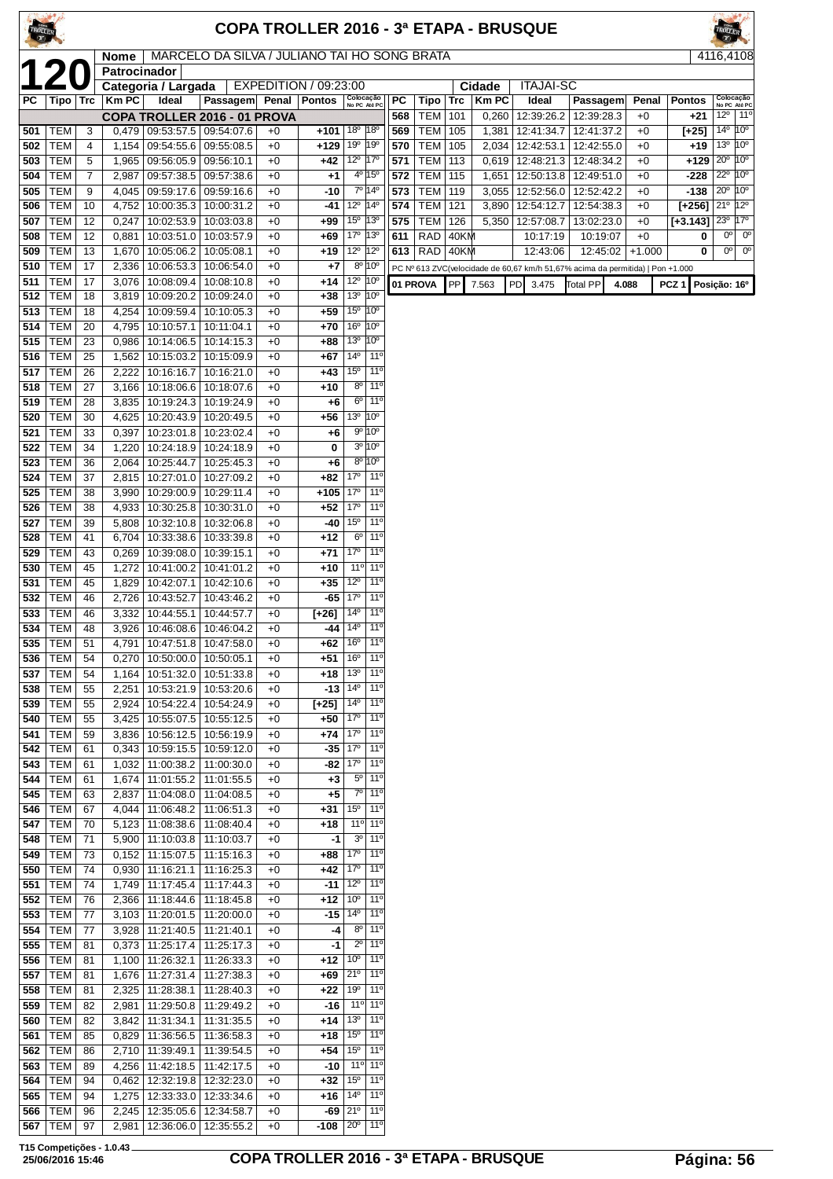| TROLLER<br>$\mathcal{L}$ |                          |          |                             |                                               |                                              |              |                                       |                                 |                                                 |            |                               |           |                | <b>COPA TROLLER 2016 - 3ª ETAPA - BRUSQUE</b>                                  |                          |              |                                                    | TROLLER                                   |              |
|--------------------------|--------------------------|----------|-----------------------------|-----------------------------------------------|----------------------------------------------|--------------|---------------------------------------|---------------------------------|-------------------------------------------------|------------|-------------------------------|-----------|----------------|--------------------------------------------------------------------------------|--------------------------|--------------|----------------------------------------------------|-------------------------------------------|--------------|
|                          |                          |          | <b>Nome</b><br>Patrocinador |                                               | MARCELO DA SILVA / JULIANO TAI HO SONG BRATA |              |                                       |                                 |                                                 |            |                               |           |                |                                                                                |                          |              |                                                    | 4116,4108                                 |              |
|                          | 120                      |          |                             | Categoria / Largada                           |                                              |              | EXPEDITION / 09:23:00                 |                                 |                                                 |            |                               |           | Cidade         | <b>ITAJAI-SC</b>                                                               |                          |              |                                                    |                                           |              |
| РC                       | Tipo   Trc               |          | <b>Km PC</b>                | Ideal                                         | Passagem Penal Pontos                        |              |                                       |                                 | Colocação<br>No PC Até PC                       | PC         | Tipo   Trc                    |           | <b>KmPC</b>    | Ideal                                                                          | Passagem                 | Penal        | <b>Pontos</b>                                      | Colocação<br>No PC Até PC                 |              |
| 501                      | <b>TEM</b>               | 3        | 0,479                       | 09:53:57.5   09:54:07.6                       | COPA TROLLER 2016 - 01 PROVA                 | $+0$         | +101   18º                            |                                 | $ 18^{\circ}$                                   | 568<br>569 | <b>TEM   101</b><br>TEM   105 |           | 0,260<br>1,381 | 12:39:26.2<br>12:41:34.7                                                       | 12:39:28.3<br>12:41:37.2 | $+0$<br>$+0$ | +21<br>[+25]                                       | $12^{\circ}$<br>$14^{\circ}$ $10^{\circ}$ | $11^{\circ}$ |
| 502                      | <b>TEM</b>               | 4        | 1,154                       | 09:54:55.6                                    | 09:55:08.5                                   | $+0$         | +129                                  | 19 <sup>o</sup>                 | $ 19^{\circ}$                                   | 570        | TEM                           | 105       | 2,034          | 12:42:53.1                                                                     | 12:42:55.0               | $+0$         | +19                                                | $13^{\circ}$ $10^{\circ}$                 |              |
| 503                      | <b>TEM</b>               | 5        | 1,965                       | 09:56:05.9 09:56:10.1                         |                                              | $+0$         | $+42$                                 | 12 <sup>o</sup> 17 <sup>o</sup> |                                                 | 571        | TEM                           | 113       | 0,619          | 12:48:21.3                                                                     | 12:48:34.2               | $+0$         | +129                                               | $20^{\circ}$ 10 <sup>°</sup>              |              |
| 504                      | <b>TEM</b>               | 7        | 2,987                       | $09:57:38.5$ $09:57:38.6$                     |                                              | $+0$         | $+1$                                  |                                 | 4º 15°                                          | 572        | <b>TEM 115</b>                |           | 1,651          | 12:50:13.8                                                                     | 12:49:51.0               | $+0$         | $-228$                                             | $22^{\circ}$ 10 <sup>°</sup>              |              |
| 505<br>506               | <b>TEM</b><br>TEM        | 9<br>10  | 4,045                       | 09:59:17.6                                    | 09:59:16.6<br>10:00:35.3   10:00:31.2        | $+0$         | -10<br>-41                            | 12 <sup>o</sup> 14 <sup>o</sup> | 7º 14º                                          | 573<br>574 | TEM  <br><b>TEM 121</b>       | 119       | 3,055<br>3,890 | 12:52:56.0<br>$\overline{12}$ :54:12.7                                         | 12:52:42.2<br>12:54:38.3 | $+0$<br>$+0$ | $-138$<br>$[+256]$ 21 <sup>0</sup> 12 <sup>0</sup> | $20^{\circ}$ 10 <sup>°</sup>              |              |
| 507                      | TEM                      | 12       | 4,752<br>0,247              | 10:02:53.9                                    | 10:03:03.8                                   | $+0$<br>$+0$ | $+99$                                 | $15^{\circ}$                    | $ 13^{\circ}$                                   | 575        | <b>TEM</b>                    | 126       | 5,350          | 12:57:08.7                                                                     | 13:02:23.0               | $+0$         | $[-3.143]$                                         | $23^{\circ}$ 17 $^{\circ}$                |              |
| 508                      | <b>TEM</b>               | 12       | 0,881                       | 10:03:51.0                                    | 10:03:57.9                                   | $+0$         | $+69$                                 | 17°                             | $ 13^{\circ}$                                   | 611        | $RAD$ 40KM                    |           |                | 10:17:19                                                                       | 10:19:07                 | $+0$         | 0                                                  | $0^{\circ}$                               | $0^{\circ}$  |
| 509                      | <b>TEM</b>               | 13       | 1,670                       | 10:05:06.2   10:05:08.1                       |                                              | $+0$         | $+19$                                 | $12^{\circ}$                    | $12^{\circ}$                                    | 613        | $RAD$ 40KM                    |           |                | 12:43:06                                                                       | 12:45:02                 | $+1.000$     | 0                                                  | $0^{\circ}$                               | $0^{\circ}$  |
| 510                      | <b>TEM</b>               | 17<br>17 | 2,336                       |                                               | 10:06:53.3   10:06:54.0                      | $+0$         | $+7$                                  | 12 <sup>o</sup> 10 <sup>o</sup> | $8^{\circ}$ 10 $^{\circ}$                       |            |                               |           |                | PC Nº 613 ZVC(velocidade de 60,67 km/h 51,67% acima da permitida)   Pon +1.000 |                          |              |                                                    |                                           |              |
| 511<br>512               | TEM<br><b>TEM</b>        | 18       | 3,076<br>3,819              | 10:08:09.4<br>10:09:20.2                      | 10:08:10.8<br>10:09:24.0                     | $+0$<br>$+0$ | +14<br>$+38$                          | $13^{\circ}$                    | 10 <sup>o</sup>                                 |            | 01 PROVA                      | <b>PP</b> | 7.563          | PD<br>3.475                                                                    | <b>Total PP</b>          | 4.088        | PCZ <sub>1</sub>                                   | Posição: 16º                              |              |
| 513                      | <b>TEM</b>               | 18       | 4,254                       |                                               | 10:09:59.4   10:10:05.3                      | $+0$         | $+59$                                 | 15 <sup>°</sup> 10 <sup>°</sup> |                                                 |            |                               |           |                |                                                                                |                          |              |                                                    |                                           |              |
| 514                      | <b>TEM</b>               | 20       | 4,795                       | 10:10:57.1                                    | 10:11:04.1                                   | $+0$         | $+70$                                 | 16 <sup>o</sup>                 | 10°                                             |            |                               |           |                |                                                                                |                          |              |                                                    |                                           |              |
| 515                      | <b>TEM</b>               | 23       | 0,986                       | 10:14:06.5                                    | 10:14:15.3                                   | $+0$         | +88                                   | 13 <sup>o</sup><br>$14^{\circ}$ | 10°<br>11 <sup>0</sup>                          |            |                               |           |                |                                                                                |                          |              |                                                    |                                           |              |
| 516<br>517               | <b>TEM</b><br><b>TEM</b> | 25<br>26 | 1,562<br>2,222              | 10:15:03.2<br>10:16:16.7                      | 10:15:09.9<br>10:16:21.0                     | $+0$<br>$+0$ | +67<br>+43                            | $15^{\circ}$                    | $11^{\circ}$                                    |            |                               |           |                |                                                                                |                          |              |                                                    |                                           |              |
| 518                      | <b>TEM</b>               | 27       | 3,166                       | 10:18:06.6                                    | 10:18:07.6                                   | $+0$         | $+10$                                 | $8^{\circ}$                     | 11 <sup>o</sup>                                 |            |                               |           |                |                                                                                |                          |              |                                                    |                                           |              |
| 519                      | <b>TEM</b>               | 28       | 3,835                       | 10:19:24.3   10:19:24.9                       |                                              | $+0$         | $+6$                                  | $6^{\circ}$                     | 11 <sup>0</sup>                                 |            |                               |           |                |                                                                                |                          |              |                                                    |                                           |              |
| 520                      | <b>TEM</b>               | 30       | 4,625                       | 10:20:43.9                                    | 10:20:49.5                                   | $+0$         | +56                                   | 13 <sup>o</sup> 10 <sup>o</sup> |                                                 |            |                               |           |                |                                                                                |                          |              |                                                    |                                           |              |
| 521<br>522               | <b>TEM</b><br><b>TEM</b> | 33<br>34 | 0,397<br>1,220              | 10:24:18.9                                    | 10:23:01.8   10:23:02.4<br>10:24:18.9        | $+0$<br>$+0$ | $+6$<br>0                             |                                 | 9° 10°<br>$3^{\circ} 10^{\circ}$                |            |                               |           |                |                                                                                |                          |              |                                                    |                                           |              |
| 523                      | <b>TEM</b>               | 36       | 2,064                       | 10:25:44.7                                    | 10:25:45.3                                   | $+0$         | $+6$                                  |                                 | 8º 10°                                          |            |                               |           |                |                                                                                |                          |              |                                                    |                                           |              |
| 524                      | <b>TEM</b>               | 37       | 2,815                       | 10:27:01.0                                    | 10:27:09.2                                   | $+0$         | $+82$                                 | 17°                             | $11^{\circ}$                                    |            |                               |           |                |                                                                                |                          |              |                                                    |                                           |              |
| 525                      | <b>TEM</b>               | 38       | 3,990                       | 10:29:00.9                                    | 10:29:11.4                                   | $+0$         | +105                                  | 17 <sup>°</sup>                 | 11°                                             |            |                               |           |                |                                                                                |                          |              |                                                    |                                           |              |
| 526<br>527               | <b>TEM</b><br><b>TEM</b> | 38<br>39 | 4,933                       | 10:30:25.8<br>10:32:10.8                      | 10:30:31.0                                   | $+0$<br>$+0$ | $+52$<br>-40                          | 17°<br>15 <sup>o</sup>          | 11°<br>11°                                      |            |                               |           |                |                                                                                |                          |              |                                                    |                                           |              |
| 528                      | <b>TEM</b>               | 41       | 5,808<br>6,704              |                                               | 10:32:06.8<br>10:33:38.6   10:33:39.8        | $+0$         | +12                                   | 6 <sup>o</sup>                  | 11°                                             |            |                               |           |                |                                                                                |                          |              |                                                    |                                           |              |
| 529                      | <b>TEM</b>               | 43       | 0,269                       | 10:39:08.0                                    | 10:39:15.1                                   | $+0$         | $+71$                                 | 17°                             | 11°                                             |            |                               |           |                |                                                                                |                          |              |                                                    |                                           |              |
| 530                      | <b>TEM</b>               | 45       | 1,272                       | 10:41:00.2                                    | 10:41:01.2                                   | $+0$         | $+10$                                 | 11°                             | 11 <sup>0</sup>                                 |            |                               |           |                |                                                                                |                          |              |                                                    |                                           |              |
| 531                      | <b>TEM</b>               | 45       | 1,829                       | 10:42:07.1                                    | 10:42:10.6                                   | $+0$         | $+35$                                 | $12^{\circ}$<br>17°             | 11°<br>11°                                      |            |                               |           |                |                                                                                |                          |              |                                                    |                                           |              |
| 532<br>533               | <b>TEM</b><br><b>TEM</b> | 46<br>46 | 2,726<br>3,332              | 10:43:52.7<br>10:44:55.1                      | 10:43:46.2<br>10:44:57.7                     | $+0$<br>$+0$ | -65<br>[+26]                          | $14^{\circ}$                    | 11°                                             |            |                               |           |                |                                                                                |                          |              |                                                    |                                           |              |
| 534                      | <b>TEM</b>               | 48       | 3,926                       | 10:46:08.6   10:46:04.2                       |                                              | $+0$         |                                       | $-44 14^{\circ}$                | $11^{\circ}$                                    |            |                               |           |                |                                                                                |                          |              |                                                    |                                           |              |
|                          | <b>535 TEM</b>           | 51       |                             |                                               | 4,791 10:47:51.8 10:47:58.0                  | $+0$         | $+62$ 16 <sup>o</sup> 11 <sup>o</sup> |                                 |                                                 |            |                               |           |                |                                                                                |                          |              |                                                    |                                           |              |
| 536                      | <b>TEM</b>               | 54       | 0,270                       | 10:50:00.0   10:50:05.1                       |                                              | $+0$         | $+51$                                 | 16 <sup>o</sup>                 | $11^{\circ}$                                    |            |                               |           |                |                                                                                |                          |              |                                                    |                                           |              |
| 537<br>538               | <b>TEM</b><br>TEM        | 54<br>55 | 1,164<br>2,251              | 10:51:32.0<br>10:53:21.9   10:53:20.6         | 10:51:33.8                                   | $+0$<br>$+0$ | $+18$<br>$-13$ $\sqrt{14^{\circ}}$    | 13 <sup>°</sup>                 | $11^{\circ}$<br>11°                             |            |                               |           |                |                                                                                |                          |              |                                                    |                                           |              |
| 539                      | <b>TEM</b>               | 55       | 2,924                       | 10:54:22.4                                    | 10:54:24.9                                   | $+0$         | $[-25]$                               | 14º                             | 11°                                             |            |                               |           |                |                                                                                |                          |              |                                                    |                                           |              |
| 540                      | <b>TEM</b>               | 55       | 3,425                       | 10:55:07.5   10:55:12.5                       |                                              | $+0$         | +50                                   | $ 17^{\circ} $                  | $11^{\circ}$                                    |            |                               |           |                |                                                                                |                          |              |                                                    |                                           |              |
| 541                      | <b>TEM</b>               | 59       | 3,836                       | 10:56:12.5   10:56:19.9                       |                                              | $+0$         | $+74$                                 | 17°                             | $11^{\circ}$                                    |            |                               |           |                |                                                                                |                          |              |                                                    |                                           |              |
| 542<br>543               | <b>TEM</b><br><b>TEM</b> | 61<br>61 | 0,343                       | 1,032   11:00:38.2   11:00:30.0               | 10:59:15.5   10:59:12.0                      | $+0$<br>$+0$ | -35<br>-82                            | 17°<br>17°                      | $11^{\circ}$<br>11 <sup>0</sup>                 |            |                               |           |                |                                                                                |                          |              |                                                    |                                           |              |
| 544                      | TEM                      | 61       | 1,674                       | 11:01:55.2   11:01:55.5                       |                                              | $+0$         | $+3$                                  | $5^{\circ}$                     | 11°                                             |            |                               |           |                |                                                                                |                          |              |                                                    |                                           |              |
| 545                      | <b>TEM</b>               | 63       | 2,837                       | 11:04:08.0                                    | 11:04:08.5                                   | $+0$         | $+5$                                  | $7^{\circ}$                     | $11^{\circ}$                                    |            |                               |           |                |                                                                                |                          |              |                                                    |                                           |              |
| 546                      | TEM                      | 67       | 4,044                       | 11:06:48.2                                    | 11:06:51.3                                   | $+0$         | +31                                   | 15 <sup>o</sup>                 | $11^{\circ}$                                    |            |                               |           |                |                                                                                |                          |              |                                                    |                                           |              |
| 547<br>548               | <b>TEM</b><br>TEM        | 70<br>71 | 5,123                       | 11:08:38.6<br>5,900   11:10:03.8   11:10:03.7 | 11:08:40.4                                   | +0<br>$+0$   | +18<br>$-1$                           |                                 | $11^{\circ}$ 11°<br>$3^{\circ}$ 11 <sup>°</sup> |            |                               |           |                |                                                                                |                          |              |                                                    |                                           |              |
| 549                      | <b>TEM</b>               | 73       |                             | $0,152$ 11:15:07.5                            | 11:15:16.3                                   | $+0$         | +88                                   | $17^{\circ}$                    | 11°                                             |            |                               |           |                |                                                                                |                          |              |                                                    |                                           |              |
| 550                      | TEM                      | 74       |                             | $0,930$   11:16:21.1                          | 11:16:25.3                                   | $+0$         | $+42$   17 <sup>0</sup>               |                                 | $11^{\circ}$                                    |            |                               |           |                |                                                                                |                          |              |                                                    |                                           |              |
| 551                      | <b>TEM</b>               | 74       | 1,749                       | 11:17:45.4                                    | 11:17:44.3                                   | $+0$         | $-11$                                 | $12^{\circ}$                    | $11^{\circ}$                                    |            |                               |           |                |                                                                                |                          |              |                                                    |                                           |              |
| 552<br>553               | <b>TEM</b><br>TEM        | 76<br>77 | 2,366                       | 11:18:44.6<br>3,103   11:20:01.5   11:20:00.0 | 11:18:45.8                                   | $+0$<br>$+0$ | $+12$<br>$-15$                        | 10 <sup>o</sup><br>$14^{o}$     | 11 <sup>0</sup><br>$11^{\circ}$                 |            |                               |           |                |                                                                                |                          |              |                                                    |                                           |              |
| 554                      | <b>TEM</b>               | 77       | 3,928                       | 11:21:40.5                                    | 11:21:40.1                                   | $+0$         | -4                                    | $8^{\circ}$                     | 11°                                             |            |                               |           |                |                                                                                |                          |              |                                                    |                                           |              |
| 555                      | TEM                      | 81       |                             | $0,373$   11:25:17.4                          | 11:25:17.3                                   | $+0$         | -1                                    | $2^{\circ}$                     | $11^{\circ}$                                    |            |                               |           |                |                                                                                |                          |              |                                                    |                                           |              |
| 556                      | <b>TEM</b>               | 81       |                             | 1,100   11:26:32.1                            | 11:26:33.3                                   | $+0$         | +12                                   | $10^{\circ}$                    | $11^{\circ}$                                    |            |                               |           |                |                                                                                |                          |              |                                                    |                                           |              |
| 557                      | <b>TEM</b>               | 81       |                             | 1,676 11:27:31.4                              | 11:27:38.3                                   | $+0$         | $+69$ 21°                             |                                 | 11 <sup>0</sup><br>11°                          |            |                               |           |                |                                                                                |                          |              |                                                    |                                           |              |
| 558<br>559               | TEM<br><b>TEM</b>        | 81<br>82 | 2,325<br>2,981              | 11:28:38.1<br>11:29:50.8                      | 11:28:40.3<br>11:29:49.2                     | $+0$<br>$+0$ | $+22 190$<br>-16                      | 11°                             | 11°                                             |            |                               |           |                |                                                                                |                          |              |                                                    |                                           |              |
| 560                      | TEM                      | 82       | 3,842                       | 11:31:34.1                                    | 11:31:35.5                                   | $+0$         | $+14$                                 | 13 <sup>o</sup>                 | $11^{\circ}$                                    |            |                               |           |                |                                                                                |                          |              |                                                    |                                           |              |
| 561                      | <b>TEM</b>               | 85       | 0,829                       | 11:36:56.5                                    | 11:36:58.3                                   | $+0$         | +18                                   | $15^{\circ}$                    | $11^{\circ}$                                    |            |                               |           |                |                                                                                |                          |              |                                                    |                                           |              |
| 562                      | <b>TEM</b>               | 86       | 2,710                       | 11:39:49.1                                    | 11:39:54.5                                   | $+0$         | +54                                   | 15 <sup>o</sup>                 | 11 <sup>0</sup>                                 |            |                               |           |                |                                                                                |                          |              |                                                    |                                           |              |
| 563<br>564               | <b>TEM</b><br>TEM        | 89<br>94 | 4,256<br>0,462              | 11:42:18.5                                    | 11:42:17.5<br>12:32:19.8   12:32:23.0        | $+0$<br>+0   | $-10$<br>$+32$                        | 11°<br>$15^{\circ}$             | 11°<br>$11^{\circ}$                             |            |                               |           |                |                                                                                |                          |              |                                                    |                                           |              |
| 565                      | TEM                      | 94       | 1,275                       | 12:33:33.0                                    | 12:33:34.6                                   | $+0$         | $+16$                                 | $14^{\circ}$                    | $11^{\circ}$                                    |            |                               |           |                |                                                                                |                          |              |                                                    |                                           |              |
| 566                      | <b>TEM</b>               | 96       | 2,245                       | 12:35:05.6                                    | 12:34:58.7                                   | $+0$         |                                       | $-69 210$                       | 11°                                             |            |                               |           |                |                                                                                |                          |              |                                                    |                                           |              |

TEM 97 2,981 12:36:06.0 12:35:55.2 +0 **-108** 20º 11º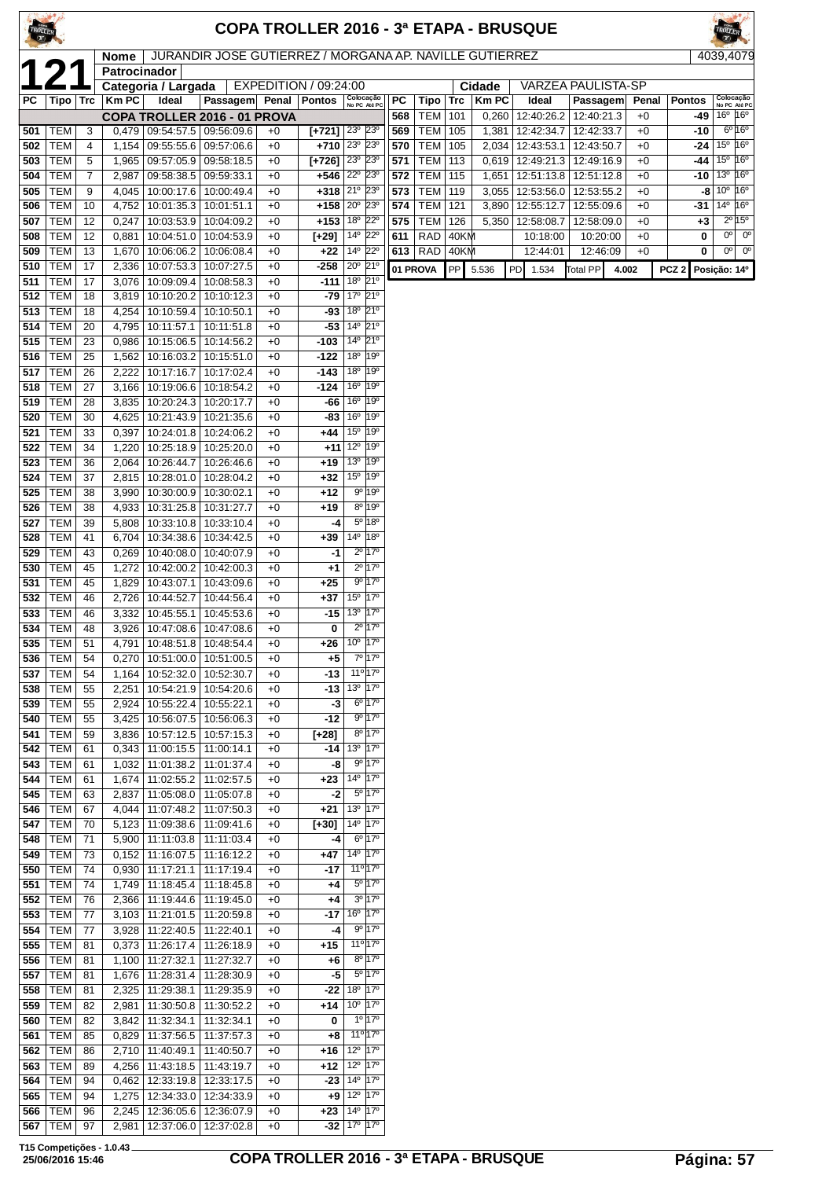|            |                          |                |                             |                                                              |                                                         |              |                                    |                                                 |                                           |            |                          |            |                | <b>COPA TROLLER 2016 - 3ª ETAPA - BRUSQUE</b> |            |              |                  |                                                  |                                    |
|------------|--------------------------|----------------|-----------------------------|--------------------------------------------------------------|---------------------------------------------------------|--------------|------------------------------------|-------------------------------------------------|-------------------------------------------|------------|--------------------------|------------|----------------|-----------------------------------------------|------------|--------------|------------------|--------------------------------------------------|------------------------------------|
|            |                          |                | <b>Nome</b><br>Patrocinador |                                                              | JURANDIR JOSE GUTIERREZ / MORGANA AP. NAVILLE GUTIERREZ |              |                                    |                                                 |                                           |            |                          |            |                |                                               |            |              |                  | 4039,4079                                        |                                    |
|            |                          |                |                             | Categoria / Largada                                          |                                                         |              | EXPEDITION / 09:24:00              |                                                 |                                           |            |                          |            | Cidade         | <b>VARZEA PAULISTA-SP</b>                     |            |              |                  |                                                  |                                    |
| PC         | Tipo   Trc               |                | Km PC                       | Ideal                                                        | Passagem Penal                                          |              | Pontos                             | Colocação<br>No PC Até PC                       |                                           | PC         | Tipo                     | Trc        | <b>Km PC</b>   | Ideal                                         | Passagem   | Penal        | <b>Pontos</b>    |                                                  | Colocação<br>No PC Até PC          |
| 501        | TEM                      | 3              | 0,479                       |                                                              | COPA TROLLER 2016 - 01 PROVA<br>09:54:57.5   09:56:09.6 | $+0$         | $[+721]$ $23^\circ$                |                                                 | $23^\circ$                                | 568<br>569 | <b>TEM</b><br><b>TEM</b> | 101<br>105 | 0,260<br>1,381 | 12:40:26.2<br>12:42:34.7   12:42:33.7         | 12:40:21.3 | $+0$<br>$+0$ | -49<br>-10       | $16^{\circ}$ 16°                                 | $6^{\circ}16^{\circ}$              |
| 502        | <b>TEM</b>               | $\overline{4}$ | 1,154                       |                                                              | 09:55:55.6 09:57:06.6                                   | $+0$         | $+710 23^{\circ} 23^{\circ}$       |                                                 |                                           | 570        | <b>TEM</b>               | 105        | 2,034          | 12:43:53.1   12:43:50.7                       |            | $+0$         | -24              | $15^{\circ}$ 16 <sup>°</sup>                     |                                    |
| 503        | <b>TEM</b>               | 5              | 1,965                       |                                                              | 09:57:05.9 09:58:18.5                                   | $+0$         | $[+726]$ $23^{\circ}$ $23^{\circ}$ |                                                 |                                           | 571        | <b>TEM</b>               | 113        | 0,619          | 12:49:21.3                                    | 12:49:16.9 | $+0$         | -44              | $15^{\circ}$ 16 $^{\circ}$                       |                                    |
| 504        | <b>TEM</b>               | 7              | 2,987                       | 09:58:38.5   09:59:33.1                                      |                                                         | $+0$         | $+546$ $22^{\circ}$ $23^{\circ}$   |                                                 |                                           | 572        | TEM                      | 115        | 1,651          | 12:51:13.8   12:51:12.8                       |            | $+0$         | -10              | 13 <sup>0</sup> 16 <sup>0</sup>                  |                                    |
| 505<br>506 | <b>TEM</b><br><b>TEM</b> | 9<br>10        | 4,045<br>4,752              | 10:00:17.6                                                   | 10:00:49.4<br>10:01:35.3   10:01:51.1                   | $+0$<br>$+0$ | $+318 21°$<br>+158 20° 23°         |                                                 | $23^\circ$                                | 573<br>574 | <b>TEM</b><br><b>TEM</b> | 119<br>121 | 3,055<br>3,890 | 12:53:56.0<br>12:55:12.7   12:55:09.6         | 12:53:55.2 | $+0$<br>$+0$ | -8<br>-31        | $10^{\circ}$ 16°<br>$14^{\circ}$ 16 <sup>°</sup> |                                    |
| 507        | <b>TEM</b>               | 12             | 0,247                       |                                                              | 10:03:53.9   10:04:09.2                                 | $+0$         | $+153 18° 22°$                     |                                                 |                                           | 575        | <b>TEM</b>               | 126        | 5,350          | 12:58:08.7                                    | 12:58:09.0 | $+0$         | $+3$             |                                                  | $2^{\overline{0}}$ 15 <sup>0</sup> |
| 508        | <b>TEM</b>               | 12             | 0,881                       |                                                              | 10:04:51.0   10:04:53.9                                 | $+0$         | [+29]                              | 14º 22º                                         |                                           | 611        | <b>RAD</b>               | 40KM       |                | 10:18:00                                      | 10:20:00   | $+0$         | 0                |                                                  | $0o$ 0 <sup>o</sup>                |
| 509        | <b>TEM</b>               | 13             | 1,670                       |                                                              | 10:06:06.2   10:06:08.4                                 | $+0$         | $+22$                              | 14º 22º                                         |                                           |            | 613   RAD                | 40KM       |                | 12:44:01                                      | 12:46:09   | $+0$         | 0                |                                                  | $0o$ 0 <sup>o</sup>                |
| 510<br>511 | <b>TEM</b><br><b>TEM</b> | 17<br>17       | 2,336<br>3,076              | 10:07:53.3                                                   | 10:07:27.5<br>10:09:09.4   10:08:58.3                   | $+0$<br>$+0$ | -258<br>$-111$                     | $20^{\circ}$<br>18 <sup>o</sup>                 | 21°<br>21°                                |            | 01 PROVA                 | PP         | 5.536          | PD<br>1.534                                   | Total PP   | 4.002        | PCZ <sub>2</sub> | Posição: 14º                                     |                                    |
| 512        | <b>TEM</b>               | 18             | 3,819                       | 10:10:20.2                                                   | 10:10:12.3                                              | $+0$         |                                    | $-79$ 17 <sup>0</sup> 21 <sup>0</sup>           |                                           |            |                          |            |                |                                               |            |              |                  |                                                  |                                    |
| 513        | <b>TEM</b>               | 18             | 4,254                       | 10:10:59.4                                                   | 10:10:50.1                                              | $+0$         |                                    | $-93 18° 21°$                                   |                                           |            |                          |            |                |                                               |            |              |                  |                                                  |                                    |
| 514        | <b>TEM</b>               | 20             | 4,795                       | 10:11:57.1                                                   | 10:11:51.8                                              | $+0$         | $-53$                              | $14^{\circ}$                                    | $21^{\circ}$                              |            |                          |            |                |                                               |            |              |                  |                                                  |                                    |
| 515<br>516 | <b>TEM</b><br><b>TEM</b> | 23<br>25       | 0,986<br>1,562              |                                                              | 10:15:06.5   10:14:56.2<br>10:16:03.2   10:15:51.0      | $+0$<br>$+0$ | $-103$<br>-122                     | $14^{\circ}$<br>18 <sup>o</sup>                 | $21^{\circ}$<br>19°                       |            |                          |            |                |                                               |            |              |                  |                                                  |                                    |
| 517        | TEM                      | 26             | 2,222                       | 10:17:16.7                                                   | 10:17:02.4                                              | $+0$         | -143                               | 18 <sup>o</sup>                                 | 19°                                       |            |                          |            |                |                                               |            |              |                  |                                                  |                                    |
| 518        | <b>TEM</b>               | 27             | 3.166                       |                                                              | 10:19:06.6   10:18:54.2                                 | $+0$         | $-124$                             | 16 <sup>o</sup>                                 | 19°                                       |            |                          |            |                |                                               |            |              |                  |                                                  |                                    |
| 519        | <b>TEM</b>               | 28             | 3,835                       | 10:20:24.3 10:20:17.7                                        |                                                         | $+0$         | -66                                | 16 <sup>°</sup> 19 <sup>°</sup>                 |                                           |            |                          |            |                |                                               |            |              |                  |                                                  |                                    |
| 520<br>521 | <b>TEM</b><br><b>TEM</b> | 30<br>33       | 4,625<br>0,397              |                                                              | 10:21:43.9   10:21:35.6<br>10:24:01.8   10:24:06.2      | $+0$<br>$+0$ | -83  <br>$+44$ 15 <sup>°</sup>     | 16 <sup>o</sup>                                 | $19^{\circ}$<br>19°                       |            |                          |            |                |                                               |            |              |                  |                                                  |                                    |
| 522        | <b>TEM</b>               | 34             | 1,220                       |                                                              | 10:25:18.9   10:25:20.0                                 | $+0$         |                                    | $+11$ $12^{\circ}$ $19^{\circ}$                 |                                           |            |                          |            |                |                                               |            |              |                  |                                                  |                                    |
| 523        | TEM                      | 36             | 2,064                       | 10:26:44.7                                                   | 10:26:46.6                                              | $+0$         | $+19$                              | 13 <sup>o</sup> 19 <sup>o</sup>                 |                                           |            |                          |            |                |                                               |            |              |                  |                                                  |                                    |
| 524        | <b>TEM</b>               | 37             | 2,815                       |                                                              | 10:28:01.0   10:28:04.2                                 | $+0$         | $+32$                              | $15^{\circ}$                                    | 19°                                       |            |                          |            |                |                                               |            |              |                  |                                                  |                                    |
| 525<br>526 | <b>TEM</b><br><b>TEM</b> | 38<br>38       | 3,990<br>4,933              | 10:30:00.9   10:30:02.1                                      | 10:31:25.8   10:31:27.7                                 | $+0$<br>$+0$ | +12<br>+19                         |                                                 | $9^{\circ}$ 19 $^{\circ}$<br>8º 19º       |            |                          |            |                |                                               |            |              |                  |                                                  |                                    |
| 527        | <b>TEM</b>               | 39             | 5,808                       |                                                              | 10:33:10.8   10:33:10.4                                 | $+0$         | -4                                 |                                                 | 5º 18º                                    |            |                          |            |                |                                               |            |              |                  |                                                  |                                    |
| 528        | TEM                      | 41             | 6,704                       | 10:34:38.6                                                   | 10:34:42.5                                              | $+0$         | $+39$                              | 14 <sup>o</sup> 18 <sup>o</sup>                 |                                           |            |                          |            |                |                                               |            |              |                  |                                                  |                                    |
| 529        | <b>TEM</b>               | 43             | 0,269                       |                                                              | 10:40:08.0   10:40:07.9                                 | $+0$         | -1                                 |                                                 | $2^{\circ}$ 17°                           |            |                          |            |                |                                               |            |              |                  |                                                  |                                    |
| 530<br>531 | <b>TEM</b><br><b>TEM</b> | 45<br>45       | 1,272<br>1,829              | 10:42:00.2                                                   | 10:42:00.3<br>10:43:07.1   10:43:09.6                   | $+0$<br>$+0$ | $+1$<br>$+25$                      |                                                 | $2^{\circ}$ 17°<br>$9^{\circ}$ 17°        |            |                          |            |                |                                               |            |              |                  |                                                  |                                    |
| 532        | TEM                      | 46             | 2,726                       | 10:44:52.7                                                   | 10:44:56.4                                              | $+0$         | +37                                | 15 <sup>0</sup> 17 <sup>0</sup>                 |                                           |            |                          |            |                |                                               |            |              |                  |                                                  |                                    |
| 533        | TEM                      | 46             | 3,332                       | 10:45:55.1   10:45:53.6                                      |                                                         | $+0$         | -15                                | 13º 17º                                         |                                           |            |                          |            |                |                                               |            |              |                  |                                                  |                                    |
|            | $534$ TEM                | 48             |                             | 3,926   10:47:08.6   10:47:08.6                              |                                                         | $+0$         | 0                                  |                                                 | $2^{\circ}$ 17 <sup>°</sup>               |            |                          |            |                |                                               |            |              |                  |                                                  |                                    |
| 535<br>536 | TEM  <br>TEM             | 51<br>54       | 4,791<br>0,270              |                                                              | 10:48:51.8   10:48:54.4<br>10:51:00.0   10:51:00.5      | $+0$<br>$+0$ | +26<br>$+5$                        | 10 <sup>o</sup>                                 | 17°<br>7º 17º                             |            |                          |            |                |                                               |            |              |                  |                                                  |                                    |
| 537        | TEM                      | 54             | 1,164                       |                                                              | 10:52:32.0   10:52:30.7                                 | $+0$         | $-13$                              |                                                 | 11º 17º                                   |            |                          |            |                |                                               |            |              |                  |                                                  |                                    |
| 538        | TEM                      | 55             | 2,251                       |                                                              | 10:54:21.9   10:54:20.6                                 | $+0$         | $-13$                              | 13º 17º                                         |                                           |            |                          |            |                |                                               |            |              |                  |                                                  |                                    |
| 539        | TEM                      | 55             | 2,924                       | 10:55:22.4                                                   | 10:55:22.1                                              | $+0$         | -3                                 |                                                 | $6^{\circ}$   17 $^{\circ}$               |            |                          |            |                |                                               |            |              |                  |                                                  |                                    |
| 540<br>541 | TEM  <br>TEM             | 55<br>59       | 3,425<br>3,836              |                                                              | 10:56:07.5   10:56:06.3<br>10:57:12.5   10:57:15.3      | $+0$<br>$+0$ | -12<br>$[-28]$                     |                                                 | $9^{\circ}$ 17°<br>8º 17º                 |            |                          |            |                |                                               |            |              |                  |                                                  |                                    |
| 542        | TEM                      | 61             | 0,343                       |                                                              | 11:00:15.5   11:00:14.1                                 | $+0$         | -14                                | 13º 17º                                         |                                           |            |                          |            |                |                                               |            |              |                  |                                                  |                                    |
| 543        | TEM                      | 61             | 1,032                       | 11:01:38.2                                                   | 11:01:37.4                                              | $+0$         | -8                                 |                                                 | 9° 17°                                    |            |                          |            |                |                                               |            |              |                  |                                                  |                                    |
| 544        | TEM                      | 61             | 1,674                       | 11:02:55.2                                                   | 11:02:57.5                                              | $+0$         | $+23$                              | 14º 17º                                         | $5^{\circ}$ 17°                           |            |                          |            |                |                                               |            |              |                  |                                                  |                                    |
| 545<br>546 | TEM<br>TEM               | 63<br>67       | 2,837<br>4,044              | 11:07:48.2                                                   | 11:05:08.0   11:05:07.8<br>11:07:50.3                   | $+0$<br>$+0$ | -2<br>$+21$                        | 13º 17º                                         |                                           |            |                          |            |                |                                               |            |              |                  |                                                  |                                    |
| 547        | TEM                      | 70             | 5,123                       |                                                              | 11:09:38.6   11:09:41.6                                 | $+0$         | $[-30]$                            | 14 <sup>o</sup> 17 <sup>o</sup>                 |                                           |            |                          |            |                |                                               |            |              |                  |                                                  |                                    |
| 548        | TEM                      | 71             | 5,900                       |                                                              | 11:11:03.8   11:11:03.4                                 | $+0$         | -4                                 |                                                 | 6º 17º                                    |            |                          |            |                |                                               |            |              |                  |                                                  |                                    |
| 549<br>550 | TEM<br>TEM               | 73<br>74       | 0,152<br>0,930              | 11:16:07.5<br> 11:17:21.1                                    | 11:16:12.2                                              | $+0$<br>$+0$ | +47<br>$-17$                       | 14 <sup>o</sup> 17 <sup>o</sup>                 | 11º 17º                                   |            |                          |            |                |                                               |            |              |                  |                                                  |                                    |
| 551        | TEM                      | 74             | 1,749                       |                                                              | 11:17:19.4<br>11:18:45.4   11:18:45.8                   | $+0$         | $+4$                               |                                                 | 5º 17º                                    |            |                          |            |                |                                               |            |              |                  |                                                  |                                    |
| 552        | TEM                      | 76             | 2,366                       | 11:19:44.6   11:19:45.0                                      |                                                         | $+0$         | $+4$                               |                                                 | $3^0$ 17 <sup>0</sup>                     |            |                          |            |                |                                               |            |              |                  |                                                  |                                    |
| 553        | TEM                      | 77             | 3,103                       | 11:21:01.5   11:20:59.8                                      |                                                         | $+0$         | -17                                | 16 <sup>o</sup> 17 <sup>o</sup>                 |                                           |            |                          |            |                |                                               |            |              |                  |                                                  |                                    |
| 554<br>555 | TEM<br>TEM               | 77<br>81       | 3,928                       | 11:22:40.5   11:22:40.1<br>$0,373$   11:26:17.4   11:26:18.9 |                                                         | +0<br>$+0$   | -4<br>+15                          |                                                 | $9^{\circ}$ 17°<br>11º 17º                |            |                          |            |                |                                               |            |              |                  |                                                  |                                    |
| 556        | TEM                      | 81             | 1,100                       | 11:27:32.1                                                   | 11:27:32.7                                              | $+0$         | +6                                 |                                                 | $8^{\circ}$ 17 <sup>°</sup>               |            |                          |            |                |                                               |            |              |                  |                                                  |                                    |
| 557        | TEM                      | 81             | 1,676                       | 11:28:31.4                                                   | 11:28:30.9                                              | $+0$         | -5                                 |                                                 | 5º 17º                                    |            |                          |            |                |                                               |            |              |                  |                                                  |                                    |
| 558        | TEM                      | 81             | 2,325                       | 11:29:38.1                                                   | 11:29:35.9                                              | $+0$         | -22                                | 18 <sup>o</sup>                                 | $17^\circ$                                |            |                          |            |                |                                               |            |              |                  |                                                  |                                    |
| 559<br>560 | TEM  <br>TEM             | 82<br>82       | 2,981<br>3,842              | 11:30:50.8<br>11:32:34.1                                     | 11:30:52.2<br>11:32:34.1                                | $+0$<br>$+0$ | +14<br>0                           | 10 <sup>o</sup>                                 | $17^\circ$<br>$1^{\circ}$ 17 <sup>0</sup> |            |                          |            |                |                                               |            |              |                  |                                                  |                                    |
| 561        | TEM                      | 85             | 0,829                       | 11:37:56.5                                                   | 11:37:57.3                                              | $+0$         | $+8$                               |                                                 | 11 <sup>o</sup> 17 <sup>o</sup>           |            |                          |            |                |                                               |            |              |                  |                                                  |                                    |
| 562        | TEM                      | 86             | 2,710                       | 11:40:49.1                                                   | 11:40:50.7                                              | $+0$         | $+16$                              | 12 <sup>o</sup> 17 <sup>o</sup>                 |                                           |            |                          |            |                |                                               |            |              |                  |                                                  |                                    |
| 563        | TEM                      | 89             | 4,256                       | 11:43:18.5   11:43:19.7                                      |                                                         | $+0$         | $+12$                              | 12 <sup>o</sup> 17 <sup>o</sup>                 |                                           |            |                          |            |                |                                               |            |              |                  |                                                  |                                    |
| 564<br>565 | TEM<br>TEM               | 94<br>94       | 0,462<br>1,275              | 12:34:33.0   12:34:33.9                                      | 12:33:19.8   12:33:17.5                                 | $+0$<br>$+0$ | $-23$                              | 14º 17º<br>$+9$ 12 <sup>o</sup> 17 <sup>o</sup> |                                           |            |                          |            |                |                                               |            |              |                  |                                                  |                                    |
| 566        | TEM                      | 96             |                             | 2,245   12:36:05.6   12:36:07.9                              |                                                         | $+0$         |                                    | $+23$ 14 <sup>o</sup> 17 <sup>o</sup>           |                                           |            |                          |            |                |                                               |            |              |                  |                                                  |                                    |

TEM 97 2,981 12:37:06.0 12:37:02.8 +0 **-32** 17º 17º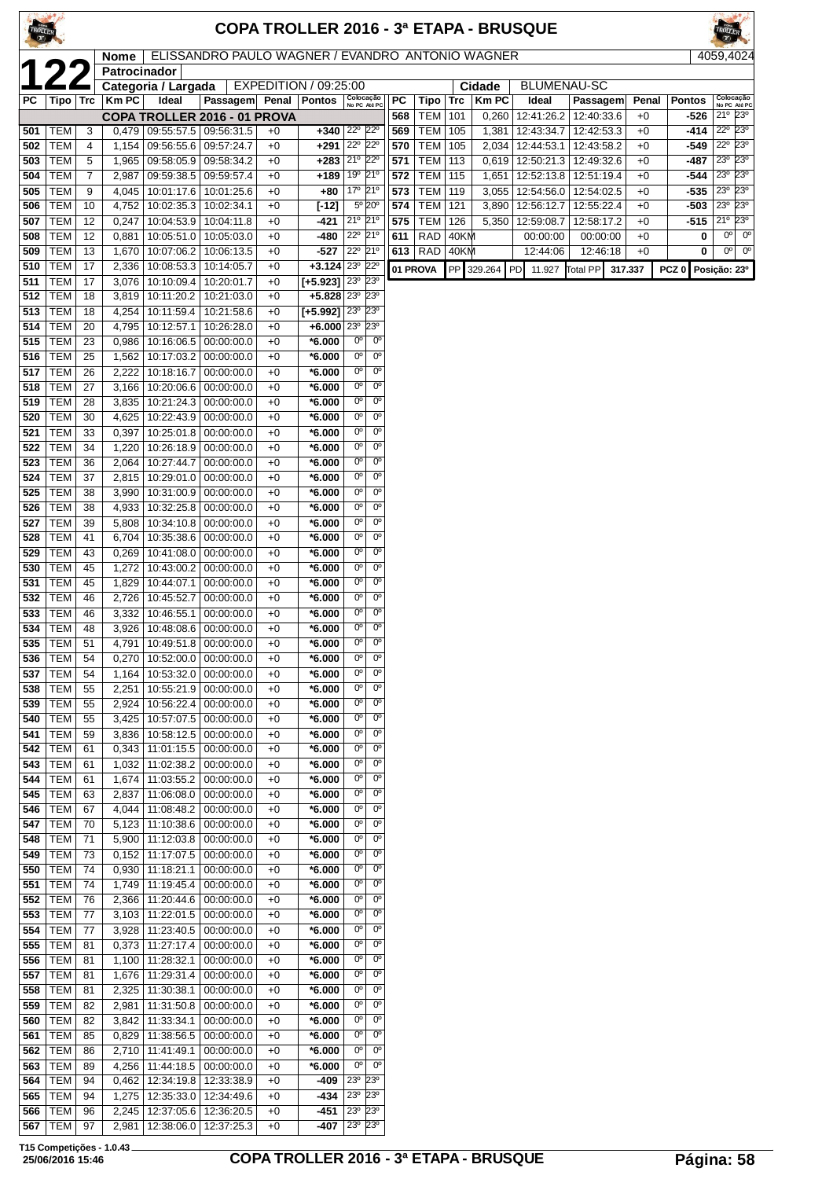| TROLLE     |                          |                     |                      |                                                      |                                                  |              | COPA TROLLER 2016 - 3ª ETAPA - BRUSQUE |                                       |                               |            |                          |              |                |                          |                          |              |                  |                                                             |
|------------|--------------------------|---------------------|----------------------|------------------------------------------------------|--------------------------------------------------|--------------|----------------------------------------|---------------------------------------|-------------------------------|------------|--------------------------|--------------|----------------|--------------------------|--------------------------|--------------|------------------|-------------------------------------------------------------|
|            |                          |                     | Nome<br>Patrocinador |                                                      | ELISSANDRO PAULO WAGNER / EVANDRO ANTONIO WAGNER |              |                                        |                                       |                               |            |                          |              |                |                          |                          |              |                  | 4059,4024                                                   |
|            |                          |                     |                      | Categoria / Largada                                  |                                                  |              | EXPEDITION / 09:25:00                  |                                       |                               |            |                          |              | Cidade         | <b>BLUMENAU-SC</b>       |                          |              |                  |                                                             |
| <b>PC</b>  | Tipo                     | <b>Trc</b>          | <b>Km PC</b>         | Ideal                                                | Passagem                                         | Penal        | <b>Pontos</b>                          |                                       | Colocação<br>No PC Até PC     | PC         | Tipo                     | Trc          | <b>KmPC</b>    | Ideal                    | Passagem<br>12:40:33.6   | Penal        | <b>Pontos</b>    | Colocação<br>No PC Até PC<br>21º 23º                        |
| 501        | TEM                      | 3                   |                      | COPA TROLLER 2016 - 01 PROVA<br>$0,479$   09:55:57.5 | 09:56:31.5                                       | +0           | $+340$                                 | $22^{\circ}$                          | $22^{\circ}$                  | 568<br>569 | <b>TEM</b><br><b>TEM</b> | 101<br>105   | 0,260<br>1,381 | 12:41:26.2<br>12:43:34.7 | 12:42:53.3               | $+0$<br>$+0$ | -526<br>-414     | $22^{\circ}$<br>$23^{\circ}$                                |
| 502        | TEM                      | 4                   | 1,154                | 09:56:55.6                                           | 09:57:24.7                                       | $+0$         | $+291$                                 | 22 <sup>0</sup> 22 <sup>0</sup>       |                               | 570        | TEM                      | 105          | 2,034          | 12:44:53.1               | 12:43:58.2               | $+0$         | -549             | $22^{\circ}$<br>23°                                         |
| 503        | <b>TEM</b>               | 5                   | 1,965                | 09:58:05.9                                           | 09:58:34.2                                       | $+0$         | $+283$                                 | 21° 22°<br>19º 21º                    |                               | 571        | <b>TEM</b>               | 113          | 0,619          | 12:50:21.3               | 12:49:32.6               | $+0$         | $-487$           | $23^\circ$<br>$23^\circ$<br>23º 23º                         |
| 504<br>505 | TEM<br><b>TEM</b>        | $\overline{7}$<br>9 | 2,987                | 09:59:38.5<br>4,045   10:01:17.6   10:01:25.6        | 09:59:57.4                                       | $+0$<br>$+0$ | $+189$<br>+80                          | 17º 21º                               |                               | 572<br>573 | TEM<br><b>TEM</b>        | 115<br>119   | 1,651<br>3,055 | 12:52:13.8<br>12:54:56.0 | 12:51:19.4<br>12:54:02.5 | $+0$<br>$+0$ | -544<br>$-535$   | 23° 23°                                                     |
| 506        | <b>TEM</b>               | 10                  | 4,752                | 10:02:35.3                                           | 10:02:34.1                                       | +0           | $[-12]$                                |                                       | 5° 20°                        | 574        | <b>TEM</b>               | 121          | 3,890          | 12:56:12.7               | 12:55:22.4               | $+0$         | -503             | 23 <sup>o</sup><br>$23^\circ$                               |
| 507        | <b>TEM</b>               | 12                  |                      | $0,247$   10:04:53.9                                 | 10:04:11.8                                       | $+0$         | -421                                   | 21º 21º                               |                               | 575        | <b>TEM</b>               | 126          | 5,350          | 12:59:08.7               | 12:58:17.2               | $+0$         | -515             | $21^{\circ}$ $23^{\circ}$                                   |
| 508<br>509 | <b>TEM</b><br><b>TEM</b> | 12<br>13            | 0,881                | 10:05:51.0<br>1,670   10:07:06.2                     | 10:05:03.0<br>10:06:13.5                         | $+0$<br>$+0$ | -480<br>-527                           | 22º 21º<br>22° 21°                    |                               | 611        | <b>RAD</b><br>613   RAD  | 40KM<br>40KM |                | 00:00:00<br>12:44:06     | 00:00:00<br>12:46:18     | $+0$<br>$+0$ | 0<br>0           | $0^{\circ}$<br>$0^{\circ}$<br>0 <sup>o</sup><br>$0^{\circ}$ |
| 510        | <b>TEM</b>               | 17                  | 2,336                | 10:08:53.3                                           | 10:14:05.7                                       | +0           | $+3.124$                               | $23^{\circ}$                          | $22^{\circ}$                  |            | 01 PROVA                 |              | PP 329.264     | PD<br>11.927             | <b>Total PP</b>          | 317.337      | PCZ <sub>0</sub> | Posição: 23º                                                |
| 511        | <b>TEM</b>               | 17                  | 3,076                | 10:10:09.4                                           | 10:20:01.7                                       | +0           | $[-5.923]$                             | 23 <sup>o</sup>                       | $23^\circ$                    |            |                          |              |                |                          |                          |              |                  |                                                             |
| 512<br>513 | <b>TEM</b><br><b>TEM</b> | 18<br>18            | 4,254                | 3,819   10:11:20.2<br>10:11:59.4                     | 10:21:03.0<br>10:21:58.6                         | $+0$<br>$+0$ | $+5.828$ $23^{\circ}$<br>$[-5.992]$    | 23 <sup>0</sup>                       | $23^{\circ}$<br>23°           |            |                          |              |                |                          |                          |              |                  |                                                             |
| 514        | <b>TEM</b>               | 20                  | 4,795                | 10:12:57.1                                           | 10:26:28.0                                       | $+0$         | $+6.000$                               | $23^{\circ}$                          | 23 <sup>o</sup>               |            |                          |              |                |                          |                          |              |                  |                                                             |
| 515        | TEM                      | 23                  | 0,986                | 10:16:06.5                                           | 00:00:00.0                                       | $+0$         | $*6.000$                               | 0°                                    | $0^{\circ}$                   |            |                          |              |                |                          |                          |              |                  |                                                             |
| 516        | <b>TEM</b>               | 25                  |                      | 1,562   10:17:03.2<br>2,222 10:18:16.7               | 00:00:00.0                                       | $+0$         | $*6.000$                               | $0^{\circ}$<br>$0^{\circ}$            | $0^{\circ}$<br>$0^{\circ}$    |            |                          |              |                |                          |                          |              |                  |                                                             |
| 517<br>518 | <b>TEM</b><br><b>TEM</b> | 26<br>27            | 3,166                | 10:20:06.6                                           | 00:00:00.0<br>00:00:00.0                         | $+0$<br>$+0$ | $*6.000$<br>$*6.000$                   | $0^{\circ}$                           | $0^{\circ}$                   |            |                          |              |                |                          |                          |              |                  |                                                             |
| 519        | TEM                      | 28                  | 3,835                | 10:21:24.3                                           | 00:00:00.0                                       | $+0$         | $*6.000$                               | $0^{\circ}$                           | $0^{\circ}$                   |            |                          |              |                |                          |                          |              |                  |                                                             |
| 520        | TEM                      | 30                  | 4,625                | 10:22:43.9                                           | 00:00:00.0                                       | $+0$         | $*6.000$                               | 0°                                    | $0^{\circ}$                   |            |                          |              |                |                          |                          |              |                  |                                                             |
| 521<br>522 | <b>TEM</b><br><b>TEM</b> | 33<br>34            | 0,397                | 10:25:01.8<br>1,220   10:26:18.9                     | 00:00:00.0<br>00:00:00.0                         | $+0$<br>$+0$ | $*6.000$<br>$*6.000$                   | $0^{\circ}$<br>$0^{\circ}$            | $0^{\circ}$<br>$0^{\circ}$    |            |                          |              |                |                          |                          |              |                  |                                                             |
| 523        | <b>TEM</b>               | 36                  | 2,064                | 10:27:44.7                                           | 00:00:00.0                                       | $+0$         | $*6.000$                               | $0^{\circ}$                           | $0^{\circ}$                   |            |                          |              |                |                          |                          |              |                  |                                                             |
| 524        | TEM                      | 37                  |                      | 2,815   10:29:01.0                                   | 00:00:00.0                                       | $+0$         | $*6.000$                               | $0^{\circ}$                           | $0^{\circ}$                   |            |                          |              |                |                          |                          |              |                  |                                                             |
| 525<br>526 | <b>TEM</b><br><b>TEM</b> | 38<br>38            | 3,990                | 10:31:00.9<br>4,933 10:32:25.8                       | 00:00:00.0<br>00:00:00.0                         | $+0$<br>$+0$ | $*6.000$<br>$*6.000$                   | $0^{\rm o}$<br>$\overline{0^{\circ}}$ | $0^{\circ}$<br>$0^{\circ}$    |            |                          |              |                |                          |                          |              |                  |                                                             |
| 527        | <b>TEM</b>               | 39                  | 5,808                | 10:34:10.8                                           | 00:00:00.0                                       | $+0$         | $*6.000$                               | $0^{\circ}$                           | $0^{\circ}$                   |            |                          |              |                |                          |                          |              |                  |                                                             |
| 528        | <b>TEM</b>               | 41                  | 6,704                | 10:35:38.6                                           | 00:00:00.0                                       | $+0$         | $*6.000$                               | $0^{\rm o}$                           | $0^{\circ}$                   |            |                          |              |                |                          |                          |              |                  |                                                             |
| 529<br>530 | <b>TEM</b><br><b>TEM</b> | 43<br>45            | 0.269<br>1,272       | 10:41:08.0<br>10:43:00.2                             | 00:00:00.0<br>00:00:00.0                         | $+0$<br>$+0$ | $*6.000$<br>$*6.000$                   | $0^{\circ}$<br>$0^{\circ}$            | 0 <sup>o</sup><br>$0^{\circ}$ |            |                          |              |                |                          |                          |              |                  |                                                             |
| 531        | TEM                      | 45                  | 1,829                | 10:44:07.1                                           | 00:00:00.0                                       | $+0$         | $*6.000$                               | $0^{\circ}$                           | 0 <sup>o</sup>                |            |                          |              |                |                          |                          |              |                  |                                                             |
| 532        | TEM                      | 46                  | 2,726                | 10:45:52.7                                           | 00:00:00.0                                       | +0           | $*6.000$                               | $0^{\circ}$                           | $0^{\circ}$                   |            |                          |              |                |                          |                          |              |                  |                                                             |
| 533<br>534 | <b>TEM</b><br><b>TEM</b> | 46<br>48            | 3,332                | 10:46:55.1<br>3,926   10:48:08.6                     | 00:00:00.0<br> 00:00:00.0                        | $+0$<br>$+0$ | $*6.000$<br>$*6.000$                   | $0^{\circ}$<br>$0^{\circ}$            | $0^{\circ}$<br>$0^{\circ}$    |            |                          |              |                |                          |                          |              |                  |                                                             |
| 535        | TEM                      | 51                  |                      | 4,791   10:49:51.8   00:00:00.0                      |                                                  | +0           | *6.000                                 | $0^{\circ}$                           | O <sup>o</sup>                |            |                          |              |                |                          |                          |              |                  |                                                             |
| 536        | TEM                      | 54                  |                      | $0,270$   10:52:00.0                                 | 00:00:00.0                                       | $+0$         | $*6.000$                               | $0^{\circ}$                           | $0^{\circ}$                   |            |                          |              |                |                          |                          |              |                  |                                                             |
| 537        | <b>TEM</b>               | 54                  | 1,164                | 10:53:32.0                                           | 00:00:00.0                                       | +0           | *6.000                                 | 0°<br>$0^{\circ}$                     | $0^{\circ}$<br>$0^{\circ}$    |            |                          |              |                |                          |                          |              |                  |                                                             |
| 538<br>539 | <b>TEM</b><br><b>TEM</b> | 55<br>55            | 2,251<br>2,924       | 10:55:21.9<br>10:56:22.4                             | 00:00:00.0<br>00:00:00.0                         | +0<br>+0     | $*6.000$<br>*6.000                     | $0^{\circ}$                           | $0^{\circ}$                   |            |                          |              |                |                          |                          |              |                  |                                                             |
| 540        | <b>TEM</b>               | 55                  | 3,425                | 10:57:07.5                                           | 00:00:00.0                                       | +0           | *6.000                                 | $0^{\circ}$                           | $0^{\circ}$                   |            |                          |              |                |                          |                          |              |                  |                                                             |
| 541        | <b>TEM</b>               | 59                  |                      | 3,836   10:58:12.5                                   | 00:00:00.0                                       | $+0$         | $*6.000$                               | $0^{\circ}$                           | $0^{\circ}$                   |            |                          |              |                |                          |                          |              |                  |                                                             |
| 542<br>543 | <b>TEM</b><br><b>TEM</b> | 61<br>61            | 0,343<br>1,032       | 11:01:15.5<br>11:02:38.2                             | 00:00:00.0<br>00:00:00.0                         | +0<br>+0     | $*6.000$<br>$*6.000$                   | 0°<br>0 <sup>o</sup>                  | $0^{\circ}$<br>$0^{\circ}$    |            |                          |              |                |                          |                          |              |                  |                                                             |
| 544        | <b>TEM</b>               | 61                  | 1,674                | 11:03:55.2                                           | 00:00:00.0                                       | +0           | $*6.000$                               | 0°                                    | $0^{\circ}$                   |            |                          |              |                |                          |                          |              |                  |                                                             |
| 545        | <b>TEM</b>               | 63                  | 2,837                | 11:06:08.0                                           | 00:00:00.0                                       | +0           | $*6.000$                               | $0^{\circ}$                           | $0^{\circ}$                   |            |                          |              |                |                          |                          |              |                  |                                                             |
| 546<br>547 | <b>TEM</b><br><b>TEM</b> | 67<br>70            | 5,123                | 4,044   11:08:48.2<br>11:10:38.6                     | 00:00:00.0<br>00:00:00.0                         | $+0$<br>+0   | $*6.000$<br>$*6.000$                   | $0^{\circ}$<br>0°                     | $0^{\circ}$<br>$0^{\circ}$    |            |                          |              |                |                          |                          |              |                  |                                                             |
| 548        | TEM                      | 71                  |                      | 5,900 11:12:03.8                                     | 00:00:00.0                                       | $+0$         | $*6.000$                               | 0°                                    | $0^{\circ}$                   |            |                          |              |                |                          |                          |              |                  |                                                             |
| 549        | <b>TEM</b>               | 73                  |                      | $0,152$   11:17:07.5                                 | 00:00:00.0                                       | +0           | $*6.000$                               | $0^{\circ}$                           | $0^{\circ}$                   |            |                          |              |                |                          |                          |              |                  |                                                             |
| 550<br>551 | <b>TEM</b><br>TEM        | 74<br>74            | 0,930                | 11:18:21.1<br>1,749   11:19:45.4                     | 00:00:00.0<br>00:00:00.0                         | +0<br>$+0$   | $*6.000$<br>$*6.000$                   | $0^{\circ}$<br>$0^{\circ}$            | $0^{\circ}$<br>$0^{\circ}$    |            |                          |              |                |                          |                          |              |                  |                                                             |
| 552        | <b>TEM</b>               | 76                  |                      | 2,366   11:20:44.6                                   | 00:00:00.0                                       | $+0$         | $*6.000$                               | $0^{\circ}$                           | $0^{\circ}$                   |            |                          |              |                |                          |                          |              |                  |                                                             |
| 553        | TEM                      | 77                  |                      | 3,103 11:22:01.5                                     | 00:00:00.0                                       | $+0$         | $*6.000$                               | 0 <sup>o</sup>                        | $0^{\circ}$                   |            |                          |              |                |                          |                          |              |                  |                                                             |
| 554<br>555 | <b>TEM</b><br><b>TEM</b> | 77<br>81            | 3,928                | 11:23:40.5                                           | 00:00:00.0                                       | +0           | *6.000                                 | $0^{\circ}$<br>$0^{\circ}$            | $0^{\circ}$<br>$0^{\circ}$    |            |                          |              |                |                          |                          |              |                  |                                                             |
| 556        | <b>TEM</b>               | 81                  | 0,373                | 11:27:17.4<br>1,100   11:28:32.1                     | 00:00:00.0<br>00:00:00.0                         | +0<br>$+0$   | $*6.000$<br>$*6.000$                   | $0^{\circ}$                           | $0^{\circ}$                   |            |                          |              |                |                          |                          |              |                  |                                                             |
| 557        | <b>TEM</b>               | 81                  | 1,676                | 11:29:31.4                                           | 00:00:00.0                                       | $+0$         | $*6.000$                               | $0^{\circ}$                           | $0^{\circ}$                   |            |                          |              |                |                          |                          |              |                  |                                                             |
| 558        | TEM                      | 81                  | 2,325                | 11:30:38.1                                           | 00:00:00.0                                       | $+0$         | $*6.000$                               | $0^{\circ}$                           | $0^{\circ}$                   |            |                          |              |                |                          |                          |              |                  |                                                             |
| 559<br>560 | <b>TEM</b><br><b>TEM</b> | 82<br>82            | 2,981                | 11:31:50.8<br>3,842   11:33:34.1                     | 00:00:00.0<br>00:00:00.0                         | +0<br>+0     | $*6.000$<br>$*6.000$                   | $0^{\circ}$<br>$0^{\rm o}$            | $0^{\circ}$<br>$0^{\circ}$    |            |                          |              |                |                          |                          |              |                  |                                                             |
| 561        | <b>TEM</b>               | 85                  |                      | 0,829 11:38:56.5                                     | 00:00:00.0                                       | +0           | $*6.000$                               | 0°                                    | $0^{\circ}$                   |            |                          |              |                |                          |                          |              |                  |                                                             |
| 562        | <b>TEM</b>               | 86                  |                      | 2,710   11:41:49.1                                   | 00:00:00.0                                       | $+0$         | $*6.000$                               | $0^{\rm o}$                           | $0^{\circ}$                   |            |                          |              |                |                          |                          |              |                  |                                                             |
| 563<br>564 | TEM<br>TEM               | 89<br>94            | 0,462                | 4,256   11:44:18.5<br>12:34:19.8                     | 00:00:00.0<br>12:33:38.9                         | $+0$<br>+0   | $*6.000$<br>-409                       | $0^{\circ}$<br>23 <sup>o</sup>        | $0^{\circ}$<br>$23^\circ$     |            |                          |              |                |                          |                          |              |                  |                                                             |
| 565        | <b>TEM</b>               | 94                  | 1,275                | 12:35:33.0                                           | 12:34:49.6                                       | +0           | -434                                   | $23^\circ$                            | $23^\circ$                    |            |                          |              |                |                          |                          |              |                  |                                                             |
| 566        | <b>TEM</b>               | 96                  |                      | 2,245   12:37:05.6                                   | 12:36:20.5                                       | +0           | -451                                   | 23 <sup>o</sup>                       | 23 <sup>o</sup>               |            |                          |              |                |                          |                          |              |                  |                                                             |
| 567        | <b>TEM</b>               | 97                  |                      | 2,981 12:38:06.0 12:37:25.3                          |                                                  | $+0$         | $-407$                                 | 23° 23°                               |                               |            |                          |              |                |                          |                          |              |                  |                                                             |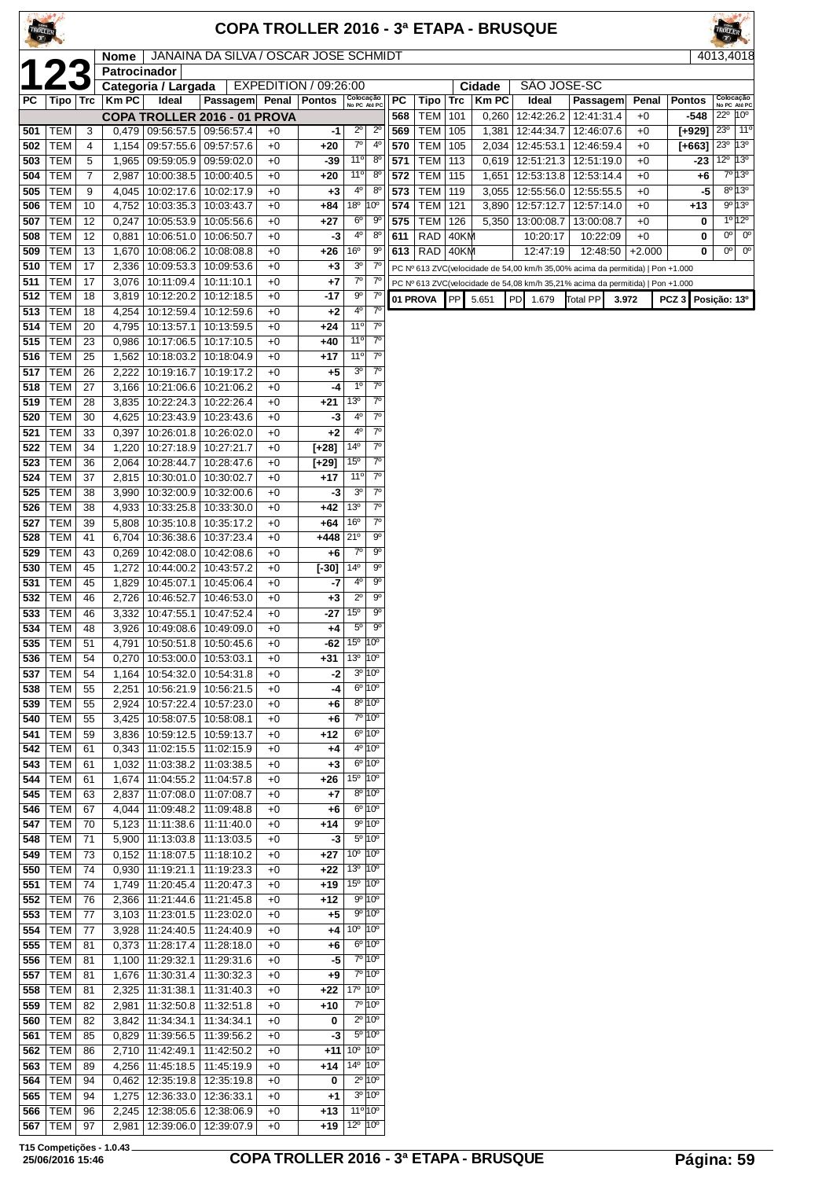| <b>COPA TROLLER 2016 - 3ª ETAPA - BRUSQUE</b> |                          |            |                     |                                            |                          |              |               |                                        |                                                        |                                                                                            |                   |             |                       |                                                                                |                          |                  |                  |                                                                    |
|-----------------------------------------------|--------------------------|------------|---------------------|--------------------------------------------|--------------------------|--------------|---------------|----------------------------------------|--------------------------------------------------------|--------------------------------------------------------------------------------------------|-------------------|-------------|-----------------------|--------------------------------------------------------------------------------|--------------------------|------------------|------------------|--------------------------------------------------------------------|
|                                               |                          |            | Nome                | JANAINA DA SILVA / OSCAR JOSE SCHMIDT      |                          |              |               |                                        |                                                        |                                                                                            |                   |             |                       |                                                                                |                          |                  |                  | 4013,4018                                                          |
|                                               |                          |            | <b>Patrocinador</b> |                                            | EXPEDITION / 09:26:00    |              |               |                                        |                                                        |                                                                                            |                   | SAO JOSE-SC |                       |                                                                                |                          |                  |                  |                                                                    |
| РC                                            |                          | Tipo   Trc | <b>KmPC</b>         | Categoria / Largada<br>Ideal               | Passagem                 | Penal        | <b>Pontos</b> | Colocação<br>No PC Até PC              |                                                        | PС                                                                                         | Tipo              | Trc         | Cidade<br><b>KmPC</b> | Ideal                                                                          | <b>Passagem</b>          | Penal            | <b>Pontos</b>    | Colocação<br>No PC Até PC                                          |
| 501                                           | TEM                      | 3          | 0,479               | COPA TROLLER 2016 - 01 PROVA<br>09:56:57.5 | 09:56:57.4               | $+0$         | -1            | $2^{\circ}$                            | $2^{\circ}$                                            | 568<br>569                                                                                 | TEM<br>TEM        | 101<br>105  | 0,260<br>1,381        | 12:42:26.2<br>12:44:34.7                                                       | 12:41:31.4<br>12:46:07.6 | $+0$<br>$+0$     | -548<br>[+929]   | $22^{\circ}$<br>10 <sup>o</sup><br>23 <sup>0</sup><br>$11^{\circ}$ |
| 502                                           | <b>TEM</b>               | 4          | 1,154               |                                            | 09:57:55.6   09:57:57.6  | $+0$         | +20           | $7^{\circ}$                            | $4^{\circ}$                                            | 570                                                                                        | TEM               | 105         |                       | 2,034   12:45:53.1                                                             | 12:46:59.4               | $+0$             | $[+663]$         | 13 <sup>o</sup><br>23 <sup>0</sup>                                 |
| 503                                           | <b>TEM</b>               | 5          | 1,965               | 09:59:05.9                                 | 09:59:02.0               | $+0$         | -39           | $11^{\circ}$                           | $8^{\circ}$                                            | 571                                                                                        | TEM               | 113         | 0,619                 | 12:51:21.3   12:51:19.0                                                        |                          | $+0$             |                  | $12^{\circ}$<br>$13^\circ$<br>-23                                  |
| 504<br>505                                    | <b>TEM</b><br><b>TEM</b> | 7<br>9     | 2,987<br>4,045      | 10:00:38.5<br>10:02:17.6                   | 10:00:40.5<br>10:02:17.9 | $+0$<br>$+0$ | +20<br>+3     | 11°<br>$4^{\circ}$                     | $8^{\circ}$<br>$8^{\circ}$                             | 572<br>573                                                                                 | TEM<br><b>TEM</b> | 115<br>119  | 1,651<br>3,055        | 12:53:13.8<br>12:55:56.0   12:55:55.5                                          | 12:53:14.4               | $+0$<br>$+0$     |                  | 7º 13º<br>+6<br>$8^{\circ}$ 13 $^{\circ}$<br>-5                    |
| 506                                           | TEM                      | 10         | 4,752               | 10:03:35.3                                 | 10:03:43.7               | $+0$         | +84           | $18^{\circ}$                           | 10°                                                    | 574                                                                                        | TEM               | 121         | 3,890                 | 12:57:12.7                                                                     | 12:57:14.0               | $+0$             | +13              | 9º 13º                                                             |
| 507                                           | <b>TEM</b>               | 12         | 0,247               | 10:05:53.9                                 | 10:05:56.6               | $+0$         | +27           | $6^{\circ}$                            | 90                                                     | 575                                                                                        | TEM               | 126         | 5,350                 | 13:00:08.7                                                                     | 13:00:08.7               | $+0$             |                  | $10^{120}$<br>0<br>0°<br>$0^{\circ}$                               |
| 508<br>509                                    | <b>TEM</b><br><b>TEM</b> | 12<br>13   | 0,881<br>1,670      | 10:06:51.0<br>10:08:06.2                   | 10:06:50.7<br>10:08:08.8 | $+0$<br>$+0$ | -3<br>+26     | $4^{\circ}$<br>16°                     | $8^{\circ}$<br>90                                      | 611<br>613                                                                                 | RAD<br>RAD 40KM   | 40KM        |                       | 10:20:17<br>12:47:19                                                           | 10:22:09<br>12:48:50     | $+0$<br>$+2.000$ |                  | 0<br>$0^{\circ}$<br>$0^{\circ}$<br>0                               |
| 510                                           | TEM                      | 17         | 2,336               | 10:09:53.3                                 | 10:09:53.6               | $+0$         | +3            | 3 <sup>o</sup>                         | $7^\circ$                                              |                                                                                            |                   |             |                       | PC Nº 613 ZVC(velocidade de 54,00 km/h 35,00% acima da permitida)   Pon +1.000 |                          |                  |                  |                                                                    |
| 511                                           | TEM<br><b>TEM</b>        | 17<br>18   | 3,076               | 10:11:09.4                                 | 10:11:10.1               | $+0$<br>$+0$ | +7<br>$-17$   | $7^\circ$<br>90                        | $7^{\circ}$<br>$7^{\circ}$                             | PC Nº 613 ZVC(velocidade de 54,08 km/h 35,21% acima da permitida)   Pon +1.000<br>01 PROVA |                   |             |                       |                                                                                |                          |                  |                  |                                                                    |
| 512<br>513                                    | <b>TEM</b>               | 18         | 3,819<br>4,254      | 10:12:20.2<br>10:12:59.4                   | 10:12:18.5<br>10:12:59.6 | $+0$         | +2            | 4°                                     | $7^{\circ}$                                            |                                                                                            |                   | <b>PP</b>   | 5.651                 | PD <b>1</b> 1.679                                                              | <b>Total PP</b>          | 3.972            | PCZ <sub>3</sub> | Posição: 13º                                                       |
| 514                                           | <b>TEM</b>               | 20         | 4,795               | 10:13:57.1                                 | 10:13:59.5               | $+0$         | +24           | 11°                                    | 7 <sup>0</sup>                                         |                                                                                            |                   |             |                       |                                                                                |                          |                  |                  |                                                                    |
| 515                                           | TEM<br><b>TEM</b>        | 23<br>25   | 0,986               | 10:17:06.5                                 | 10:17:10.5<br>10:18:04.9 | $+0$<br>$+0$ | +40<br>+17    | $11^{\circ}$<br>$11^{\circ}$           | $7^\circ$<br>7 <sup>0</sup>                            |                                                                                            |                   |             |                       |                                                                                |                          |                  |                  |                                                                    |
| 516<br>517                                    | <b>TEM</b>               | 26         | 1,562<br>2,222      | 10:18:03.2<br>10:19:16.7                   | 10:19:17.2               | $+0$         | +5            | 3 <sup>o</sup>                         | $7^\circ$                                              |                                                                                            |                   |             |                       |                                                                                |                          |                  |                  |                                                                    |
| 518                                           | <b>TEM</b>               | 27         | 3,166               | 10:21:06.6                                 | 10:21:06.2               | $+0$         | -4            | $1^{\circ}$                            | $7^\circ$                                              |                                                                                            |                   |             |                       |                                                                                |                          |                  |                  |                                                                    |
| 519<br>520                                    | <b>TEM</b><br>TEM        | 28<br>30   | 3,835<br>4,625      | 10:22:24.3<br>10:23:43.9                   | 10:22:26.4<br>10:23:43.6 | $+0$<br>$+0$ | +21<br>-3     | 13 <sup>0</sup><br>$4^{\circ}$         | $7^\circ$<br>$7^\circ$                                 |                                                                                            |                   |             |                       |                                                                                |                          |                  |                  |                                                                    |
| 521                                           | <b>TEM</b>               | 33         | 0,397               | 10:26:01.8                                 | 10:26:02.0               | $+0$         | $+2$          | $4^{\circ}$                            | 7 <sup>0</sup>                                         |                                                                                            |                   |             |                       |                                                                                |                          |                  |                  |                                                                    |
| 522                                           | <b>TEM</b>               | 34         | 1,220               | 10:27:18.9                                 | 10:27:21.7               | $+0$         | $[+28]$       | $14^{o}$                               | $7^\circ$                                              |                                                                                            |                   |             |                       |                                                                                |                          |                  |                  |                                                                    |
| 523<br>524                                    | TEM<br>TEM               | 36<br>37   | 2,064<br>2,815      | 10:28:44.7<br>10:30:01.0                   | 10:28:47.6<br>10:30:02.7 | $+0$<br>$+0$ | [+29]<br>+17  | 15 <sup>0</sup><br>11°                 | $7^{\circ}$<br>$7^\circ$                               |                                                                                            |                   |             |                       |                                                                                |                          |                  |                  |                                                                    |
| 525                                           | <b>TEM</b>               | 38         | 3,990               | 10:32:00.9                                 | 10:32:00.6               | $+0$         | -3            | 3 <sup>o</sup>                         | $7^\circ$                                              |                                                                                            |                   |             |                       |                                                                                |                          |                  |                  |                                                                    |
| 526                                           | <b>TEM</b>               | 38         | 4,933               | 10:33:25.8                                 | 10:33:30.0               | $+0$         | +42           | 13 <sup>o</sup>                        | $7^\circ$                                              |                                                                                            |                   |             |                       |                                                                                |                          |                  |                  |                                                                    |
| 527<br>528                                    | TEM<br><b>TEM</b>        | 39<br>41   | 5,808<br>6,704      | 10:35:10.8<br>10:36:38.6                   | 10:35:17.2<br>10:37:23.4 | $+0$<br>$+0$ | +64<br>+448   | 16 <sup>o</sup><br>21°                 | $7^\circ$<br>$9^{\circ}$                               |                                                                                            |                   |             |                       |                                                                                |                          |                  |                  |                                                                    |
| 529                                           | TEM                      | 43         | 0,269               | 10:42:08.0                                 | 10:42:08.6               | $+0$         | +6            | $7^\circ$                              | $9^{\circ}$                                            |                                                                                            |                   |             |                       |                                                                                |                          |                  |                  |                                                                    |
| 530                                           | <b>TEM</b>               | 45         | 1,272               | 10:44:00.2                                 | 10:43:57.2               | $+0$         | $[-30]$       | 14°                                    | $9^{\circ}$<br>$9^{\circ}$                             |                                                                                            |                   |             |                       |                                                                                |                          |                  |                  |                                                                    |
| 531<br>532                                    | <b>TEM</b><br><b>TEM</b> | 45<br>46   | 1,829<br>2,726      | 10:45:07.1<br>10:46:52.7                   | 10:45:06.4<br>10:46:53.0 | $+0$<br>$+0$ | -7<br>$+3$    | 4°<br>$2^{\circ}$                      | 90                                                     |                                                                                            |                   |             |                       |                                                                                |                          |                  |                  |                                                                    |
| 533                                           | <b>TEM</b>               | 46         | 3,332               | 10:47:55.1                                 | 10:47:52.4               | $+0$         | -27           | 15 <sup>o</sup>                        | $9^{\circ}$                                            |                                                                                            |                   |             |                       |                                                                                |                          |                  |                  |                                                                    |
| 534                                           | TEM                      | 48         |                     | 3,926   10:49:08.6   10:49:09.0            |                          | $+0$         | +4            | $5^{\circ}$<br>15 <sup>o</sup>         | $9^{\circ}$<br>10 <sup>o</sup>                         |                                                                                            |                   |             |                       |                                                                                |                          |                  |                  |                                                                    |
| 535<br>536                                    | <b>TEM</b><br><b>TEM</b> | 51<br>54   | 4,791<br>0,270      | 10:50:51.8<br>10:53:00.0                   | 10:50:45.6<br>10:53:03.1 | $+0$<br>$+0$ | -62<br>+31    | 13 <sup>o</sup> 10 <sup>o</sup>        |                                                        |                                                                                            |                   |             |                       |                                                                                |                          |                  |                  |                                                                    |
| 537                                           | TEM                      | 54         | 1,164               | 10:54:32.0                                 | 10:54:31.8               | $+0$         | -2            |                                        | $3^{\circ}$ 10 $^{\circ}$                              |                                                                                            |                   |             |                       |                                                                                |                          |                  |                  |                                                                    |
| 538<br>539                                    | <b>TEM</b><br>TEM        | 55<br>55   | 2,251<br>2,924      | 10:56:21.9<br>10:57:22.4                   | 10:56:21.5<br>10:57:23.0 | $+0$<br>$+0$ | -4<br>+6      |                                        | $6^{\circ}$ 10 $^{\circ}$<br>$8^{\circ}$ 10 $^{\circ}$ |                                                                                            |                   |             |                       |                                                                                |                          |                  |                  |                                                                    |
| 540                                           | <b>TEM</b>               | 55         | 3,425               | 10:58:07.5                                 | 10:58:08.1               | $+0$         | +6            |                                        | 7º 10º                                                 |                                                                                            |                   |             |                       |                                                                                |                          |                  |                  |                                                                    |
| 541                                           | TEM                      | 59         | 3,836               | 10:59:12.5                                 | 10:59:13.7               | $+0$         | +12           |                                        | $6^{\circ}$ 10 $^{\circ}$                              |                                                                                            |                   |             |                       |                                                                                |                          |                  |                  |                                                                    |
| 542<br>543                                    | TEM<br>TEM               | 61<br>61   | 0,343<br>1,032      | 11:02:15.5<br>11:03:38.2                   | 11:02:15.9<br>11:03:38.5 | $+0$<br>$+0$ | +4<br>$+3$    |                                        | 4º 10º<br>$6^{\circ}$ 10 $^{\circ}$                    |                                                                                            |                   |             |                       |                                                                                |                          |                  |                  |                                                                    |
| 544                                           | TEM                      | 61         | 1,674               | 11:04:55.2                                 | 11:04:57.8               | $+0$         | +26           | 15 <sup>o</sup> 10 <sup>o</sup>        |                                                        |                                                                                            |                   |             |                       |                                                                                |                          |                  |                  |                                                                    |
| 545                                           | <b>TEM</b>               | 63         | 2,837               | 11:07:08.0                                 | 11:07:08.7               | $+0$         | +7            |                                        | $8^{\circ}$ 10 $^{\circ}$                              |                                                                                            |                   |             |                       |                                                                                |                          |                  |                  |                                                                    |
| 546<br>547                                    | TEM<br>TEM               | 67<br>70   | 4,044<br>5,123      | 11:09:48.2<br>11:11:38.6                   | 11:09:48.8<br>11:11:40.0 | $+0$<br>$+0$ | +6<br>+14     |                                        | $6^{\circ}$ 10 $^{\circ}$<br>$9^{\circ}$ 10 $^{\circ}$ |                                                                                            |                   |             |                       |                                                                                |                          |                  |                  |                                                                    |
| 548                                           | TEM                      | 71         | 5,900               | 11:13:03.8                                 | 11:13:03.5               | $+0$         | -3            |                                        | $5^{\circ}$ 10 $^{\circ}$                              |                                                                                            |                   |             |                       |                                                                                |                          |                  |                  |                                                                    |
| 549                                           | TEM                      | 73         | 0,152               | 11:18:07.5                                 | 11:18:10.2               | $+0$         | +27           | $10^{\circ}$ $ 10^{\circ} $<br>13º 10º |                                                        |                                                                                            |                   |             |                       |                                                                                |                          |                  |                  |                                                                    |
| 550<br>551                                    | <b>TEM</b><br>TEM        | 74<br>74   | 0,930<br>1,749      | 11:19:21.1<br>11:20:45.4                   | 11:19:23.3<br>11:20:47.3 | $+0$<br>$+0$ | +22<br>+19    | 15 <sup>°</sup> 10 <sup>°</sup>        |                                                        |                                                                                            |                   |             |                       |                                                                                |                          |                  |                  |                                                                    |
| 552                                           | <b>TEM</b>               | 76         | 2,366               | 11:21:44.6                                 | 11:21:45.8               | $+0$         | +12           |                                        | $9^{\circ}$ 10 $^{\circ}$                              |                                                                                            |                   |             |                       |                                                                                |                          |                  |                  |                                                                    |
| 553<br>554                                    | <b>TEM</b><br><b>TEM</b> | 77         | 3,103               | 11:23:01.5<br>$\overline{11}$ :24:40.5     | 11:23:02.0<br>11:24:40.9 | $+0$         | $+5$          | $10^{\circ}$ $ 10^{\circ}$             | $9^{\circ}$ 10 $^{\circ}$                              |                                                                                            |                   |             |                       |                                                                                |                          |                  |                  |                                                                    |
| 555                                           | <b>TEM</b>               | 77<br>81   | 3,928<br>0,373      | 11:28:17.4                                 | 11:28:18.0               | $+0$<br>$+0$ | +4<br>+6      |                                        | $6^{\circ}$ 10 $^{\circ}$                              |                                                                                            |                   |             |                       |                                                                                |                          |                  |                  |                                                                    |
| 556                                           | <b>TEM</b>               | 81         | 1,100               | 11:29:32.1                                 | 11:29:31.6               | $+0$         | -5            |                                        | 7° 10°                                                 |                                                                                            |                   |             |                       |                                                                                |                          |                  |                  |                                                                    |
| 557<br>558                                    | <b>TEM</b><br>TEM        | 81<br>81   | 1,676<br>2,325      | 11:30:31.4<br>11:31:38.1                   | 11:30:32.3<br>11:31:40.3 | $+0$<br>$+0$ | +9<br>+22     | 17º 10º                                | 7º 10º                                                 |                                                                                            |                   |             |                       |                                                                                |                          |                  |                  |                                                                    |
| 559                                           | <b>TEM</b>               | 82         | 2,981               | 11:32:50.8                                 | 11:32:51.8               | $+0$         | +10           |                                        | 7º 10º                                                 |                                                                                            |                   |             |                       |                                                                                |                          |                  |                  |                                                                    |
| 560                                           | <b>TEM</b>               | 82         | 3,842               | 11:34:34.1                                 | 11:34:34.1               | $+0$         | 0             |                                        | $2^{\circ}$ 10 $^{\circ}$                              |                                                                                            |                   |             |                       |                                                                                |                          |                  |                  |                                                                    |
| 561<br>562                                    | <b>TEM</b><br>TEM        | 85<br>86   | 0,829<br>2,710      | 11:39:56.5<br>11:42:49.1                   | 11:39:56.2<br>11:42:50.2 | $+0$<br>$+0$ | -3<br>$+11$   | $10^{\circ}$ $ 10^{\circ} $            | $5^{\circ}$ 10 $^{\circ}$                              |                                                                                            |                   |             |                       |                                                                                |                          |                  |                  |                                                                    |
| 563                                           | TEM                      | 89         | 4,256               | 11:45:18.5                                 | 11:45:19.9               | $+0$         | +14           | $14^{\circ}$ 10 $^{\circ}$             |                                                        |                                                                                            |                   |             |                       |                                                                                |                          |                  |                  |                                                                    |
| 564                                           | TEM                      | 94         | 0,462               | 12:35:19.8                                 | 12:35:19.8               | $+0$         | 0             |                                        | $2^{\circ}$ 10 $^{\circ}$                              |                                                                                            |                   |             |                       |                                                                                |                          |                  |                  |                                                                    |

 TEM 94 1,275 12:36:33.0 12:36:33.1 +0 **+1** 3º 10º TEM 96 2,245 12:38:05.6 12:38:06.9 +0 **+13** 11º 10º TEM 97 2,981 12:39:06.0 12:39:07.9 +0 **+19** 12º 10º